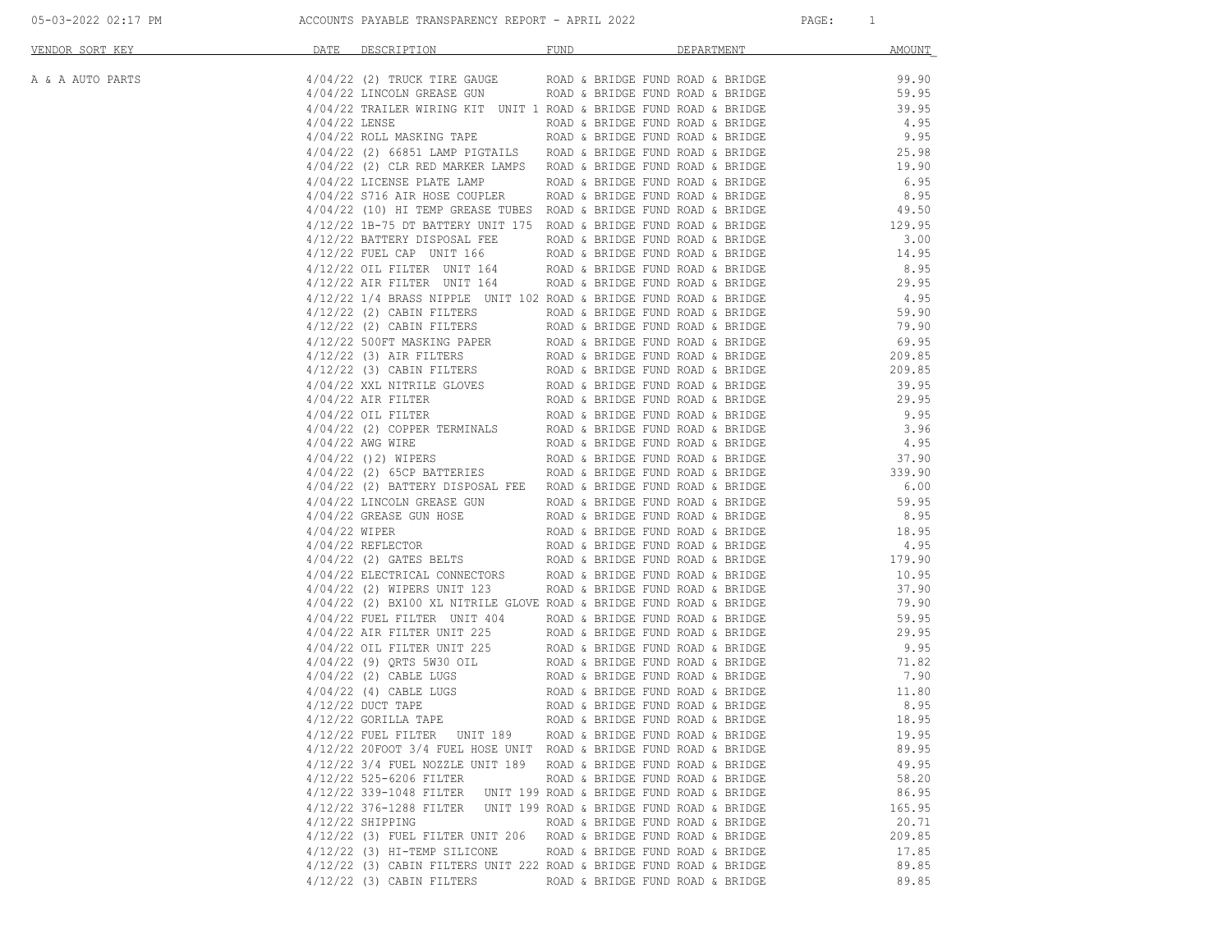|  | 05-03-2022 02:17 PM |  |
|--|---------------------|--|
|  |                     |  |

| VENDOR SORT KEY CONTROL CONTROL DATE DESCRIPTION |                                                                     | FUND | <b>DEPARTMENT</b><br>$\begin{tabular}{ c  c  c } \hline & $1.48 & $1.48 & $1.48 & $1.48 & $1.48 & $1.48 & $1.48 & $1.48 & $1.48 & $1.48 & $1.48 & $1.48 & $1.48 & $1.48 & $1.48 & $1.48 & $1.48 & $1.48 & $1.48 & $1.48 & $1.48 & $1.48 & $1.48 & $1.48 & $1.48 & $1.48 & $1.48 & $1.48 & $1.48 & $1.48 & $1.48 & $1.48 & $1.48 & $1.4$ | AMOUNT |
|--------------------------------------------------|---------------------------------------------------------------------|------|-----------------------------------------------------------------------------------------------------------------------------------------------------------------------------------------------------------------------------------------------------------------------------------------------------------------------------------------|--------|
| A & A AUTO PARTS                                 |                                                                     |      |                                                                                                                                                                                                                                                                                                                                         |        |
|                                                  |                                                                     |      |                                                                                                                                                                                                                                                                                                                                         |        |
|                                                  |                                                                     |      |                                                                                                                                                                                                                                                                                                                                         |        |
|                                                  |                                                                     |      |                                                                                                                                                                                                                                                                                                                                         |        |
|                                                  |                                                                     |      |                                                                                                                                                                                                                                                                                                                                         |        |
|                                                  |                                                                     |      |                                                                                                                                                                                                                                                                                                                                         |        |
|                                                  |                                                                     |      |                                                                                                                                                                                                                                                                                                                                         |        |
|                                                  |                                                                     |      |                                                                                                                                                                                                                                                                                                                                         |        |
|                                                  |                                                                     |      |                                                                                                                                                                                                                                                                                                                                         |        |
|                                                  |                                                                     |      |                                                                                                                                                                                                                                                                                                                                         |        |
|                                                  |                                                                     |      |                                                                                                                                                                                                                                                                                                                                         |        |
|                                                  |                                                                     |      |                                                                                                                                                                                                                                                                                                                                         |        |
|                                                  |                                                                     |      |                                                                                                                                                                                                                                                                                                                                         |        |
|                                                  |                                                                     |      |                                                                                                                                                                                                                                                                                                                                         |        |
|                                                  |                                                                     |      |                                                                                                                                                                                                                                                                                                                                         |        |
|                                                  |                                                                     |      |                                                                                                                                                                                                                                                                                                                                         |        |
|                                                  |                                                                     |      |                                                                                                                                                                                                                                                                                                                                         |        |
|                                                  |                                                                     |      |                                                                                                                                                                                                                                                                                                                                         |        |
|                                                  |                                                                     |      |                                                                                                                                                                                                                                                                                                                                         |        |
|                                                  |                                                                     |      |                                                                                                                                                                                                                                                                                                                                         |        |
|                                                  |                                                                     |      |                                                                                                                                                                                                                                                                                                                                         |        |
|                                                  |                                                                     |      |                                                                                                                                                                                                                                                                                                                                         |        |
|                                                  |                                                                     |      |                                                                                                                                                                                                                                                                                                                                         |        |
|                                                  |                                                                     |      |                                                                                                                                                                                                                                                                                                                                         |        |
|                                                  |                                                                     |      |                                                                                                                                                                                                                                                                                                                                         |        |
|                                                  |                                                                     |      |                                                                                                                                                                                                                                                                                                                                         |        |
|                                                  |                                                                     |      |                                                                                                                                                                                                                                                                                                                                         |        |
|                                                  |                                                                     |      |                                                                                                                                                                                                                                                                                                                                         |        |
|                                                  |                                                                     |      |                                                                                                                                                                                                                                                                                                                                         |        |
|                                                  |                                                                     |      |                                                                                                                                                                                                                                                                                                                                         |        |
|                                                  |                                                                     |      |                                                                                                                                                                                                                                                                                                                                         |        |
|                                                  |                                                                     |      |                                                                                                                                                                                                                                                                                                                                         |        |
|                                                  |                                                                     |      |                                                                                                                                                                                                                                                                                                                                         |        |
|                                                  |                                                                     |      |                                                                                                                                                                                                                                                                                                                                         |        |
|                                                  |                                                                     |      |                                                                                                                                                                                                                                                                                                                                         |        |
|                                                  |                                                                     |      |                                                                                                                                                                                                                                                                                                                                         |        |
|                                                  |                                                                     |      |                                                                                                                                                                                                                                                                                                                                         |        |
|                                                  |                                                                     |      |                                                                                                                                                                                                                                                                                                                                         |        |
|                                                  |                                                                     |      |                                                                                                                                                                                                                                                                                                                                         |        |
|                                                  |                                                                     |      |                                                                                                                                                                                                                                                                                                                                         |        |
|                                                  |                                                                     |      | $\frac{4}{04/22}$ (2) CABLE LUGS<br>$\frac{4}{04/22}$ (4) CABLE LUGS<br>$\frac{4}{12/22}$ DUCT TAPE<br>$\frac{4}{12/22}$ GORILLA TAPE<br>$\frac{4}{12/22}$ GORILLA TAPE<br>$\frac{4}{12/22}$ GORILLA TAPE<br>$\frac{4}{12/22}$ GORILLA TAPE<br>$\frac{4}{12/22}$ GORILLA TA                                                             |        |
|                                                  |                                                                     |      |                                                                                                                                                                                                                                                                                                                                         |        |
|                                                  |                                                                     |      |                                                                                                                                                                                                                                                                                                                                         |        |
|                                                  |                                                                     |      | $4/12/22$ FUEL FILTER UNIT 189 ROAD & BRIDGE FUND ROAD & BRIDGE $19.95$                                                                                                                                                                                                                                                                 |        |
|                                                  | 4/12/22 20FOOT 3/4 FUEL HOSE UNIT ROAD & BRIDGE FUND ROAD & BRIDGE  |      |                                                                                                                                                                                                                                                                                                                                         | 89.95  |
|                                                  | 4/12/22 3/4 FUEL NOZZLE UNIT 189 ROAD & BRIDGE FUND ROAD & BRIDGE   |      |                                                                                                                                                                                                                                                                                                                                         | 49.95  |
|                                                  | 4/12/22 525-6206 FILTER                                             |      | ROAD & BRIDGE FUND ROAD & BRIDGE                                                                                                                                                                                                                                                                                                        | 58.20  |
|                                                  | 4/12/22 339-1048 FILTER UNIT 199 ROAD & BRIDGE FUND ROAD & BRIDGE   |      |                                                                                                                                                                                                                                                                                                                                         | 86.95  |
|                                                  | 4/12/22 376-1288 FILTER UNIT 199 ROAD & BRIDGE FUND ROAD & BRIDGE   |      |                                                                                                                                                                                                                                                                                                                                         | 165.95 |
|                                                  | 4/12/22 SHIPPING                                                    |      | ROAD & BRIDGE FUND ROAD & BRIDGE                                                                                                                                                                                                                                                                                                        | 20.71  |
|                                                  | 4/12/22 (3) FUEL FILTER UNIT 206 ROAD & BRIDGE FUND ROAD & BRIDGE   |      |                                                                                                                                                                                                                                                                                                                                         | 209.85 |
|                                                  | $4/12/22$ (3) HI-TEMP SILICONE                                      |      | ROAD & BRIDGE FUND ROAD & BRIDGE                                                                                                                                                                                                                                                                                                        | 17.85  |
|                                                  | 4/12/22 (3) CABIN FILTERS UNIT 222 ROAD & BRIDGE FUND ROAD & BRIDGE |      |                                                                                                                                                                                                                                                                                                                                         | 89.85  |
|                                                  | $4/12/22$ (3) CABIN FILTERS                                         |      | ROAD & BRIDGE FUND ROAD & BRIDGE                                                                                                                                                                                                                                                                                                        | 89.85  |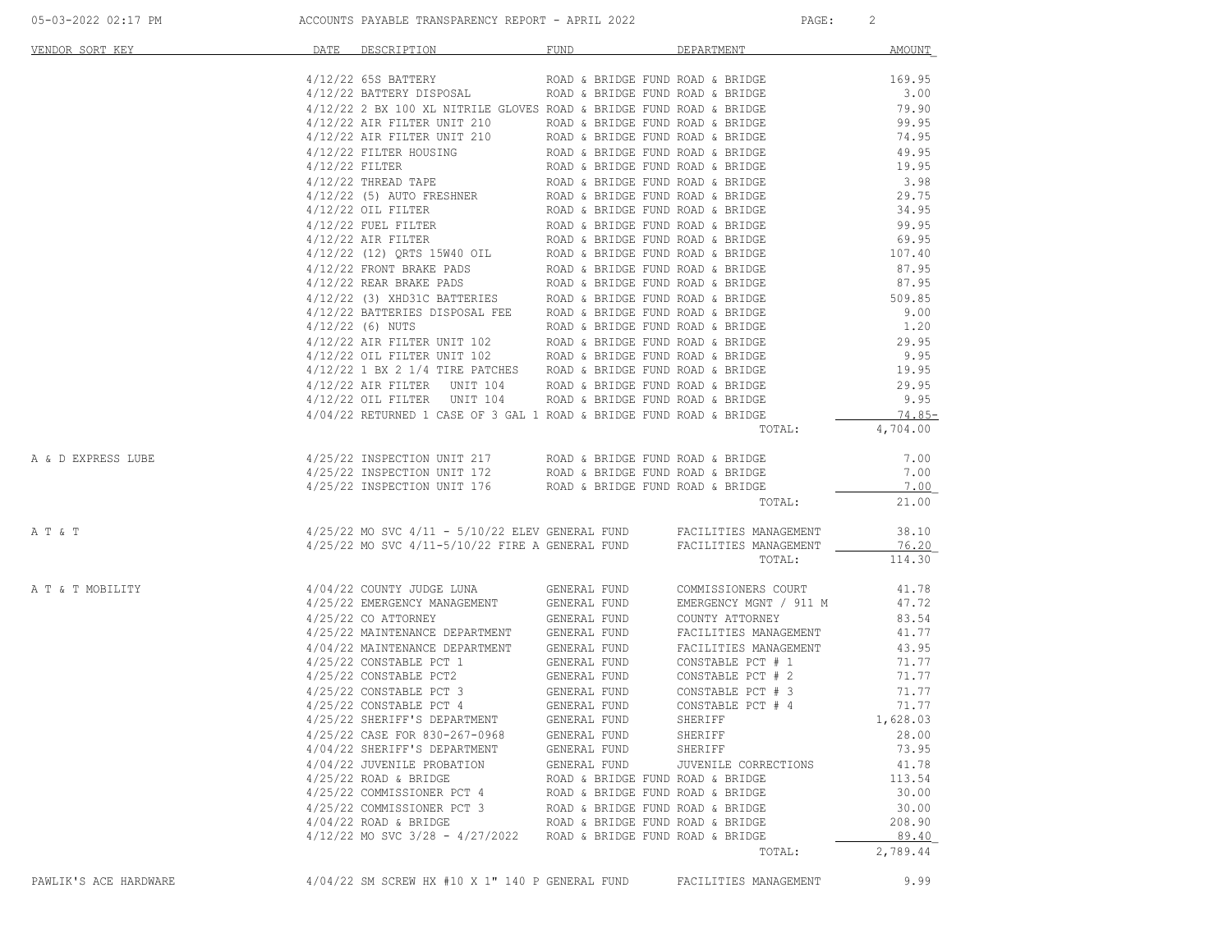| VENDOR SORT KEY    | DATE<br>DESCRIPTION                                                                                                                                                                 | <b>FUND</b>                                                          | DEPARTMENT                               | <b>AMOUNT</b>  |
|--------------------|-------------------------------------------------------------------------------------------------------------------------------------------------------------------------------------|----------------------------------------------------------------------|------------------------------------------|----------------|
|                    | 4/12/22 65S BATTERY                                                                                                                                                                 | ROAD & BRIDGE FUND ROAD & BRIDGE                                     |                                          | 169.95         |
|                    | $4/12/22$ BATTERY DISPOSAL ROAD & BRIDGE FUND ROAD & BRIDGE                                                                                                                         |                                                                      |                                          | 3.00           |
|                    | $4/12/22$ 2 BX 100 XL NITRILE GLOVES ROAD & BRIDGE FUND ROAD & BRIDGE                                                                                                               |                                                                      |                                          | 79.90          |
|                    | $4/12/22$ AIR FILTER UNIT 210                                                                                                                                                       | ROAD & BRIDGE FUND ROAD & BRIDGE                                     |                                          | 99.95          |
|                    | 4/12/22 AIR FILTER UNIT 210<br>4/12/22 FILTER HOUSING                                                                                                                               |                                                                      |                                          | 74.95<br>49.95 |
|                    | $4/12/22$ FILTER                                                                                                                                                                    |                                                                      |                                          | 19.95          |
|                    | $4/12/22$ THREAD TAPE                                                                                                                                                               | ROAD & BRIDGE FUND ROAD & BRIDGE<br>ROAD & BRIDGE FUND ROAD & BRIDGE |                                          | 3.98           |
|                    | $4/12/22$ (5) AUTO FRESHNER<br>$1/12/22$ (5) AUTO FRESHNER<br>$1/12/22$ (5) AUTO FRESHNER                                                                                           |                                                                      |                                          | 29.75          |
|                    | $4/12/22$ OIL FILTER                                                                                                                                                                | ROAD & BRIDGE FUND ROAD & BRIDGE                                     |                                          | 34.95          |
|                    | $4/12/22$ FUEL FILTER                                                                                                                                                               | ROAD & BRIDGE FUND ROAD & BRIDGE                                     |                                          | 99.95          |
|                    | $4/12/22$ AIR FILTER<br>$4/12/22$ (12) QRTS 15W40 OIL ROAD & BRIDGE FUND ROAD & BRIDGE                                                                                              |                                                                      |                                          | 69.95          |
|                    |                                                                                                                                                                                     |                                                                      |                                          | 107.40         |
|                    | $4/12/22$ FRONT BRAKE PADS<br>ROAD & BRIDGE FUND ROAD & BRIDGE<br>$4/12/22$ REAR BRAKE PADS<br>ROAD & BRIDGE FUND ROAD & BRIDGE                                                     |                                                                      |                                          | 87.95<br>87.95 |
|                    |                                                                                                                                                                                     |                                                                      |                                          | 509.85         |
|                    |                                                                                                                                                                                     |                                                                      |                                          | 9.00           |
|                    |                                                                                                                                                                                     |                                                                      |                                          | 1.20           |
|                    |                                                                                                                                                                                     |                                                                      |                                          | 29.95          |
|                    | 4/12/22 OIL FILTER UNIT 102 ROAD & BRIDGE FUND ROAD & BRIDGE                                                                                                                        |                                                                      |                                          | 9.95           |
|                    | $4/12/22$ 1 BX 2 1/4 TIRE PATCHES ROAD & BRIDGE FUND ROAD & BRIDGE $4/12/22$ AIR FILTER UNIT 104 ROAD & BRIDGE FUND ROAD & BRIDGE                                                   |                                                                      |                                          | 19.95          |
|                    | $4/12/22$ OIL FILTER UNIT 104 ROAD & BRIDGE FUND ROAD & BRIDGE                                                                                                                      |                                                                      |                                          | 29.95<br>9.95  |
|                    | 4/04/22 RETURNED 1 CASE OF 3 GAL 1 ROAD & BRIDGE FUND ROAD & BRIDGE                                                                                                                 |                                                                      |                                          | $74.85 -$      |
|                    |                                                                                                                                                                                     |                                                                      | TOTAL:                                   | 4,704.00       |
| A & D EXPRESS LUBE | $4/25/22$ INSPECTION UNIT 217 ROAD & BRIDGE FUND ROAD & BRIDGE                                                                                                                      |                                                                      |                                          | 7.00           |
|                    | 4/25/22 INSPECTION UNIT 172                                                                                                                                                         | ROAD & BRIDGE FUND ROAD & BRIDGE                                     |                                          | 7.00           |
|                    | 4/25/22 INSPECTION UNIT 176                                                                                                                                                         | ROAD & BRIDGE FUND ROAD & BRIDGE                                     | TOTAL:                                   | 7.00<br>21.00  |
| A T & T            |                                                                                                                                                                                     |                                                                      |                                          | 38.10          |
|                    | $4/25/22$ MO SVC $4/11 - 5/10/22$ ELEV GENERAL FUND<br>$4/25/22$ MO SVC $4/11-5/10/22$ FIRE A GENERAL FUND FACILITIES MANAGEMENT<br>4/25/22 MO SVC 4/11-5/10/22 FIRE A GENERAL FUND |                                                                      | FACILITIES MANAGEMENT                    | 76.20          |
|                    |                                                                                                                                                                                     |                                                                      | TOTAL:                                   | 114.30         |
| A T & T MOBILITY   | 4/04/22 COUNTY JUDGE LUNA                                                                                                                                                           |                                                                      | COMMISSIONERS COURT                      | 41.78          |
|                    | 4/25/22 EMERGENCY MANAGEMENT                                                                                                                                                        |                                                                      | EMERGENCY MGNT / 911 M                   | 47.72          |
|                    | $4/25/22$ CO ATTORNEY<br>4/25/22 MAINTENANCE DEPARTMENT GENERAL FUND                                                                                                                |                                                                      | COUNTY ATTORNEY<br>FACILITIES MANAGEMENT | 83.54<br>41.77 |
|                    | 4/04/22 MAINTENANCE DEPARTMENT GENERAL FUND                                                                                                                                         |                                                                      | FACILITIES MANAGEMENT                    | 43.95          |
|                    | 4/25/22 CONSTABLE PCT 1                                                                                                                                                             |                                                                      | CONSTABLE PCT # 1                        | 71.77          |
|                    | 4/25/22 CONSTABLE PCT2                                                                                                                                                              | GENERAL FUND<br>GENERAL FUND                                         | CONSTABLE PCT # 2                        | 71.77          |
|                    | 4/25/22 CONSTABLE PCT 3                                                                                                                                                             | GENERAL FUND                                                         | CONSTABLE PCT # 3                        | 71.77          |
|                    | 4/25/22 CONSTABLE PCT 4                                                                                                                                                             | <b>GENERAL FUND</b>                                                  | CONSTABLE PCT # 4                        | 71.77          |
|                    | 4/25/22 SHERIFF'S DEPARTMENT                                                                                                                                                        | GENERAL FUND                                                         | SHERIFF                                  | 1,628.03       |
|                    | 4/25/22 CASE FOR 830-267-0968                                                                                                                                                       | GENERAL FUND                                                         | SHERIFF                                  | 28.00          |
|                    | 4/04/22 SHERIFF'S DEPARTMENT<br>4/04/22 JUVENILE PROBATION                                                                                                                          | GENERAL FUND<br>GENERAL FUND                                         | SHERIFF<br>JUVENILE CORRECTIONS          | 73.95<br>41.78 |
|                    | $4/25/22$ ROAD & BRIDGE                                                                                                                                                             | ROAD & BRIDGE FUND ROAD & BRIDGE                                     |                                          | 113.54         |
|                    | 4/25/22 COMMISSIONER PCT 4                                                                                                                                                          | ROAD & BRIDGE FUND ROAD & BRIDGE                                     |                                          | 30.00          |
|                    | 4/25/22 COMMISSIONER PCT 3                                                                                                                                                          | ROAD & BRIDGE FUND ROAD & BRIDGE                                     |                                          | 30.00          |
|                    | $4/04/22$ ROAD & BRIDGE                                                                                                                                                             | ROAD & BRIDGE FUND ROAD & BRIDGE                                     |                                          | 208.90         |
|                    | $4/12/22$ MO SVC $3/28 - 4/27/2022$                                                                                                                                                 | ROAD & BRIDGE FUND ROAD & BRIDGE                                     |                                          | 89.40          |
|                    |                                                                                                                                                                                     |                                                                      | TOTAL:                                   | 2,789.44       |

| PAWLIK'S ACE HARDWARE | 4/04/22 SM SCREW HX #10 X 1" 140 P GENERAL FUND | FACILITIES MANAGEMENT | 99. ر |
|-----------------------|-------------------------------------------------|-----------------------|-------|
|                       |                                                 |                       |       |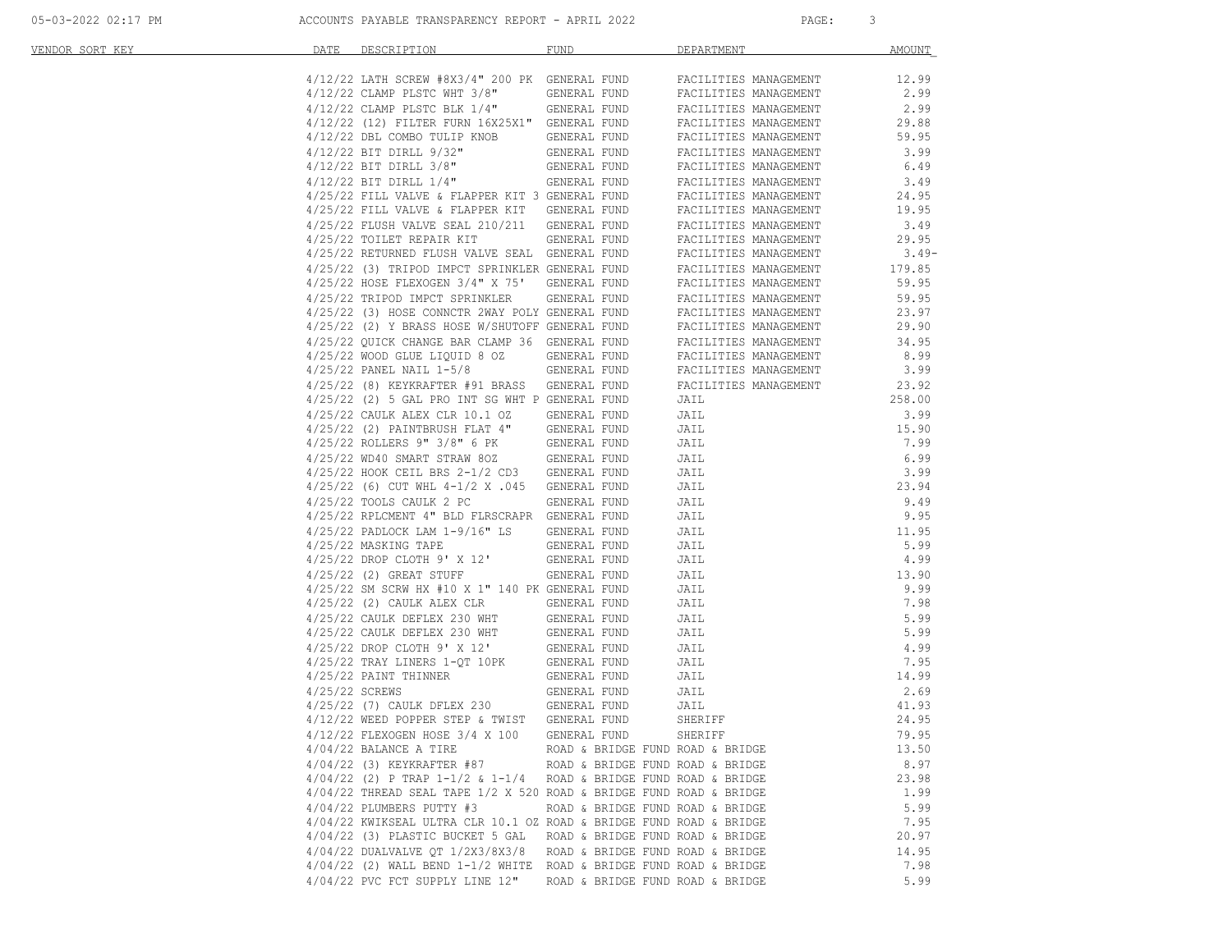| <u>VENDOR SORT KEY</u> |                | DATE DESCRIPTION                                                                                                                                                                                                                           | FUND                             | DEPARTMENT                                                                                                                                                                                                                                                            | AMOUNT        |
|------------------------|----------------|--------------------------------------------------------------------------------------------------------------------------------------------------------------------------------------------------------------------------------------------|----------------------------------|-----------------------------------------------------------------------------------------------------------------------------------------------------------------------------------------------------------------------------------------------------------------------|---------------|
|                        |                |                                                                                                                                                                                                                                            |                                  |                                                                                                                                                                                                                                                                       |               |
|                        |                | $4/12/22$ LATH SCREW #8X3/4" 200 PK GENERAL FUND FACILITIES MANAGEMENT $4/12/22$ CLAMP PLSTC WHT 3/8" GENERAL FUND FACILITIES MANAGEMENT                                                                                                   |                                  |                                                                                                                                                                                                                                                                       | 12.99         |
|                        |                |                                                                                                                                                                                                                                            |                                  |                                                                                                                                                                                                                                                                       | 2.99          |
|                        |                | $4/12/22$ CLAMP PLSTC BLK $1/4$ " GENERAL FUND                                                                                                                                                                                             |                                  | FACILITIES MANAGEMENT<br>FACILITIES MANAGEMENT                                                                                                                                                                                                                        | 2.99          |
|                        |                | 4/12/22 (12) FILTER FURN 16X25X1" GENERAL FUND                                                                                                                                                                                             |                                  | FACILITIES MANAGEMENT                                                                                                                                                                                                                                                 | 29.88         |
|                        |                | 4/12/22 DBL COMBO TULIP KNOB                                                                                                                                                                                                               | GENERAL FUND                     | FACILITIES MANAGEMENT                                                                                                                                                                                                                                                 | 59.95         |
|                        |                | 4/12/22 BIT DIRLL 9/32"                                                                                                                                                                                                                    | GENERAL FUND                     | FACILITIES MANAGEMENT                                                                                                                                                                                                                                                 | 3.99          |
|                        |                | $4/12/22$ BIT DIRLL $3/8$ " GENERAL FUND                                                                                                                                                                                                   |                                  | FACILITIES MANAGEMENT                                                                                                                                                                                                                                                 | 6.49          |
|                        |                | $4/12/22$ BIT DIRLL $1/4$ " GENERAL FUND<br>$4/25/22$ FILL VALVE & FLAPPER KIT 3 GENERAL FUND                                                                                                                                              |                                  | FACILITIES MANAGEMENT<br>FACILITIES MANAGEMENT                                                                                                                                                                                                                        | 3.49          |
|                        |                |                                                                                                                                                                                                                                            |                                  |                                                                                                                                                                                                                                                                       | 24.95         |
|                        |                | $4/25/22$ FILL VALVE & FLAPPER KIT GENERAL FUND FACILITIES MANAGEMENT $4/25/22$ FLUSH VALVE SEAL 210/211 GENERAL FUND FACILITIES MANAGEMENT                                                                                                |                                  |                                                                                                                                                                                                                                                                       | 19.95         |
|                        |                |                                                                                                                                                                                                                                            |                                  |                                                                                                                                                                                                                                                                       | 3.49<br>29.95 |
|                        |                | 4/25/22 TOILET REPAIR KIT<br>4/25/22 RETURNED FLUSH VALVE SEAL GENERAL FUND                                                                                                                                                                | GENERAL FUND                     | FACILITIES MANAGEMENT<br>FACILITIES MANAGEMENT                                                                                                                                                                                                                        |               |
|                        |                |                                                                                                                                                                                                                                            |                                  | FACILITIES MANAGEMENT                                                                                                                                                                                                                                                 | $3.49-$       |
|                        |                | 4/25/22 (3) TRIPOD IMPCT SPRINKLER GENERAL FUND<br>4/25/22 HOSE FLEXOGEN 3/4" X 75" GENERAL FUND<br>4/25/22 TRIPOD IMPCT SPRINKLER GENERAL FUND<br>4/25/22 TRIPOD IMPCT SPRINKLER GENERAL FUND<br>4/25/22 (3) HOSE CONNCTR 2WAY POLY GENER |                                  |                                                                                                                                                                                                                                                                       |               |
|                        |                |                                                                                                                                                                                                                                            |                                  |                                                                                                                                                                                                                                                                       |               |
|                        |                |                                                                                                                                                                                                                                            |                                  |                                                                                                                                                                                                                                                                       |               |
|                        |                |                                                                                                                                                                                                                                            |                                  |                                                                                                                                                                                                                                                                       |               |
|                        |                |                                                                                                                                                                                                                                            |                                  |                                                                                                                                                                                                                                                                       | 34.95         |
|                        |                | $4/25/22$ QUICK CHANGE BAR CLAMP 36 GENERAL FUND FACILITIES MANAGEMENT $4/25/22$ WOOD GLUE LIQUID 8 OZ GENERAL FUND FACILITIES MANAGEMENT                                                                                                  |                                  | FACILITIES MANAGEMENT                                                                                                                                                                                                                                                 | 8.99          |
|                        |                | 4/25/22 PANEL NAIL 1-5/8                                                                                                                                                                                                                   | GENERAL FUND                     | FACILITIES MANAGEMENT                                                                                                                                                                                                                                                 | 3.99          |
|                        |                | 4/25/22 (8) KEYKRAFTER #91 BRASS GENERAL FUND                                                                                                                                                                                              |                                  | FACILITIES MANAGEMENT                                                                                                                                                                                                                                                 | 23.92         |
|                        |                | 4/25/22 (2) 5 GAL PRO INT SG WHT P GENERAL FUND                                                                                                                                                                                            |                                  | JAIL                                                                                                                                                                                                                                                                  | 258.00        |
|                        |                | 4/25/22 CAULK ALEX CLR 10.1 OZ                                                                                                                                                                                                             | GENERAL FUND                     | 3.99<br>JAIL 3.99<br>JAIL 3.99<br>JAIL 3.99<br>JAIL 7.99<br>JAIL 7.99<br>JAIL 7.99<br>JAIL 7.99<br>JAIL 9.49<br>JAIL 9.49<br>JAIL 9.95<br>JAIL 9.95<br>JAIL 11.95<br>JAIL 11.95<br>JAIL 4.99<br>JAIL 4.99<br>JAIL 9.95<br>JAIL 9.98<br>JAIL 9.99<br>JAIL 9.99<br>JAIL |               |
|                        |                | 4/25/22 (2) PAINTBRUSH FLAT 4" GENERAL FUND                                                                                                                                                                                                |                                  |                                                                                                                                                                                                                                                                       |               |
|                        |                | $\begin{array}{llll} 4/25/22 & \text{ROLLERS} & 9" & 3/8" & 6 & \text{PK} & \text{GENERAL FUND} \\ 4/25/22 & \text{WD40 SMART STRAW} & 802 & \text{GENERAL FUND} \end{array}$                                                              |                                  |                                                                                                                                                                                                                                                                       |               |
|                        |                |                                                                                                                                                                                                                                            |                                  |                                                                                                                                                                                                                                                                       |               |
|                        |                | 4/25/22 HOOK CEIL BRS 2-1/2 CD3                                                                                                                                                                                                            | GENERAL FUND                     |                                                                                                                                                                                                                                                                       |               |
|                        |                | $4/25/22$ (6) CUT WHL $4-1/2$ X .045 GENERAL FUND                                                                                                                                                                                          |                                  |                                                                                                                                                                                                                                                                       |               |
|                        |                | 4/25/22 TOOLS CAULK 2 PC                                                                                                                                                                                                                   | GENERAL FUND                     |                                                                                                                                                                                                                                                                       |               |
|                        |                | 4/25/22 RPLCMENT 4" BLD FLRSCRAPR GENERAL FUND                                                                                                                                                                                             |                                  |                                                                                                                                                                                                                                                                       |               |
|                        |                | $4/25/22$ PADLOCK LAM $1-9/16$ " LS                                                                                                                                                                                                        | GENERAL FUND                     |                                                                                                                                                                                                                                                                       |               |
|                        |                | $\begin{tabular}{lllllllllll} \it 4/25/22&\tt{MASKING} &\tt{TAPE} &\tt{GENERAL} &\tt{FUND} \\ \it 4/25/22 &\tt{DROP} &\tt CLOTH & 9' &\tt X & 12' &\tt{GENERAL} &\tt FUND \\ \end{tabular}$                                                |                                  |                                                                                                                                                                                                                                                                       |               |
|                        |                |                                                                                                                                                                                                                                            |                                  |                                                                                                                                                                                                                                                                       |               |
|                        |                | 4/25/22 (2) GREAT STUFF                                                                                                                                                                                                                    | GENERAL FUND                     |                                                                                                                                                                                                                                                                       |               |
|                        |                | 4/25/22 SM SCRW HX #10 X 1" 140 PK GENERAL FUND                                                                                                                                                                                            |                                  |                                                                                                                                                                                                                                                                       |               |
|                        |                | 4/25/22 (2) CAULK ALEX CLR                                                                                                                                                                                                                 | GENERAL FUND                     |                                                                                                                                                                                                                                                                       |               |
|                        |                | 4/25/22 CAULK DEFLEX 230 WHT                                                                                                                                                                                                               | GENERAL FUND                     |                                                                                                                                                                                                                                                                       |               |
|                        |                | 4/25/22 CAULK DEFLEX 230 WHT GENERAL FUND                                                                                                                                                                                                  |                                  |                                                                                                                                                                                                                                                                       |               |
|                        |                | $\begin{tabular}{llllll} $4/25/22$ &DROP &CLOTH & 9' & X & 12' & & GENERAL & FUND \\ $4/25/22$ &TRAY & LINERS & 1-QT & 10PK & & GENERAL & FUND \\ \end{tabular}$                                                                           |                                  |                                                                                                                                                                                                                                                                       |               |
|                        |                |                                                                                                                                                                                                                                            |                                  |                                                                                                                                                                                                                                                                       |               |
|                        |                | 4/25/22 PAINT THINNER<br>4/25/22 SCREWS                                                                                                                                                                                                    | GENERAL FUND                     |                                                                                                                                                                                                                                                                       |               |
|                        | 4/25/22 SCREWS |                                                                                                                                                                                                                                            | GENERAL FUND                     |                                                                                                                                                                                                                                                                       |               |
|                        |                | $4/25/22$ (7) CAULK DFLEX 230 GENERAL FUND                                                                                                                                                                                                 |                                  |                                                                                                                                                                                                                                                                       |               |
|                        |                | 4/12/22 WEED POPPER STEP & TWIST GENERAL FUND                                                                                                                                                                                              |                                  |                                                                                                                                                                                                                                                                       |               |
|                        |                | 4/12/22 FLEXOGEN HOSE 3/4 X 100                                                                                                                                                                                                            | GENERAL FUND                     | SHERIFF                                                                                                                                                                                                                                                               | 79.95         |
|                        |                | $4/04/22$ BALANCE A TIRE                                                                                                                                                                                                                   | ROAD & BRIDGE FUND ROAD & BRIDGE |                                                                                                                                                                                                                                                                       | 13.50         |
|                        |                | 4/04/22 (3) KEYKRAFTER #87                                                                                                                                                                                                                 | ROAD & BRIDGE FUND ROAD & BRIDGE |                                                                                                                                                                                                                                                                       | 8.97          |
|                        |                | $4/04/22$ (2) P TRAP $1-1/2$ & $1-1/4$                                                                                                                                                                                                     | ROAD & BRIDGE FUND ROAD & BRIDGE |                                                                                                                                                                                                                                                                       | 23.98         |
|                        |                | 4/04/22 THREAD SEAL TAPE 1/2 X 520 ROAD & BRIDGE FUND ROAD & BRIDGE                                                                                                                                                                        |                                  |                                                                                                                                                                                                                                                                       | 1.99          |
|                        |                | 4/04/22 PLUMBERS PUTTY #3                                                                                                                                                                                                                  | ROAD & BRIDGE FUND ROAD & BRIDGE |                                                                                                                                                                                                                                                                       | 5.99          |
|                        |                | 4/04/22 KWIKSEAL ULTRA CLR 10.1 OZ ROAD & BRIDGE FUND ROAD & BRIDGE                                                                                                                                                                        |                                  |                                                                                                                                                                                                                                                                       | 7.95          |
|                        |                | 4/04/22 (3) PLASTIC BUCKET 5 GAL                                                                                                                                                                                                           | ROAD & BRIDGE FUND ROAD & BRIDGE |                                                                                                                                                                                                                                                                       | 20.97         |
|                        |                | 4/04/22 DUALVALVE QT 1/2X3/8X3/8<br>$4/04/22$ (2) WALL BEND $1-1/2$ WHITE                                                                                                                                                                  | ROAD & BRIDGE FUND ROAD & BRIDGE |                                                                                                                                                                                                                                                                       | 14.95<br>7.98 |
|                        |                |                                                                                                                                                                                                                                            | ROAD & BRIDGE FUND ROAD & BRIDGE |                                                                                                                                                                                                                                                                       | 5.99          |
|                        |                | 4/04/22 PVC FCT SUPPLY LINE 12"                                                                                                                                                                                                            | ROAD & BRIDGE FUND ROAD & BRIDGE |                                                                                                                                                                                                                                                                       |               |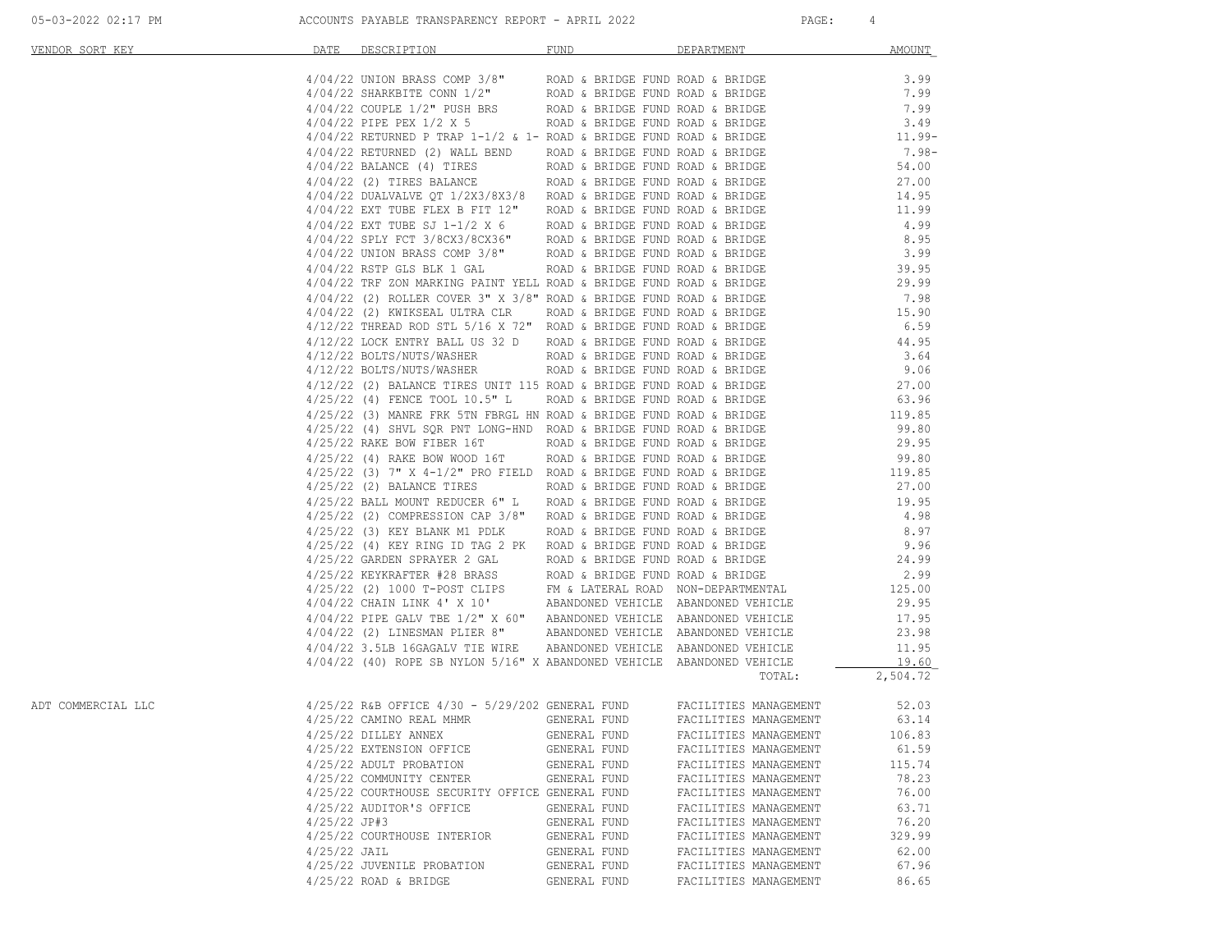| VENDOR SORT KEY    | DATE           | DESCRIPTION                                                                                                                                          | FUND                | DEPARTMENT            | AMOUNT   |
|--------------------|----------------|------------------------------------------------------------------------------------------------------------------------------------------------------|---------------------|-----------------------|----------|
|                    |                |                                                                                                                                                      |                     |                       |          |
|                    |                |                                                                                                                                                      |                     |                       |          |
|                    |                |                                                                                                                                                      |                     |                       |          |
|                    |                |                                                                                                                                                      |                     |                       |          |
|                    |                |                                                                                                                                                      |                     |                       |          |
|                    |                |                                                                                                                                                      |                     |                       |          |
|                    |                |                                                                                                                                                      |                     |                       |          |
|                    |                |                                                                                                                                                      |                     |                       |          |
|                    |                |                                                                                                                                                      |                     |                       |          |
|                    |                |                                                                                                                                                      |                     |                       |          |
|                    |                |                                                                                                                                                      |                     |                       |          |
|                    |                |                                                                                                                                                      |                     |                       |          |
|                    |                |                                                                                                                                                      |                     |                       |          |
|                    |                |                                                                                                                                                      |                     |                       |          |
|                    |                |                                                                                                                                                      |                     |                       |          |
|                    |                |                                                                                                                                                      |                     |                       |          |
|                    |                |                                                                                                                                                      |                     |                       |          |
|                    |                |                                                                                                                                                      |                     |                       |          |
|                    |                |                                                                                                                                                      |                     |                       |          |
|                    |                |                                                                                                                                                      |                     |                       |          |
|                    |                |                                                                                                                                                      |                     |                       |          |
|                    |                |                                                                                                                                                      |                     |                       |          |
|                    |                |                                                                                                                                                      |                     |                       |          |
|                    |                |                                                                                                                                                      |                     |                       |          |
|                    |                |                                                                                                                                                      |                     |                       |          |
|                    |                |                                                                                                                                                      |                     |                       |          |
|                    |                |                                                                                                                                                      |                     |                       |          |
|                    |                |                                                                                                                                                      |                     |                       |          |
|                    |                |                                                                                                                                                      |                     |                       |          |
|                    |                |                                                                                                                                                      |                     |                       |          |
|                    |                |                                                                                                                                                      |                     |                       |          |
|                    |                |                                                                                                                                                      |                     |                       |          |
|                    |                |                                                                                                                                                      |                     |                       |          |
|                    |                |                                                                                                                                                      |                     |                       |          |
|                    |                |                                                                                                                                                      |                     |                       |          |
|                    |                |                                                                                                                                                      |                     |                       |          |
|                    |                |                                                                                                                                                      |                     |                       |          |
|                    |                |                                                                                                                                                      |                     |                       |          |
|                    |                | $4/04/22$ PIPE GALV TBE 1/2" X 60" ABANDONED VEHICLE ABANDONED VEHICLE 4/04/22 (2) LINESMAN PLIER 8" ABANDONED VEHICLE ABANDONED VEHICLE 23.98       |                     |                       |          |
|                    |                |                                                                                                                                                      |                     |                       |          |
|                    |                | 4/04/22 (2) LINESMAN PLIER 8" ABANDONED VEHICLE ABANDONED VEHICLE 11.95<br>4/04/22 3.5LB 16GAGALV TIE WIRE ABANDONED VEHICLE ABANDONED VEHICLE 19.60 |                     |                       |          |
|                    |                |                                                                                                                                                      |                     | TOTAL:                | 2,504.72 |
| ADT COMMERCIAL LLC |                | 4/25/22 R&B OFFICE 4/30 - 5/29/202 GENERAL FUND FACILITIES MANAGEMENT                                                                                |                     |                       | 52.03    |
|                    |                | 4/25/22 CAMINO REAL MHMR                                                                                                                             | <b>GENERAL FUND</b> | FACILITIES MANAGEMENT | 63.14    |
|                    |                | 4/25/22 DILLEY ANNEX                                                                                                                                 | GENERAL FUND        | FACILITIES MANAGEMENT | 106.83   |
|                    |                | 4/25/22 EXTENSION OFFICE                                                                                                                             | GENERAL FUND        | FACILITIES MANAGEMENT | 61.59    |
|                    |                | 4/25/22 ADULT PROBATION                                                                                                                              | GENERAL FUND        | FACILITIES MANAGEMENT | 115.74   |
|                    |                | 4/25/22 COMMUNITY CENTER                                                                                                                             | GENERAL FUND        | FACILITIES MANAGEMENT | 78.23    |
|                    |                | 4/25/22 COURTHOUSE SECURITY OFFICE GENERAL FUND                                                                                                      |                     | FACILITIES MANAGEMENT | 76.00    |
|                    |                | 4/25/22 AUDITOR'S OFFICE                                                                                                                             | GENERAL FUND        | FACILITIES MANAGEMENT | 63.71    |
|                    | $4/25/22$ JP#3 |                                                                                                                                                      | GENERAL FUND        | FACILITIES MANAGEMENT | 76.20    |
|                    |                | 4/25/22 COURTHOUSE INTERIOR                                                                                                                          | GENERAL FUND        | FACILITIES MANAGEMENT | 329.99   |
|                    | $4/25/22$ JAIL |                                                                                                                                                      | GENERAL FUND        | FACILITIES MANAGEMENT | 62.00    |
|                    |                | 4/25/22 JUVENILE PROBATION                                                                                                                           | GENERAL FUND        | FACILITIES MANAGEMENT | 67.96    |
|                    |                | $4/25/22$ ROAD & BRIDGE                                                                                                                              | GENERAL FUND        | FACILITIES MANAGEMENT | 86.65    |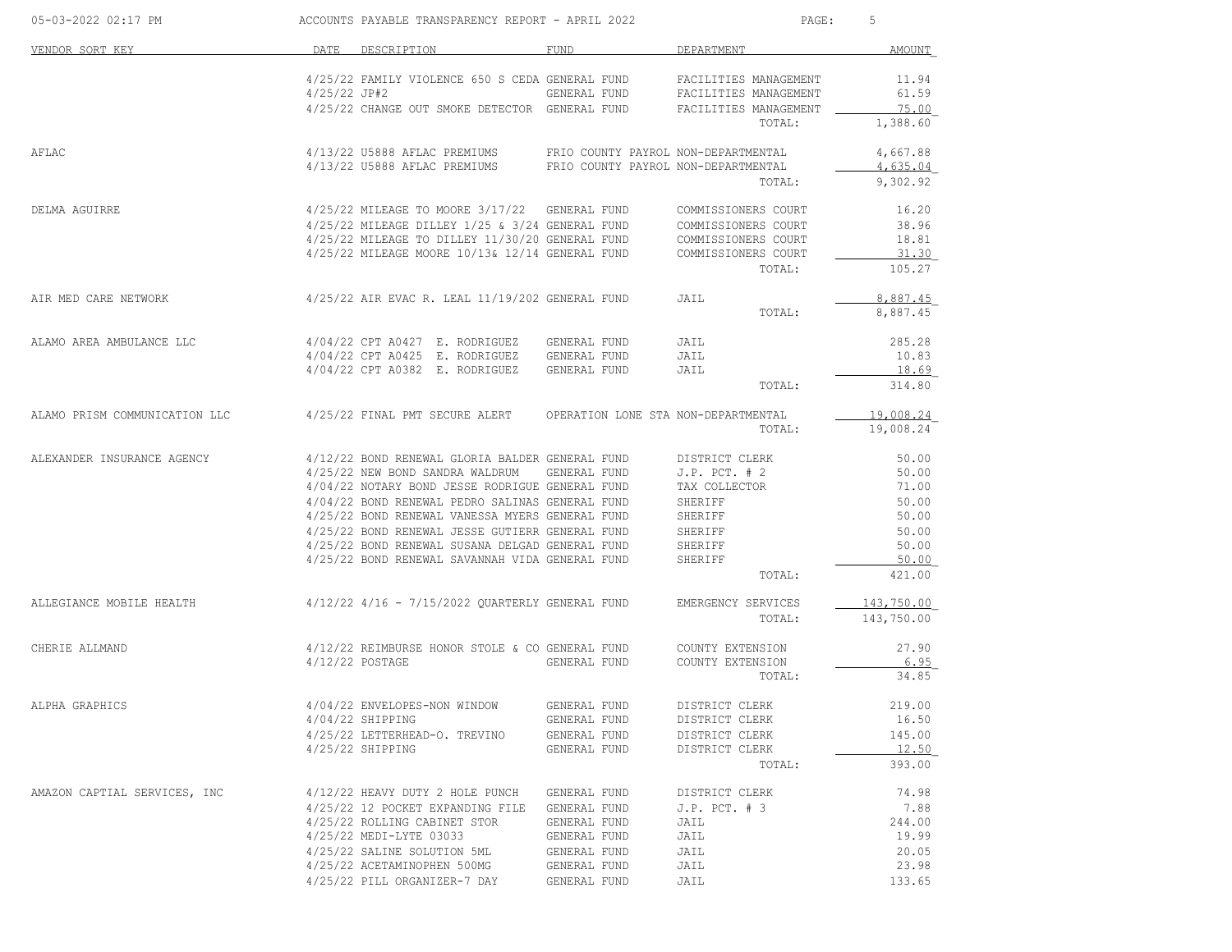| 05-03-2022 02:17 PM                                                                              |                 | ACCOUNTS PAYABLE TRANSPARENCY REPORT - APRIL 2022                                                                                                 |                              | PAGE:                              | 5              |
|--------------------------------------------------------------------------------------------------|-----------------|---------------------------------------------------------------------------------------------------------------------------------------------------|------------------------------|------------------------------------|----------------|
| VENDOR SORT KEY                                                                                  |                 | DATE DESCRIPTION                                                                                                                                  | FUND                         | DEPARTMENT                         | <b>AMOUNT</b>  |
|                                                                                                  |                 | 4/25/22 FAMILY VIOLENCE 650 S CEDA GENERAL FUND                                                                                                   |                              | FACILITIES MANAGEMENT              | 11.94          |
|                                                                                                  | $4/25/22$ JP#2  |                                                                                                                                                   |                              | GENERAL FUND FACILITIES MANAGEMENT | 61.59          |
|                                                                                                  |                 | 4/25/22 CHANGE OUT SMOKE DETECTOR GENERAL FUND                                                                                                    |                              | FACILITIES MANAGEMENT              | 75.00          |
|                                                                                                  |                 |                                                                                                                                                   |                              | TOTAL:                             | 1,388.60       |
| AFLAC                                                                                            |                 | 4/13/22 U5888 AFLAC PREMIUMS FRIO COUNTY PAYROL NON-DEPARTMENTAL                                                                                  |                              |                                    | 4,667.88       |
|                                                                                                  |                 | 4/13/22 U5888 AFLAC PREMIUMS FRIO COUNTY PAYROL NON-DEPARTMENTAL                                                                                  |                              |                                    | 4,635.04       |
|                                                                                                  |                 |                                                                                                                                                   |                              | TOTAL:                             | 9,302.92       |
| DELMA AGUIRRE                                                                                    |                 | 4/25/22 MILEAGE TO MOORE 3/17/22 GENERAL FUND                                                                                                     |                              | COMMISSIONERS COURT                | 16.20          |
|                                                                                                  |                 | $4/25/22$ MILEAGE DILLEY $1/25$ & $3/24$ GENERAL FUND COMMISSIONERS COURT $4/25/22$ MILEAGE TO DILLEY $11/30/20$ GENERAL FUND COMMISSIONERS COURT |                              |                                    | 38.96          |
|                                                                                                  |                 |                                                                                                                                                   |                              |                                    | 18.81          |
|                                                                                                  |                 | 4/25/22 MILEAGE MOORE 10/13& 12/14 GENERAL FUND                                                                                                   |                              | COMMISSIONERS COURT                | 31.30          |
|                                                                                                  |                 |                                                                                                                                                   |                              | TOTAL:                             | 105.27         |
| AIR MED CARE NETWORK                                                                             |                 | 4/25/22 AIR EVAC R. LEAL 11/19/202 GENERAL FUND                                                                                                   |                              | JAIL                               | 8,887.45       |
|                                                                                                  |                 |                                                                                                                                                   |                              | TOTAL:                             | 8,887.45       |
| ALAMO AREA AMBULANCE LLC                                                                         |                 | 4/04/22 CPT A0427 E. RODRIGUEZ GENERAL FUND                                                                                                       |                              | JAIL                               | 285.28         |
|                                                                                                  |                 | 4/04/22 CPT A0425 E. RODRIGUEZ GENERAL FUND                                                                                                       |                              | JAIL                               | 10.83          |
|                                                                                                  |                 | 4/04/22 CPT A0382 E. RODRIGUEZ GENERAL FUND                                                                                                       |                              | JAIL                               | 18.69          |
|                                                                                                  |                 |                                                                                                                                                   |                              | TOTAL:                             | 314.80         |
| ALAMO PRISM COMMUNICATION LLC 4/25/22 FINAL PMT SECURE ALERT OPERATION LONE STA NON-DEPARTMENTAL |                 |                                                                                                                                                   |                              |                                    | 19,008.24      |
|                                                                                                  |                 |                                                                                                                                                   |                              | TOTAL:                             | 19,008.24      |
| ALEXANDER INSURANCE AGENCY                                                                       |                 | 4/12/22 BOND RENEWAL GLORIA BALDER GENERAL FUND                                                                                                   |                              | DISTRICT CLERK                     | 50.00          |
|                                                                                                  |                 | 4/25/22 NEW BOND SANDRA WALDRUM                                                                                                                   | GENERAL FUND                 | $J.P.$ PCT. $# 2$                  | 50.00          |
|                                                                                                  |                 | 4/04/22 NOTARY BOND JESSE RODRIGUE GENERAL FUND                                                                                                   |                              | TAX COLLECTOR                      | 71.00          |
|                                                                                                  |                 | 4/04/22 BOND RENEWAL PEDRO SALINAS GENERAL FUND                                                                                                   |                              | SHERIFF                            | 50.00          |
|                                                                                                  |                 | 4/25/22 BOND RENEWAL VANESSA MYERS GENERAL FUND                                                                                                   |                              | SHERIFF                            | 50.00          |
|                                                                                                  |                 | 4/25/22 BOND RENEWAL JESSE GUTIERR GENERAL FUND                                                                                                   |                              | SHERIFF<br>SHERIFF                 | 50.00          |
|                                                                                                  |                 | 4/25/22 BOND RENEWAL SUSANA DELGAD GENERAL FUND<br>4/25/22 BOND RENEWAL SAVANNAH VIDA GENERAL FUND                                                |                              | SHERIFF                            | 50.00<br>50.00 |
|                                                                                                  |                 |                                                                                                                                                   |                              | TOTAL:                             | 421.00         |
| ALLEGIANCE MOBILE HEALTH $4/12/22$ $4/16$ - $7/15/2022$ QUARTERLY GENERAL FUND                   |                 |                                                                                                                                                   |                              |                                    | 143,750.00     |
|                                                                                                  |                 |                                                                                                                                                   |                              | EMERGENCY SERVICES<br>TOTAL:       | 143,750.00     |
|                                                                                                  |                 |                                                                                                                                                   |                              |                                    |                |
| CHERIE ALLMAND                                                                                   |                 | 4/12/22 REIMBURSE HONOR STOLE & CO GENERAL FUND                                                                                                   |                              | COUNTY EXTENSION                   | 27.90          |
|                                                                                                  | 4/12/22 POSTAGE |                                                                                                                                                   | GENERAL FUND                 | COUNTY EXTENSION                   | 6.95           |
|                                                                                                  |                 |                                                                                                                                                   |                              | TOTAL:                             | 34.85          |
| ALPHA GRAPHICS                                                                                   |                 | 4/04/22 ENVELOPES-NON WINDOW                                                                                                                      | GENERAL FUND                 | DISTRICT CLERK                     | 219.00         |
|                                                                                                  |                 | 4/04/22 SHIPPING                                                                                                                                  | GENERAL FUND                 | DISTRICT CLERK                     | 16.50          |
|                                                                                                  |                 | 4/25/22 LETTERHEAD-O. TREVINO                                                                                                                     | GENERAL FUND                 | DISTRICT CLERK                     | 145.00         |
|                                                                                                  |                 | $4/25/22$ SHIPPING                                                                                                                                | GENERAL FUND                 | DISTRICT CLERK                     | 12.50          |
|                                                                                                  |                 |                                                                                                                                                   |                              | TOTAL:                             | 393.00         |
| AMAZON CAPTIAL SERVICES, INC                                                                     |                 | 4/12/22 HEAVY DUTY 2 HOLE PUNCH                                                                                                                   | GENERAL FUND                 | DISTRICT CLERK                     | 74.98          |
|                                                                                                  |                 | 4/25/22 12 POCKET EXPANDING FILE                                                                                                                  | GENERAL FUND                 | $J.P.$ PCT. $# 3$                  | 7.88           |
|                                                                                                  |                 | 4/25/22 ROLLING CABINET STOR                                                                                                                      | GENERAL FUND                 | JAIL                               | 244.00         |
|                                                                                                  |                 | 4/25/22 MEDI-LYTE 03033                                                                                                                           | GENERAL FUND                 | JAIL                               | 19.99<br>20.05 |
|                                                                                                  |                 | 4/25/22 SALINE SOLUTION 5ML<br>4/25/22 ACETAMINOPHEN 500MG                                                                                        | GENERAL FUND<br>GENERAL FUND | JAIL<br>JAIL                       | 23.98          |
|                                                                                                  |                 | 4/25/22 PILL ORGANIZER-7 DAY                                                                                                                      | GENERAL FUND                 | JAIL                               | 133.65         |
|                                                                                                  |                 |                                                                                                                                                   |                              |                                    |                |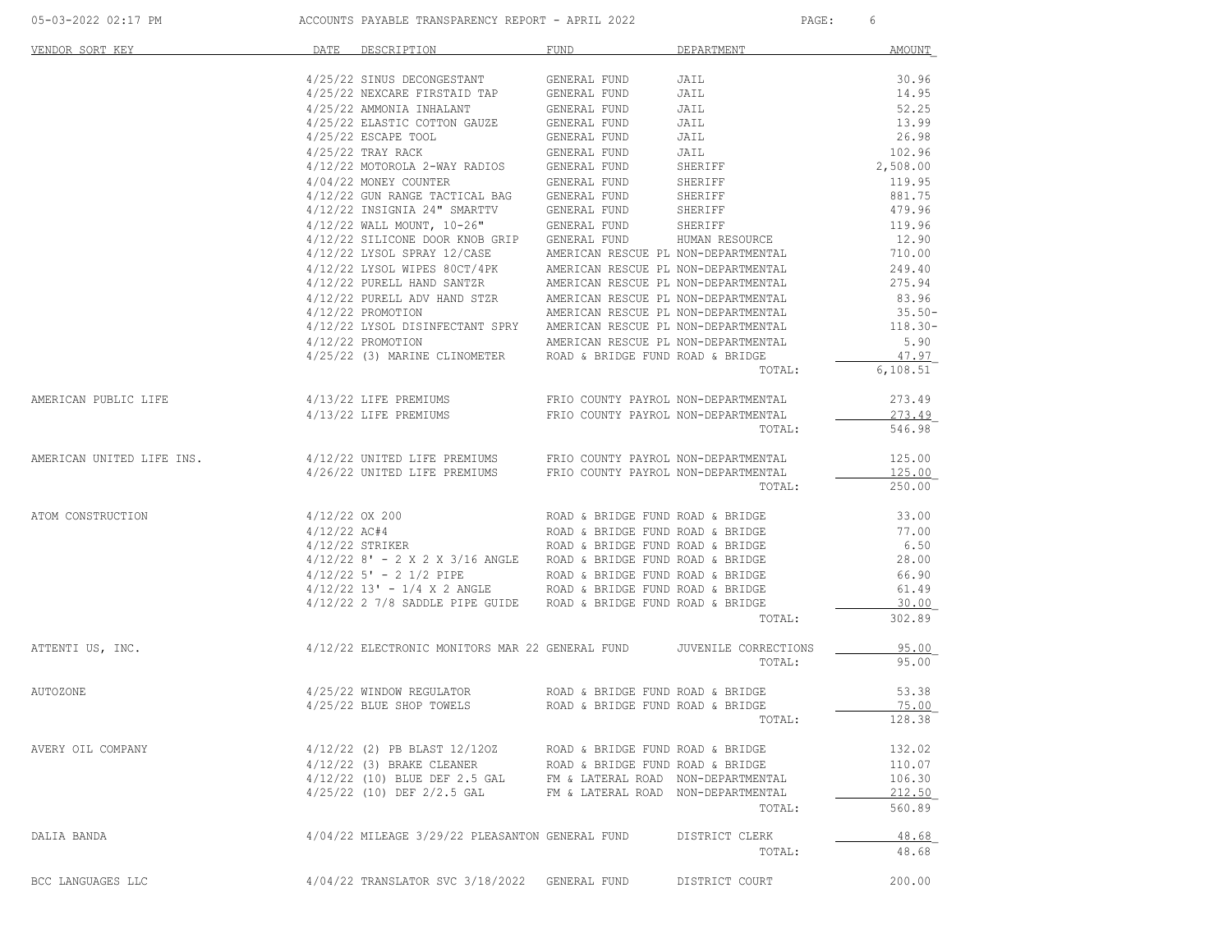| VENDOR SORT KEY           | DATE           | DESCRIPTION                                                                                                                           | FUND                                                                       | DEPARTMENT     | AMOUNT            |
|---------------------------|----------------|---------------------------------------------------------------------------------------------------------------------------------------|----------------------------------------------------------------------------|----------------|-------------------|
|                           |                | 4/25/22 SINUS DECONGESTANT                                                                                                            | GENERAL FUND                                                               | JAIL           | 30.96             |
|                           |                | 4/25/22 NEXCARE FIRSTAID TAP GENERAL FUND                                                                                             |                                                                            | JAIL           | 14.95             |
|                           |                | 4/25/22 AMMONIA INHALANT                                                                                                              | GENERAL FUND                                                               | JAIL           | 52.25             |
|                           |                | 4/25/22 ELASTIC COTTON GAUZE                                                                                                          | GENERAL FUND                                                               | JAIL           | 13.99             |
|                           |                | $4/25/22$ ESCAPE TOOL                                                                                                                 | GENERAL FUND                                                               | JAIL           | 26.98             |
|                           |                | 4/25/22 TRAY RACK                                                                                                                     | GENERAL FUND                                                               | JAIL           | 102.96            |
|                           |                | $4/12/22$ MOTOROLA 2-WAY RADIOS GENERAL FUND                                                                                          |                                                                            | SHERIFF        | 2,508.00          |
|                           |                | 4/04/22 MONEY COUNTER                                                                                                                 | GENERAL FUND                                                               | SHERIFF        | 119.95            |
|                           |                | 4/12/22 GUN RANGE TACTICAL BAG                                                                                                        | GENERAL FUND                                                               | SHERIFF        | 881.75            |
|                           |                | 4/12/22 INSIGNIA 24" SMARTTV                                                                                                          | GENERAL FUND                                                               | SHERIFF        | 479.96            |
|                           |                | 4/12/22 WALL MOUNT, 10-26" GENERAL FUND                                                                                               |                                                                            | SHERIFF        | 119.96            |
|                           |                | 4/12/22 SILICONE DOOR KNOB GRIP GENERAL FUND                                                                                          |                                                                            | HUMAN RESOURCE | 12.90             |
|                           |                | 4/12/22 LYSOL SPRAY 12/CASE                                                                                                           | AMERICAN RESCUE PL NON-DEPARTMENTAL                                        |                | 710.00            |
|                           |                | $4/12/22$ LYSOL WIPES $80CT/4PK$ AMERICAN RESCUE PL NON-DEPARTMENTAL $4/12/22$ PURELL HAND SANTZR AMERICAN RESCUE PL NON-DEPARTMENTAL |                                                                            |                | 249.40<br>275.94  |
|                           |                |                                                                                                                                       |                                                                            |                |                   |
|                           |                | $4/12/22$ PURELL ADV HAND STZR $\hfill$ AMERICAN RESCUE PL NON-DEPARTMENTAL<br>4/12/22 PROMOTION                                      | AMERICAN RESCUE PL NON-DEPARTMENTAL                                        |                | 83.96<br>$35.50-$ |
|                           |                | 4/12/22 LYSOL DISINFECTANT SPRY AMERICAN RESCUE PL NON-DEPARTMENTAL                                                                   |                                                                            |                | 118.30-           |
|                           |                | 4/12/22 PROMOTION                                                                                                                     | AMERICAN RESCUE PL NON-DEPARTMENTAL                                        |                | 5.90              |
|                           |                | 4/25/22 (3) MARINE CLINOMETER ROAD & BRIDGE FUND ROAD & BRIDGE                                                                        |                                                                            |                | 47.97             |
|                           |                |                                                                                                                                       |                                                                            | TOTAL:         | 6,108.51          |
| AMERICAN PUBLIC LIFE      |                | 4/13/22 LIFE PREMIUMS                                                                                                                 |                                                                            |                | 273.49            |
|                           |                | 4/13/22 LIFE PREMIUMS                                                                                                                 | FRIO COUNTY PAYROL NON-DEPARTMENTAL<br>FRIO COUNTY PAYROL NON-DEPARTMENTAL |                | 273.49            |
|                           |                |                                                                                                                                       |                                                                            | TOTAL:         | 546.98            |
| AMERICAN UNITED LIFE INS. |                | 4/12/22 UNITED LIFE PREMIUMS FRIO COUNTY PAYROL NON-DEPARTMENTAL                                                                      |                                                                            |                | 125.00            |
|                           |                | 4/26/22 UNITED LIFE PREMIUMS FRIO COUNTY PAYROL NON-DEPARTMENTAL                                                                      |                                                                            |                | 125.00            |
|                           |                |                                                                                                                                       |                                                                            | TOTAL:         | 250.00            |
| ATOM CONSTRUCTION         | 4/12/22 OX 200 |                                                                                                                                       | ROAD & BRIDGE FUND ROAD & BRIDGE                                           |                | 33.00             |
|                           | $4/12/22$ AC#4 |                                                                                                                                       | ROAD & BRIDGE FUND ROAD & BRIDGE                                           |                | 77.00             |
|                           |                | $4/12/22$ STRIKER                                                                                                                     | ROAD & BRIDGE FUND ROAD & BRIDGE                                           |                | 6.50              |
|                           |                | $4/12/22$ 8' - 2 X 2 X 3/16 ANGLE ROAD & BRIDGE FUND ROAD & BRIDGE                                                                    |                                                                            |                | 28.00             |
|                           |                | $4/12/22$ 5' - 2 1/2 PIPE ROAD & BRIDGE FUND ROAD & BRIDGE                                                                            |                                                                            |                | 66.90             |
|                           |                | $4/12/22$ 13' - 1/4 X 2 ANGLE ROAD & BRIDGE FUND ROAD & BRIDGE                                                                        |                                                                            |                | 61.49             |
|                           |                | 4/12/22 2 7/8 SADDLE PIPE GUIDE ROAD & BRIDGE FUND ROAD & BRIDGE                                                                      |                                                                            |                | 30.00             |
|                           |                |                                                                                                                                       |                                                                            | TOTAL:         | 302.89            |
| ATTENTI US, INC.          |                | 4/12/22 ELECTRONIC MONITORS MAR 22 GENERAL FUND UUVENILE CORRECTIONS                                                                  |                                                                            |                | 95.00             |
|                           |                |                                                                                                                                       |                                                                            | TOTAL:         | 95.00             |
| <b>AUTOZONE</b>           |                | 4/25/22 WINDOW REGULATOR                                                                                                              | ROAD & BRIDGE FUND ROAD & BRIDGE                                           |                | 53.38             |
|                           |                | 4/25/22 BLUE SHOP TOWELS                                                                                                              | ROAD & BRIDGE FUND ROAD & BRIDGE                                           |                | 75.00             |
|                           |                |                                                                                                                                       |                                                                            | TOTAL:         | 128.38            |
| AVERY OIL COMPANY         |                | 4/12/22 (2) PB BLAST 12/1202                                                                                                          | ROAD & BRIDGE FUND ROAD & BRIDGE                                           |                | 132.02            |
|                           |                | $4/12/22$ (3) BRAKE CLEANER                                                                                                           | ROAD & BRIDGE FUND ROAD & BRIDGE                                           |                | 110.07            |
|                           |                | 4/12/22 (10) BLUE DEF 2.5 GAL                                                                                                         | FM & LATERAL ROAD NON-DEPARTMENTAL                                         |                | 106.30            |
|                           |                | 4/25/22 (10) DEF 2/2.5 GAL                                                                                                            | FM & LATERAL ROAD NON-DEPARTMENTAL                                         |                | 212.50            |
|                           |                |                                                                                                                                       |                                                                            | TOTAL:         | 560.89            |
| DALIA BANDA               |                | 4/04/22 MILEAGE 3/29/22 PLEASANTON GENERAL FUND                                                                                       |                                                                            | DISTRICT CLERK | 48.68             |
|                           |                |                                                                                                                                       |                                                                            | TOTAL:         | 48.68             |
| BCC LANGUAGES LLC         |                | 4/04/22 TRANSLATOR SVC 3/18/2022 GENERAL FUND                                                                                         |                                                                            | DISTRICT COURT | 200.00            |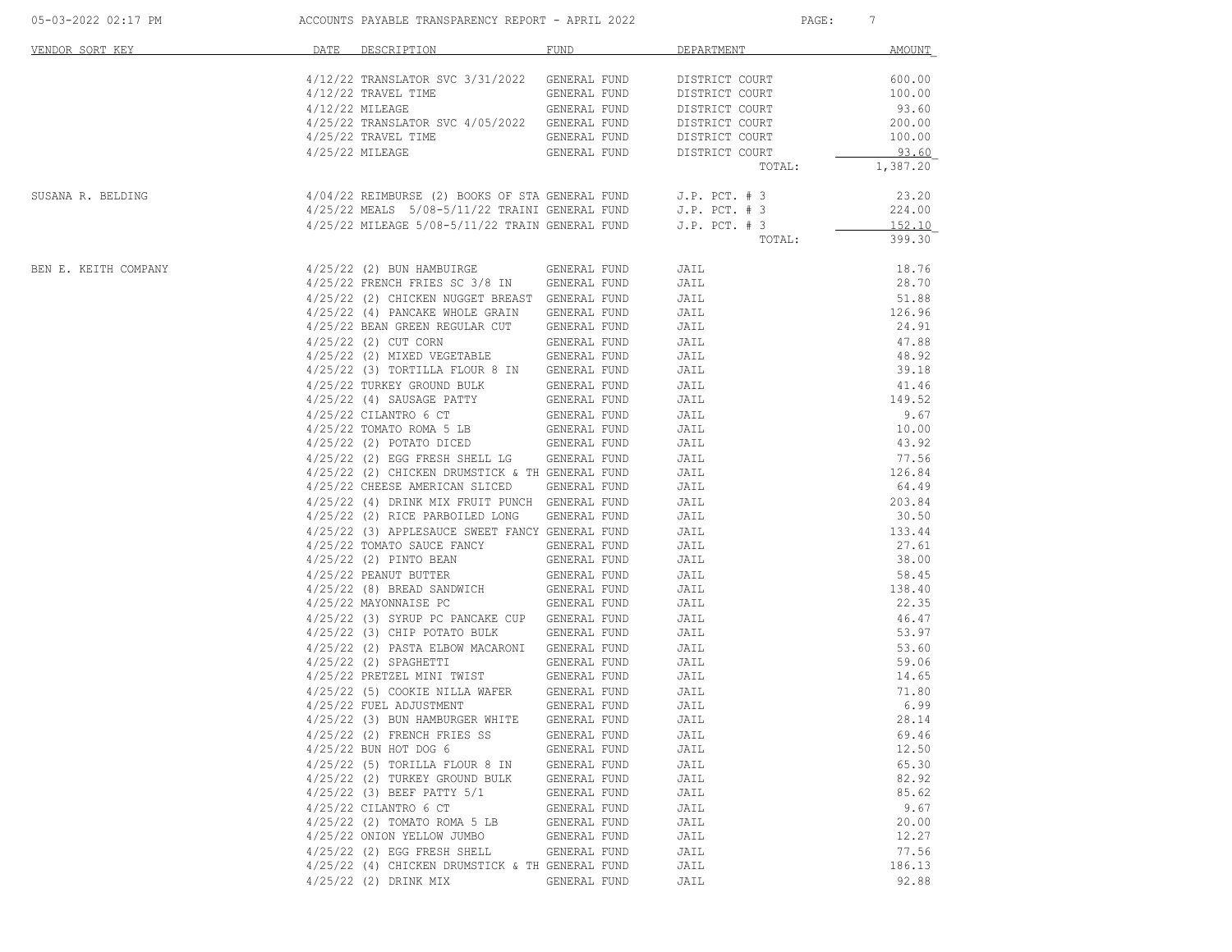| 4/12/22 TRANSLATOR SVC 3/31/2022 GENERAL FUND<br>DISTRICT COURT<br>$4/12/22$ TRAVEL TIME<br>GENERAL FUND<br>DISTRICT COURT<br>4/12/22 MILEAGE<br>GENERAL FUND<br>DISTRICT COURT<br>4/25/22 TRANSLATOR SVC 4/05/2022<br>GENERAL FUND<br>200.00<br>DISTRICT COURT<br>$4/25/22$ TRAVEL TIME<br>GENERAL FUND<br>100.00<br>DISTRICT COURT<br>93.60<br>$4/25/22$ MILEAGE<br>GENERAL FUND<br>DISTRICT COURT<br>TOTAL:<br>4/04/22 REIMBURSE (2) BOOKS OF STA GENERAL FUND<br>$J.P.$ PCT. $# 3$<br>SUSANA R. BELDING<br>4/25/22 MEALS 5/08-5/11/22 TRAINI GENERAL FUND<br>$J.P.$ PCT. $# 3$<br>224.00<br>152.10<br>4/25/22 MILEAGE 5/08-5/11/22 TRAIN GENERAL FUND<br>J.P. PCT. # 3<br>TOTAL:<br>4/25/22 (2) BUN HAMBUIRGE<br>BEN E. KEITH COMPANY<br>GENERAL FUND<br>JAIL<br>28.70<br>$4/25/22$ FRENCH FRIES SC $3/8$ IN<br>GENERAL FUND<br>JAIL<br>51.88<br>4/25/22 (2) CHICKEN NUGGET BREAST GENERAL FUND<br>JAIL<br>126.96<br>4/25/22 (4) PANCAKE WHOLE GRAIN<br>GENERAL FUND<br>JAIL<br>4/25/22 BEAN GREEN REGULAR CUT<br>GENERAL FUND<br>JAIL<br>24.91<br>4/25/22 (2) CUT CORN<br>GENERAL FUND<br>JAIL<br>4/25/22 (2) MIXED VEGETABLE<br>GENERAL FUND<br>JAIL<br>$4/25/22$ (3) TORTILLA FLOUR 8 IN<br>GENERAL FUND<br>JAIL<br>4/25/22 TURKEY GROUND BULK<br>GENERAL FUND<br>JAIL<br>$4/25/22$ (4) SAUSAGE PATTY<br>GENERAL FUND<br>JAIL<br>4/25/22 CILANTRO 6 CT<br>GENERAL FUND<br>JAIL<br>4/25/22 TOMATO ROMA 5 LB<br>GENERAL FUND<br>JAIL<br>4/25/22 (2) POTATO DICED<br>GENERAL FUND<br>JAIL<br>$4/25/22$ (2) EGG FRESH SHELL LG<br>GENERAL FUND<br>JAIL<br>77.56<br>4/25/22 (2) CHICKEN DRUMSTICK & TH GENERAL FUND<br>JAIL<br>126.84<br>4/25/22 CHEESE AMERICAN SLICED<br>GENERAL FUND<br>64.49<br>JAIL<br>4/25/22 (4) DRINK MIX FRUIT PUNCH GENERAL FUND<br>203.84<br>JAIL<br>4/25/22 (2) RICE PARBOILED LONG<br>GENERAL FUND<br>JAIL<br>30.50<br>4/25/22 (3) APPLESAUCE SWEET FANCY GENERAL FUND<br>133.44<br>JAIL<br>4/25/22 TOMATO SAUCE FANCY<br>GENERAL FUND<br>JAIL<br>4/25/22 (2) PINTO BEAN<br>GENERAL FUND<br>JAIL<br>4/25/22 PEANUT BUTTER<br>GENERAL FUND<br>JAIL<br>4/25/22 (8) BREAD SANDWICH<br>GENERAL FUND<br>JAIL<br>4/25/22 MAYONNAISE PC<br>GENERAL FUND<br>JAIL<br>4/25/22 (3) SYRUP PC PANCAKE CUP<br>GENERAL FUND<br>JAIL<br>4/25/22 (3) CHIP POTATO BULK<br>GENERAL FUND<br>JAIL<br>4/25/22 (2) PASTA ELBOW MACARONI<br>GENERAL FUND<br>JAIL<br>4/25/22 (2) SPAGHETTI<br>GENERAL FUND<br>JAIL<br>4/25/22 PRETZEL MINI TWIST<br>GENERAL FUND<br>JAIL<br>14.65<br>4/25/22 (5) COOKIE NILLA WAFER<br>GENERAL FUND<br>JAIL<br>71.80<br>4/25/22 FUEL ADJUSTMENT<br>GENERAL FUND<br>JAIL<br>6.99<br>28.14<br>4/25/22 (3) BUN HAMBURGER WHITE<br>GENERAL FUND<br>JAIL<br>69.46<br>4/25/22 (2) FRENCH FRIES SS<br>GENERAL FUND<br>JAIL<br>4/25/22 BUN HOT DOG 6<br>12.50<br>GENERAL FUND<br>JAIL<br>$4/25/22$ (5) TORILLA FLOUR 8 IN<br>GENERAL FUND<br>JAIL<br>4/25/22 (2) TURKEY GROUND BULK<br>GENERAL FUND<br>JAIL<br>4/25/22 (3) BEEF PATTY 5/1<br>GENERAL FUND<br>JAIL<br>4/25/22 CILANTRO 6 CT<br>GENERAL FUND<br>JAIL<br>4/25/22 (2) TOMATO ROMA 5 LB<br>GENERAL FUND<br>JAIL<br>4/25/22 ONION YELLOW JUMBO<br>GENERAL FUND<br>JAIL<br>4/25/22 (2) EGG FRESH SHELL<br>GENERAL FUND<br>JAIL<br>4/25/22 (4) CHICKEN DRUMSTICK & TH GENERAL FUND<br>JAIL<br>4/25/22 (2) DRINK MIX | VENDOR SORT KEY | DATE | DESCRIPTION | FUND         | DEPARTMENT | <b>AMOUNT</b> |
|-----------------------------------------------------------------------------------------------------------------------------------------------------------------------------------------------------------------------------------------------------------------------------------------------------------------------------------------------------------------------------------------------------------------------------------------------------------------------------------------------------------------------------------------------------------------------------------------------------------------------------------------------------------------------------------------------------------------------------------------------------------------------------------------------------------------------------------------------------------------------------------------------------------------------------------------------------------------------------------------------------------------------------------------------------------------------------------------------------------------------------------------------------------------------------------------------------------------------------------------------------------------------------------------------------------------------------------------------------------------------------------------------------------------------------------------------------------------------------------------------------------------------------------------------------------------------------------------------------------------------------------------------------------------------------------------------------------------------------------------------------------------------------------------------------------------------------------------------------------------------------------------------------------------------------------------------------------------------------------------------------------------------------------------------------------------------------------------------------------------------------------------------------------------------------------------------------------------------------------------------------------------------------------------------------------------------------------------------------------------------------------------------------------------------------------------------------------------------------------------------------------------------------------------------------------------------------------------------------------------------------------------------------------------------------------------------------------------------------------------------------------------------------------------------------------------------------------------------------------------------------------------------------------------------------------------------------------------------------------------------------------------------------------------------------------------------------------------------------------------------------------------------------------------------------------------------------------------------------------------------------------------------------------------------------------|-----------------|------|-------------|--------------|------------|---------------|
|                                                                                                                                                                                                                                                                                                                                                                                                                                                                                                                                                                                                                                                                                                                                                                                                                                                                                                                                                                                                                                                                                                                                                                                                                                                                                                                                                                                                                                                                                                                                                                                                                                                                                                                                                                                                                                                                                                                                                                                                                                                                                                                                                                                                                                                                                                                                                                                                                                                                                                                                                                                                                                                                                                                                                                                                                                                                                                                                                                                                                                                                                                                                                                                                                                                                                                           |                 |      |             |              |            | 600.00        |
|                                                                                                                                                                                                                                                                                                                                                                                                                                                                                                                                                                                                                                                                                                                                                                                                                                                                                                                                                                                                                                                                                                                                                                                                                                                                                                                                                                                                                                                                                                                                                                                                                                                                                                                                                                                                                                                                                                                                                                                                                                                                                                                                                                                                                                                                                                                                                                                                                                                                                                                                                                                                                                                                                                                                                                                                                                                                                                                                                                                                                                                                                                                                                                                                                                                                                                           |                 |      |             |              |            | 100.00        |
|                                                                                                                                                                                                                                                                                                                                                                                                                                                                                                                                                                                                                                                                                                                                                                                                                                                                                                                                                                                                                                                                                                                                                                                                                                                                                                                                                                                                                                                                                                                                                                                                                                                                                                                                                                                                                                                                                                                                                                                                                                                                                                                                                                                                                                                                                                                                                                                                                                                                                                                                                                                                                                                                                                                                                                                                                                                                                                                                                                                                                                                                                                                                                                                                                                                                                                           |                 |      |             |              |            | 93.60         |
|                                                                                                                                                                                                                                                                                                                                                                                                                                                                                                                                                                                                                                                                                                                                                                                                                                                                                                                                                                                                                                                                                                                                                                                                                                                                                                                                                                                                                                                                                                                                                                                                                                                                                                                                                                                                                                                                                                                                                                                                                                                                                                                                                                                                                                                                                                                                                                                                                                                                                                                                                                                                                                                                                                                                                                                                                                                                                                                                                                                                                                                                                                                                                                                                                                                                                                           |                 |      |             |              |            |               |
|                                                                                                                                                                                                                                                                                                                                                                                                                                                                                                                                                                                                                                                                                                                                                                                                                                                                                                                                                                                                                                                                                                                                                                                                                                                                                                                                                                                                                                                                                                                                                                                                                                                                                                                                                                                                                                                                                                                                                                                                                                                                                                                                                                                                                                                                                                                                                                                                                                                                                                                                                                                                                                                                                                                                                                                                                                                                                                                                                                                                                                                                                                                                                                                                                                                                                                           |                 |      |             |              |            |               |
|                                                                                                                                                                                                                                                                                                                                                                                                                                                                                                                                                                                                                                                                                                                                                                                                                                                                                                                                                                                                                                                                                                                                                                                                                                                                                                                                                                                                                                                                                                                                                                                                                                                                                                                                                                                                                                                                                                                                                                                                                                                                                                                                                                                                                                                                                                                                                                                                                                                                                                                                                                                                                                                                                                                                                                                                                                                                                                                                                                                                                                                                                                                                                                                                                                                                                                           |                 |      |             |              |            |               |
|                                                                                                                                                                                                                                                                                                                                                                                                                                                                                                                                                                                                                                                                                                                                                                                                                                                                                                                                                                                                                                                                                                                                                                                                                                                                                                                                                                                                                                                                                                                                                                                                                                                                                                                                                                                                                                                                                                                                                                                                                                                                                                                                                                                                                                                                                                                                                                                                                                                                                                                                                                                                                                                                                                                                                                                                                                                                                                                                                                                                                                                                                                                                                                                                                                                                                                           |                 |      |             |              |            | 1,387.20      |
|                                                                                                                                                                                                                                                                                                                                                                                                                                                                                                                                                                                                                                                                                                                                                                                                                                                                                                                                                                                                                                                                                                                                                                                                                                                                                                                                                                                                                                                                                                                                                                                                                                                                                                                                                                                                                                                                                                                                                                                                                                                                                                                                                                                                                                                                                                                                                                                                                                                                                                                                                                                                                                                                                                                                                                                                                                                                                                                                                                                                                                                                                                                                                                                                                                                                                                           |                 |      |             |              |            | 23.20         |
|                                                                                                                                                                                                                                                                                                                                                                                                                                                                                                                                                                                                                                                                                                                                                                                                                                                                                                                                                                                                                                                                                                                                                                                                                                                                                                                                                                                                                                                                                                                                                                                                                                                                                                                                                                                                                                                                                                                                                                                                                                                                                                                                                                                                                                                                                                                                                                                                                                                                                                                                                                                                                                                                                                                                                                                                                                                                                                                                                                                                                                                                                                                                                                                                                                                                                                           |                 |      |             |              |            |               |
|                                                                                                                                                                                                                                                                                                                                                                                                                                                                                                                                                                                                                                                                                                                                                                                                                                                                                                                                                                                                                                                                                                                                                                                                                                                                                                                                                                                                                                                                                                                                                                                                                                                                                                                                                                                                                                                                                                                                                                                                                                                                                                                                                                                                                                                                                                                                                                                                                                                                                                                                                                                                                                                                                                                                                                                                                                                                                                                                                                                                                                                                                                                                                                                                                                                                                                           |                 |      |             |              |            |               |
|                                                                                                                                                                                                                                                                                                                                                                                                                                                                                                                                                                                                                                                                                                                                                                                                                                                                                                                                                                                                                                                                                                                                                                                                                                                                                                                                                                                                                                                                                                                                                                                                                                                                                                                                                                                                                                                                                                                                                                                                                                                                                                                                                                                                                                                                                                                                                                                                                                                                                                                                                                                                                                                                                                                                                                                                                                                                                                                                                                                                                                                                                                                                                                                                                                                                                                           |                 |      |             |              |            | 399.30        |
|                                                                                                                                                                                                                                                                                                                                                                                                                                                                                                                                                                                                                                                                                                                                                                                                                                                                                                                                                                                                                                                                                                                                                                                                                                                                                                                                                                                                                                                                                                                                                                                                                                                                                                                                                                                                                                                                                                                                                                                                                                                                                                                                                                                                                                                                                                                                                                                                                                                                                                                                                                                                                                                                                                                                                                                                                                                                                                                                                                                                                                                                                                                                                                                                                                                                                                           |                 |      |             |              |            | 18.76         |
|                                                                                                                                                                                                                                                                                                                                                                                                                                                                                                                                                                                                                                                                                                                                                                                                                                                                                                                                                                                                                                                                                                                                                                                                                                                                                                                                                                                                                                                                                                                                                                                                                                                                                                                                                                                                                                                                                                                                                                                                                                                                                                                                                                                                                                                                                                                                                                                                                                                                                                                                                                                                                                                                                                                                                                                                                                                                                                                                                                                                                                                                                                                                                                                                                                                                                                           |                 |      |             |              |            |               |
|                                                                                                                                                                                                                                                                                                                                                                                                                                                                                                                                                                                                                                                                                                                                                                                                                                                                                                                                                                                                                                                                                                                                                                                                                                                                                                                                                                                                                                                                                                                                                                                                                                                                                                                                                                                                                                                                                                                                                                                                                                                                                                                                                                                                                                                                                                                                                                                                                                                                                                                                                                                                                                                                                                                                                                                                                                                                                                                                                                                                                                                                                                                                                                                                                                                                                                           |                 |      |             |              |            |               |
|                                                                                                                                                                                                                                                                                                                                                                                                                                                                                                                                                                                                                                                                                                                                                                                                                                                                                                                                                                                                                                                                                                                                                                                                                                                                                                                                                                                                                                                                                                                                                                                                                                                                                                                                                                                                                                                                                                                                                                                                                                                                                                                                                                                                                                                                                                                                                                                                                                                                                                                                                                                                                                                                                                                                                                                                                                                                                                                                                                                                                                                                                                                                                                                                                                                                                                           |                 |      |             |              |            |               |
|                                                                                                                                                                                                                                                                                                                                                                                                                                                                                                                                                                                                                                                                                                                                                                                                                                                                                                                                                                                                                                                                                                                                                                                                                                                                                                                                                                                                                                                                                                                                                                                                                                                                                                                                                                                                                                                                                                                                                                                                                                                                                                                                                                                                                                                                                                                                                                                                                                                                                                                                                                                                                                                                                                                                                                                                                                                                                                                                                                                                                                                                                                                                                                                                                                                                                                           |                 |      |             |              |            |               |
|                                                                                                                                                                                                                                                                                                                                                                                                                                                                                                                                                                                                                                                                                                                                                                                                                                                                                                                                                                                                                                                                                                                                                                                                                                                                                                                                                                                                                                                                                                                                                                                                                                                                                                                                                                                                                                                                                                                                                                                                                                                                                                                                                                                                                                                                                                                                                                                                                                                                                                                                                                                                                                                                                                                                                                                                                                                                                                                                                                                                                                                                                                                                                                                                                                                                                                           |                 |      |             |              |            |               |
|                                                                                                                                                                                                                                                                                                                                                                                                                                                                                                                                                                                                                                                                                                                                                                                                                                                                                                                                                                                                                                                                                                                                                                                                                                                                                                                                                                                                                                                                                                                                                                                                                                                                                                                                                                                                                                                                                                                                                                                                                                                                                                                                                                                                                                                                                                                                                                                                                                                                                                                                                                                                                                                                                                                                                                                                                                                                                                                                                                                                                                                                                                                                                                                                                                                                                                           |                 |      |             |              |            | 47.88         |
|                                                                                                                                                                                                                                                                                                                                                                                                                                                                                                                                                                                                                                                                                                                                                                                                                                                                                                                                                                                                                                                                                                                                                                                                                                                                                                                                                                                                                                                                                                                                                                                                                                                                                                                                                                                                                                                                                                                                                                                                                                                                                                                                                                                                                                                                                                                                                                                                                                                                                                                                                                                                                                                                                                                                                                                                                                                                                                                                                                                                                                                                                                                                                                                                                                                                                                           |                 |      |             |              |            | 48.92         |
|                                                                                                                                                                                                                                                                                                                                                                                                                                                                                                                                                                                                                                                                                                                                                                                                                                                                                                                                                                                                                                                                                                                                                                                                                                                                                                                                                                                                                                                                                                                                                                                                                                                                                                                                                                                                                                                                                                                                                                                                                                                                                                                                                                                                                                                                                                                                                                                                                                                                                                                                                                                                                                                                                                                                                                                                                                                                                                                                                                                                                                                                                                                                                                                                                                                                                                           |                 |      |             |              |            | 39.18         |
|                                                                                                                                                                                                                                                                                                                                                                                                                                                                                                                                                                                                                                                                                                                                                                                                                                                                                                                                                                                                                                                                                                                                                                                                                                                                                                                                                                                                                                                                                                                                                                                                                                                                                                                                                                                                                                                                                                                                                                                                                                                                                                                                                                                                                                                                                                                                                                                                                                                                                                                                                                                                                                                                                                                                                                                                                                                                                                                                                                                                                                                                                                                                                                                                                                                                                                           |                 |      |             |              |            | 41.46         |
|                                                                                                                                                                                                                                                                                                                                                                                                                                                                                                                                                                                                                                                                                                                                                                                                                                                                                                                                                                                                                                                                                                                                                                                                                                                                                                                                                                                                                                                                                                                                                                                                                                                                                                                                                                                                                                                                                                                                                                                                                                                                                                                                                                                                                                                                                                                                                                                                                                                                                                                                                                                                                                                                                                                                                                                                                                                                                                                                                                                                                                                                                                                                                                                                                                                                                                           |                 |      |             |              |            | 149.52        |
|                                                                                                                                                                                                                                                                                                                                                                                                                                                                                                                                                                                                                                                                                                                                                                                                                                                                                                                                                                                                                                                                                                                                                                                                                                                                                                                                                                                                                                                                                                                                                                                                                                                                                                                                                                                                                                                                                                                                                                                                                                                                                                                                                                                                                                                                                                                                                                                                                                                                                                                                                                                                                                                                                                                                                                                                                                                                                                                                                                                                                                                                                                                                                                                                                                                                                                           |                 |      |             |              |            | 9.67          |
|                                                                                                                                                                                                                                                                                                                                                                                                                                                                                                                                                                                                                                                                                                                                                                                                                                                                                                                                                                                                                                                                                                                                                                                                                                                                                                                                                                                                                                                                                                                                                                                                                                                                                                                                                                                                                                                                                                                                                                                                                                                                                                                                                                                                                                                                                                                                                                                                                                                                                                                                                                                                                                                                                                                                                                                                                                                                                                                                                                                                                                                                                                                                                                                                                                                                                                           |                 |      |             |              |            | 10.00         |
|                                                                                                                                                                                                                                                                                                                                                                                                                                                                                                                                                                                                                                                                                                                                                                                                                                                                                                                                                                                                                                                                                                                                                                                                                                                                                                                                                                                                                                                                                                                                                                                                                                                                                                                                                                                                                                                                                                                                                                                                                                                                                                                                                                                                                                                                                                                                                                                                                                                                                                                                                                                                                                                                                                                                                                                                                                                                                                                                                                                                                                                                                                                                                                                                                                                                                                           |                 |      |             |              |            | 43.92         |
|                                                                                                                                                                                                                                                                                                                                                                                                                                                                                                                                                                                                                                                                                                                                                                                                                                                                                                                                                                                                                                                                                                                                                                                                                                                                                                                                                                                                                                                                                                                                                                                                                                                                                                                                                                                                                                                                                                                                                                                                                                                                                                                                                                                                                                                                                                                                                                                                                                                                                                                                                                                                                                                                                                                                                                                                                                                                                                                                                                                                                                                                                                                                                                                                                                                                                                           |                 |      |             |              |            |               |
|                                                                                                                                                                                                                                                                                                                                                                                                                                                                                                                                                                                                                                                                                                                                                                                                                                                                                                                                                                                                                                                                                                                                                                                                                                                                                                                                                                                                                                                                                                                                                                                                                                                                                                                                                                                                                                                                                                                                                                                                                                                                                                                                                                                                                                                                                                                                                                                                                                                                                                                                                                                                                                                                                                                                                                                                                                                                                                                                                                                                                                                                                                                                                                                                                                                                                                           |                 |      |             |              |            |               |
|                                                                                                                                                                                                                                                                                                                                                                                                                                                                                                                                                                                                                                                                                                                                                                                                                                                                                                                                                                                                                                                                                                                                                                                                                                                                                                                                                                                                                                                                                                                                                                                                                                                                                                                                                                                                                                                                                                                                                                                                                                                                                                                                                                                                                                                                                                                                                                                                                                                                                                                                                                                                                                                                                                                                                                                                                                                                                                                                                                                                                                                                                                                                                                                                                                                                                                           |                 |      |             |              |            |               |
|                                                                                                                                                                                                                                                                                                                                                                                                                                                                                                                                                                                                                                                                                                                                                                                                                                                                                                                                                                                                                                                                                                                                                                                                                                                                                                                                                                                                                                                                                                                                                                                                                                                                                                                                                                                                                                                                                                                                                                                                                                                                                                                                                                                                                                                                                                                                                                                                                                                                                                                                                                                                                                                                                                                                                                                                                                                                                                                                                                                                                                                                                                                                                                                                                                                                                                           |                 |      |             |              |            |               |
|                                                                                                                                                                                                                                                                                                                                                                                                                                                                                                                                                                                                                                                                                                                                                                                                                                                                                                                                                                                                                                                                                                                                                                                                                                                                                                                                                                                                                                                                                                                                                                                                                                                                                                                                                                                                                                                                                                                                                                                                                                                                                                                                                                                                                                                                                                                                                                                                                                                                                                                                                                                                                                                                                                                                                                                                                                                                                                                                                                                                                                                                                                                                                                                                                                                                                                           |                 |      |             |              |            |               |
|                                                                                                                                                                                                                                                                                                                                                                                                                                                                                                                                                                                                                                                                                                                                                                                                                                                                                                                                                                                                                                                                                                                                                                                                                                                                                                                                                                                                                                                                                                                                                                                                                                                                                                                                                                                                                                                                                                                                                                                                                                                                                                                                                                                                                                                                                                                                                                                                                                                                                                                                                                                                                                                                                                                                                                                                                                                                                                                                                                                                                                                                                                                                                                                                                                                                                                           |                 |      |             |              |            |               |
|                                                                                                                                                                                                                                                                                                                                                                                                                                                                                                                                                                                                                                                                                                                                                                                                                                                                                                                                                                                                                                                                                                                                                                                                                                                                                                                                                                                                                                                                                                                                                                                                                                                                                                                                                                                                                                                                                                                                                                                                                                                                                                                                                                                                                                                                                                                                                                                                                                                                                                                                                                                                                                                                                                                                                                                                                                                                                                                                                                                                                                                                                                                                                                                                                                                                                                           |                 |      |             |              |            |               |
|                                                                                                                                                                                                                                                                                                                                                                                                                                                                                                                                                                                                                                                                                                                                                                                                                                                                                                                                                                                                                                                                                                                                                                                                                                                                                                                                                                                                                                                                                                                                                                                                                                                                                                                                                                                                                                                                                                                                                                                                                                                                                                                                                                                                                                                                                                                                                                                                                                                                                                                                                                                                                                                                                                                                                                                                                                                                                                                                                                                                                                                                                                                                                                                                                                                                                                           |                 |      |             |              |            | 27.61         |
|                                                                                                                                                                                                                                                                                                                                                                                                                                                                                                                                                                                                                                                                                                                                                                                                                                                                                                                                                                                                                                                                                                                                                                                                                                                                                                                                                                                                                                                                                                                                                                                                                                                                                                                                                                                                                                                                                                                                                                                                                                                                                                                                                                                                                                                                                                                                                                                                                                                                                                                                                                                                                                                                                                                                                                                                                                                                                                                                                                                                                                                                                                                                                                                                                                                                                                           |                 |      |             |              |            | 38.00         |
|                                                                                                                                                                                                                                                                                                                                                                                                                                                                                                                                                                                                                                                                                                                                                                                                                                                                                                                                                                                                                                                                                                                                                                                                                                                                                                                                                                                                                                                                                                                                                                                                                                                                                                                                                                                                                                                                                                                                                                                                                                                                                                                                                                                                                                                                                                                                                                                                                                                                                                                                                                                                                                                                                                                                                                                                                                                                                                                                                                                                                                                                                                                                                                                                                                                                                                           |                 |      |             |              |            | 58.45         |
|                                                                                                                                                                                                                                                                                                                                                                                                                                                                                                                                                                                                                                                                                                                                                                                                                                                                                                                                                                                                                                                                                                                                                                                                                                                                                                                                                                                                                                                                                                                                                                                                                                                                                                                                                                                                                                                                                                                                                                                                                                                                                                                                                                                                                                                                                                                                                                                                                                                                                                                                                                                                                                                                                                                                                                                                                                                                                                                                                                                                                                                                                                                                                                                                                                                                                                           |                 |      |             |              |            | 138.40        |
|                                                                                                                                                                                                                                                                                                                                                                                                                                                                                                                                                                                                                                                                                                                                                                                                                                                                                                                                                                                                                                                                                                                                                                                                                                                                                                                                                                                                                                                                                                                                                                                                                                                                                                                                                                                                                                                                                                                                                                                                                                                                                                                                                                                                                                                                                                                                                                                                                                                                                                                                                                                                                                                                                                                                                                                                                                                                                                                                                                                                                                                                                                                                                                                                                                                                                                           |                 |      |             |              |            | 22.35         |
|                                                                                                                                                                                                                                                                                                                                                                                                                                                                                                                                                                                                                                                                                                                                                                                                                                                                                                                                                                                                                                                                                                                                                                                                                                                                                                                                                                                                                                                                                                                                                                                                                                                                                                                                                                                                                                                                                                                                                                                                                                                                                                                                                                                                                                                                                                                                                                                                                                                                                                                                                                                                                                                                                                                                                                                                                                                                                                                                                                                                                                                                                                                                                                                                                                                                                                           |                 |      |             |              |            | 46.47         |
|                                                                                                                                                                                                                                                                                                                                                                                                                                                                                                                                                                                                                                                                                                                                                                                                                                                                                                                                                                                                                                                                                                                                                                                                                                                                                                                                                                                                                                                                                                                                                                                                                                                                                                                                                                                                                                                                                                                                                                                                                                                                                                                                                                                                                                                                                                                                                                                                                                                                                                                                                                                                                                                                                                                                                                                                                                                                                                                                                                                                                                                                                                                                                                                                                                                                                                           |                 |      |             |              |            | 53.97         |
|                                                                                                                                                                                                                                                                                                                                                                                                                                                                                                                                                                                                                                                                                                                                                                                                                                                                                                                                                                                                                                                                                                                                                                                                                                                                                                                                                                                                                                                                                                                                                                                                                                                                                                                                                                                                                                                                                                                                                                                                                                                                                                                                                                                                                                                                                                                                                                                                                                                                                                                                                                                                                                                                                                                                                                                                                                                                                                                                                                                                                                                                                                                                                                                                                                                                                                           |                 |      |             |              |            | 53.60         |
|                                                                                                                                                                                                                                                                                                                                                                                                                                                                                                                                                                                                                                                                                                                                                                                                                                                                                                                                                                                                                                                                                                                                                                                                                                                                                                                                                                                                                                                                                                                                                                                                                                                                                                                                                                                                                                                                                                                                                                                                                                                                                                                                                                                                                                                                                                                                                                                                                                                                                                                                                                                                                                                                                                                                                                                                                                                                                                                                                                                                                                                                                                                                                                                                                                                                                                           |                 |      |             |              |            | 59.06         |
|                                                                                                                                                                                                                                                                                                                                                                                                                                                                                                                                                                                                                                                                                                                                                                                                                                                                                                                                                                                                                                                                                                                                                                                                                                                                                                                                                                                                                                                                                                                                                                                                                                                                                                                                                                                                                                                                                                                                                                                                                                                                                                                                                                                                                                                                                                                                                                                                                                                                                                                                                                                                                                                                                                                                                                                                                                                                                                                                                                                                                                                                                                                                                                                                                                                                                                           |                 |      |             |              |            |               |
|                                                                                                                                                                                                                                                                                                                                                                                                                                                                                                                                                                                                                                                                                                                                                                                                                                                                                                                                                                                                                                                                                                                                                                                                                                                                                                                                                                                                                                                                                                                                                                                                                                                                                                                                                                                                                                                                                                                                                                                                                                                                                                                                                                                                                                                                                                                                                                                                                                                                                                                                                                                                                                                                                                                                                                                                                                                                                                                                                                                                                                                                                                                                                                                                                                                                                                           |                 |      |             |              |            |               |
|                                                                                                                                                                                                                                                                                                                                                                                                                                                                                                                                                                                                                                                                                                                                                                                                                                                                                                                                                                                                                                                                                                                                                                                                                                                                                                                                                                                                                                                                                                                                                                                                                                                                                                                                                                                                                                                                                                                                                                                                                                                                                                                                                                                                                                                                                                                                                                                                                                                                                                                                                                                                                                                                                                                                                                                                                                                                                                                                                                                                                                                                                                                                                                                                                                                                                                           |                 |      |             |              |            |               |
|                                                                                                                                                                                                                                                                                                                                                                                                                                                                                                                                                                                                                                                                                                                                                                                                                                                                                                                                                                                                                                                                                                                                                                                                                                                                                                                                                                                                                                                                                                                                                                                                                                                                                                                                                                                                                                                                                                                                                                                                                                                                                                                                                                                                                                                                                                                                                                                                                                                                                                                                                                                                                                                                                                                                                                                                                                                                                                                                                                                                                                                                                                                                                                                                                                                                                                           |                 |      |             |              |            |               |
|                                                                                                                                                                                                                                                                                                                                                                                                                                                                                                                                                                                                                                                                                                                                                                                                                                                                                                                                                                                                                                                                                                                                                                                                                                                                                                                                                                                                                                                                                                                                                                                                                                                                                                                                                                                                                                                                                                                                                                                                                                                                                                                                                                                                                                                                                                                                                                                                                                                                                                                                                                                                                                                                                                                                                                                                                                                                                                                                                                                                                                                                                                                                                                                                                                                                                                           |                 |      |             |              |            |               |
|                                                                                                                                                                                                                                                                                                                                                                                                                                                                                                                                                                                                                                                                                                                                                                                                                                                                                                                                                                                                                                                                                                                                                                                                                                                                                                                                                                                                                                                                                                                                                                                                                                                                                                                                                                                                                                                                                                                                                                                                                                                                                                                                                                                                                                                                                                                                                                                                                                                                                                                                                                                                                                                                                                                                                                                                                                                                                                                                                                                                                                                                                                                                                                                                                                                                                                           |                 |      |             |              |            |               |
|                                                                                                                                                                                                                                                                                                                                                                                                                                                                                                                                                                                                                                                                                                                                                                                                                                                                                                                                                                                                                                                                                                                                                                                                                                                                                                                                                                                                                                                                                                                                                                                                                                                                                                                                                                                                                                                                                                                                                                                                                                                                                                                                                                                                                                                                                                                                                                                                                                                                                                                                                                                                                                                                                                                                                                                                                                                                                                                                                                                                                                                                                                                                                                                                                                                                                                           |                 |      |             |              |            |               |
|                                                                                                                                                                                                                                                                                                                                                                                                                                                                                                                                                                                                                                                                                                                                                                                                                                                                                                                                                                                                                                                                                                                                                                                                                                                                                                                                                                                                                                                                                                                                                                                                                                                                                                                                                                                                                                                                                                                                                                                                                                                                                                                                                                                                                                                                                                                                                                                                                                                                                                                                                                                                                                                                                                                                                                                                                                                                                                                                                                                                                                                                                                                                                                                                                                                                                                           |                 |      |             |              |            | 65.30         |
|                                                                                                                                                                                                                                                                                                                                                                                                                                                                                                                                                                                                                                                                                                                                                                                                                                                                                                                                                                                                                                                                                                                                                                                                                                                                                                                                                                                                                                                                                                                                                                                                                                                                                                                                                                                                                                                                                                                                                                                                                                                                                                                                                                                                                                                                                                                                                                                                                                                                                                                                                                                                                                                                                                                                                                                                                                                                                                                                                                                                                                                                                                                                                                                                                                                                                                           |                 |      |             |              |            | 82.92         |
|                                                                                                                                                                                                                                                                                                                                                                                                                                                                                                                                                                                                                                                                                                                                                                                                                                                                                                                                                                                                                                                                                                                                                                                                                                                                                                                                                                                                                                                                                                                                                                                                                                                                                                                                                                                                                                                                                                                                                                                                                                                                                                                                                                                                                                                                                                                                                                                                                                                                                                                                                                                                                                                                                                                                                                                                                                                                                                                                                                                                                                                                                                                                                                                                                                                                                                           |                 |      |             |              |            | 85.62         |
|                                                                                                                                                                                                                                                                                                                                                                                                                                                                                                                                                                                                                                                                                                                                                                                                                                                                                                                                                                                                                                                                                                                                                                                                                                                                                                                                                                                                                                                                                                                                                                                                                                                                                                                                                                                                                                                                                                                                                                                                                                                                                                                                                                                                                                                                                                                                                                                                                                                                                                                                                                                                                                                                                                                                                                                                                                                                                                                                                                                                                                                                                                                                                                                                                                                                                                           |                 |      |             |              |            | 9.67          |
|                                                                                                                                                                                                                                                                                                                                                                                                                                                                                                                                                                                                                                                                                                                                                                                                                                                                                                                                                                                                                                                                                                                                                                                                                                                                                                                                                                                                                                                                                                                                                                                                                                                                                                                                                                                                                                                                                                                                                                                                                                                                                                                                                                                                                                                                                                                                                                                                                                                                                                                                                                                                                                                                                                                                                                                                                                                                                                                                                                                                                                                                                                                                                                                                                                                                                                           |                 |      |             |              |            | 20.00         |
|                                                                                                                                                                                                                                                                                                                                                                                                                                                                                                                                                                                                                                                                                                                                                                                                                                                                                                                                                                                                                                                                                                                                                                                                                                                                                                                                                                                                                                                                                                                                                                                                                                                                                                                                                                                                                                                                                                                                                                                                                                                                                                                                                                                                                                                                                                                                                                                                                                                                                                                                                                                                                                                                                                                                                                                                                                                                                                                                                                                                                                                                                                                                                                                                                                                                                                           |                 |      |             |              |            | 12.27         |
|                                                                                                                                                                                                                                                                                                                                                                                                                                                                                                                                                                                                                                                                                                                                                                                                                                                                                                                                                                                                                                                                                                                                                                                                                                                                                                                                                                                                                                                                                                                                                                                                                                                                                                                                                                                                                                                                                                                                                                                                                                                                                                                                                                                                                                                                                                                                                                                                                                                                                                                                                                                                                                                                                                                                                                                                                                                                                                                                                                                                                                                                                                                                                                                                                                                                                                           |                 |      |             |              |            | 77.56         |
|                                                                                                                                                                                                                                                                                                                                                                                                                                                                                                                                                                                                                                                                                                                                                                                                                                                                                                                                                                                                                                                                                                                                                                                                                                                                                                                                                                                                                                                                                                                                                                                                                                                                                                                                                                                                                                                                                                                                                                                                                                                                                                                                                                                                                                                                                                                                                                                                                                                                                                                                                                                                                                                                                                                                                                                                                                                                                                                                                                                                                                                                                                                                                                                                                                                                                                           |                 |      |             |              |            | 186.13        |
|                                                                                                                                                                                                                                                                                                                                                                                                                                                                                                                                                                                                                                                                                                                                                                                                                                                                                                                                                                                                                                                                                                                                                                                                                                                                                                                                                                                                                                                                                                                                                                                                                                                                                                                                                                                                                                                                                                                                                                                                                                                                                                                                                                                                                                                                                                                                                                                                                                                                                                                                                                                                                                                                                                                                                                                                                                                                                                                                                                                                                                                                                                                                                                                                                                                                                                           |                 |      |             | GENERAL FUND | JAIL       | 92.88         |

05-03-2022 02:17 PM ACCOUNTS PAYABLE TRANSPARENCY REPORT - APRIL 2022 PAGE: 7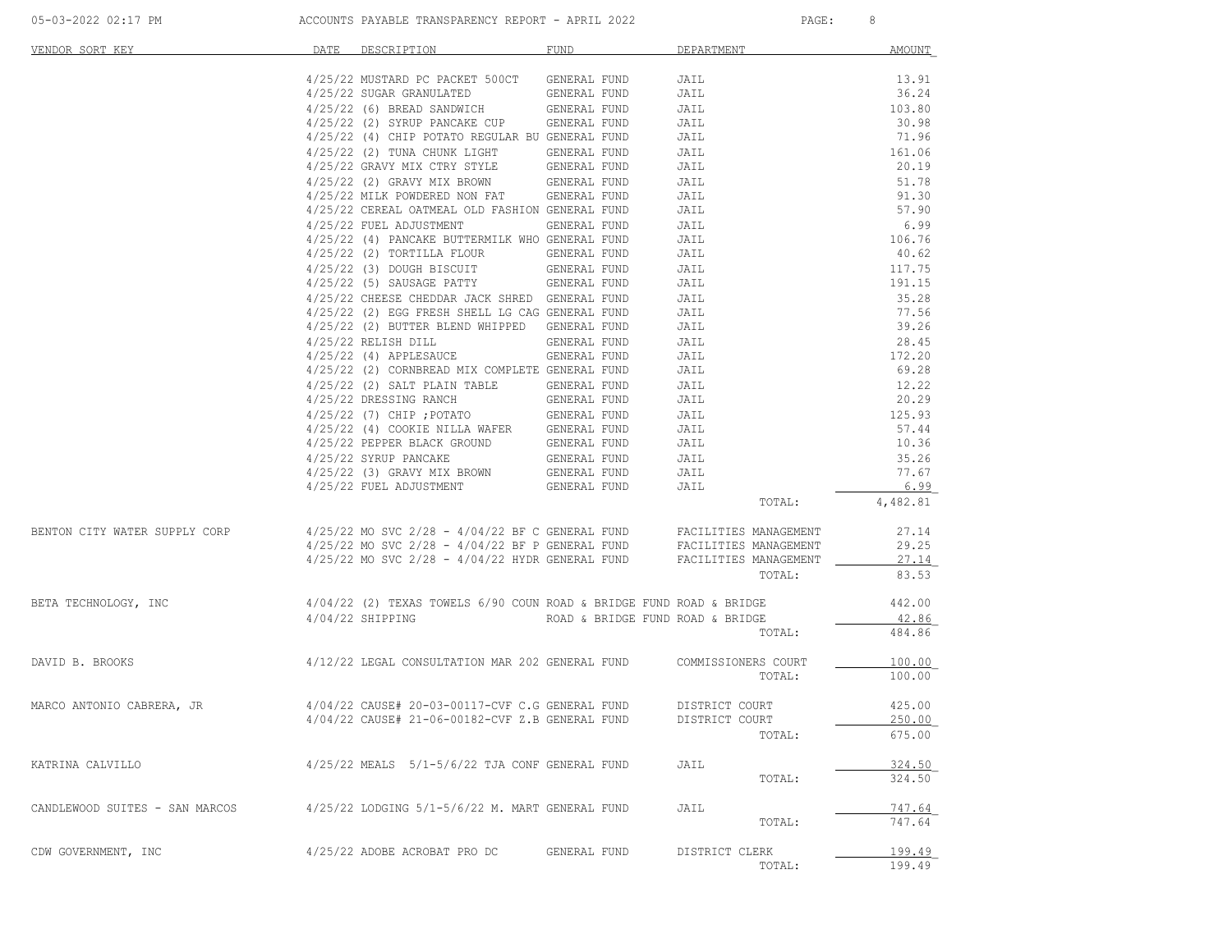| VENDOR SORT KEY                                                                                     | DATE | DESCRIPTION DESCRIPTION                                                                                                                                                                                                                                                                                                                                                                                                                                   | <b>FUND</b>  | DEPARTMENT     | <b>AMOUNT</b>    |
|-----------------------------------------------------------------------------------------------------|------|-----------------------------------------------------------------------------------------------------------------------------------------------------------------------------------------------------------------------------------------------------------------------------------------------------------------------------------------------------------------------------------------------------------------------------------------------------------|--------------|----------------|------------------|
|                                                                                                     |      |                                                                                                                                                                                                                                                                                                                                                                                                                                                           |              | JAIL           | 13.91            |
|                                                                                                     |      |                                                                                                                                                                                                                                                                                                                                                                                                                                                           |              | JAIL           | 36.24            |
|                                                                                                     |      | $\begin{tabular}{lllllllllllllllllllll} \it 4/25/22~\texttt{MUSTARD} & \tt PC~PACKET~500CT & \tt GENERAL~FUND \\ \it 4/25/22~\texttt{SUGAR GRANULATED} & \tt GENERAL~FUND \\ \it 4/25/22~(6)~BERAD~SANDWICH & \tt GENERAL~FUND \\ \end{tabular}$                                                                                                                                                                                                          |              | JAIL           | 103.80           |
|                                                                                                     |      | 4/25/22 (2) SYRUP PANCAKE CUP GENERAL FUND                                                                                                                                                                                                                                                                                                                                                                                                                |              | JAIL           | 30.98            |
|                                                                                                     |      | 4/25/22 (4) CHIP POTATO REGULAR BU GENERAL FUND                                                                                                                                                                                                                                                                                                                                                                                                           |              | JAIL           | 71.96            |
|                                                                                                     |      |                                                                                                                                                                                                                                                                                                                                                                                                                                                           |              | JAIL           | 161.06           |
|                                                                                                     |      |                                                                                                                                                                                                                                                                                                                                                                                                                                                           |              | JAIL           | 20.19            |
|                                                                                                     |      |                                                                                                                                                                                                                                                                                                                                                                                                                                                           |              | JAIL           | 51.78            |
|                                                                                                     |      |                                                                                                                                                                                                                                                                                                                                                                                                                                                           |              | JAIL           | 91.30            |
|                                                                                                     |      | 4/25/22 CEREAL OATMEAL OLD FASHION GENERAL FUND                                                                                                                                                                                                                                                                                                                                                                                                           |              | JAIL           | 57.90            |
|                                                                                                     |      | 4/25/22 FUEL ADJUSTMENT GENERAL FUND                                                                                                                                                                                                                                                                                                                                                                                                                      |              | JAIL           | 6.99             |
|                                                                                                     |      | 4/25/22 (4) PANCAKE BUTTERMILK WHO GENERAL FUND                                                                                                                                                                                                                                                                                                                                                                                                           |              | JAIL           | 106.76           |
|                                                                                                     |      | 4/25/22 (2) TORTILLA FLOUR GENERAL FUND                                                                                                                                                                                                                                                                                                                                                                                                                   |              | JAIL           | 40.62            |
|                                                                                                     |      | 4/25/22 (3) DOUGH BISCUIT GENERAL FUND                                                                                                                                                                                                                                                                                                                                                                                                                    |              | JAIL           | 117.75           |
|                                                                                                     |      | 4/25/22 (5) SAUSAGE PATTY GENERAL FUND                                                                                                                                                                                                                                                                                                                                                                                                                    |              | JAIL           | 191.15           |
|                                                                                                     |      | 4/25/22 CHEESE CHEDDAR JACK SHRED GENERAL FUND                                                                                                                                                                                                                                                                                                                                                                                                            |              | JAIL           | 35.28            |
|                                                                                                     |      | 4/25/22 (2) EGG FRESH SHELL LG CAG GENERAL FUND                                                                                                                                                                                                                                                                                                                                                                                                           |              | JAIL           | 77.56            |
|                                                                                                     |      | 4/25/22 (2) BUTTER BLEND WHIPPED GENERAL FUND                                                                                                                                                                                                                                                                                                                                                                                                             |              | JAIL           | 39.26            |
|                                                                                                     |      | $\begin{tabular}{llllll} 4/25/22 & \texttt{RELISH}\ & \texttt{DILL} & \texttt{GENERAL}\ & \texttt{GENERAL}\ & \texttt{WDD} \\ 4/25/22 & (4) & \texttt{APPLESAUCE} & \texttt{GENERAL}\ & \texttt{WDD} \end{tabular}$                                                                                                                                                                                                                                       |              | JAIL           | 28.45            |
|                                                                                                     |      |                                                                                                                                                                                                                                                                                                                                                                                                                                                           |              | JAIL           | 172.20           |
|                                                                                                     |      | 4/25/22 (2) CORNBREAD MIX COMPLETE GENERAL FUND                                                                                                                                                                                                                                                                                                                                                                                                           |              | JAIL           | 69.28            |
|                                                                                                     |      | 4/25/22 (2) SALT PLAIN TABLE GENERAL FUND<br>4/25/22 DRESSING RANCH GENERAL FUND                                                                                                                                                                                                                                                                                                                                                                          |              | JAIL           | 12.22            |
|                                                                                                     |      |                                                                                                                                                                                                                                                                                                                                                                                                                                                           |              | JAIL           | 20.29            |
|                                                                                                     |      | 4/25/22 (7) CHIP ; POTATO GENERAL FUND<br>4/25/22 (4) COOKIE NILLA WAFER GENERAL FUND                                                                                                                                                                                                                                                                                                                                                                     |              | JAIL           | 125.93           |
|                                                                                                     |      |                                                                                                                                                                                                                                                                                                                                                                                                                                                           |              | JAIL           | 57.44            |
|                                                                                                     |      |                                                                                                                                                                                                                                                                                                                                                                                                                                                           |              |                | 10.36            |
|                                                                                                     |      | $\begin{tabular}{lllllllllllllllllllll} \multicolumn{3}{c}{\textbf{4/25/22}} & \textbf{PEPPER BLCK GROUND} & \textbf{GENERAL FUND} & \textbf{JAIL} \\ \multicolumn{3}{c}{\textbf{4/25/22}} & \textbf{SYRUP PANCAKE} & \textbf{GRQNN} & \textbf{GENERAL FUND} & \textbf{JAIL} \\ \multicolumn{3}{c}{\textbf{4/25/22}} & \textbf{(3)} & \textbf{GRAVY MIX BROWN} & \textbf{GENERRAL FUND} & \textbf{JAIL} \\ \multicolumn{3}{c}{\textbf{5/22}} & \textbf{($ |              |                | 35.26            |
|                                                                                                     |      |                                                                                                                                                                                                                                                                                                                                                                                                                                                           |              |                | 77.67            |
|                                                                                                     |      | 4/25/22 FUEL ADJUSTMENT GENERAL FUND                                                                                                                                                                                                                                                                                                                                                                                                                      |              | JAIL<br>TOTAL: | 6.99<br>4,482.81 |
|                                                                                                     |      |                                                                                                                                                                                                                                                                                                                                                                                                                                                           |              |                |                  |
| BENTON CITY WATER SUPPLY CORP 4/25/22 MO SVC 2/28 - 4/04/22 BF C GENERAL FUND FACILITIES MANAGEMENT |      |                                                                                                                                                                                                                                                                                                                                                                                                                                                           |              |                | 27.14            |
|                                                                                                     |      |                                                                                                                                                                                                                                                                                                                                                                                                                                                           |              |                | 29.25            |
|                                                                                                     |      | $4/25/22$ MO SVC $2/28$ - $4/04/22$ BF P GENERAL FUND FACILITIES MANAGEMENT $4/25/22$ MO SVC $2/28$ - $4/04/22$ HYDR GENERAL FUND FACILITIES MANAGEMENT                                                                                                                                                                                                                                                                                                   |              |                | 27.14            |
|                                                                                                     |      |                                                                                                                                                                                                                                                                                                                                                                                                                                                           |              | TOTAL:         | 83.53            |
| BETA TECHNOLOGY, INC $4/04/22$ (2) TEXAS TOWELS 6/90 COUN ROAD & BRIDGE FUND ROAD & BRIDGE          |      |                                                                                                                                                                                                                                                                                                                                                                                                                                                           |              |                | 442.00           |
|                                                                                                     |      | $4/04/22$ SHIPPING $\qquad$ ROAD & BRIDGE FUND ROAD & BRIDGE                                                                                                                                                                                                                                                                                                                                                                                              |              |                | 42.86            |
|                                                                                                     |      |                                                                                                                                                                                                                                                                                                                                                                                                                                                           |              | TOTAL:         | 484.86           |
| DAVID B. BROOKS                                                                                     |      | 4/12/22 LEGAL CONSULTATION MAR 202 GENERAL FUND COMMISSIONERS COURT                                                                                                                                                                                                                                                                                                                                                                                       |              |                | 100.00           |
|                                                                                                     |      |                                                                                                                                                                                                                                                                                                                                                                                                                                                           |              | TOTAL:         | 100.00           |
|                                                                                                     |      |                                                                                                                                                                                                                                                                                                                                                                                                                                                           |              |                |                  |
| MARCO ANTONIO CABRERA, JR                                                                           |      | 4/04/22 CAUSE# 20-03-00117-CVF C.G GENERAL FUND DISTRICT COURT                                                                                                                                                                                                                                                                                                                                                                                            |              |                | 425.00           |
|                                                                                                     |      | 4/04/22 CAUSE# 21-06-00182-CVF Z.B GENERAL FUND                                                                                                                                                                                                                                                                                                                                                                                                           |              | DISTRICT COURT | 250.00           |
|                                                                                                     |      |                                                                                                                                                                                                                                                                                                                                                                                                                                                           |              | TOTAL:         | 675.00           |
|                                                                                                     |      |                                                                                                                                                                                                                                                                                                                                                                                                                                                           |              |                |                  |
| KATRINA CALVILLO                                                                                    |      | 4/25/22 MEALS 5/1-5/6/22 TJA CONF GENERAL FUND                                                                                                                                                                                                                                                                                                                                                                                                            |              | JAIL           | 324.50           |
|                                                                                                     |      |                                                                                                                                                                                                                                                                                                                                                                                                                                                           |              | TOTAL:         | 324.50           |
| CANDLEWOOD SUITES - SAN MARCOS                                                                      |      | $4/25/22$ LODGING $5/1-5/6/22$ M. MART GENERAL FUND                                                                                                                                                                                                                                                                                                                                                                                                       |              | JAIL           | 747.64           |
|                                                                                                     |      |                                                                                                                                                                                                                                                                                                                                                                                                                                                           |              | TOTAL:         | 747.64           |
|                                                                                                     |      |                                                                                                                                                                                                                                                                                                                                                                                                                                                           |              |                |                  |
| CDW GOVERNMENT, INC                                                                                 |      | 4/25/22 ADOBE ACROBAT PRO DC                                                                                                                                                                                                                                                                                                                                                                                                                              | GENERAL FUND | DISTRICT CLERK | 199.49           |
|                                                                                                     |      |                                                                                                                                                                                                                                                                                                                                                                                                                                                           |              | TOTAL:         | 199.49           |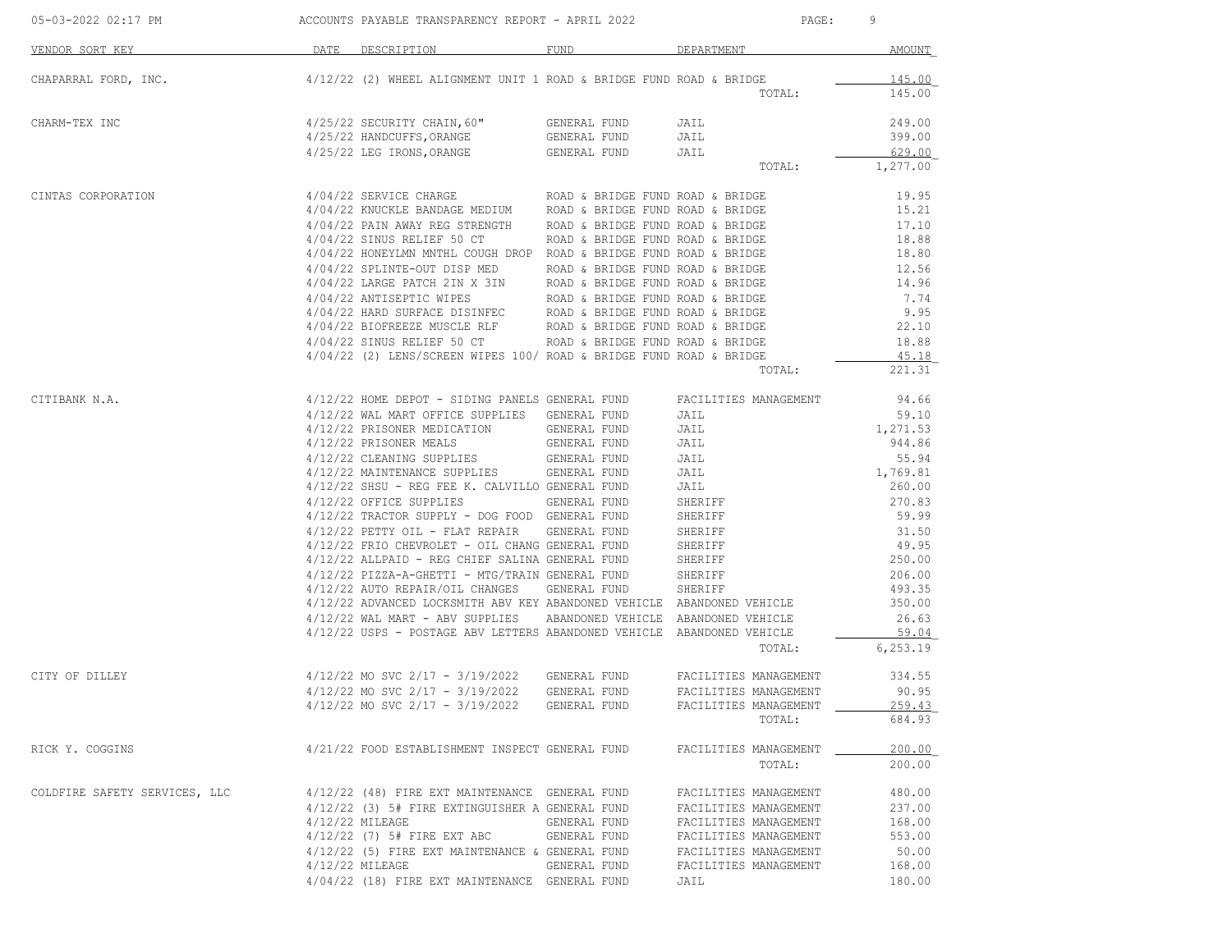| 05-03-2022 02:17 PM           |                 | ACCOUNTS PAYABLE TRANSPARENCY REPORT - APRIL 2022                                                                                                                                                                           |                   | PAGE:                               | 9                  |
|-------------------------------|-----------------|-----------------------------------------------------------------------------------------------------------------------------------------------------------------------------------------------------------------------------|-------------------|-------------------------------------|--------------------|
| VENDOR SORT KEY               |                 | DATE DESCRIPTION                                                                                                                                                                                                            | FUND              | DEPARTMENT                          | AMOUNT             |
| CHAPARRAL FORD, INC.          |                 | $4/12/22$ (2) WHEEL ALIGNMENT UNIT 1 ROAD & BRIDGE FUND ROAD & BRIDGE                                                                                                                                                       |                   |                                     | 145.00             |
|                               |                 |                                                                                                                                                                                                                             |                   | TOTAL:                              | 145.00             |
| CHARM-TEX INC                 |                 | 4/25/22 SECURITY CHAIN, 60" GENERAL FUND                                                                                                                                                                                    |                   | JAIL                                | 249.00             |
|                               |                 | 4/25/22 HANDCUFFS, ORANGE                                                                                                                                                                                                   | GENERAL FUND      | JAIL                                | 399.00             |
|                               |                 | 4/25/22 LEG IRONS, ORANGE                                                                                                                                                                                                   | GENERAL FUND JAIL |                                     | 629.00             |
|                               |                 |                                                                                                                                                                                                                             |                   | TOTAL:                              | 1,277.00           |
| CINTAS CORPORATION            |                 | $4/04/22$ SERVICE CHARGE $\hfill$ ROAD & BRIDGE FUND ROAD & BRIDGE                                                                                                                                                          |                   |                                     | 19.95              |
|                               |                 | 4/04/22 KNUCKLE BANDAGE MEDIUM ROAD & BRIDGE FUND ROAD & BRIDGE                                                                                                                                                             |                   |                                     | 15.21              |
|                               |                 | 4/04/22 PAIN AWAY REG STRENGTH ROAD & BRIDGE FUND ROAD & BRIDGE                                                                                                                                                             |                   |                                     | 17.10              |
|                               |                 | 4/04/22 SINUS RELIEF 50 CT ROAD & BRIDGE FUND ROAD & BRIDGE                                                                                                                                                                 |                   |                                     | 18.88              |
|                               |                 | 4/04/22 HONEYLMN MNTHL COUGH DROP ROAD & BRIDGE FUND ROAD & BRIDGE                                                                                                                                                          |                   |                                     | 18.80              |
|                               |                 | 4/04/22 SPLINTE-OUT DISP MED ROAD & BRIDGE FUND ROAD & BRIDGE 4/04/22 LARGE PATCH 2IN X 3IN ROAD & BRIDGE FUND ROAD & BRIDGE                                                                                                |                   |                                     | 12.56              |
|                               |                 |                                                                                                                                                                                                                             |                   |                                     | 14.96              |
|                               |                 | 4/04/22 ANTISEPTIC WIPES<br>4/04/22 HARD SURFACE DISINFEC ROAD & BRIDGE FUND ROAD & BRIDGE<br>4/04/22 HOFREEZE MUSCLE RLF ROAD & BRIDGE FUND ROAD & BRIDGE<br>4/04/22 BIOFREEZE MUSCLE RLF ROAD & BRIDGE FUND ROAD & BRIDGE |                   |                                     | 7.74               |
|                               |                 |                                                                                                                                                                                                                             |                   |                                     | 9.95               |
|                               |                 |                                                                                                                                                                                                                             |                   |                                     | 22.10              |
|                               |                 | 4/04/22 SINUS RELIEF 50 CT ROAD & BRIDGE FUND ROAD & BRIDGE                                                                                                                                                                 |                   |                                     | 18.88              |
|                               |                 | 4/04/22 (2) LENS/SCREEN WIPES 100/ ROAD & BRIDGE FUND ROAD & BRIDGE                                                                                                                                                         |                   | TOTAL:                              | 45.18<br>221.31    |
|                               |                 |                                                                                                                                                                                                                             |                   |                                     |                    |
| CITIBANK N.A.                 |                 | 4/12/22 HOME DEPOT - SIDING PANELS GENERAL FUND FACILITIES MANAGEMENT                                                                                                                                                       |                   |                                     | 94.66              |
|                               |                 | 4/12/22 WAL MART OFFICE SUPPLIES GENERAL FUND                                                                                                                                                                               |                   | JAIL                                | 59.10              |
|                               |                 | 4/12/22 PRISONER MEDICATION GENERAL FUND                                                                                                                                                                                    |                   | JAIL                                | 1,271.53           |
|                               |                 | 4/12/22 PRISONER MEALS                                                                                                                                                                                                      | GENERAL FUND      | JAIL                                | 944.86             |
|                               |                 | 4/12/22 CLEANING SUPPLIES GENERAL FUND                                                                                                                                                                                      |                   | JAIL                                | 55.94              |
|                               |                 | 4/12/22 MAINTENANCE SUPPLIES<br>4/12/22 SHSU - REG FEE K. CALVILLO GENERAL FUND                                                                                                                                             | GENERAL FUND      | JAIL<br>JAIL                        | 1,769.81<br>260.00 |
|                               |                 | 4/12/22 OFFICE SUPPLIES                                                                                                                                                                                                     | GENERAL FUND      | SHERIFF                             | 270.83             |
|                               |                 | 4/12/22 TRACTOR SUPPLY - DOG FOOD GENERAL FUND                                                                                                                                                                              |                   | SHERIFF                             | 59.99              |
|                               |                 | 4/12/22 PETTY OIL - FLAT REPAIR GENERAL FUND                                                                                                                                                                                |                   | SHERIFF                             | 31.50              |
|                               |                 | 4/12/22 FRIO CHEVROLET - OIL CHANG GENERAL FUND                                                                                                                                                                             |                   | SHERIFF                             | 49.95              |
|                               |                 | 4/12/22 ALLPAID - REG CHIEF SALINA GENERAL FUND                                                                                                                                                                             |                   | SHERIFF                             | 250.00             |
|                               |                 | 4/12/22 PIZZA-A-GHETTI - MTG/TRAIN GENERAL FUND                                                                                                                                                                             |                   | SHERIFF                             | 206.00             |
|                               |                 | 4/12/22 AUTO REPAIR/OIL CHANGES                                                                                                                                                                                             | GENERAL FUND      | SHERIFF                             | 493.35             |
|                               |                 | 4/12/22 ADVANCED LOCKSMITH ABV KEY ABANDONED VEHICLE ABANDONED VEHICLE                                                                                                                                                      |                   |                                     | 350.00             |
|                               |                 | $4/12/22$ WAL MART - ABV SUPPLIES                                                                                                                                                                                           |                   | ABANDONED VEHICLE ABANDONED VEHICLE | 26.63              |
|                               |                 | 4/12/22 USPS - POSTAGE ABV LETTERS ABANDONED VEHICLE ABANDONED VEHICLE                                                                                                                                                      |                   |                                     | 59.04              |
|                               |                 |                                                                                                                                                                                                                             |                   | TOTAL:                              | 6,253.19           |
| CITY OF DILLEY                |                 | $4/12/22$ MO SVC $2/17 - 3/19/2022$ GENERAL FUND                                                                                                                                                                            |                   | FACILITIES MANAGEMENT               | 334.55             |
|                               |                 | 4/12/22 MO SVC 2/17 - 3/19/2022 GENERAL FUND                                                                                                                                                                                |                   | FACILITIES MANAGEMENT               | 90.95              |
|                               |                 | $4/12/22$ MO SVC $2/17 - 3/19/2022$                                                                                                                                                                                         | GENERAL FUND      | FACILITIES MANAGEMENT               | 259.43             |
|                               |                 |                                                                                                                                                                                                                             |                   | TOTAL:                              | 684.93             |
| RICK Y. COGGINS               |                 | 4/21/22 FOOD ESTABLISHMENT INSPECT GENERAL FUND                                                                                                                                                                             |                   | FACILITIES MANAGEMENT               | 200.00             |
|                               |                 |                                                                                                                                                                                                                             |                   | TOTAL:                              | 200.00             |
| COLDFIRE SAFETY SERVICES, LLC |                 | 4/12/22 (48) FIRE EXT MAINTENANCE GENERAL FUND                                                                                                                                                                              |                   | FACILITIES MANAGEMENT               | 480.00             |
|                               |                 | 4/12/22 (3) 5# FIRE EXTINGUISHER A GENERAL FUND                                                                                                                                                                             |                   | FACILITIES MANAGEMENT               | 237.00             |
|                               | 4/12/22 MILEAGE |                                                                                                                                                                                                                             | GENERAL FUND      | FACILITIES MANAGEMENT               | 168.00             |
|                               |                 | $4/12/22$ (7) 5# FIRE EXT ABC                                                                                                                                                                                               | GENERAL FUND      | FACILITIES MANAGEMENT               | 553.00             |
|                               |                 | 4/12/22 (5) FIRE EXT MAINTENANCE & GENERAL FUND                                                                                                                                                                             |                   | FACILITIES MANAGEMENT               | 50.00              |
|                               |                 | $4/12/22$ MILEAGE                                                                                                                                                                                                           | GENERAL FUND      | FACILITIES MANAGEMENT               | 168.00             |
|                               |                 | 4/04/22 (18) FIRE EXT MAINTENANCE GENERAL FUND                                                                                                                                                                              |                   | JAIL                                | 180.00             |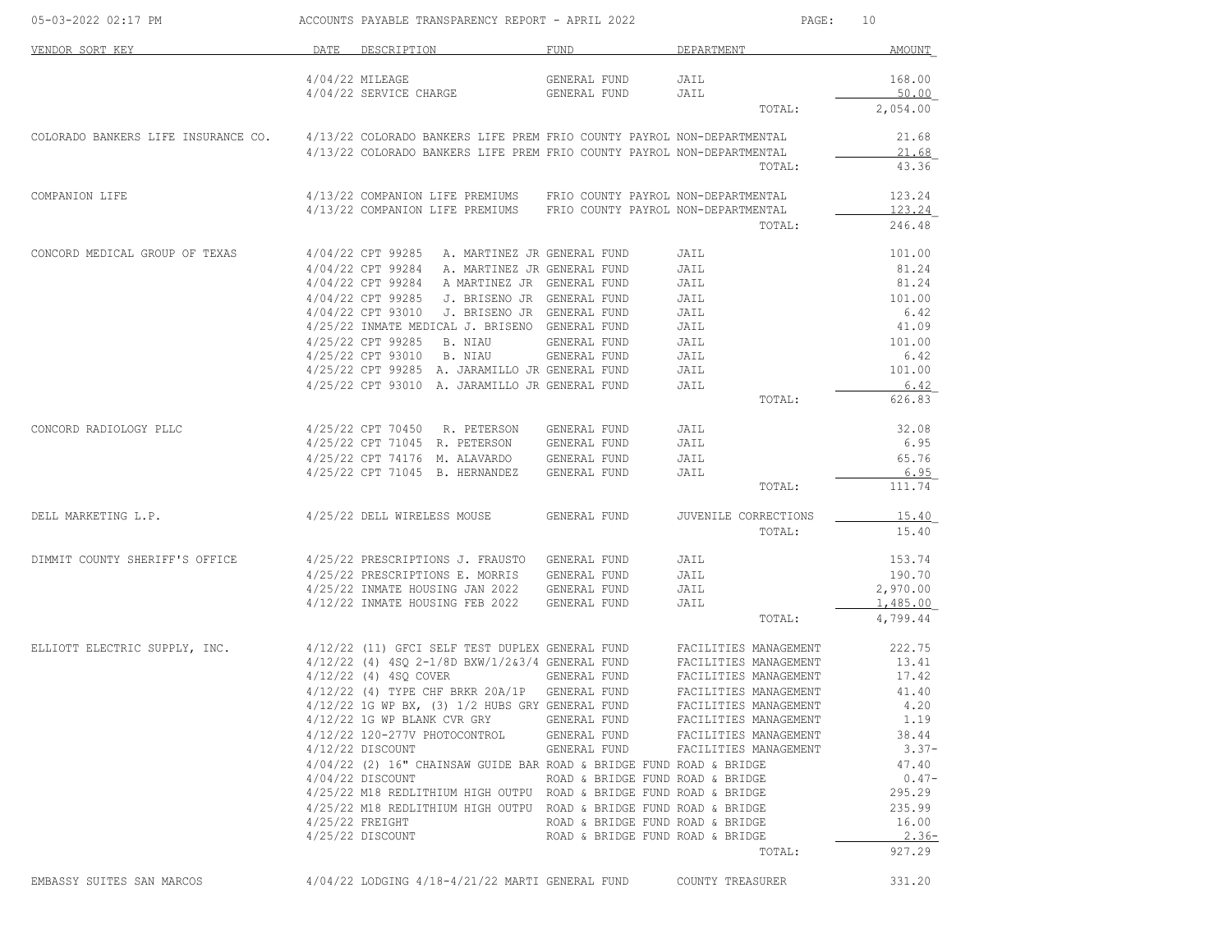| 05-03-2022 02:17 PM                                                                                        | ACCOUNTS PAYABLE TRANSPARENCY REPORT - APRIL 2022                                                                                                                                                                                                                                                                                                                                                                                                                                                                                                                                                       |                                                                                                                                                                          | PAGE:                                                                                                                                                                                                          | 10                                                                                                                                          |
|------------------------------------------------------------------------------------------------------------|---------------------------------------------------------------------------------------------------------------------------------------------------------------------------------------------------------------------------------------------------------------------------------------------------------------------------------------------------------------------------------------------------------------------------------------------------------------------------------------------------------------------------------------------------------------------------------------------------------|--------------------------------------------------------------------------------------------------------------------------------------------------------------------------|----------------------------------------------------------------------------------------------------------------------------------------------------------------------------------------------------------------|---------------------------------------------------------------------------------------------------------------------------------------------|
| VENDOR SORT KEY                                                                                            | DATE DESCRIPTION                                                                                                                                                                                                                                                                                                                                                                                                                                                                                                                                                                                        | FUND                                                                                                                                                                     | DEPARTMENT                                                                                                                                                                                                     | <b>AMOUNT</b>                                                                                                                               |
|                                                                                                            | $4/04/22$ MILEAGE<br>4/04/22 SERVICE CHARGE                                                                                                                                                                                                                                                                                                                                                                                                                                                                                                                                                             | GENERAL FUND<br>GENERAL FUND                                                                                                                                             | JAIL<br>JAIL                                                                                                                                                                                                   | 168.00<br>50.00                                                                                                                             |
|                                                                                                            |                                                                                                                                                                                                                                                                                                                                                                                                                                                                                                                                                                                                         |                                                                                                                                                                          | TOTAL:                                                                                                                                                                                                         | 2,054.00                                                                                                                                    |
| COLORADO BANKERS LIFE INSURANCE CO. 4/13/22 COLORADO BANKERS LIFE PREM FRIO COUNTY PAYROL NON-DEPARTMENTAL | 4/13/22 COLORADO BANKERS LIFE PREM FRIO COUNTY PAYROL NON-DEPARTMENTAL                                                                                                                                                                                                                                                                                                                                                                                                                                                                                                                                  |                                                                                                                                                                          | TOTAL:                                                                                                                                                                                                         | 21.68<br>21.68<br>43.36                                                                                                                     |
| COMPANION LIFE                                                                                             | 4/13/22 COMPANION LIFE PREMIUMS<br>4/13/22 COMPANION LIFE PREMIUMS FRIO COUNTY PAYROL NON-DEPARTMENTAL                                                                                                                                                                                                                                                                                                                                                                                                                                                                                                  | FRIO COUNTY PAYROL NON-DEPARTMENTAL                                                                                                                                      | TOTAL:                                                                                                                                                                                                         | 123.24<br>123.24<br>246.48                                                                                                                  |
|                                                                                                            |                                                                                                                                                                                                                                                                                                                                                                                                                                                                                                                                                                                                         |                                                                                                                                                                          |                                                                                                                                                                                                                |                                                                                                                                             |
| CONCORD MEDICAL GROUP OF TEXAS                                                                             | 4/04/22 CPT 99285 A. MARTINEZ JR GENERAL FUND<br>4/04/22 CPT 99284 A. MARTINEZ JR GENERAL FUND<br>4/04/22 CPT 99284 A MARTINEZ JR GENERAL FUND<br>4/04/22 CPT 99285 J. BRISENO JR GENERAL FUND<br>4/04/22 CPT 93010<br>J. BRISENO JR GENERAL FUND<br>4/25/22 INMATE MEDICAL J. BRISENO GENERAL FUND<br>4/25/22 CPT 99285<br>B. NIAU<br>4/25/22 CPT 93010 B. NIAU<br>4/25/22 CPT 99285 A. JARAMILLO JR GENERAL FUND<br>4/25/22 CPT 93010 A. JARAMILLO JR GENERAL FUND                                                                                                                                    | GENERAL FUND<br>GENERAL FUND                                                                                                                                             | JAIL<br>JAIL<br>JAIL<br>JAIL<br>JAIL<br>JAIL<br>JAIL<br>JAIL<br>JAIL<br>JAIL<br>TOTAL:                                                                                                                         | 101.00<br>81.24<br>81.24<br>101.00<br>6.42<br>41.09<br>101.00<br>6.42<br>101.00<br>6.42<br>626.83                                           |
| CONCORD RADIOLOGY PLLC                                                                                     | 4/25/22 CPT 70450 R. PETERSON<br>4/25/22 CPT 71045 R. PETERSON<br>4/25/22 CPT 74176 M. ALAVARDO GENERAL FUND<br>4/25/22 CPT 71045 B. HERNANDEZ                                                                                                                                                                                                                                                                                                                                                                                                                                                          | GENERAL FUND<br>GENERAL FUND<br>GENERAL FUND                                                                                                                             | JAIL<br>JAIL<br>JAIL<br>JAIL<br>TOTAL:                                                                                                                                                                         | 32.08<br>6.95<br>65.76<br>6.95<br>111.74                                                                                                    |
| DELL MARKETING L.P.                                                                                        | 4/25/22 DELL WIRELESS MOUSE                                                                                                                                                                                                                                                                                                                                                                                                                                                                                                                                                                             | GENERAL FUND                                                                                                                                                             | JUVENILE CORRECTIONS<br>TOTAL:                                                                                                                                                                                 | 15.40<br>15.40                                                                                                                              |
| DIMMIT COUNTY SHERIFF'S OFFICE                                                                             | 4/25/22 PRESCRIPTIONS J. FRAUSTO GENERAL FUND<br>4/25/22 PRESCRIPTIONS E. MORRIS GENERAL FUND<br>4/25/22 INMATE HOUSING JAN 2022 GENERAL FUND<br>4/12/22 INMATE HOUSING FEB 2022                                                                                                                                                                                                                                                                                                                                                                                                                        | GENERAL FUND                                                                                                                                                             | JAIL<br>JAIL<br>JAIL<br>JAIL<br>TOTAL:                                                                                                                                                                         | 153.74<br>190.70<br>2,970.00<br>1,485.00<br>4,799.44                                                                                        |
| ELLIOTT ELECTRIC SUPPLY, INC.                                                                              | 4/12/22 (11) GFCI SELF TEST DUPLEX GENERAL FUND<br>$4/12/22$ (4) 4SO 2-1/8D BXW/1/2&3/4 GENERAL FUND<br>4/12/22 (4) 4SO COVER<br>4/12/22 (4) TYPE CHF BRKR 20A/1P GENERAL FUND<br>4/12/22 1G WP BX, (3) 1/2 HUBS GRY GENERAL FUND<br>$4/12/22$ 1G WP BLANK CVR GRY<br>4/12/22 120-277V PHOTOCONTROL<br>4/12/22 DISCOUNT<br>4/04/22 (2) 16" CHAINSAW GUIDE BAR ROAD & BRIDGE FUND ROAD & BRIDGE<br>4/04/22 DISCOUNT<br>4/25/22 M18 REDLITHIUM HIGH OUTPU ROAD & BRIDGE FUND ROAD & BRIDGE<br>4/25/22 M18 REDLITHIUM HIGH OUTPU ROAD & BRIDGE FUND ROAD & BRIDGE<br>$4/25/22$ FREIGHT<br>4/25/22 DISCOUNT | GENERAL FUND<br>GENERAL FUND<br>GENERAL FUND<br>GENERAL FUND<br>ROAD & BRIDGE FUND ROAD & BRIDGE<br>ROAD & BRIDGE FUND ROAD & BRIDGE<br>ROAD & BRIDGE FUND ROAD & BRIDGE | FACILITIES MANAGEMENT<br>FACILITIES MANAGEMENT<br>FACILITIES MANAGEMENT<br>FACILITIES MANAGEMENT<br>FACILITIES MANAGEMENT<br>FACILITIES MANAGEMENT<br>FACILITIES MANAGEMENT<br>FACILITIES MANAGEMENT<br>TOTAL: | 222.75<br>13.41<br>17.42<br>41.40<br>4.20<br>1.19<br>38.44<br>$3.37-$<br>47.40<br>$0.47-$<br>295.29<br>235.99<br>16.00<br>$2.36-$<br>927.29 |
| EMBASSY SUITES SAN MARCOS                                                                                  | $4/04/22$ LODGING $4/18-4/21/22$ MARTI GENERAL FUND                                                                                                                                                                                                                                                                                                                                                                                                                                                                                                                                                     |                                                                                                                                                                          | COUNTY TREASURER                                                                                                                                                                                               | 331.20                                                                                                                                      |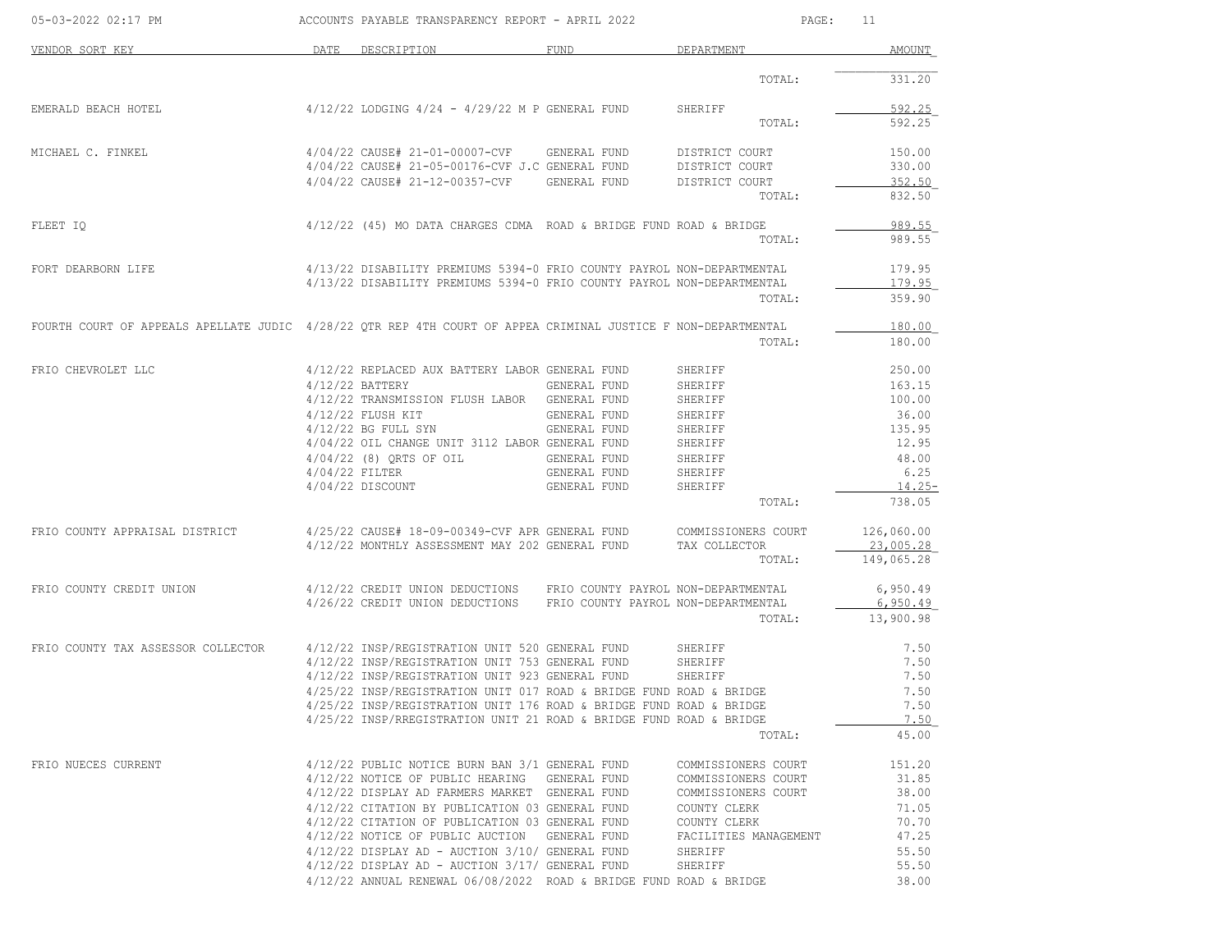| 05-03-2022 02:17 PM                                                                                           |      | ACCOUNTS PAYABLE TRANSPARENCY REPORT - APRIL 2022                      |                                     | PAGE:                 | 11                 |
|---------------------------------------------------------------------------------------------------------------|------|------------------------------------------------------------------------|-------------------------------------|-----------------------|--------------------|
| VENDOR SORT KEY                                                                                               | DATE | DESCRIPTION                                                            | FUND                                | DEPARTMENT            | AMOUNT             |
|                                                                                                               |      |                                                                        |                                     | TOTAL:                | 331.20             |
| EMERALD BEACH HOTEL                                                                                           |      | $4/12/22$ LODGING $4/24$ - $4/29/22$ M P GENERAL FUND                  |                                     | SHERIFF               | 592.25             |
|                                                                                                               |      |                                                                        |                                     | TOTAL:                | 592.25             |
| MICHAEL C. FINKEL                                                                                             |      | 4/04/22 CAUSE# 21-01-00007-CVF                                         | GENERAL FUND                        | DISTRICT COURT        | 150.00             |
|                                                                                                               |      | 4/04/22 CAUSE# 21-05-00176-CVF J.C GENERAL FUND                        |                                     | DISTRICT COURT        | 330.00             |
|                                                                                                               |      | 4/04/22 CAUSE# 21-12-00357-CVF                                         | GENERAL FUND                        | DISTRICT COURT        | 352.50             |
|                                                                                                               |      |                                                                        |                                     | TOTAL:                | 832.50             |
| FLEET IQ                                                                                                      |      | 4/12/22 (45) MO DATA CHARGES CDMA ROAD & BRIDGE FUND ROAD & BRIDGE     |                                     |                       | 989.55             |
|                                                                                                               |      |                                                                        |                                     | TOTAL:                | 989.55             |
| FORT DEARBORN LIFE                                                                                            |      | 4/13/22 DISABILITY PREMIUMS 5394-0 FRIO COUNTY PAYROL NON-DEPARTMENTAL |                                     |                       | 179.95             |
|                                                                                                               |      | 4/13/22 DISABILITY PREMIUMS 5394-0 FRIO COUNTY PAYROL NON-DEPARTMENTAL |                                     |                       | 179.95             |
|                                                                                                               |      |                                                                        |                                     | TOTAL:                | 359.90             |
| FOURTH COURT OF APPEALS APELLATE JUDIC 4/28/22 QTR REP 4TH COURT OF APPEA CRIMINAL JUSTICE F NON-DEPARTMENTAL |      |                                                                        |                                     |                       | 180.00             |
|                                                                                                               |      |                                                                        |                                     | TOTAL:                | 180.00             |
| FRIO CHEVROLET LLC                                                                                            |      | 4/12/22 REPLACED AUX BATTERY LABOR GENERAL FUND                        |                                     | SHERIFF               | 250.00             |
|                                                                                                               |      | $4/12/22$ BATTERY                                                      | GENERAL FUND                        | SHERIFF               | 163.15             |
|                                                                                                               |      | 4/12/22 TRANSMISSION FLUSH LABOR GENERAL FUND                          |                                     | SHERIFF               | 100.00             |
|                                                                                                               |      | 4/12/22 FLUSH KIT                                                      | GENERAL FUND                        | SHERIFF               | 36.00              |
|                                                                                                               |      | $4/12/22$ BG FULL SYN                                                  | GENERAL FUND                        | SHERIFF               | 135.95             |
|                                                                                                               |      | 4/04/22 OIL CHANGE UNIT 3112 LABOR GENERAL FUND                        |                                     | SHERIFF               | 12.95              |
|                                                                                                               |      | 4/04/22 (8) QRTS OF OIL                                                | GENERAL FUND                        | SHERIFF               | 48.00              |
|                                                                                                               |      | $4/04/22$ FILTER                                                       | GENERAL FUND                        | SHERIFF               | 6.25               |
|                                                                                                               |      | 4/04/22 DISCOUNT                                                       | GENERAL FUND                        | SHERIFF<br>TOTAL:     | $14.25-$<br>738.05 |
|                                                                                                               |      |                                                                        |                                     |                       |                    |
| FRIO COUNTY APPRAISAL DISTRICT                                                                                |      | 4/25/22 CAUSE# 18-09-00349-CVF APR GENERAL FUND COMMISSIONERS COURT    |                                     |                       | 126,060.00         |
|                                                                                                               |      | 4/12/22 MONTHLY ASSESSMENT MAY 202 GENERAL FUND                        |                                     | TAX COLLECTOR         | 23,005.28          |
|                                                                                                               |      |                                                                        |                                     | TOTAL:                | 149,065.28         |
| FRIO COUNTY CREDIT UNION                                                                                      |      | 4/12/22 CREDIT UNION DEDUCTIONS FRIO COUNTY PAYROL NON-DEPARTMENTAL    |                                     |                       | 6,950.49           |
|                                                                                                               |      | 4/26/22 CREDIT UNION DEDUCTIONS                                        | FRIO COUNTY PAYROL NON-DEPARTMENTAL |                       | 6,950.49           |
|                                                                                                               |      |                                                                        |                                     | TOTAL:                | 13,900.98          |
| FRIO COUNTY TAX ASSESSOR COLLECTOR                                                                            |      | 4/12/22 INSP/REGISTRATION UNIT 520 GENERAL FUND                        |                                     | SHERIFF               | 7.50               |
|                                                                                                               |      | 4/12/22 INSP/REGISTRATION UNIT 753 GENERAL FUND                        |                                     | SHERIFF               | 7.50               |
|                                                                                                               |      | 4/12/22 INSP/REGISTRATION UNIT 923 GENERAL FUND                        |                                     | SHERIFF               | 7.50               |
|                                                                                                               |      | 4/25/22 INSP/REGISTRATION UNIT 017 ROAD & BRIDGE FUND ROAD & BRIDGE    |                                     |                       | 7.50               |
|                                                                                                               |      | 4/25/22 INSP/REGISTRATION UNIT 176 ROAD & BRIDGE FUND ROAD & BRIDGE    |                                     |                       | 7.50               |
|                                                                                                               |      | 4/25/22 INSP/RREGISTRATION UNIT 21 ROAD & BRIDGE FUND ROAD & BRIDGE    |                                     |                       | 7.50               |
|                                                                                                               |      |                                                                        |                                     | TOTAL:                | 45.00              |
| FRIO NUECES CURRENT                                                                                           |      | 4/12/22 PUBLIC NOTICE BURN BAN 3/1 GENERAL FUND                        |                                     | COMMISSIONERS COURT   | 151.20             |
|                                                                                                               |      | 4/12/22 NOTICE OF PUBLIC HEARING GENERAL FUND                          |                                     | COMMISSIONERS COURT   | 31.85              |
|                                                                                                               |      | 4/12/22 DISPLAY AD FARMERS MARKET GENERAL FUND                         |                                     | COMMISSIONERS COURT   | 38.00              |
|                                                                                                               |      | 4/12/22 CITATION BY PUBLICATION 03 GENERAL FUND                        |                                     | COUNTY CLERK          | 71.05              |
|                                                                                                               |      | 4/12/22 CITATION OF PUBLICATION 03 GENERAL FUND                        |                                     | COUNTY CLERK          | 70.70              |
|                                                                                                               |      | 4/12/22 NOTICE OF PUBLIC AUCTION GENERAL FUND                          |                                     | FACILITIES MANAGEMENT | 47.25              |
|                                                                                                               |      | 4/12/22 DISPLAY AD - AUCTION 3/10/ GENERAL FUND                        |                                     | SHERIFF               | 55.50              |
|                                                                                                               |      | 4/12/22 DISPLAY AD - AUCTION 3/17/ GENERAL FUND                        |                                     | SHERIFF               | 55.50              |
|                                                                                                               |      | 4/12/22 ANNUAL RENEWAL 06/08/2022 ROAD & BRIDGE FUND ROAD & BRIDGE     |                                     |                       | 38.00              |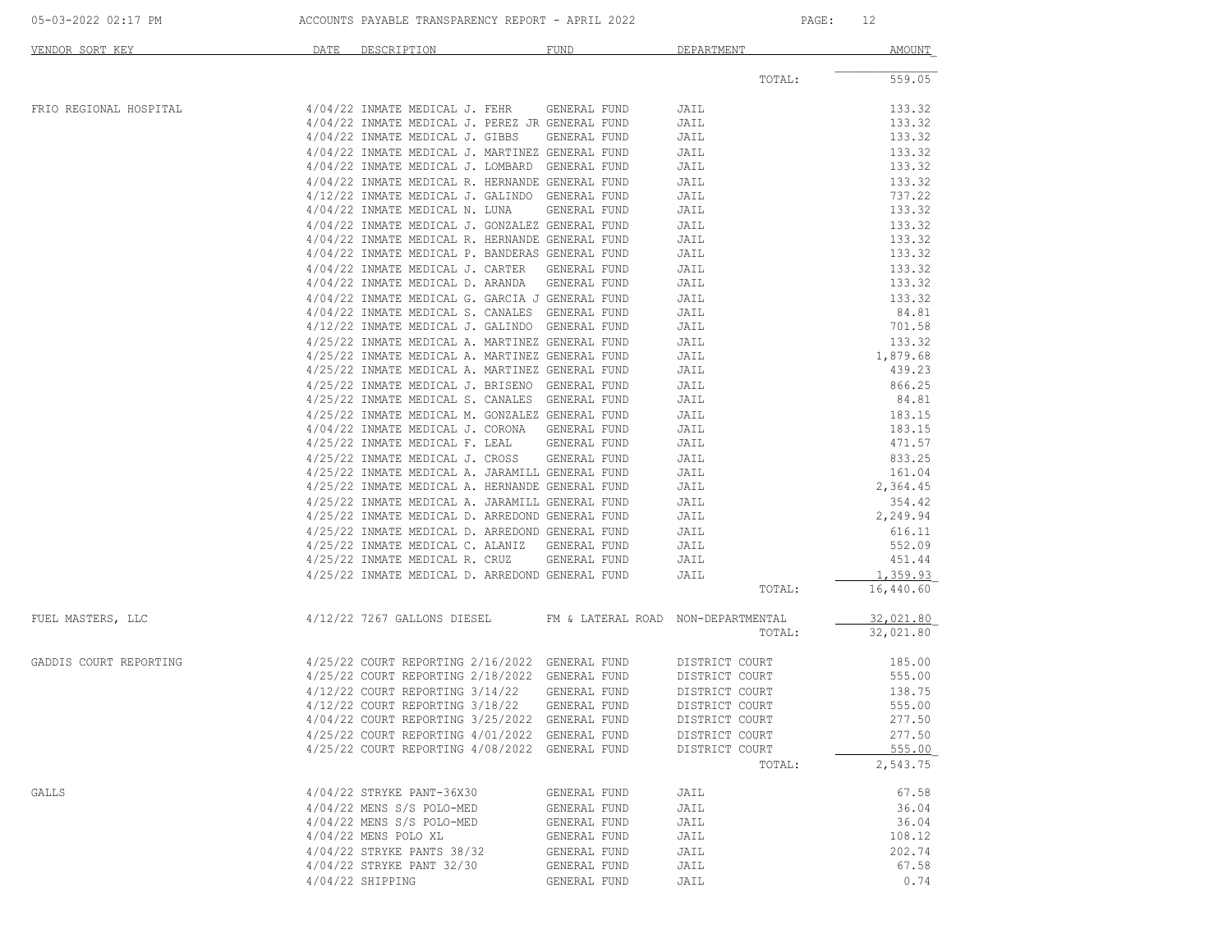| VENDOR SORT KEY        | DATE | DESCRIPTION                                     | FUND              | DEPARTMENT                 | <b>AMOUNT</b>          |
|------------------------|------|-------------------------------------------------|-------------------|----------------------------|------------------------|
|                        |      |                                                 |                   | TOTAL:                     | 559.05                 |
|                        |      |                                                 |                   |                            |                        |
| FRIO REGIONAL HOSPITAL |      | 4/04/22 INMATE MEDICAL J. FEHR                  | GENERAL FUND      | JAIL                       | 133.32                 |
|                        |      | 4/04/22 INMATE MEDICAL J. PEREZ JR GENERAL FUND |                   | JAIL                       | 133.32                 |
|                        |      | 4/04/22 INMATE MEDICAL J. GIBBS                 | GENERAL FUND      | JAIL                       | 133.32                 |
|                        |      | 4/04/22 INMATE MEDICAL J. MARTINEZ GENERAL FUND |                   | JAIL                       | 133.32                 |
|                        |      | 4/04/22 INMATE MEDICAL J. LOMBARD GENERAL FUND  |                   | JAIL                       | 133.32                 |
|                        |      | 4/04/22 INMATE MEDICAL R. HERNANDE GENERAL FUND |                   | JAIL                       | 133.32                 |
|                        |      | 4/12/22 INMATE MEDICAL J. GALINDO GENERAL FUND  |                   | JAIL                       | 737.22                 |
|                        |      | 4/04/22 INMATE MEDICAL N. LUNA                  | GENERAL FUND      | JAIL                       | 133.32                 |
|                        |      | 4/04/22 INMATE MEDICAL J. GONZALEZ GENERAL FUND |                   | JAIL                       | 133.32                 |
|                        |      | 4/04/22 INMATE MEDICAL R. HERNANDE GENERAL FUND |                   | JAIL                       | 133.32                 |
|                        |      | 4/04/22 INMATE MEDICAL P. BANDERAS GENERAL FUND |                   | JAIL                       | 133.32                 |
|                        |      | 4/04/22 INMATE MEDICAL J. CARTER                | GENERAL FUND      | JAIL                       | 133.32                 |
|                        |      | 4/04/22 INMATE MEDICAL D. ARANDA                | GENERAL FUND      | JAIL                       | 133.32                 |
|                        |      | 4/04/22 INMATE MEDICAL G. GARCIA J GENERAL FUND |                   | JAIL                       | 133.32                 |
|                        |      | 4/04/22 INMATE MEDICAL S. CANALES GENERAL FUND  |                   | JAIL                       | 84.81                  |
|                        |      | 4/12/22 INMATE MEDICAL J. GALINDO GENERAL FUND  |                   | JAIL                       | 701.58                 |
|                        |      | 4/25/22 INMATE MEDICAL A. MARTINEZ GENERAL FUND |                   | JAIL                       | 133.32                 |
|                        |      | 4/25/22 INMATE MEDICAL A. MARTINEZ GENERAL FUND |                   | JAIL                       | 1,879.68               |
|                        |      | 4/25/22 INMATE MEDICAL A. MARTINEZ GENERAL FUND |                   | JAIL                       | 439.23                 |
|                        |      | 4/25/22 INMATE MEDICAL J. BRISENO GENERAL FUND  |                   | JAIL                       | 866.25                 |
|                        |      | 4/25/22 INMATE MEDICAL S. CANALES GENERAL FUND  |                   | JAIL                       | 84.81                  |
|                        |      | 4/25/22 INMATE MEDICAL M. GONZALEZ GENERAL FUND |                   | JAIL                       | 183.15                 |
|                        |      | 4/04/22 INMATE MEDICAL J. CORONA                | GENERAL FUND      | JAIL                       | 183.15                 |
|                        |      | 4/25/22 INMATE MEDICAL F. LEAL                  | GENERAL FUND      | JAIL                       | 471.57                 |
|                        |      | 4/25/22 INMATE MEDICAL J. CROSS                 | GENERAL FUND      | JAIL                       | 833.25                 |
|                        |      | 4/25/22 INMATE MEDICAL A. JARAMILL GENERAL FUND |                   | JAIL                       | 161.04                 |
|                        |      | 4/25/22 INMATE MEDICAL A. HERNANDE GENERAL FUND |                   | JAIL                       | 2,364.45               |
|                        |      | 4/25/22 INMATE MEDICAL A. JARAMILL GENERAL FUND |                   | JAIL                       | 354.42                 |
|                        |      | 4/25/22 INMATE MEDICAL D. ARREDOND GENERAL FUND |                   | JAIL                       | 2,249.94               |
|                        |      | 4/25/22 INMATE MEDICAL D. ARREDOND GENERAL FUND |                   | JAIL                       | 616.11                 |
|                        |      | 4/25/22 INMATE MEDICAL C. ALANIZ                | GENERAL FUND      | JAIL                       | 552.09                 |
|                        |      | 4/25/22 INMATE MEDICAL R. CRUZ                  | GENERAL FUND      | JAIL                       | 451.44                 |
|                        |      | 4/25/22 INMATE MEDICAL D. ARREDOND GENERAL FUND |                   | JAIL                       | 1,359.93               |
|                        |      |                                                 |                   | TOTAL:                     | 16,440.60              |
| FUEL MASTERS, LLC      |      | 4/12/22 7267 GALLONS DIESEL                     | FM & LATERAL ROAD | NON-DEPARTMENTAL<br>TOTAL: | 32,021.80<br>32,021.80 |
| GADDIS COURT REPORTING |      | 4/25/22 COURT REPORTING 2/16/2022 GENERAL FUND  |                   | DISTRICT COURT             | 185.00                 |
|                        |      | 4/25/22 COURT REPORTING 2/18/2022 GENERAL FUND  |                   | DISTRICT COURT             | 555.00                 |
|                        |      | 4/12/22 COURT REPORTING 3/14/22                 | GENERAL FUND      | DISTRICT COURT             | 138.75                 |
|                        |      | 4/12/22 COURT REPORTING 3/18/22                 | GENERAL FUND      | DISTRICT COURT             | 555.00                 |
|                        |      | 4/04/22 COURT REPORTING 3/25/2022               | GENERAL FUND      | DISTRICT COURT             | 277.50                 |
|                        |      | 4/25/22 COURT REPORTING 4/01/2022 GENERAL FUND  |                   | DISTRICT COURT             | 277.50                 |
|                        |      | 4/25/22 COURT REPORTING 4/08/2022 GENERAL FUND  |                   | DISTRICT COURT             | 555.00                 |
|                        |      |                                                 |                   | TOTAL:                     | 2,543.75               |
| GALLS                  |      | 4/04/22 STRYKE PANT-36X30                       | GENERAL FUND      | JAIL                       | 67.58                  |
|                        |      | $4/04/22$ MENS S/S POLO-MED                     | GENERAL FUND      | JAIL                       | 36.04                  |
|                        |      | 4/04/22 MENS S/S POLO-MED                       | GENERAL FUND      | JAIL                       | 36.04                  |
|                        |      | 4/04/22 MENS POLO XL                            | GENERAL FUND      | JAIL                       | 108.12                 |
|                        |      | 4/04/22 STRYKE PANTS 38/32                      | GENERAL FUND      | JAIL                       | 202.74                 |
|                        |      | 4/04/22 STRYKE PANT 32/30                       | GENERAL FUND      | JAIL                       | 67.58                  |
|                        |      | 4/04/22 SHIPPING                                | GENERAL FUND      | JAIL                       | 0.74                   |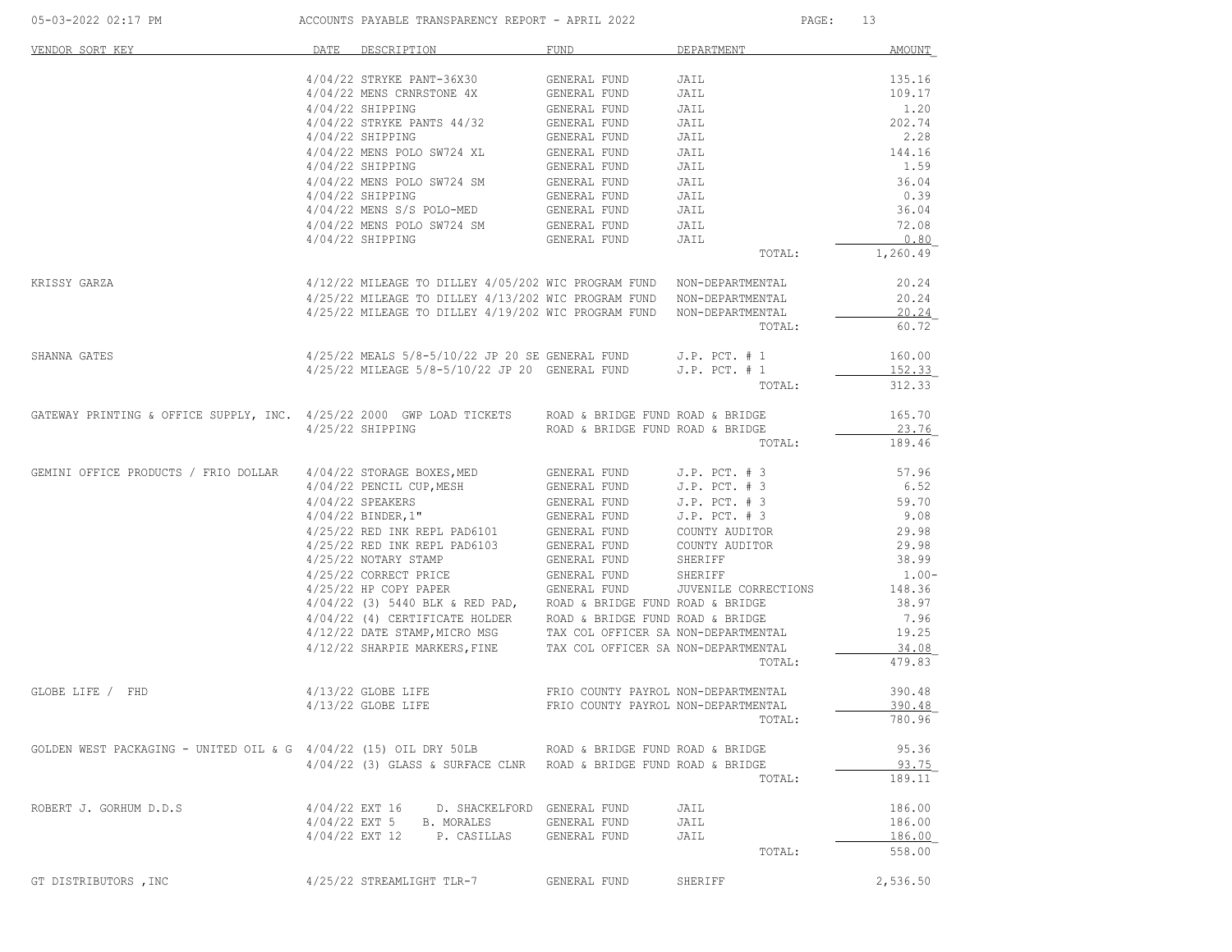| 05-03-2022 02:17 PM                                                                                   |      | ACCOUNTS PAYABLE TRANSPARENCY REPORT - APRIL 2022                                                                                       |                                     |                                  | PAGE:<br>13      |
|-------------------------------------------------------------------------------------------------------|------|-----------------------------------------------------------------------------------------------------------------------------------------|-------------------------------------|----------------------------------|------------------|
| VENDOR SORT KEY                                                                                       | DATE | DESCRIPTION                                                                                                                             | FUND                                | DEPARTMENT                       | <b>AMOUNT</b>    |
|                                                                                                       |      | 4/04/22 STRYKE PANT-36X30                                                                                                               |                                     | JAIL                             | 135.16           |
|                                                                                                       |      | 4/04/22 MENS CRNRSTONE 4X                                                                                                               | GENERAL FUND<br>GENERAL FUND        | JAIL                             | 109.17           |
|                                                                                                       |      | 4/04/22 SHIPPING                                                                                                                        | GENERAL FUND                        | JAIL                             | 1.20             |
|                                                                                                       |      | 4/04/22 STRYKE PANTS 44/32                                                                                                              | GENERAL FUND                        | JAIL                             | 202.74           |
|                                                                                                       |      | $4/04/22$ SHIPPING                                                                                                                      | GENERAL FUND                        | JAIL                             | 2.28             |
|                                                                                                       |      | 4/04/22 MENS POLO SW724 XL                                                                                                              | GENERAL FUND                        | JAIL                             | 144.16           |
|                                                                                                       |      | $4/04/22$ SHIPPING                                                                                                                      | GENERAL FUND                        | JAIL                             | 1.59             |
|                                                                                                       |      | 4/04/22 MENS POLO SW724 SM                                                                                                              | GENERAL FUND                        | JAIL                             | 36.04            |
|                                                                                                       |      | $4/04/22$ SHIPPING<br>$4/04/22$ MENS S/S POLO-MED                                                                                       | GENERAL FUND<br>GENERAL FUND        | JAIL<br>JAIL                     | 0.39<br>36.04    |
|                                                                                                       |      | 4/04/22 MENS POLO SW724 SM                                                                                                              | GENERAL FUND                        | JAIL                             | 72.08            |
|                                                                                                       |      | 4/04/22 SHIPPING                                                                                                                        | GENERAL FUND                        | JAIL                             | 0.80             |
|                                                                                                       |      |                                                                                                                                         |                                     | TOTAL:                           | 1,260.49         |
| KRISSY GARZA                                                                                          |      | 4/12/22 MILEAGE TO DILLEY 4/05/202 WIC PROGRAM FUND NON-DEPARTMENTAL                                                                    |                                     |                                  | 20.24            |
|                                                                                                       |      | 4/25/22 MILEAGE TO DILLEY 4/13/202 WIC PROGRAM FUND NON-DEPARTMENTAL                                                                    |                                     |                                  | 20.24            |
|                                                                                                       |      | 4/25/22 MILEAGE TO DILLEY 4/19/202 WIC PROGRAM FUND NON-DEPARTMENTAL                                                                    |                                     |                                  | 20.24            |
|                                                                                                       |      |                                                                                                                                         |                                     | TOTAL:                           | 60.72            |
| SHANNA GATES                                                                                          |      | 4/25/22 MEALS 5/8-5/10/22 JP 20 SE GENERAL FUND                                                                                         |                                     | $J.P.$ PCT. $# 1$                | 160.00           |
|                                                                                                       |      | 4/25/22 MILEAGE 5/8-5/10/22 JP 20 GENERAL FUND                                                                                          |                                     | J.P. PCT. # 1                    | 152.33           |
|                                                                                                       |      |                                                                                                                                         |                                     | TOTAL:                           | 312.33           |
| GATEWAY PRINTING & OFFICE SUPPLY, INC. 4/25/22 2000 GWP LOAD TICKETS ROAD & BRIDGE FUND ROAD & BRIDGE |      |                                                                                                                                         |                                     |                                  | 165.70           |
|                                                                                                       |      | 4/25/22 SHIPPING                                                                                                                        | ROAD & BRIDGE FUND ROAD & BRIDGE    |                                  | 23.76            |
|                                                                                                       |      |                                                                                                                                         |                                     | TOTAL:                           | 189.46           |
| GEMINI OFFICE PRODUCTS / FRIO DOLLAR $4/04/22$ STORAGE BOXES, MED GENERAL FUND                        |      |                                                                                                                                         |                                     | $J.P.$ PCT. $# 3$                | 57.96            |
|                                                                                                       |      |                                                                                                                                         |                                     | $J.P.$ PCT. $# 3$                | 6.52             |
|                                                                                                       |      |                                                                                                                                         |                                     | $J.P.$ PCT. $# 3$                | 59.70<br>9.08    |
|                                                                                                       |      | 4/04/22 PENCIL CUP, MESH<br>4/04/22 SPEAKERS GENERAL FUND<br>4/04/22 SPEAKERS GENERAL FUND<br>4/25/22 RED INK REPL PAD6101 GENERAL FUND |                                     | $J.P.$ PCT. $# 3$                | 29.98            |
|                                                                                                       |      |                                                                                                                                         |                                     | COUNTY AUDITOR<br>COUNTY AUDITOR | 29.98            |
|                                                                                                       |      | $4/25/22$ RED INK REPL PAD6103 GENERAL FUND<br>$4/25/22$ NOTARY STAMP GENERAL FUND                                                      |                                     | SHERIFF                          | 38.99            |
|                                                                                                       |      | 4/25/22 CORRECT PRICE                                                                                                                   | GENERAL FUND                        | SHERIFF                          | $1.00 -$         |
|                                                                                                       |      | 4/25/22 HP COPY PAPER                                                                                                                   | GENERAL FUND                        | JUVENILE CORRECTIONS             | 148.36           |
|                                                                                                       |      | $4/04/22$ (3) 5440 BLK & RED PAD, ROAD & BRIDGE FUND ROAD & BRIDGE                                                                      |                                     |                                  | 38.97            |
|                                                                                                       |      | 4/04/22 (4) CERTIFICATE HOLDER ROAD & BRIDGE FUND ROAD & BRIDGE                                                                         |                                     |                                  | 7.96             |
|                                                                                                       |      | 4/12/22 DATE STAMP, MICRO MSG TAX COL OFFICER SA NON-DEPARTMENTAL                                                                       |                                     |                                  | 19.25            |
|                                                                                                       |      | 4/12/22 SHARPIE MARKERS, FINE TAX COL OFFICER SA NON-DEPARTMENTAL                                                                       |                                     |                                  | 34.08            |
|                                                                                                       |      |                                                                                                                                         |                                     | TOTAL:                           | 479.83           |
| GLOBE LIFE / FHD                                                                                      |      | $4/13/22$ GLOBE LIFE                                                                                                                    | FRIO COUNTY PAYROL NON-DEPARTMENTAL |                                  | 390.48           |
|                                                                                                       |      | 4/13/22 GLOBE LIFE                                                                                                                      | FRIO COUNTY PAYROL NON-DEPARTMENTAL |                                  | 390.48           |
|                                                                                                       |      |                                                                                                                                         |                                     | TOTAL:                           | 780.96           |
| GOLDEN WEST PACKAGING - UNITED OIL & G 4/04/22 (15) OIL DRY 50LB ROAD & BRIDGE FUND ROAD & BRIDGE     |      |                                                                                                                                         |                                     |                                  | 95.36            |
|                                                                                                       |      | 4/04/22 (3) GLASS & SURFACE CLNR ROAD & BRIDGE FUND ROAD & BRIDGE                                                                       |                                     | TOTAL:                           | 93.75<br>189.11  |
|                                                                                                       |      |                                                                                                                                         |                                     |                                  |                  |
| ROBERT J. GORHUM D.D.S                                                                                |      | 4/04/22 EXT 16<br>D. SHACKELFORD GENERAL FUND                                                                                           |                                     | JAIL                             | 186.00           |
|                                                                                                       |      | 4/04/22 EXT 5<br>B. MORALES                                                                                                             | GENERAL FUND                        | JAIL                             | 186.00           |
|                                                                                                       |      | 4/04/22 EXT 12<br>P. CASILLAS                                                                                                           | GENERAL FUND                        | JAIL<br>TOTAL:                   | 186.00<br>558.00 |
|                                                                                                       |      |                                                                                                                                         |                                     |                                  |                  |
| GT DISTRIBUTORS , INC                                                                                 |      | 4/25/22 STREAMLIGHT TLR-7                                                                                                               | GENERAL FUND                        | SHERIFF                          | 2,536.50         |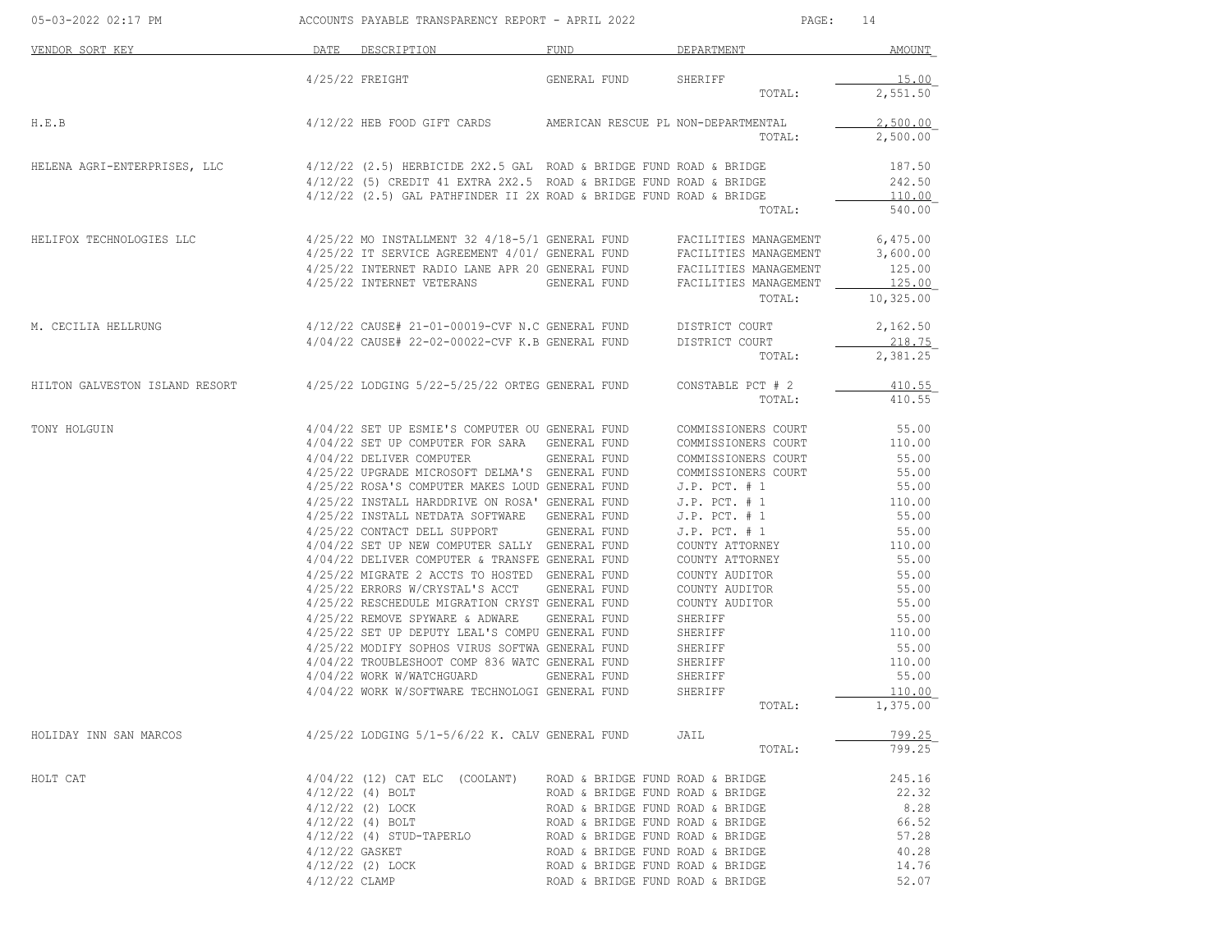| 05-03-2022 02:17 PM                                                                             |                | ACCOUNTS PAYABLE TRANSPARENCY REPORT - APRIL 2022                                                                                                                                                            |                                                                      | PAGE:                                | 14                 |
|-------------------------------------------------------------------------------------------------|----------------|--------------------------------------------------------------------------------------------------------------------------------------------------------------------------------------------------------------|----------------------------------------------------------------------|--------------------------------------|--------------------|
| VENDOR SORT KEY                                                                                 | DATE           | DESCRIPTION                                                                                                                                                                                                  | FUND                                                                 | DEPARTMENT                           | <b>AMOUNT</b>      |
|                                                                                                 |                | $4/25/22$ FREIGHT                                                                                                                                                                                            | GENERAL FUND                                                         | SHERIFF                              | 15.00              |
|                                                                                                 |                |                                                                                                                                                                                                              |                                                                      | TOTAL:                               | 2,551.50           |
| H.E.B                                                                                           |                | 4/12/22 HEB FOOD GIFT CARDS AMERICAN RESCUE PL NON-DEPARTMENTAL                                                                                                                                              |                                                                      |                                      | 2,500.00           |
|                                                                                                 |                |                                                                                                                                                                                                              |                                                                      | TOTAL:                               | 2,500.00           |
| HELENA AGRI-ENTERPRISES, LLC 4/12/22 (2.5) HERBICIDE 2X2.5 GAL ROAD & BRIDGE FUND ROAD & BRIDGE |                |                                                                                                                                                                                                              |                                                                      |                                      | 187.50             |
|                                                                                                 |                | $4/12/22$ (5) CREDIT 41 EXTRA 2X2.5 ROAD & BRIDGE FUND ROAD & BRIDGE                                                                                                                                         |                                                                      |                                      | 242.50             |
|                                                                                                 |                | $4/12/22$ (2.5) GAL PATHFINDER II 2X ROAD & BRIDGE FUND ROAD & BRIDGE                                                                                                                                        |                                                                      |                                      | 110.00             |
|                                                                                                 |                |                                                                                                                                                                                                              |                                                                      | TOTAL:                               | 540.00             |
| HELIFOX TECHNOLOGIES LLC                                                                        |                | 4/25/22 MO INSTALLMENT 32 4/18-5/1 GENERAL FUND<br>A/25/22 MO INSTALLMENT 32 1/10 0,1 0.1.<br>4/25/22 IT SERVICE AGREEMENT 4/01/ GENERAL FUND FACILITIES MANAGEMENT<br>20 GENERAL FUND PACILITIES MANAGEMENT |                                                                      |                                      | 6,475.00           |
|                                                                                                 |                |                                                                                                                                                                                                              |                                                                      |                                      | 3,600.00           |
|                                                                                                 |                |                                                                                                                                                                                                              |                                                                      |                                      | 125.00             |
|                                                                                                 |                | 4/25/22 INTERNET VETERANS                                                                                                                                                                                    | GENERAL FUND                                                         | FACILITIES MANAGEMENT                | 125.00             |
|                                                                                                 |                |                                                                                                                                                                                                              |                                                                      | TOTAL:                               | 10,325.00          |
| M. CECILIA HELLRUNG                                                                             |                | 4/12/22 CAUSE# 21-01-00019-CVF N.C GENERAL FUND                                                                                                                                                              |                                                                      | DISTRICT COURT                       | 2,162.50           |
|                                                                                                 |                | 4/04/22 CAUSE# 22-02-00022-CVF K.B GENERAL FUND                                                                                                                                                              |                                                                      | DISTRICT COURT                       | 218.75             |
|                                                                                                 |                |                                                                                                                                                                                                              |                                                                      | TOTAL:                               | 2,381.25           |
| HILTON GALVESTON ISLAND RESORT 4/25/22 LODGING 5/22-5/25/22 ORTEG GENERAL FUND                  |                |                                                                                                                                                                                                              |                                                                      | CONSTABLE PCT # 2                    | 410.55             |
|                                                                                                 |                |                                                                                                                                                                                                              |                                                                      | TOTAL:                               | 410.55             |
| TONY HOLGUIN                                                                                    |                | 4/04/22 SET UP ESMIE'S COMPUTER OU GENERAL FUND                                                                                                                                                              |                                                                      | COMMISSIONERS COURT                  | 55.00              |
|                                                                                                 |                | 4/04/22 SET UP COMPUTER FOR SARA GENERAL FUND                                                                                                                                                                |                                                                      | COMMISSIONERS COURT                  | 110.00             |
|                                                                                                 |                | 4/04/22 DELIVER COMPUTER                                                                                                                                                                                     | <b>GENERAL FUND</b>                                                  | COMMISSIONERS COURT                  | 55.00              |
|                                                                                                 |                | 4/25/22 UPGRADE MICROSOFT DELMA'S GENERAL FUND                                                                                                                                                               |                                                                      | COMMISSIONERS COURT                  | 55.00              |
|                                                                                                 |                | 4/25/22 ROSA'S COMPUTER MAKES LOUD GENERAL FUND                                                                                                                                                              |                                                                      | $J.P.$ PCT. $# 1$                    | 55.00              |
|                                                                                                 |                | 4/25/22 INSTALL HARDDRIVE ON ROSA' GENERAL FUND                                                                                                                                                              |                                                                      | $J.P.$ PCT. $# 1$                    | 110.00             |
|                                                                                                 |                | 4/25/22 INSTALL NETDATA SOFTWARE GENERAL FUND                                                                                                                                                                |                                                                      | $J.P.$ PCT. $# 1$                    | 55.00              |
|                                                                                                 |                | 4/25/22 CONTACT DELL SUPPORT<br>4/04/22 SET UP NEW COMPUTER SALLY GENERAL FUND                                                                                                                               | GENERAL FUND                                                         | $J.P.$ PCT. $# 1$<br>COUNTY ATTORNEY | 55.00<br>110.00    |
|                                                                                                 |                | 4/04/22 DELIVER COMPUTER & TRANSFE GENERAL FUND                                                                                                                                                              |                                                                      | COUNTY ATTORNEY                      | 55.00              |
|                                                                                                 |                | 4/25/22 MIGRATE 2 ACCTS TO HOSTED GENERAL FUND                                                                                                                                                               |                                                                      | COUNTY AUDITOR                       | 55.00              |
|                                                                                                 |                | 4/25/22 ERRORS W/CRYSTAL'S ACCT GENERAL FUND                                                                                                                                                                 |                                                                      | COUNTY AUDITOR                       | 55.00              |
|                                                                                                 |                | 4/25/22 RESCHEDULE MIGRATION CRYST GENERAL FUND                                                                                                                                                              |                                                                      | COUNTY AUDITOR                       | 55.00              |
|                                                                                                 |                | 4/25/22 REMOVE SPYWARE & ADWARE                                                                                                                                                                              | GENERAL FUND                                                         | SHERIFF                              | 55.00              |
|                                                                                                 |                | 4/25/22 SET UP DEPUTY LEAL'S COMPU GENERAL FUND                                                                                                                                                              |                                                                      | SHERIFF                              | 110.00             |
|                                                                                                 |                | 4/25/22 MODIFY SOPHOS VIRUS SOFTWA GENERAL FUND                                                                                                                                                              |                                                                      | SHERIFF                              | 55.00              |
|                                                                                                 |                | 4/04/22 TROUBLESHOOT COMP 836 WATC GENERAL FUND                                                                                                                                                              |                                                                      | SHERIFF                              | 110.00             |
|                                                                                                 |                | 4/04/22 WORK W/WATCHGUARD                                                                                                                                                                                    | GENERAL FUND                                                         | SHERIFF                              | 55.00              |
|                                                                                                 |                | 4/04/22 WORK W/SOFTWARE TECHNOLOGI GENERAL FUND                                                                                                                                                              |                                                                      | SHERIFF<br>TOTAL:                    | 110.00<br>1,375.00 |
|                                                                                                 |                |                                                                                                                                                                                                              |                                                                      |                                      |                    |
| HOLIDAY INN SAN MARCOS                                                                          |                | 4/25/22 LODGING 5/1-5/6/22 K. CALV GENERAL FUND                                                                                                                                                              |                                                                      | JAIL                                 | 799.25             |
|                                                                                                 |                |                                                                                                                                                                                                              |                                                                      | TOTAL:                               | 799.25             |
| HOLT CAT                                                                                        |                | $4/04/22$ (12) CAT ELC (COOLANT)                                                                                                                                                                             | ROAD & BRIDGE FUND ROAD & BRIDGE                                     |                                      | 245.16             |
|                                                                                                 |                | $4/12/22$ (4) BOLT                                                                                                                                                                                           | ROAD & BRIDGE FUND ROAD & BRIDGE                                     |                                      | 22.32              |
|                                                                                                 |                | $4/12/22$ (2) LOCK                                                                                                                                                                                           | ROAD & BRIDGE FUND ROAD & BRIDGE                                     |                                      | 8.28               |
|                                                                                                 |                | $4/12/22$ (4) BOLT                                                                                                                                                                                           | ROAD & BRIDGE FUND ROAD & BRIDGE                                     |                                      | 66.52              |
|                                                                                                 |                | $4/12/22$ (4) STUD-TAPERLO                                                                                                                                                                                   | ROAD & BRIDGE FUND ROAD & BRIDGE                                     |                                      | 57.28              |
|                                                                                                 | 4/12/22 GASKET |                                                                                                                                                                                                              | ROAD & BRIDGE FUND ROAD & BRIDGE                                     |                                      | 40.28<br>14.76     |
|                                                                                                 | 4/12/22 CLAMP  | $4/12/22$ (2) LOCK                                                                                                                                                                                           | ROAD & BRIDGE FUND ROAD & BRIDGE<br>ROAD & BRIDGE FUND ROAD & BRIDGE |                                      | 52.07              |
|                                                                                                 |                |                                                                                                                                                                                                              |                                                                      |                                      |                    |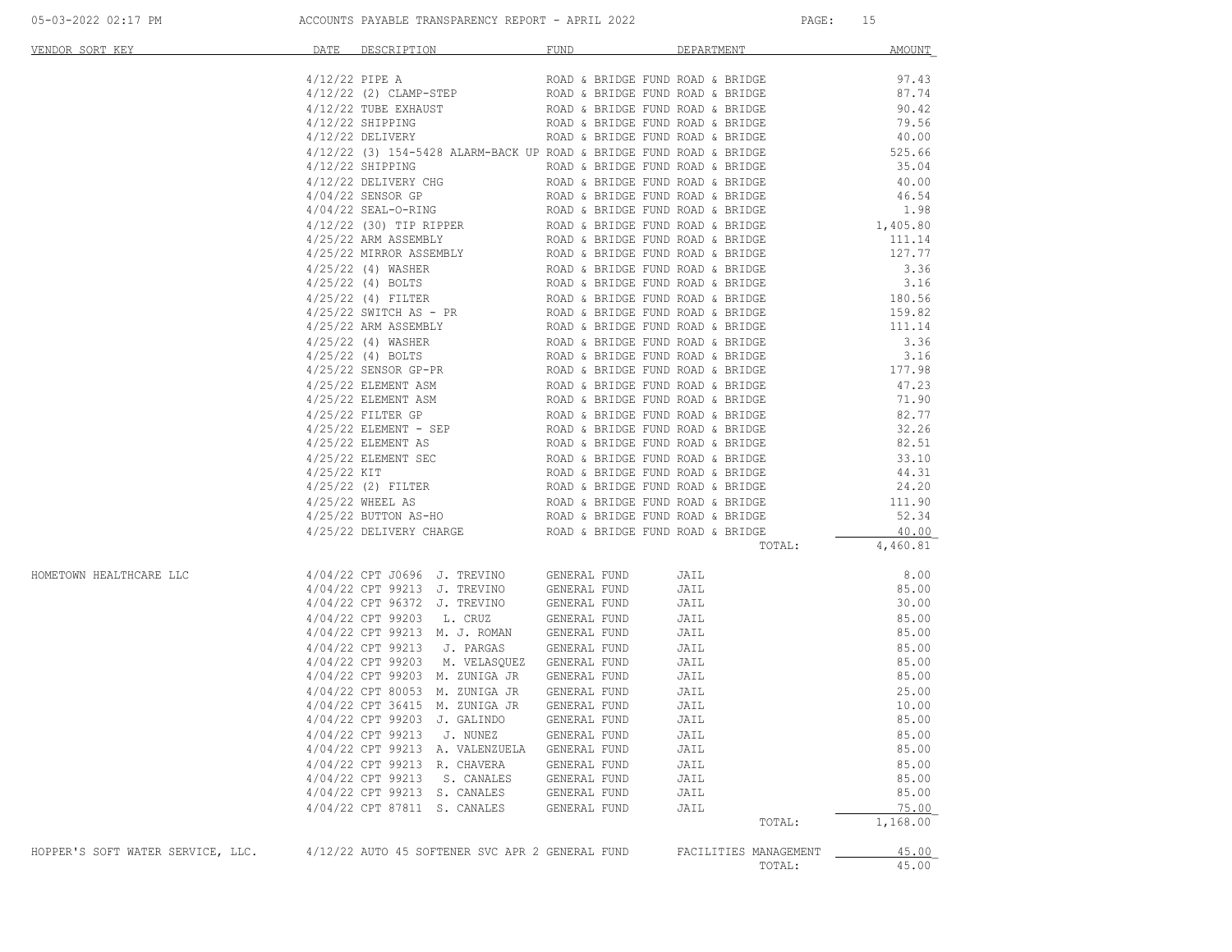| VENDOR SORT KEY                   | DATE DESCRIPTION                                             | FUND                         | DEPARTMENT                                                                                                                                                                                                                              | <b>AMOUNT</b>  |
|-----------------------------------|--------------------------------------------------------------|------------------------------|-----------------------------------------------------------------------------------------------------------------------------------------------------------------------------------------------------------------------------------------|----------------|
|                                   |                                                              |                              |                                                                                                                                                                                                                                         | 97.43          |
|                                   |                                                              |                              |                                                                                                                                                                                                                                         |                |
|                                   |                                                              |                              |                                                                                                                                                                                                                                         |                |
|                                   |                                                              |                              |                                                                                                                                                                                                                                         |                |
|                                   |                                                              |                              |                                                                                                                                                                                                                                         |                |
|                                   |                                                              |                              |                                                                                                                                                                                                                                         |                |
|                                   |                                                              |                              |                                                                                                                                                                                                                                         |                |
|                                   |                                                              |                              |                                                                                                                                                                                                                                         |                |
|                                   |                                                              |                              |                                                                                                                                                                                                                                         |                |
|                                   |                                                              |                              |                                                                                                                                                                                                                                         |                |
|                                   |                                                              |                              |                                                                                                                                                                                                                                         |                |
|                                   |                                                              |                              |                                                                                                                                                                                                                                         |                |
|                                   |                                                              |                              |                                                                                                                                                                                                                                         |                |
|                                   |                                                              |                              |                                                                                                                                                                                                                                         |                |
|                                   |                                                              |                              |                                                                                                                                                                                                                                         |                |
|                                   |                                                              |                              |                                                                                                                                                                                                                                         |                |
|                                   |                                                              |                              |                                                                                                                                                                                                                                         |                |
|                                   |                                                              |                              |                                                                                                                                                                                                                                         |                |
|                                   |                                                              |                              |                                                                                                                                                                                                                                         |                |
|                                   |                                                              |                              |                                                                                                                                                                                                                                         |                |
|                                   |                                                              |                              |                                                                                                                                                                                                                                         |                |
|                                   |                                                              |                              |                                                                                                                                                                                                                                         |                |
|                                   |                                                              |                              |                                                                                                                                                                                                                                         |                |
|                                   |                                                              |                              |                                                                                                                                                                                                                                         |                |
|                                   |                                                              |                              |                                                                                                                                                                                                                                         |                |
|                                   |                                                              |                              |                                                                                                                                                                                                                                         |                |
|                                   |                                                              |                              |                                                                                                                                                                                                                                         |                |
|                                   |                                                              |                              |                                                                                                                                                                                                                                         |                |
|                                   |                                                              |                              |                                                                                                                                                                                                                                         |                |
|                                   |                                                              |                              |                                                                                                                                                                                                                                         |                |
|                                   |                                                              |                              |                                                                                                                                                                                                                                         |                |
|                                   |                                                              |                              | 4/12/22 DELIVERY (PROBA & REIDGE FUND ROAD & BRIDGE REPAIR (1202 DELIVERY CHE AND A READGE FUND ROAD & BRIDGE REPAIR (1202 SIMPLEME) (404/22 SEAL-O-RING ROAD & BRIDGE FUND ROAD & BRIDGE REPAIR (404/22 SEAL-O-RING ROAD & B<br>TOTAL: | 4,460.81       |
| HOMETOWN HEALTHCARE LLC           |                                                              |                              |                                                                                                                                                                                                                                         |                |
|                                   |                                                              |                              |                                                                                                                                                                                                                                         |                |
|                                   |                                                              |                              |                                                                                                                                                                                                                                         |                |
|                                   |                                                              |                              |                                                                                                                                                                                                                                         |                |
|                                   |                                                              |                              |                                                                                                                                                                                                                                         |                |
|                                   |                                                              |                              |                                                                                                                                                                                                                                         |                |
|                                   |                                                              |                              |                                                                                                                                                                                                                                         |                |
|                                   |                                                              |                              |                                                                                                                                                                                                                                         |                |
|                                   |                                                              |                              |                                                                                                                                                                                                                                         |                |
|                                   |                                                              |                              |                                                                                                                                                                                                                                         |                |
|                                   |                                                              |                              |                                                                                                                                                                                                                                         |                |
|                                   | 4/04/22 CPT 99213 J. NUNEZ                                   | GENERAL FUND                 | JAIL                                                                                                                                                                                                                                    | 85.00          |
|                                   | 4/04/22 CPT 99213 A. VALENZUELA                              | GENERAL FUND                 | JAIL                                                                                                                                                                                                                                    | 85.00          |
|                                   | 4/04/22 CPT 99213 R. CHAVERA<br>4/04/22 CPT 99213 S. CANALES | GENERAL FUND<br>GENERAL FUND | JAIL<br>JAIL                                                                                                                                                                                                                            | 85.00<br>85.00 |
|                                   | 4/04/22 CPT 99213 S. CANALES                                 | GENERAL FUND                 | JAIL                                                                                                                                                                                                                                    | 85.00          |
|                                   | 4/04/22 CPT 87811 S. CANALES                                 | GENERAL FUND                 | JAIL                                                                                                                                                                                                                                    | 75.00          |
|                                   |                                                              |                              | TOTAL:                                                                                                                                                                                                                                  | 1,168.00       |
|                                   |                                                              |                              |                                                                                                                                                                                                                                         |                |
| HOPPER'S SOFT WATER SERVICE, LLC. | 4/12/22 AUTO 45 SOFTENER SVC APR 2 GENERAL FUND              |                              | FACILITIES MANAGEMENT<br>TOTAL:                                                                                                                                                                                                         | 45.00<br>45.00 |
|                                   |                                                              |                              |                                                                                                                                                                                                                                         |                |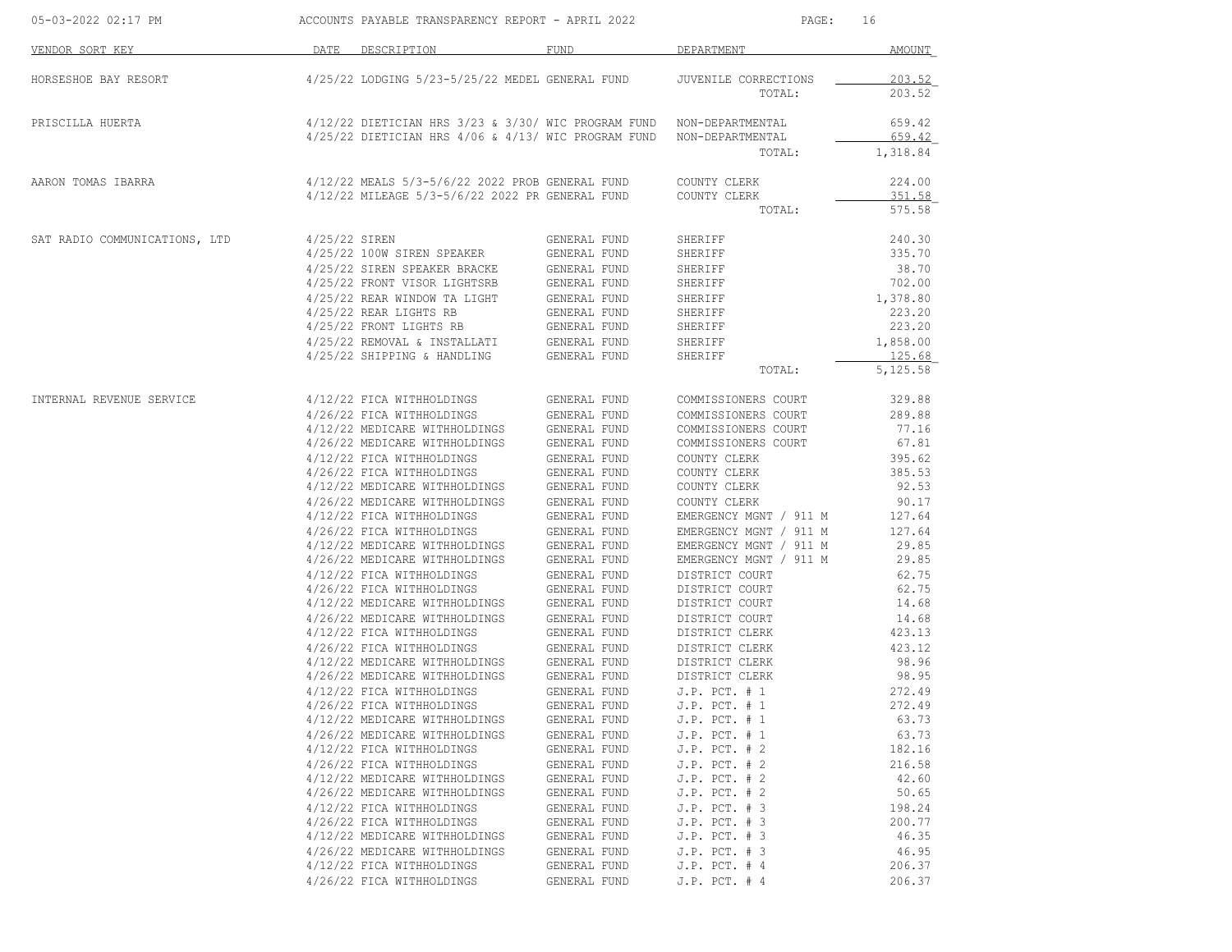| 05-03-2022 02:17 PM           |               | ACCOUNTS PAYABLE TRANSPARENCY REPORT - APRIL 2022                    |              | PAGE:                                  | 16               |
|-------------------------------|---------------|----------------------------------------------------------------------|--------------|----------------------------------------|------------------|
| VENDOR SORT KEY               |               | DATE DESCRIPTION                                                     | FUND         | DEPARTMENT                             | AMOUNT           |
| HORSESHOE BAY RESORT          |               | 4/25/22 LODGING 5/23-5/25/22 MEDEL GENERAL FUND                      |              | JUVENILE CORRECTIONS                   | 203.52           |
|                               |               |                                                                      |              | TOTAL:                                 | 203.52           |
| PRISCILLA HUERTA              |               | 4/12/22 DIETICIAN HRS 3/23 & 3/30/ WIC PROGRAM FUND NON-DEPARTMENTAL |              |                                        | 659.42           |
|                               |               | $4/25/22$ DIETICIAN HRS $4/06$ & $4/13/$ WIC PROGRAM FUND            |              | NON-DEPARTMENTAL                       | 659.42           |
|                               |               |                                                                      |              | TOTAL:                                 | 1,318.84         |
| AARON TOMAS IBARRA            |               | 4/12/22 MEALS 5/3-5/6/22 2022 PROB GENERAL FUND                      |              | COUNTY CLERK                           | 224.00           |
|                               |               | 4/12/22 MILEAGE 5/3-5/6/22 2022 PR GENERAL FUND                      |              | COUNTY CLERK<br>TOTAL:                 | 351.58<br>575.58 |
|                               |               |                                                                      |              |                                        |                  |
| SAT RADIO COMMUNICATIONS, LTD | 4/25/22 SIREN |                                                                      | GENERAL FUND | SHERIFF                                | 240.30           |
|                               |               | 4/25/22 100W SIREN SPEAKER                                           | GENERAL FUND | SHERIFF                                | 335.70           |
|                               |               | 4/25/22 SIREN SPEAKER BRACKE                                         | GENERAL FUND | SHERIFF                                | 38.70            |
|                               |               | 4/25/22 FRONT VISOR LIGHTSRB                                         | GENERAL FUND | SHERIFF                                | 702.00           |
|                               |               | 4/25/22 REAR WINDOW TA LIGHT                                         | GENERAL FUND | SHERIFF                                | 1,378.80         |
|                               |               | 4/25/22 REAR LIGHTS RB                                               | GENERAL FUND | SHERIFF                                | 223.20           |
|                               |               | 4/25/22 FRONT LIGHTS RB                                              | GENERAL FUND | SHERIFF                                | 223.20           |
|                               |               | 4/25/22 REMOVAL & INSTALLATI                                         | GENERAL FUND | SHERIFF                                | 1,858.00         |
|                               |               | 4/25/22 SHIPPING & HANDLING                                          | GENERAL FUND | SHERIFF                                | 125.68           |
|                               |               |                                                                      |              | TOTAL:                                 | 5,125.58         |
| INTERNAL REVENUE SERVICE      |               | 4/12/22 FICA WITHHOLDINGS                                            | GENERAL FUND | COMMISSIONERS COURT                    | 329.88           |
|                               |               | 4/26/22 FICA WITHHOLDINGS                                            | GENERAL FUND | COMMISSIONERS COURT                    | 289.88           |
|                               |               | 4/12/22 MEDICARE WITHHOLDINGS                                        | GENERAL FUND | COMMISSIONERS COURT                    | 77.16            |
|                               |               | 4/26/22 MEDICARE WITHHOLDINGS                                        | GENERAL FUND | COMMISSIONERS COURT                    | 67.81            |
|                               |               | 4/12/22 FICA WITHHOLDINGS                                            | GENERAL FUND | COUNTY CLERK                           | 395.62           |
|                               |               | 4/26/22 FICA WITHHOLDINGS                                            | GENERAL FUND | COUNTY CLERK                           | 385.53           |
|                               |               | 4/12/22 MEDICARE WITHHOLDINGS                                        | GENERAL FUND | COUNTY CLERK                           | 92.53            |
|                               |               | 4/26/22 MEDICARE WITHHOLDINGS                                        | GENERAL FUND | COUNTY CLERK                           | 90.17            |
|                               |               | 4/12/22 FICA WITHHOLDINGS                                            | GENERAL FUND | EMERGENCY MGNT / 911 M                 | 127.64           |
|                               |               | 4/26/22 FICA WITHHOLDINGS                                            | GENERAL FUND | EMERGENCY MGNT / 911 M                 | 127.64           |
|                               |               | 4/12/22 MEDICARE WITHHOLDINGS                                        | GENERAL FUND | EMERGENCY MGNT / 911 M                 | 29.85            |
|                               |               | 4/26/22 MEDICARE WITHHOLDINGS                                        | GENERAL FUND | EMERGENCY MGNT / 911 M                 | 29.85            |
|                               |               | 4/12/22 FICA WITHHOLDINGS                                            | GENERAL FUND | DISTRICT COURT                         | 62.75            |
|                               |               | 4/26/22 FICA WITHHOLDINGS                                            | GENERAL FUND | DISTRICT COURT                         | 62.75            |
|                               |               | 4/12/22 MEDICARE WITHHOLDINGS                                        | GENERAL FUND | DISTRICT COURT                         | 14.68            |
|                               |               | 4/26/22 MEDICARE WITHHOLDINGS                                        | GENERAL FUND | DISTRICT COURT                         | 14.68            |
|                               |               | 4/12/22 FICA WITHHOLDINGS                                            | GENERAL FUND | DISTRICT CLERK                         | 423.13           |
|                               |               | 4/26/22 FICA WITHHOLDINGS                                            | GENERAL FUND | DISTRICT CLERK                         | 423.12           |
|                               |               | 4/12/22 MEDICARE WITHHOLDINGS                                        | GENERAL FUND | DISTRICT CLERK                         | 98.96            |
|                               |               | 4/26/22 MEDICARE WITHHOLDINGS                                        | GENERAL FUND | DISTRICT CLERK                         | 98.95            |
|                               |               | 4/12/22 FICA WITHHOLDINGS                                            | GENERAL FUND | $J.P.$ PCT. $# 1$                      | 272.49           |
|                               |               | 4/26/22 FICA WITHHOLDINGS                                            | GENERAL FUND | $J.P.$ PCT. $# 1$                      | 272.49           |
|                               |               | 4/12/22 MEDICARE WITHHOLDINGS                                        | GENERAL FUND | $J.P.$ PCT. $# 1$                      | 63.73            |
|                               |               | 4/26/22 MEDICARE WITHHOLDINGS                                        | GENERAL FUND | J.P. PCT. # 1                          | 63.73            |
|                               |               | 4/12/22 FICA WITHHOLDINGS                                            | GENERAL FUND | $J.P.$ PCT. $# 2$                      | 182.16           |
|                               |               | 4/26/22 FICA WITHHOLDINGS<br>4/12/22 MEDICARE WITHHOLDINGS           | GENERAL FUND | $J.P.$ PCT. $# 2$                      | 216.58           |
|                               |               |                                                                      | GENERAL FUND | $J.P.$ PCT. $# 2$                      | 42.60            |
|                               |               | 4/26/22 MEDICARE WITHHOLDINGS                                        | GENERAL FUND | $J.P.$ PCT. $# 2$                      | 50.65            |
|                               |               | 4/12/22 FICA WITHHOLDINGS                                            | GENERAL FUND | $J.P.$ PCT. $# 3$<br>$J.P.$ PCT. $# 3$ | 198.24           |
|                               |               | 4/26/22 FICA WITHHOLDINGS<br>4/12/22 MEDICARE WITHHOLDINGS           | GENERAL FUND | J.P. PCT. # 3                          | 200.77<br>46.35  |
|                               |               |                                                                      | GENERAL FUND |                                        |                  |
|                               |               | 4/26/22 MEDICARE WITHHOLDINGS<br>4/12/22 FICA WITHHOLDINGS           | GENERAL FUND | $J.P.$ PCT. $# 3$                      | 46.95<br>206.37  |
|                               |               |                                                                      | GENERAL FUND | J.P. PCT. # 4                          |                  |
|                               |               | 4/26/22 FICA WITHHOLDINGS                                            | GENERAL FUND | $J.P.$ PCT. $# 4$                      | 206.37           |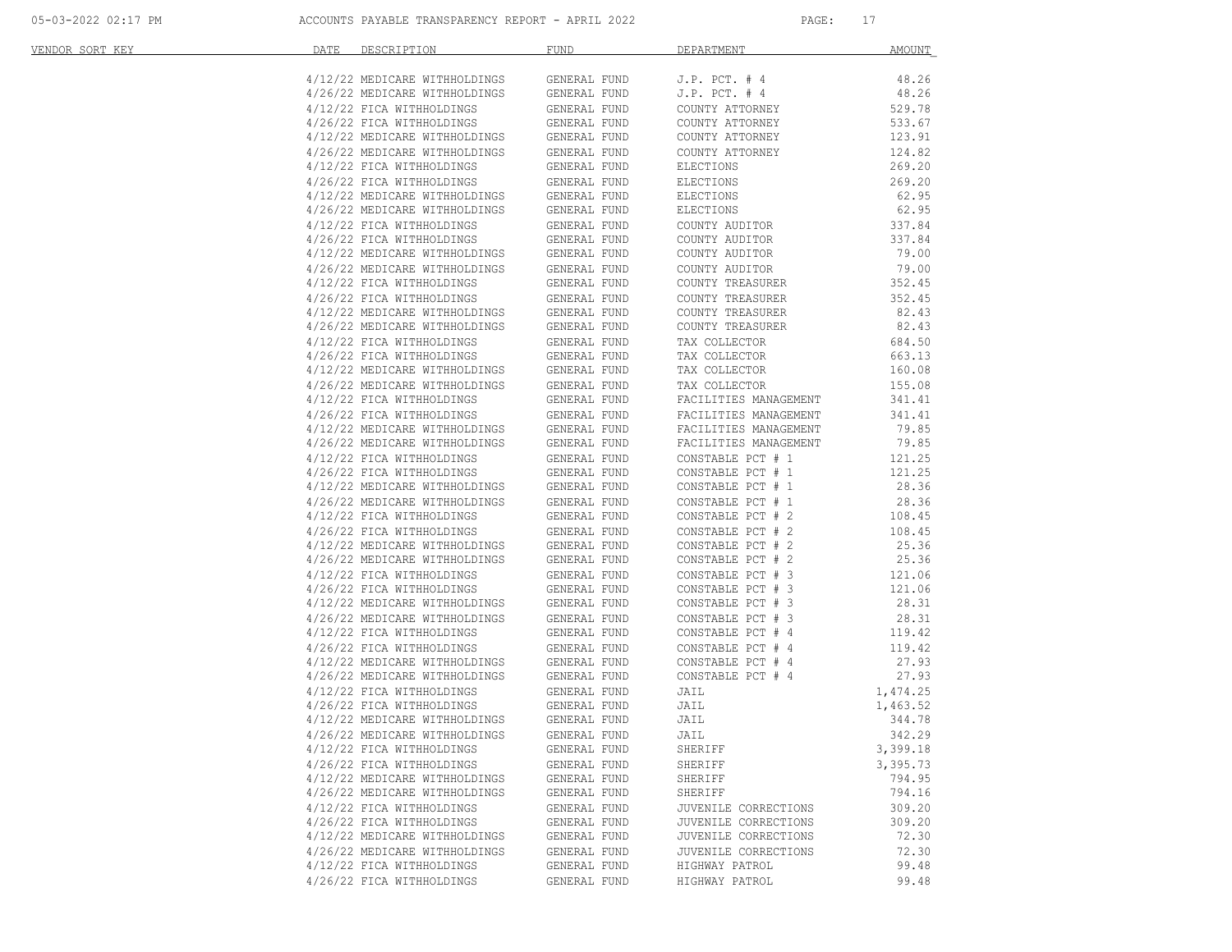| VENDOR SORT KEY | DATE<br>DESCRIPTION                                                                     | FUND         | DEPARTMENT            | <b>AMOUNT</b> |
|-----------------|-----------------------------------------------------------------------------------------|--------------|-----------------------|---------------|
|                 | 4/12/22 MEDICARE WITHHOLDINGS                                                           | GENERAL FUND | $J.P.$ PCT. $#4$      | 48.26         |
|                 | 4/26/22 MEDICARE WITHHOLDINGS                                                           | GENERAL FUND | $J.P.$ PCT. $#4$      | 48.26         |
|                 | 4/12/22 FICA WITHHOLDINGS                                                               | GENERAL FUND | COUNTY ATTORNEY       | 529.78        |
|                 | 4/26/22 FICA WITHHOLDINGS                                                               | GENERAL FUND | COUNTY ATTORNEY       | 533.67        |
|                 | 4/12/22 MEDICARE WITHHOLDINGS                                                           | GENERAL FUND | COUNTY ATTORNEY       | 123.91        |
|                 | 4/26/22 MEDICARE WITHHOLDINGS                                                           | GENERAL FUND | COUNTY ATTORNEY       | 124.82        |
|                 | 4/12/22 FICA WITHHOLDINGS                                                               | GENERAL FUND | ELECTIONS             | 269.20        |
|                 | 4/26/22 FICA WITHHOLDINGS                                                               | GENERAL FUND | ELECTIONS             | 269.20        |
|                 | 4/12/22 MEDICARE WITHHOLDINGS                                                           | GENERAL FUND | ELECTIONS             | 62.95         |
|                 | 4/26/22 MEDICARE WITHHOLDINGS                                                           | GENERAL FUND | ELECTIONS             | 62.95         |
|                 | 4/12/22 FICA WITHHOLDINGS                                                               | GENERAL FUND | COUNTY AUDITOR        | 337.84        |
|                 | 4/26/22 FICA WITHHOLDINGS                                                               | GENERAL FUND | COUNTY AUDITOR        | 337.84        |
|                 |                                                                                         | GENERAL FUND | COUNTY AUDITOR        | 79.00         |
|                 | 4/12/22 MEDICARE WITHHOLDINGS<br>4/26/22 MEDICARE WITHHOLDINGS                          | GENERAL FUND | COUNTY AUDITOR        | 79.00         |
|                 | 4/12/22 FICA WITHHOLDINGS                                                               | GENERAL FUND | COUNTY TREASURER      | 352.45        |
|                 | 4/26/22 FICA WITHHOLDINGS                                                               | GENERAL FUND | COUNTY TREASURER      | 352.45        |
|                 | 4/12/22 MEDICARE WITHHOLDINGS                                                           | GENERAL FUND | COUNTY TREASURER      | 82.43         |
|                 | 4/26/22 MEDICARE WITHHOLDINGS                                                           | GENERAL FUND | COUNTY TREASURER      | 82.43         |
|                 | 4/12/22 FICA WITHHOLDINGS                                                               | GENERAL FUND | TAX COLLECTOR         | 684.50        |
|                 |                                                                                         | GENERAL FUND | TAX COLLECTOR         | 663.13        |
|                 | 4/26/22 FICA WITHHOLDINGS<br>4/12/22 MEDICARE WITHHOLDINGS                              | GENERAL FUND | TAX COLLECTOR         | 160.08        |
|                 | 4/26/22 MEDICARE WITHHOLDINGS                                                           | GENERAL FUND | TAX COLLECTOR         | 155.08        |
|                 | 4/12/22 FICA WITHHOLDINGS                                                               | GENERAL FUND | FACILITIES MANAGEMENT | 341.41        |
|                 | 4/26/22 FICA WITHHOLDINGS                                                               | GENERAL FUND | FACILITIES MANAGEMENT | 341.41        |
|                 | 4/12/22 MEDICARE WITHHOLDINGS                                                           | GENERAL FUND | FACILITIES MANAGEMENT | 79.85         |
|                 | 4/26/22 MEDICARE WITHHOLDINGS                                                           | GENERAL FUND | FACILITIES MANAGEMENT | 79.85         |
|                 |                                                                                         | GENERAL FUND | CONSTABLE PCT # 1     | 121.25        |
|                 | 4/12/22 FICA WITHHOLDINGS<br>4/26/22 FICA WITHHOLDINGS                                  | GENERAL FUND | CONSTABLE PCT # 1     | 121.25        |
|                 |                                                                                         | GENERAL FUND | CONSTABLE PCT # 1     | 28.36         |
|                 | 4/12/22 MEDICARE WITHHOLDINGS<br>4/26/22 MEDICARE WITHHOLDINGS                          | GENERAL FUND | CONSTABLE PCT # 1     | 28.36         |
|                 | 4/12/22 FICA WITHHOLDINGS                                                               | GENERAL FUND | CONSTABLE PCT # 2     | 108.45        |
|                 | 4/26/22 FICA WITHHOLDINGS                                                               | GENERAL FUND | CONSTABLE PCT # 2     | 108.45        |
|                 | 4/12/22 MEDICARE WITHHOLDINGS                                                           | GENERAL FUND | CONSTABLE PCT # 2     | 25.36         |
|                 |                                                                                         | GENERAL FUND | CONSTABLE PCT # 2     | 25.36         |
|                 | 4/26/22 MEDICARE WITHHOLDINGS<br>4/12/22 FICA WITHHOLDINGS<br>4/12/22 FICA WITHHOLDINGS | GENERAL FUND | CONSTABLE PCT # 3     | 121.06        |
|                 | 4/26/22 FICA WITHHOLDINGS                                                               | GENERAL FUND | CONSTABLE PCT # 3     | 121.06        |
|                 | 4/12/22 MEDICARE WITHHOLDINGS                                                           | GENERAL FUND | CONSTABLE PCT # 3     | 28.31         |
|                 | 4/26/22 MEDICARE WITHHOLDINGS                                                           | GENERAL FUND | CONSTABLE PCT # 3     | 28.31         |
|                 | 4/12/22 FICA WITHHOLDINGS                                                               | GENERAL FUND | CONSTABLE PCT # 4     | 119.42        |
|                 | 4/26/22 FICA WITHHOLDINGS                                                               | GENERAL FUND | CONSTABLE PCT # 4     | 119.42        |
|                 | 4/12/22 MEDICARE WITHHOLDINGS                                                           | GENERAL FUND | CONSTABLE PCT # 4     | 27.93         |
|                 | 4/26/22 MEDICARE WITHHOLDINGS                                                           | GENERAL FUND | CONSTABLE PCT # 4     | 27.93         |
|                 |                                                                                         | GENERAL FUND | JAIL                  | 1,474.25      |
|                 | 4/12/22 FICA WITHHOLDINGS<br>4/26/22 FICA WITHHOLDINGS                                  | GENERAL FUND | JAIL                  | 1,463.52      |
|                 | 4/12/22 MEDICARE WITHHOLDINGS                                                           | GENERAL FUND | JAIL                  | 344.78        |
|                 | 4/26/22 MEDICARE WITHHOLDINGS GENERAL FUND                                              |              | JAIL                  | 342.29        |
|                 | 4/12/22 FICA WITHHOLDINGS                                                               | GENERAL FUND | SHERIFF               | 3,399.18      |
|                 | 4/26/22 FICA WITHHOLDINGS                                                               | GENERAL FUND | SHERIFF               | 3,395.73      |
|                 | 4/12/22 MEDICARE WITHHOLDINGS                                                           | GENERAL FUND | SHERIFF               | 794.95        |
|                 | 4/26/22 MEDICARE WITHHOLDINGS                                                           | GENERAL FUND | SHERIFF               | 794.16        |
|                 | 4/12/22 FICA WITHHOLDINGS                                                               | GENERAL FUND | JUVENILE CORRECTIONS  | 309.20        |
|                 | 4/26/22 FICA WITHHOLDINGS                                                               | GENERAL FUND | JUVENILE CORRECTIONS  | 309.20        |
|                 | 4/12/22 MEDICARE WITHHOLDINGS                                                           | GENERAL FUND | JUVENILE CORRECTIONS  | 72.30         |
|                 | 4/26/22 MEDICARE WITHHOLDINGS                                                           | GENERAL FUND | JUVENILE CORRECTIONS  | 72.30         |
|                 | 4/12/22 FICA WITHHOLDINGS                                                               | GENERAL FUND | HIGHWAY PATROL        | 99.48         |
|                 | 4/26/22 FICA WITHHOLDINGS                                                               | GENERAL FUND | HIGHWAY PATROL        | 99.48         |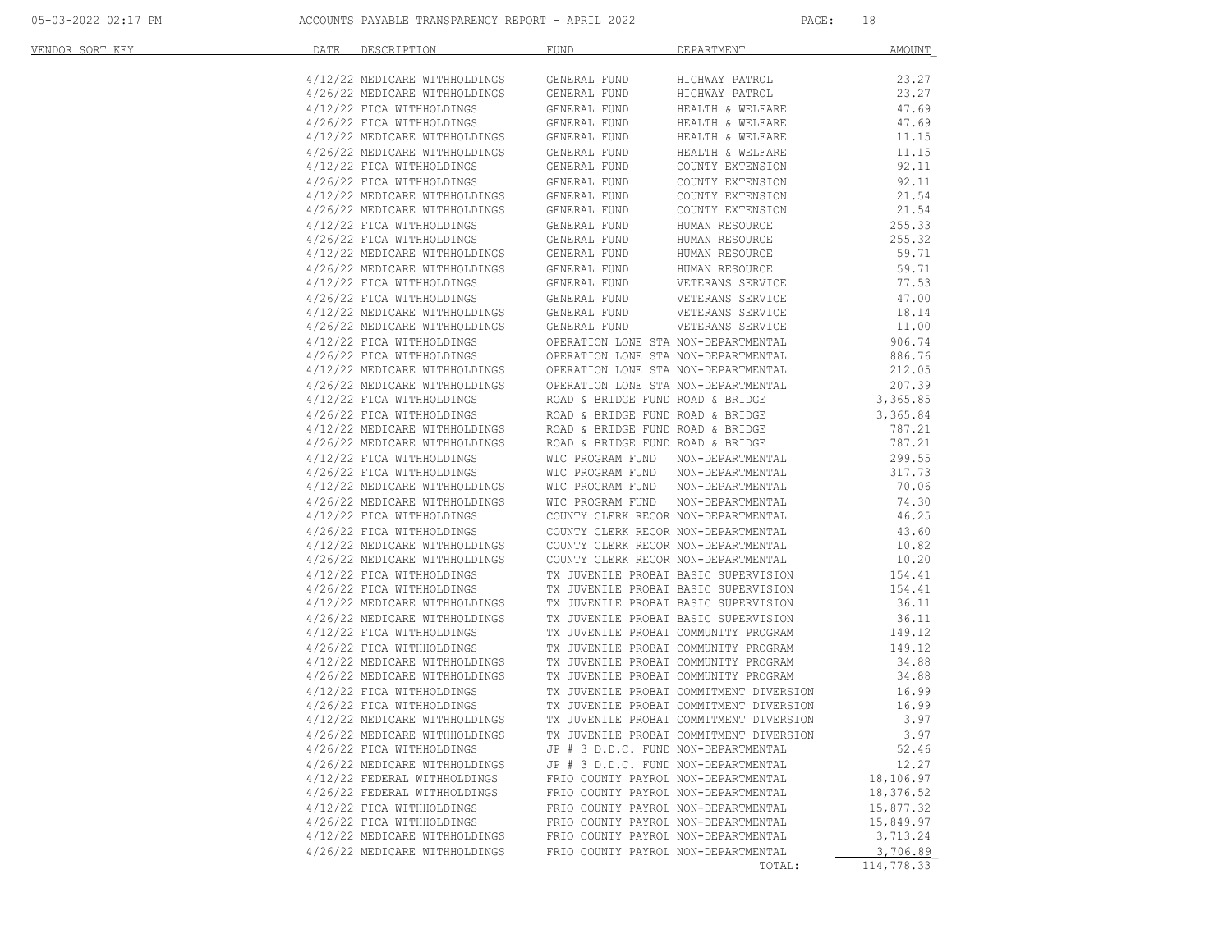| VENDOR SORT KEY | <b>DATE DESCRIPTION</b>       | FUND<br>DEPARTMENT                                                                                                                                                                                                                          | AMOUNT               |
|-----------------|-------------------------------|---------------------------------------------------------------------------------------------------------------------------------------------------------------------------------------------------------------------------------------------|----------------------|
|                 |                               | 4/12/22 MEDICARE WITHHOLDINGS GENERAL FUND HIGHWAY PATROL                                                                                                                                                                                   | 23.27                |
|                 |                               |                                                                                                                                                                                                                                             | 23.27                |
|                 |                               |                                                                                                                                                                                                                                             | 47.69                |
|                 |                               |                                                                                                                                                                                                                                             | 47.69                |
|                 |                               |                                                                                                                                                                                                                                             | 11.15                |
|                 |                               |                                                                                                                                                                                                                                             | 11.15                |
|                 |                               |                                                                                                                                                                                                                                             | 92.11                |
|                 |                               |                                                                                                                                                                                                                                             | 92.11                |
|                 |                               |                                                                                                                                                                                                                                             | 21.54                |
|                 |                               |                                                                                                                                                                                                                                             | 21.54                |
|                 |                               |                                                                                                                                                                                                                                             | 255.33               |
|                 |                               |                                                                                                                                                                                                                                             | 255.32               |
|                 |                               |                                                                                                                                                                                                                                             | 59.71                |
|                 |                               |                                                                                                                                                                                                                                             | 59.71                |
|                 |                               |                                                                                                                                                                                                                                             | 77.53                |
|                 |                               |                                                                                                                                                                                                                                             | 47.00                |
|                 |                               |                                                                                                                                                                                                                                             | 18.14                |
|                 |                               |                                                                                                                                                                                                                                             | 11.00                |
|                 |                               |                                                                                                                                                                                                                                             | 906.74               |
|                 |                               |                                                                                                                                                                                                                                             | 886.76               |
|                 |                               |                                                                                                                                                                                                                                             | 212.05               |
|                 |                               |                                                                                                                                                                                                                                             | 207.39               |
|                 |                               |                                                                                                                                                                                                                                             | 3,365.85<br>3,365.84 |
|                 |                               |                                                                                                                                                                                                                                             |                      |
|                 |                               |                                                                                                                                                                                                                                             | 787.21               |
|                 |                               |                                                                                                                                                                                                                                             | 787.21               |
|                 |                               | 4/26/22 ETCA WITHHOLDINGS<br>4/26/22 MEDICARE WITHHOLDINGS<br>4/26/22 MEDICARE WITHHOLDINGS<br>4/26/22 ETCA WITHHOLDINGS<br>4/26/22 MEDICARE WITHHOLDINGS<br>4/26/22 MEDICARE WITHHOLDINGS<br>4/26/22 MEDICARE WITHHOLDINGS<br>4/26/22 MEDI | 299.55               |
|                 |                               |                                                                                                                                                                                                                                             | 317.73               |
|                 |                               |                                                                                                                                                                                                                                             | 70.06                |
|                 |                               |                                                                                                                                                                                                                                             | 74.30                |
|                 |                               |                                                                                                                                                                                                                                             | 46.25                |
|                 |                               |                                                                                                                                                                                                                                             |                      |
|                 |                               |                                                                                                                                                                                                                                             |                      |
|                 |                               |                                                                                                                                                                                                                                             |                      |
|                 |                               |                                                                                                                                                                                                                                             |                      |
|                 |                               |                                                                                                                                                                                                                                             |                      |
|                 |                               |                                                                                                                                                                                                                                             |                      |
|                 |                               |                                                                                                                                                                                                                                             |                      |
|                 |                               |                                                                                                                                                                                                                                             |                      |
|                 |                               |                                                                                                                                                                                                                                             |                      |
|                 |                               |                                                                                                                                                                                                                                             |                      |
|                 |                               |                                                                                                                                                                                                                                             |                      |
|                 |                               | 4/12/22 FICA WITHHOLDINGS<br>4/26/22 FICA WITHHOLDINGS<br>4/26/22 FICA WITHHOLDINGS<br>4/12/22 MEDICARE WITHHOLDINGS<br>7X JUVENILE PROBAT COMMITMENT DIVERSION<br>4/12/22 MEDICARE WITHHOLDINGS<br>7X JUVENILE PROBAT COMMITMENT DIVERSION | 16.99                |
|                 |                               |                                                                                                                                                                                                                                             | 16.99                |
|                 |                               |                                                                                                                                                                                                                                             | 3.97                 |
|                 |                               | 4/26/22 MEDICARE WITHHOLDINGS TX JUVENILE PROBAT COMMITMENT DIVERSION                                                                                                                                                                       | 3.97                 |
|                 | 4/26/22 FICA WITHHOLDINGS     | JP # 3 D.D.C. FUND NON-DEPARTMENTAL                                                                                                                                                                                                         | 52.46                |
|                 | 4/26/22 MEDICARE WITHHOLDINGS | JP # 3 D.D.C. FUND NON-DEPARTMENTAL                                                                                                                                                                                                         | 12.27                |
|                 | 4/12/22 FEDERAL WITHHOLDINGS  | FRIO COUNTY PAYROL NON-DEPARTMENTAL                                                                                                                                                                                                         | 18,106.97            |
|                 | 4/26/22 FEDERAL WITHHOLDINGS  | FRIO COUNTY PAYROL NON-DEPARTMENTAL                                                                                                                                                                                                         | 18,376.52            |
|                 | 4/12/22 FICA WITHHOLDINGS     | FRIO COUNTY PAYROL NON-DEPARTMENTAL                                                                                                                                                                                                         | 15,877.32            |
|                 | 4/26/22 FICA WITHHOLDINGS     | FRIO COUNTY PAYROL NON-DEPARTMENTAL                                                                                                                                                                                                         | 15,849.97            |
|                 | 4/12/22 MEDICARE WITHHOLDINGS | FRIO COUNTY PAYROL NON-DEPARTMENTAL                                                                                                                                                                                                         | 3,713.24             |
|                 | 4/26/22 MEDICARE WITHHOLDINGS | FRIO COUNTY PAYROL NON-DEPARTMENTAL                                                                                                                                                                                                         | 3,706.89             |
|                 |                               | TOTAL:                                                                                                                                                                                                                                      | 114,778.33           |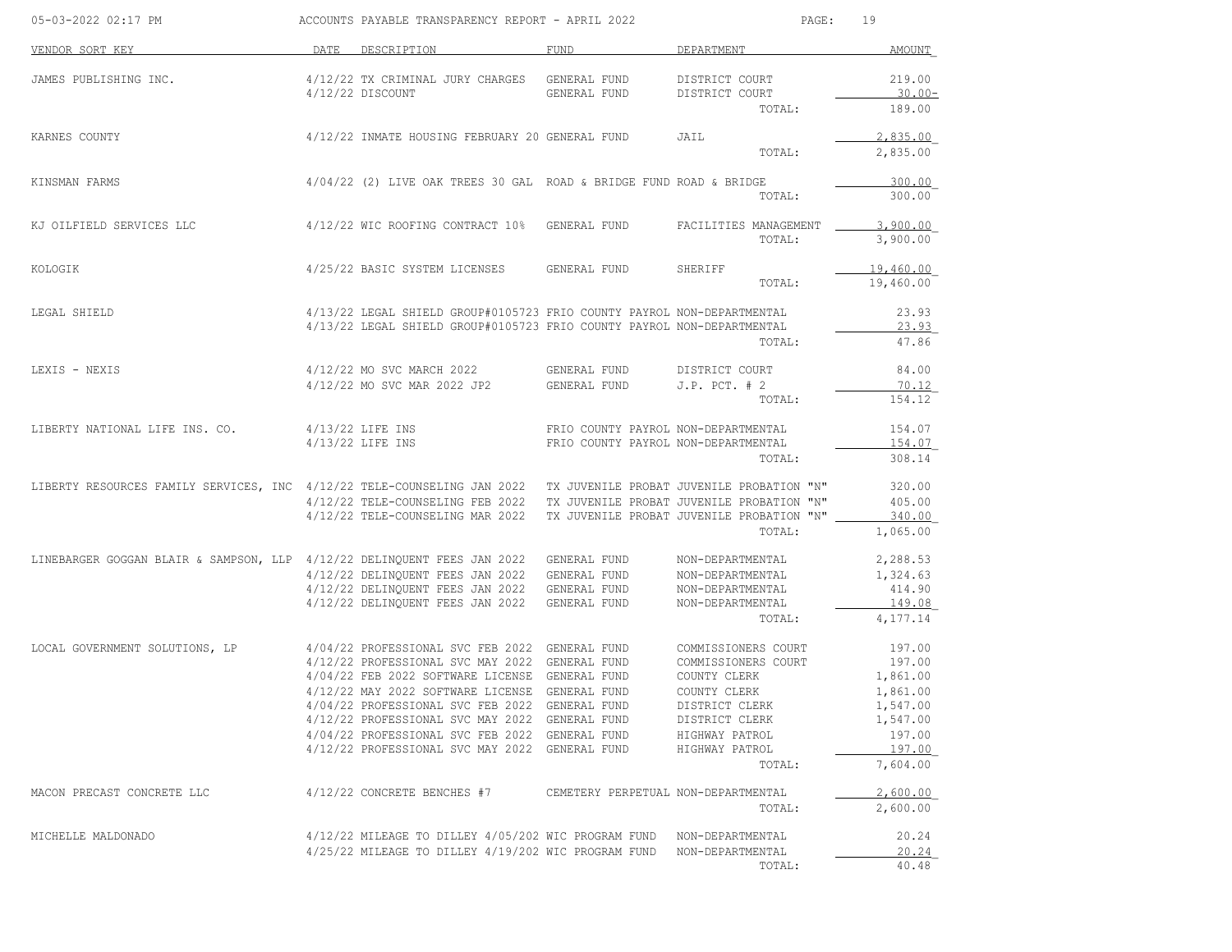| 05-03-2022 02:17 PM                                                                                               | ACCOUNTS PAYABLE TRANSPARENCY REPORT - APRIL 2022                                                                                                                                                                                                                                                                                                                                                            |                                                                            | PAGE:                                                                                                                                                        | 19                                                                                               |
|-------------------------------------------------------------------------------------------------------------------|--------------------------------------------------------------------------------------------------------------------------------------------------------------------------------------------------------------------------------------------------------------------------------------------------------------------------------------------------------------------------------------------------------------|----------------------------------------------------------------------------|--------------------------------------------------------------------------------------------------------------------------------------------------------------|--------------------------------------------------------------------------------------------------|
| VENDOR SORT KEY                                                                                                   | DATE DESCRIPTION                                                                                                                                                                                                                                                                                                                                                                                             | <b>FUND</b>                                                                | DEPARTMENT                                                                                                                                                   | AMOUNT                                                                                           |
| JAMES PUBLISHING INC.                                                                                             | 4/12/22 TX CRIMINAL JURY CHARGES GENERAL FUND<br>$4/12/22$ DISCOUNT                                                                                                                                                                                                                                                                                                                                          | GENERAL FUND                                                               | DISTRICT COURT<br>DISTRICT COURT                                                                                                                             | 219.00<br>$30.00 -$                                                                              |
|                                                                                                                   |                                                                                                                                                                                                                                                                                                                                                                                                              |                                                                            | TOTAL:                                                                                                                                                       | 189.00                                                                                           |
| KARNES COUNTY                                                                                                     | 4/12/22 INMATE HOUSING FEBRUARY 20 GENERAL FUND                                                                                                                                                                                                                                                                                                                                                              |                                                                            | JAIL<br>TOTAL:                                                                                                                                               | 2,835.00<br>2,835.00                                                                             |
| KINSMAN FARMS                                                                                                     | 4/04/22 (2) LIVE OAK TREES 30 GAL ROAD & BRIDGE FUND ROAD & BRIDGE                                                                                                                                                                                                                                                                                                                                           |                                                                            | TOTAL:                                                                                                                                                       | 300.00<br>300.00                                                                                 |
| KJ OILFIELD SERVICES LLC                                                                                          | 4/12/22 WIC ROOFING CONTRACT 10% GENERAL FUND                                                                                                                                                                                                                                                                                                                                                                |                                                                            | FACILITIES MANAGEMENT<br>TOTAL:                                                                                                                              | 3,900.00<br>3,900.00                                                                             |
| KOLOGIK                                                                                                           | 4/25/22 BASIC SYSTEM LICENSES                                                                                                                                                                                                                                                                                                                                                                                | GENERAL FUND                                                               | SHERIFF<br>TOTAL:                                                                                                                                            | 19,460.00<br>19,460.00                                                                           |
| LEGAL SHIELD                                                                                                      | 4/13/22 LEGAL SHIELD GROUP#0105723 FRIO COUNTY PAYROL NON-DEPARTMENTAL<br>4/13/22 LEGAL SHIELD GROUP#0105723 FRIO COUNTY PAYROL NON-DEPARTMENTAL                                                                                                                                                                                                                                                             |                                                                            | TOTAL:                                                                                                                                                       | 23.93<br>23.93<br>47.86                                                                          |
| LEXIS - NEXIS                                                                                                     | 4/12/22 MO SVC MARCH 2022 GENERAL FUND<br>4/12/22 MO SVC MAR 2022 JP2                                                                                                                                                                                                                                                                                                                                        | GENERAL FUND                                                               | DISTRICT COURT<br>$J.P.$ PCT. $# 2$<br>TOTAL:                                                                                                                | 84.00<br>70.12<br>154.12                                                                         |
| LIBERTY NATIONAL LIFE INS. CO.                                                                                    | 4/13/22 LIFE INS<br>4/13/22 LIFE INS                                                                                                                                                                                                                                                                                                                                                                         | FRIO COUNTY PAYROL NON-DEPARTMENTAL<br>FRIO COUNTY PAYROL NON-DEPARTMENTAL | TOTAL:                                                                                                                                                       | 154.07<br>154.07<br>308.14                                                                       |
| LIBERTY RESOURCES FAMILY SERVICES, INC 4/12/22 TELE-COUNSELING JAN 2022 TX JUVENILE PROBAT JUVENILE PROBATION "N" | 4/12/22 TELE-COUNSELING FEB 2022 TX JUVENILE PROBAT JUVENILE PROBATION "N"<br>4/12/22 TELE-COUNSELING MAR 2022 TX JUVENILE PROBAT JUVENILE PROBATION "N"                                                                                                                                                                                                                                                     |                                                                            | TOTAL:                                                                                                                                                       | 320.00<br>405.00<br>340.00<br>1,065.00                                                           |
| LINEBARGER GOGGAN BLAIR & SAMPSON, LLP 4/12/22 DELINQUENT FEES JAN 2022                                           | 4/12/22 DELINQUENT FEES JAN 2022<br>4/12/22 DELINQUENT FEES JAN 2022 GENERAL FUND<br>4/12/22 DELINQUENT FEES JAN 2022                                                                                                                                                                                                                                                                                        | GENERAL FUND<br>GENERAL FUND<br>GENERAL FUND                               | NON-DEPARTMENTAL<br>NON-DEPARTMENTAL<br>NON-DEPARTMENTAL<br>NON-DEPARTMENTAL<br>TOTAL:                                                                       | 2,288.53<br>1,324.63<br>414.90<br>149.08<br>4,177.14                                             |
| LOCAL GOVERNMENT SOLUTIONS, LP                                                                                    | 4/04/22 PROFESSIONAL SVC FEB 2022 GENERAL FUND<br>4/12/22 PROFESSIONAL SVC MAY 2022 GENERAL FUND<br>4/04/22 FEB 2022 SOFTWARE LICENSE GENERAL FUND<br>4/12/22 MAY 2022 SOFTWARE LICENSE GENERAL FUND<br>4/04/22 PROFESSIONAL SVC FEB 2022 GENERAL FUND<br>4/12/22 PROFESSIONAL SVC MAY 2022 GENERAL FUND<br>4/04/22 PROFESSIONAL SVC FEB 2022 GENERAL FUND<br>4/12/22 PROFESSIONAL SVC MAY 2022 GENERAL FUND |                                                                            | COMMISSIONERS COURT<br>COMMISSIONERS COURT<br>COUNTY CLERK<br>COUNTY CLERK<br>DISTRICT CLERK<br>DISTRICT CLERK<br>HIGHWAY PATROL<br>HIGHWAY PATROL<br>TOTAL: | 197.00<br>197.00<br>1,861.00<br>1,861.00<br>1,547.00<br>1,547.00<br>197.00<br>197.00<br>7,604.00 |
| MACON PRECAST CONCRETE LLC                                                                                        | $4/12/22$ CONCRETE BENCHES #7                                                                                                                                                                                                                                                                                                                                                                                | CEMETERY PERPETUAL NON-DEPARTMENTAL                                        | TOTAL:                                                                                                                                                       | 2,600.00<br>2,600.00                                                                             |
| MICHELLE MALDONADO                                                                                                | 4/12/22 MILEAGE TO DILLEY 4/05/202 WIC PROGRAM FUND<br>4/25/22 MILEAGE TO DILLEY 4/19/202 WIC PROGRAM FUND                                                                                                                                                                                                                                                                                                   |                                                                            | NON-DEPARTMENTAL<br>NON-DEPARTMENTAL<br>TOTAL:                                                                                                               | 20.24<br>20.24<br>40.48                                                                          |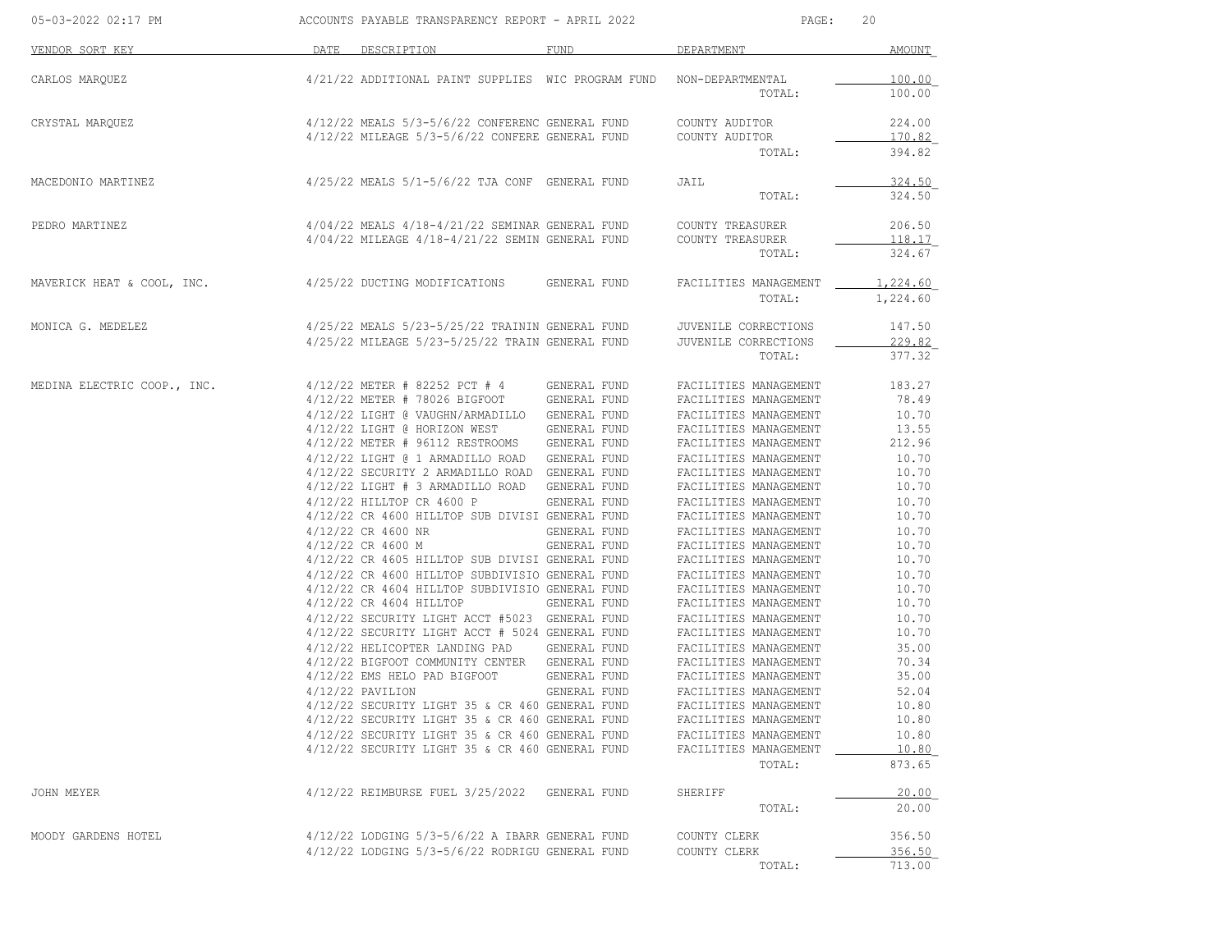| 05-03-2022 02:17 PM         | ACCOUNTS PAYABLE TRANSPARENCY REPORT - APRIL 2022                    | 20<br>PAGE:  |                                                |                  |
|-----------------------------|----------------------------------------------------------------------|--------------|------------------------------------------------|------------------|
| VENDOR SORT KEY             | DATE DESCRIPTION                                                     | <b>FUND</b>  | DEPARTMENT                                     | AMOUNT           |
| CARLOS MARQUEZ              | 4/21/22 ADDITIONAL PAINT SUPPLIES WIC PROGRAM FUND NON-DEPARTMENTAL  |              |                                                | 100.00           |
|                             |                                                                      |              | TOTAL:                                         | 100.00           |
| CRYSTAL MARQUEZ             | 4/12/22 MEALS 5/3-5/6/22 CONFERENC GENERAL FUND                      |              | COUNTY AUDITOR                                 | 224.00           |
|                             | 4/12/22 MILEAGE 5/3-5/6/22 CONFERE GENERAL FUND                      |              | COUNTY AUDITOR                                 | 170.82           |
|                             |                                                                      |              | TOTAL:                                         | 394.82           |
| MACEDONIO MARTINEZ          | $4/25/22$ MEALS $5/1-5/6/22$ TJA CONF GENERAL FUND                   |              | JAIL                                           | 324.50           |
|                             |                                                                      |              | TOTAL:                                         | 324.50           |
| PEDRO MARTINEZ              | $4/04/22$ MEALS $4/18-4/21/22$ SEMINAR GENERAL FUND                  |              | COUNTY TREASURER                               | 206.50           |
|                             | 4/04/22 MILEAGE 4/18-4/21/22 SEMIN GENERAL FUND                      |              | COUNTY TREASURER<br>TOTAL:                     | 118.17<br>324.67 |
| MAVERICK HEAT & COOL, INC.  | 4/25/22 DUCTING MODIFICATIONS                                        | GENERAL FUND | FACILITIES MANAGEMENT                          | 1,224.60         |
|                             |                                                                      |              | TOTAL:                                         | 1,224.60         |
| MONICA G. MEDELEZ           | 4/25/22 MEALS 5/23-5/25/22 TRAININ GENERAL FUND                      |              | JUVENILE CORRECTIONS                           | 147.50           |
|                             | 4/25/22 MILEAGE 5/23-5/25/22 TRAIN GENERAL FUND                      |              | JUVENILE CORRECTIONS                           | 229.82           |
|                             |                                                                      |              | TOTAL:                                         | 377.32           |
| MEDINA ELECTRIC COOP., INC. | $4/12/22$ METER # 82252 PCT # 4                                      | GENERAL FUND | FACILITIES MANAGEMENT                          | 183.27           |
|                             | 4/12/22 METER # 78026 BIGFOOT                                        | GENERAL FUND | FACILITIES MANAGEMENT                          | 78.49            |
|                             | 4/12/22 LIGHT @ VAUGHN/ARMADILLO GENERAL FUND                        |              | FACILITIES MANAGEMENT                          | 10.70            |
|                             | 4/12/22 LIGHT @ HORIZON WEST                                         | GENERAL FUND | FACILITIES MANAGEMENT                          | 13.55            |
|                             | 4/12/22 METER # 96112 RESTROOMS                                      | GENERAL FUND | FACILITIES MANAGEMENT                          | 212.96           |
|                             | 4/12/22 LIGHT @ 1 ARMADILLO ROAD GENERAL FUND                        |              | FACILITIES MANAGEMENT                          | 10.70            |
|                             | 4/12/22 SECURITY 2 ARMADILLO ROAD GENERAL FUND                       |              | FACILITIES MANAGEMENT                          | 10.70            |
|                             | 4/12/22 LIGHT # 3 ARMADILLO ROAD GENERAL FUND                        |              | FACILITIES MANAGEMENT                          | 10.70            |
|                             | 4/12/22 HILLTOP CR 4600 P                                            | GENERAL FUND | FACILITIES MANAGEMENT                          | 10.70            |
|                             | 4/12/22 CR 4600 HILLTOP SUB DIVISI GENERAL FUND                      |              | FACILITIES MANAGEMENT                          | 10.70            |
|                             | 4/12/22 CR 4600 NR                                                   | GENERAL FUND | FACILITIES MANAGEMENT                          | 10.70            |
|                             | 4/12/22 CR 4600 M<br>4/12/22 CR 4605 HILLTOP SUB DIVISI GENERAL FUND | GENERAL FUND | FACILITIES MANAGEMENT<br>FACILITIES MANAGEMENT | 10.70<br>10.70   |
|                             | 4/12/22 CR 4600 HILLTOP SUBDIVISIO GENERAL FUND                      |              |                                                | 10.70            |
|                             | 4/12/22 CR 4604 HILLTOP SUBDIVISIO GENERAL FUND                      |              | FACILITIES MANAGEMENT<br>FACILITIES MANAGEMENT | 10.70            |
|                             | 4/12/22 CR 4604 HILLTOP                                              | GENERAL FUND | FACILITIES MANAGEMENT                          | 10.70            |
|                             | 4/12/22 SECURITY LIGHT ACCT #5023 GENERAL FUND                       |              | FACILITIES MANAGEMENT                          | 10.70            |
|                             | 4/12/22 SECURITY LIGHT ACCT # 5024 GENERAL FUND                      |              | FACILITIES MANAGEMENT                          | 10.70            |
|                             | 4/12/22 HELICOPTER LANDING PAD                                       | GENERAL FUND | FACILITIES MANAGEMENT                          | 35.00            |
|                             | 4/12/22 BIGFOOT COMMUNITY CENTER GENERAL FUND                        |              | FACILITIES MANAGEMENT                          | 70.34            |
|                             | 4/12/22 EMS HELO PAD BIGFOOT                                         | GENERAL FUND | FACILITIES MANAGEMENT                          | 35.00            |
|                             | 4/12/22 PAVILION                                                     | GENERAL FUND | FACILITIES MANAGEMENT                          | 52.04            |
|                             | 4/12/22 SECURITY LIGHT 35 & CR 460 GENERAL FUND                      |              | FACILITIES MANAGEMENT                          | 10.80            |
|                             | 4/12/22 SECURITY LIGHT 35 & CR 460 GENERAL FUND                      |              | FACILITIES MANAGEMENT                          | 10.80            |
|                             | 4/12/22 SECURITY LIGHT 35 & CR 460 GENERAL FUND                      |              | FACILITIES MANAGEMENT                          | 10.80            |
|                             | 4/12/22 SECURITY LIGHT 35 & CR 460 GENERAL FUND                      |              | FACILITIES MANAGEMENT                          | 10.80            |
|                             |                                                                      |              | TOTAL:                                         | 873.65           |
| JOHN MEYER                  | 4/12/22 REIMBURSE FUEL 3/25/2022 GENERAL FUND                        |              | SHERIFF                                        | 20.00            |
|                             |                                                                      |              | TOTAL:                                         | 20.00            |
| MOODY GARDENS HOTEL         | $4/12/22$ LODGING $5/3-5/6/22$ A IBARR GENERAL FUND                  |              | COUNTY CLERK                                   | 356.50           |
|                             | 4/12/22 LODGING 5/3-5/6/22 RODRIGU GENERAL FUND                      |              | COUNTY CLERK                                   | 356.50           |
|                             |                                                                      |              | TOTAL:                                         | 713.00           |
|                             |                                                                      |              |                                                |                  |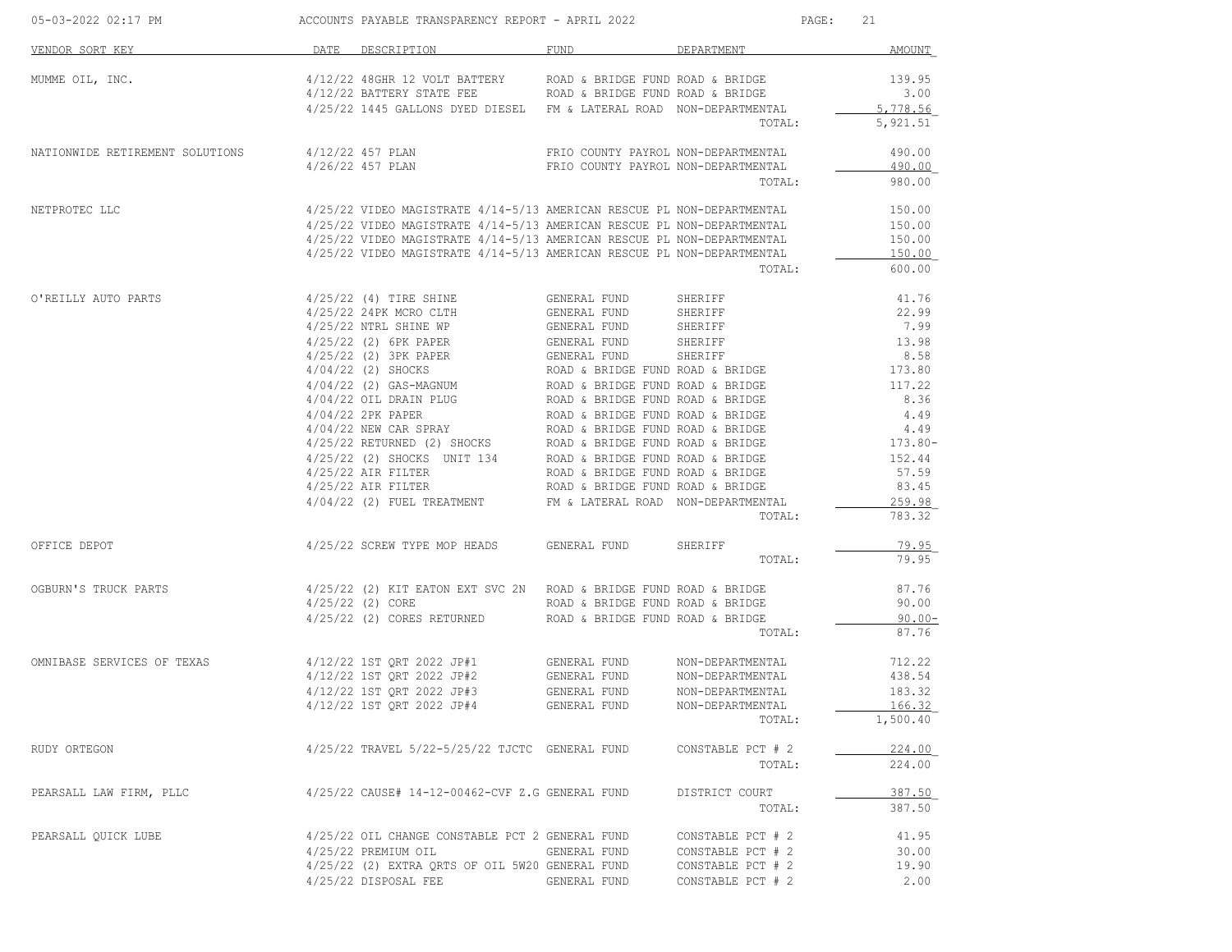| 05-03-2022 02:17 PM                              | ACCOUNTS PAYABLE TRANSPARENCY REPORT - APRIL 2022                                                                                                                                                                                                                                                                                                                                                                                                                    |                                                                            |                                                                                  | PAGE: 21                                         |
|--------------------------------------------------|----------------------------------------------------------------------------------------------------------------------------------------------------------------------------------------------------------------------------------------------------------------------------------------------------------------------------------------------------------------------------------------------------------------------------------------------------------------------|----------------------------------------------------------------------------|----------------------------------------------------------------------------------|--------------------------------------------------|
| VENDOR SORT KEY                                  | DATE DESCRIPTION                                                                                                                                                                                                                                                                                                                                                                                                                                                     | FUND                                                                       | DEPARTMENT                                                                       | <b>AMOUNT</b>                                    |
| MUMME OIL, INC.                                  | $4/12/22$ 48GHR 12 VOLT BATTERY ROAD & BRIDGE FUND ROAD & BRIDGE<br>$4/12/22$ BATTERY STATE FEE ROAD & BRIDGE FUND ROAD & BRIDGE<br>4/25/22 1445 GALLONS DYED DIESEL FM & LATERAL ROAD NON-DEPARTMENTAL                                                                                                                                                                                                                                                              |                                                                            | TOTAL:                                                                           | 139.95<br>3.00<br>5,778.56<br>5,921.51           |
| NATIONWIDE RETIREMENT SOLUTIONS 4/12/22 457 PLAN | 4/26/22 457 PLAN                                                                                                                                                                                                                                                                                                                                                                                                                                                     | FRIO COUNTY PAYROL NON-DEPARTMENTAL<br>FRIO COUNTY PAYROL NON-DEPARTMENTAL | TOTAL:                                                                           | 490.00<br>490.00<br>980.00                       |
| NETPROTEC LLC                                    | 4/25/22 VIDEO MAGISTRATE 4/14-5/13 AMERICAN RESCUE PL NON-DEPARTMENTAL<br>$4/25/22$ VIDEO MAGISTRATE $4/14-5/13$ AMERICAN RESCUE PL NON-DEPARTMENTAL $4/25/22$ VIDEO MAGISTRATE $4/14-5/13$ AMERICAN RESCUE PL NON-DEPARTMENTAL<br>4/25/22 VIDEO MAGISTRATE 4/14-5/13 AMERICAN RESCUE PL NON-DEPARTMENTAL                                                                                                                                                            |                                                                            | TOTAL:                                                                           | 150.00<br>150.00<br>150.00<br>150.00<br>600.00   |
| O'REILLY AUTO PARTS                              | 4/25/22 (4) TIRE SHINE<br>$\begin{tabular}{l c c c c c} \multicolumn{1}{c}{\textbf{4/25/22}} & $\textbf{(4)}$ & $\textbf{THE}\text{ SHINE} & $\textbf{GENERAL}\text{ FUND} & $\textbf{SHERIFF} & $\textbf{41.76} \\ \multicolumn{1}{c}{\textbf{4/25/22}} & $\textbf{20.9} & $\textbf{6F} \text{ NEREN} & $\textbf{GRINERAR} & $\textbf{FUND} & $\textbf{SHERIFF} & $\textbf{22.99} \\ \multicolumn{1}{c}{\textbf{4/25/22}} & $\textbf{(2)}$ & $\textbf{6F} \text{ R$ | GENERAL FUND                                                               | SHERIFF<br>TOTAL:                                                                | 41.76<br>259.98<br>783.32                        |
| OFFICE DEPOT                                     | 4/25/22 SCREW TYPE MOP HEADS GENERAL FUND                                                                                                                                                                                                                                                                                                                                                                                                                            |                                                                            | SHERIFF<br>TOTAL:                                                                | 79.95<br>79.95                                   |
| OGBURN'S TRUCK PARTS                             | 4/25/22 (2) KIT EATON EXT SVC 2N ROAD & BRIDGE FUND ROAD & BRIDGE<br>4/25/22 (2) CORE<br>4/25/22 (2) CORES RETURNED ROAD & BRIDGE FUND ROAD & BRIDGE                                                                                                                                                                                                                                                                                                                 | ROAD & BRIDGE FUND ROAD & BRIDGE                                           | TOTAL:                                                                           | 87.76<br>90.00<br>$90.00 -$<br>87.76             |
| OMNIBASE SERVICES OF TEXAS                       | 4/12/22 1ST QRT 2022 JP#1 GENERAL FUND NON-DEPARTMENTAL<br>4/12/22 1ST QRT 2022 JP#2 GENERAL FUND NON-DEPARTMENTAL<br>4/12/22 1ST QRT 2022 JP#3<br>4/12/22 1ST QRT 2022 JP#4                                                                                                                                                                                                                                                                                         | GENERAL FUND<br>GENERAL FUND                                               | NON-DEPARTMENTAL<br>NON-DEPARTMENTAL<br>TOTAL:                                   | 712.22<br>438.54<br>183.32<br>166.32<br>1,500.40 |
| RUDY ORTEGON                                     | 4/25/22 TRAVEL 5/22-5/25/22 TJCTC GENERAL FUND                                                                                                                                                                                                                                                                                                                                                                                                                       |                                                                            | CONSTABLE PCT # 2<br>TOTAL:                                                      | 224.00<br>224.00                                 |
| PEARSALL LAW FIRM, PLLC                          | $4/25/22$ CAUSE# 14-12-00462-CVF Z.G GENERAL FUND                                                                                                                                                                                                                                                                                                                                                                                                                    |                                                                            | DISTRICT COURT<br>TOTAL:                                                         | 387.50<br>387.50                                 |
| PEARSALL QUICK LUBE                              | 4/25/22 OIL CHANGE CONSTABLE PCT 2 GENERAL FUND<br>4/25/22 PREMIUM OIL<br>4/25/22 (2) EXTRA QRTS OF OIL 5W20 GENERAL FUND<br>4/25/22 DISPOSAL FEE                                                                                                                                                                                                                                                                                                                    | GENERAL FUND<br>GENERAL FUND                                               | CONSTABLE PCT # 2<br>CONSTABLE PCT # 2<br>CONSTABLE PCT # 2<br>CONSTABLE PCT # 2 | 41.95<br>30.00<br>19.90<br>2.00                  |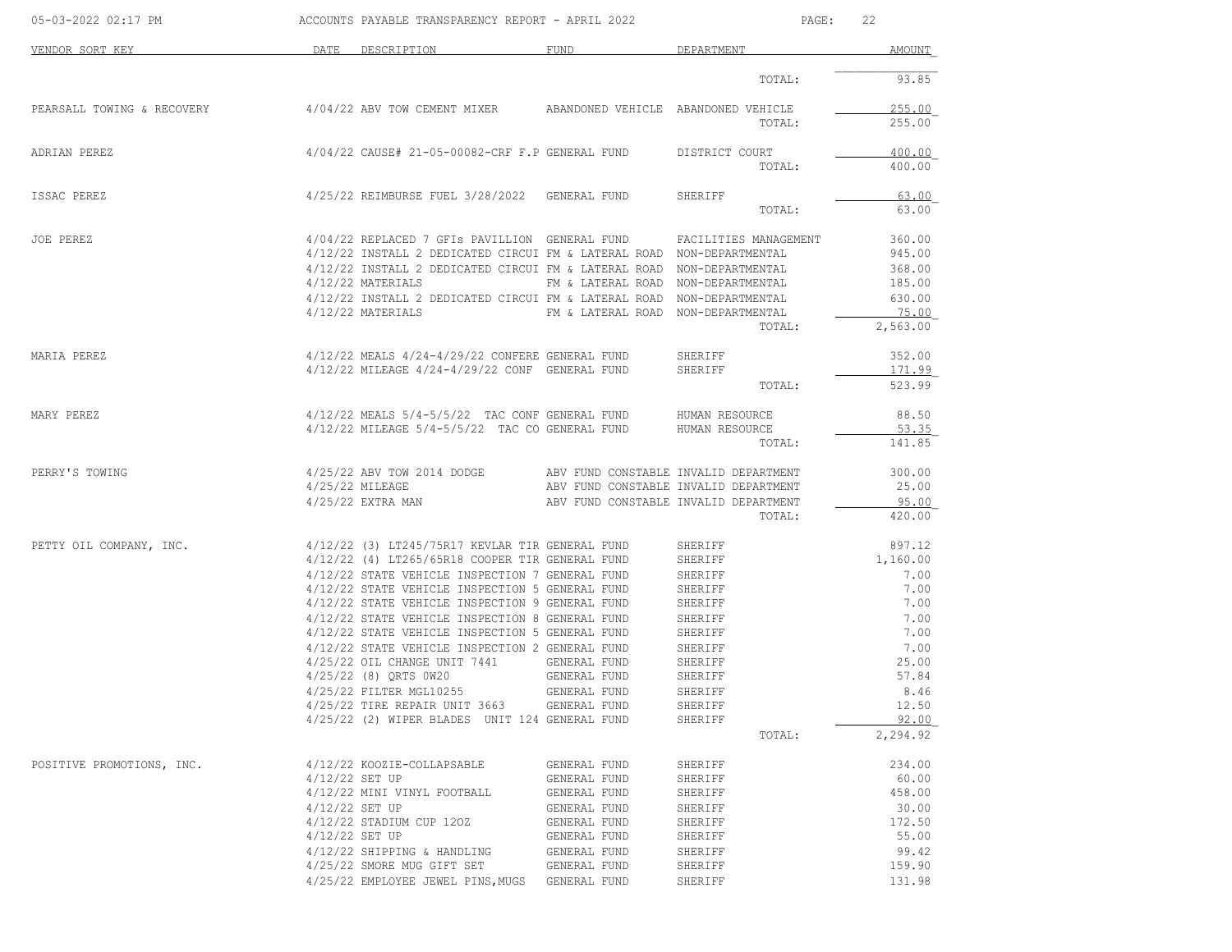| 05-03-2022 02:17 PM        |                   | ACCOUNTS PAYABLE TRANSPARENCY REPORT - APRIL 2022                                          |                                    | PAGE:                                           | 22               |
|----------------------------|-------------------|--------------------------------------------------------------------------------------------|------------------------------------|-------------------------------------------------|------------------|
| VENDOR SORT KEY            |                   | DATE DESCRIPTION                                                                           | <b>FUND</b>                        | DEPARTMENT                                      | AMOUNT           |
|                            |                   |                                                                                            |                                    | TOTAL:                                          | 93.85            |
| PEARSALL TOWING & RECOVERY |                   | 4/04/22 ABV TOW CEMENT MIXER ABANDONED VEHICLE ABANDONED VEHICLE                           |                                    |                                                 | 255.00           |
|                            |                   |                                                                                            |                                    | TOTAL:                                          | 255.00           |
| ADRIAN PEREZ               |                   | 4/04/22 CAUSE# 21-05-00082-CRF F.P GENERAL FUND                                            |                                    | DISTRICT COURT                                  | 400.00           |
|                            |                   |                                                                                            |                                    | TOTAL:                                          | 400.00           |
| ISSAC PEREZ                |                   | 4/25/22 REIMBURSE FUEL 3/28/2022 GENERAL FUND                                              |                                    | SHERIFF                                         | 63.00            |
|                            |                   |                                                                                            |                                    | TOTAL:                                          | 63.00            |
| JOE PEREZ                  |                   | 4/04/22 REPLACED 7 GFIS PAVILLION GENERAL FUND                                             |                                    | FACILITIES MANAGEMENT                           | 360.00           |
|                            |                   | 4/12/22 INSTALL 2 DEDICATED CIRCUI FM & LATERAL ROAD NON-DEPARTMENTAL                      |                                    |                                                 | 945.00           |
|                            |                   | 4/12/22 INSTALL 2 DEDICATED CIRCUI FM & LATERAL ROAD NON-DEPARTMENTAL<br>4/12/22 MATERIALS | FM & LATERAL ROAD NON-DEPARTMENTAL |                                                 | 368.00<br>185.00 |
|                            |                   | 4/12/22 INSTALL 2 DEDICATED CIRCUI FM & LATERAL ROAD NON-DEPARTMENTAL                      |                                    |                                                 | 630.00           |
|                            |                   | $4/12/22$ MATERIALS                                                                        | FM & LATERAL ROAD NON-DEPARTMENTAL |                                                 | 75.00            |
|                            |                   |                                                                                            |                                    | TOTAL:                                          | 2,563.00         |
| MARIA PEREZ                |                   | $4/12/22$ MEALS $4/24-4/29/22$ CONFERE GENERAL FUND                                        |                                    | SHERIFF                                         | 352.00           |
|                            |                   | $4/12/22$ MILEAGE $4/24-4/29/22$ CONF GENERAL FUND                                         |                                    | SHERIFF                                         | 171.99           |
|                            |                   |                                                                                            |                                    | TOTAL:                                          | 523.99           |
| MARY PEREZ                 |                   | $4/12/22$ MEALS $5/4-5/5/22$ TAC CONF GENERAL FUND                                         |                                    | HUMAN RESOURCE                                  | 88.50            |
|                            |                   | $4/12/22$ MILEAGE $5/4-5/5/22$ TAC CO GENERAL FUND                                         |                                    | HUMAN RESOURCE                                  | 53.35            |
|                            |                   |                                                                                            |                                    | TOTAL:                                          | 141.85           |
| PERRY'S TOWING             |                   | 4/25/22 ABV TOW 2014 DODGE                                                                 |                                    | ABV FUND CONSTABLE INVALID DEPARTMENT           | 300.00           |
|                            | $4/25/22$ MILEAGE |                                                                                            |                                    | ABV FUND CONSTABLE INVALID DEPARTMENT           | 25.00            |
|                            |                   | 4/25/22 EXTRA MAN                                                                          |                                    | ABV FUND CONSTABLE INVALID DEPARTMENT<br>TOTAL: | 95.00<br>420.00  |
| PETTY OIL COMPANY, INC.    |                   | 4/12/22 (3) LT245/75R17 KEVLAR TIR GENERAL FUND                                            |                                    | SHERIFF                                         | 897.12           |
|                            |                   | 4/12/22 (4) LT265/65R18 COOPER TIR GENERAL FUND                                            |                                    | SHERIFF                                         | 1,160.00         |
|                            |                   | 4/12/22 STATE VEHICLE INSPECTION 7 GENERAL FUND                                            |                                    | SHERIFF                                         | 7.00             |
|                            |                   | 4/12/22 STATE VEHICLE INSPECTION 5 GENERAL FUND                                            |                                    | SHERIFF                                         | 7.00             |
|                            |                   | 4/12/22 STATE VEHICLE INSPECTION 9 GENERAL FUND                                            |                                    | SHERIFF                                         | 7.00             |
|                            |                   | 4/12/22 STATE VEHICLE INSPECTION 8 GENERAL FUND                                            |                                    | SHERIFF                                         | 7.00             |
|                            |                   | 4/12/22 STATE VEHICLE INSPECTION 5 GENERAL FUND                                            |                                    | SHERIFF                                         | 7.00             |
|                            |                   | 4/12/22 STATE VEHICLE INSPECTION 2 GENERAL FUND                                            |                                    | SHERIFF                                         | 7.00             |
|                            |                   | 4/25/22 OIL CHANGE UNIT 7441<br>4/25/22 (8) ORTS 0W20                                      | GENERAL FUND<br>GENERAL FUND       | SHERIFF<br>SHERIFF                              | 25.00<br>57.84   |
|                            |                   | 4/25/22 FILTER MGL10255 GENERAL FUND                                                       |                                    | SHERIFF                                         | 8.46             |
|                            |                   | 4/25/22 TIRE REPAIR UNIT 3663                                                              | <b>GENERAL FUND</b>                | SHERIFF                                         | 12.50            |
|                            |                   | 4/25/22 (2) WIPER BLADES UNIT 124 GENERAL FUND                                             |                                    | SHERIFF                                         | 92.00            |
|                            |                   |                                                                                            |                                    | TOTAL:                                          | 2,294.92         |
| POSITIVE PROMOTIONS, INC.  |                   | 4/12/22 KOOZIE-COLLAPSABLE                                                                 | GENERAL FUND                       | SHERIFF                                         | 234.00           |
|                            | $4/12/22$ SET UP  |                                                                                            | GENERAL FUND                       | SHERIFF                                         | 60.00            |
|                            |                   | 4/12/22 MINI VINYL FOOTBALL                                                                | GENERAL FUND                       | SHERIFF                                         | 458.00           |
|                            | $4/12/22$ SET UP  |                                                                                            | GENERAL FUND                       | SHERIFF                                         | 30.00            |
|                            |                   | 4/12/22 STADIUM CUP 120Z                                                                   | GENERAL FUND                       | SHERIFF                                         | 172.50           |
|                            | $4/12/22$ SET UP  | 4/12/22 SHIPPING & HANDLING                                                                | GENERAL FUND                       | SHERIFF                                         | 55.00<br>99.42   |
|                            |                   | 4/25/22 SMORE MUG GIFT SET                                                                 | GENERAL FUND<br>GENERAL FUND       | SHERIFF<br>SHERIFF                              | 159.90           |
|                            |                   | 4/25/22 EMPLOYEE JEWEL PINS, MUGS                                                          | GENERAL FUND                       | SHERIFF                                         | 131.98           |
|                            |                   |                                                                                            |                                    |                                                 |                  |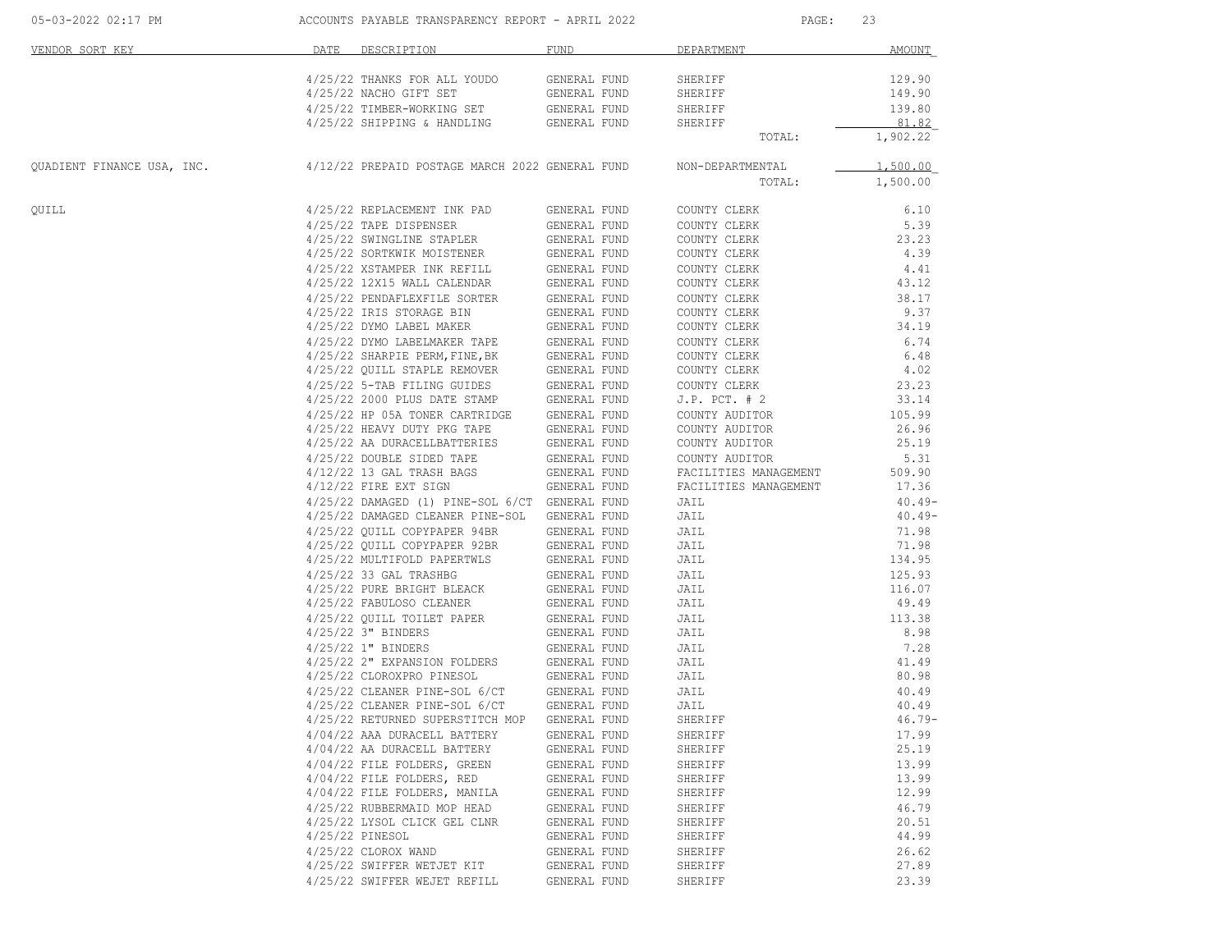| VENDOR SORT KEY            | DATE | DESCRIPTION                                                 | FUND         | DEPARTMENT            | AMOUNT          |
|----------------------------|------|-------------------------------------------------------------|--------------|-----------------------|-----------------|
|                            |      | 4/25/22 THANKS FOR ALL YOUDO                                | GENERAL FUND | SHERIFF               | 129.90          |
|                            |      | 4/25/22 NACHO GIFT SET                                      | GENERAL FUND | SHERIFF               | 149.90          |
|                            |      | 4/25/22 TIMBER-WORKING SET                                  | GENERAL FUND | SHERIFF               | 139.80          |
|                            |      | 4/25/22 SHIPPING & HANDLING                                 | GENERAL FUND | SHERIFF               | 81.82           |
|                            |      |                                                             |              | TOTAL:                | 1,902.22        |
| QUADIENT FINANCE USA, INC. |      | 4/12/22 PREPAID POSTAGE MARCH 2022 GENERAL FUND             |              | NON-DEPARTMENTAL      | <u>1,500.00</u> |
|                            |      |                                                             |              | TOTAL:                | 1,500.00        |
| OUILL                      |      | 4/25/22 REPLACEMENT INK PAD                                 | GENERAL FUND | COUNTY CLERK          | 6.10            |
|                            |      | 4/25/22 TAPE DISPENSER                                      | GENERAL FUND | COUNTY CLERK          | 5.39            |
|                            |      | 4/25/22 SWINGLINE STAPLER                                   | GENERAL FUND | COUNTY CLERK          | 23.23           |
|                            |      | 4/25/22 SORTKWIK MOISTENER                                  | GENERAL FUND | COUNTY CLERK          | 4.39            |
|                            |      | 4/25/22 XSTAMPER INK REFILL                                 | GENERAL FUND | COUNTY CLERK          | 4.41            |
|                            |      | 4/25/22 12X15 WALL CALENDAR                                 | GENERAL FUND | COUNTY CLERK          | 43.12           |
|                            |      | 4/25/22 PENDAFLEXFILE SORTER                                | GENERAL FUND | COUNTY CLERK          | 38.17           |
|                            |      | 4/25/22 IRIS STORAGE BIN                                    | GENERAL FUND | COUNTY CLERK          | 9.37            |
|                            |      | 4/25/22 DYMO LABEL MAKER                                    | GENERAL FUND | COUNTY CLERK          | 34.19           |
|                            |      | 4/25/22 DYMO LABELMAKER TAPE                                | GENERAL FUND | COUNTY CLERK          | 6.74            |
|                            |      | 4/25/22 SHARPIE PERM, FINE, BK                              | GENERAL FUND | COUNTY CLERK          | 6.48            |
|                            |      | 4/25/22 QUILL STAPLE REMOVER                                | GENERAL FUND | COUNTY CLERK          | 4.02            |
|                            |      | 4/25/22 5-TAB FILING GUIDES                                 | GENERAL FUND | COUNTY CLERK          | 23.23           |
|                            |      | 4/25/22 2000 PLUS DATE STAMP                                | GENERAL FUND | $J.P.$ PCT. $# 2$     | 33.14           |
|                            |      | 4/25/22 HP 05A TONER CARTRIDGE                              | GENERAL FUND | COUNTY AUDITOR        | 105.99          |
|                            |      | 4/25/22 HEAVY DUTY PKG TAPE                                 | GENERAL FUND | COUNTY AUDITOR        | 26.96           |
|                            |      | 4/25/22 AA DURACELLBATTERIES                                | GENERAL FUND | COUNTY AUDITOR        | 25.19           |
|                            |      | 4/25/22 DOUBLE SIDED TAPE                                   | GENERAL FUND | COUNTY AUDITOR        | 5.31            |
|                            |      | $4/12/22$ 13 GAL TRASH BAGS                                 | GENERAL FUND | FACILITIES MANAGEMENT | 509.90          |
|                            |      | $4/12/22$ FIRE EXT SIGN                                     | GENERAL FUND | FACILITIES MANAGEMENT | 17.36           |
|                            |      | 4/25/22 DAMAGED (1) PINE-SOL 6/CT GENERAL FUND              |              | JAIL                  | $40.49 -$       |
|                            |      | 4/25/22 DAMAGED CLEANER PINE-SOL                            | GENERAL FUND | JAIL                  | $40.49 -$       |
|                            |      | 4/25/22 QUILL COPYPAPER 94BR                                | GENERAL FUND | JAIL                  | 71.98           |
|                            |      | 4/25/22 QUILL COPYPAPER 92BR                                | GENERAL FUND | JAIL                  | 71.98           |
|                            |      | 4/25/22 MULTIFOLD PAPERTWLS                                 | GENERAL FUND | JAIL                  | 134.95          |
|                            |      | 4/25/22 33 GAL TRASHBG                                      | GENERAL FUND | JAIL                  | 125.93          |
|                            |      | 4/25/22 PURE BRIGHT BLEACK                                  | GENERAL FUND | JAIL                  | 116.07          |
|                            |      | 4/25/22 FABULOSO CLEANER                                    | GENERAL FUND | JAIL                  | 49.49           |
|                            |      | 4/25/22 QUILL TOILET PAPER                                  | GENERAL FUND | JAIL                  | 113.38          |
|                            |      | 4/25/22 3" BINDERS                                          | GENERAL FUND | JAIL                  | 8.98            |
|                            |      | 4/25/22 1" BINDERS                                          | GENERAL FUND | JAIL                  | 7.28            |
|                            |      | 4/25/22 2" EXPANSION FOLDERS                                | GENERAL FUND | JAIL                  | 41.49           |
|                            |      | 4/25/22 CLOROXPRO PINESOL                                   | GENERAL FUND | JAIL                  | 80.98           |
|                            |      | 4/25/22 CLEANER PINE-SOL 6/CT                               | GENERAL FUND | JAIL                  | 40.49           |
|                            |      | 4/25/22 CLEANER PINE-SOL 6/CT                               | GENERAL FUND | JAIL                  | 40.49           |
|                            |      | 4/25/22 RETURNED SUPERSTITCH MOP                            | GENERAL FUND | SHERIFF               | $46.79 -$       |
|                            |      | 4/04/22 AAA DURACELL BATTERY                                | GENERAL FUND | SHERIFF               | 17.99           |
|                            |      | 4/04/22 AA DURACELL BATTERY                                 | GENERAL FUND | SHERIFF               | 25.19           |
|                            |      | 4/04/22 FILE FOLDERS, GREEN                                 |              |                       |                 |
|                            |      | 4/04/22 FILE FOLDERS, RED                                   | GENERAL FUND | SHERIFF               | 13.99<br>13.99  |
|                            |      |                                                             | GENERAL FUND | SHERIFF               |                 |
|                            |      | 4/04/22 FILE FOLDERS, MANILA<br>4/25/22 RUBBERMAID MOP HEAD | GENERAL FUND | SHERIFF               | 12.99           |
|                            |      |                                                             | GENERAL FUND | SHERIFF               | 46.79           |
|                            |      | 4/25/22 LYSOL CLICK GEL CLNR                                | GENERAL FUND | SHERIFF               | 20.51           |
|                            |      | 4/25/22 PINESOL                                             | GENERAL FUND | SHERIFF               | 44.99           |
|                            |      | 4/25/22 CLOROX WAND                                         | GENERAL FUND | SHERIFF               | 26.62           |
|                            |      | 4/25/22 SWIFFER WETJET KIT                                  | GENERAL FUND | SHERIFF               | 27.89           |
|                            |      | 4/25/22 SWIFFER WEJET REFILL                                | GENERAL FUND | SHERIFF               | 23.39           |

05-03-2022 02:17 PM ACCOUNTS PAYABLE TRANSPARENCY REPORT - APRIL 2022 PAGE: 23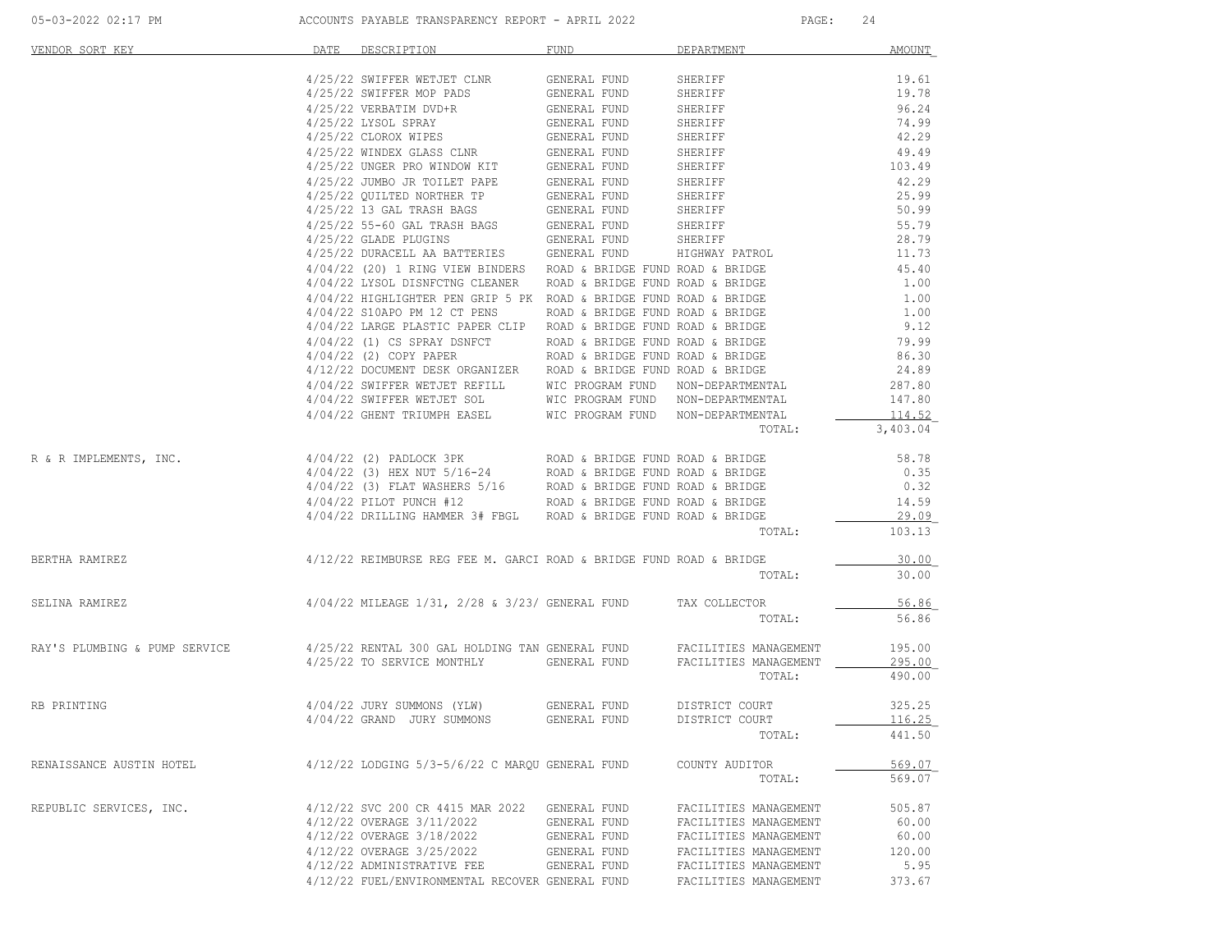| VENDOR SORT KEY                                                                                                                                                                                                                                 | DATE DESCRIPTION                                                                                                                                                                                                                           | FUND FUND    | DEPARTMENT            | <b>AMOUNT</b>    |
|-------------------------------------------------------------------------------------------------------------------------------------------------------------------------------------------------------------------------------------------------|--------------------------------------------------------------------------------------------------------------------------------------------------------------------------------------------------------------------------------------------|--------------|-----------------------|------------------|
|                                                                                                                                                                                                                                                 | 4/25/22 SWIFFER WETJET CLNR GENERAL FUND                                                                                                                                                                                                   |              | SHERIFF               | 19.61            |
|                                                                                                                                                                                                                                                 |                                                                                                                                                                                                                                            |              |                       |                  |
|                                                                                                                                                                                                                                                 |                                                                                                                                                                                                                                            |              |                       |                  |
|                                                                                                                                                                                                                                                 |                                                                                                                                                                                                                                            |              |                       |                  |
|                                                                                                                                                                                                                                                 |                                                                                                                                                                                                                                            |              |                       |                  |
|                                                                                                                                                                                                                                                 |                                                                                                                                                                                                                                            |              |                       |                  |
|                                                                                                                                                                                                                                                 |                                                                                                                                                                                                                                            |              |                       |                  |
|                                                                                                                                                                                                                                                 |                                                                                                                                                                                                                                            |              |                       |                  |
|                                                                                                                                                                                                                                                 |                                                                                                                                                                                                                                            |              |                       |                  |
|                                                                                                                                                                                                                                                 |                                                                                                                                                                                                                                            |              |                       |                  |
|                                                                                                                                                                                                                                                 |                                                                                                                                                                                                                                            |              |                       |                  |
|                                                                                                                                                                                                                                                 |                                                                                                                                                                                                                                            |              |                       |                  |
|                                                                                                                                                                                                                                                 |                                                                                                                                                                                                                                            |              |                       | 45.40            |
|                                                                                                                                                                                                                                                 |                                                                                                                                                                                                                                            |              |                       | 1.00             |
|                                                                                                                                                                                                                                                 | 4/04/22 (20) 1 RING VIEW BINDERS<br>4/04/22 (20) 1 RING VIEW BINDERS<br>4/04/22 LYSOL DISNECTNG CLEANER<br>4/04/22 HIGHLIGHTER PEN GRIP 5 PK ROAD & BRIDGE FUND ROAD & BRIDGE<br>4/04/22 HIGHLIGHTER PEN GRIP 5 PK ROAD & BRIDGE FUND ROAD |              |                       | $1.00$<br>$1.00$ |
|                                                                                                                                                                                                                                                 |                                                                                                                                                                                                                                            |              |                       |                  |
|                                                                                                                                                                                                                                                 |                                                                                                                                                                                                                                            |              |                       | 9.12             |
|                                                                                                                                                                                                                                                 |                                                                                                                                                                                                                                            |              |                       | 79.99            |
|                                                                                                                                                                                                                                                 |                                                                                                                                                                                                                                            |              |                       |                  |
|                                                                                                                                                                                                                                                 |                                                                                                                                                                                                                                            |              |                       |                  |
|                                                                                                                                                                                                                                                 |                                                                                                                                                                                                                                            |              |                       |                  |
|                                                                                                                                                                                                                                                 | 4/04/22 (1) US SPRAY DSNEUT KOAD & BRIDGE FUND ROAD & BRIDGE (1) US SPRAY DSNEUT ROAD & BRIDGE FUND ROAD & BRIDGE (1) 08<br>4/04/22 DOCUMENT DESK ORGANIZER ROAD & BRIDGE FUND ROAD & BRIDGE (24.89<br>4/04/22 SWIFFER WETJET REFILL       |              |                       | 114.52           |
|                                                                                                                                                                                                                                                 |                                                                                                                                                                                                                                            |              | TOTAL:                | 3,403.04         |
|                                                                                                                                                                                                                                                 |                                                                                                                                                                                                                                            |              |                       | 58.78            |
|                                                                                                                                                                                                                                                 |                                                                                                                                                                                                                                            |              |                       | 0.35             |
|                                                                                                                                                                                                                                                 |                                                                                                                                                                                                                                            |              |                       | 0.32             |
|                                                                                                                                                                                                                                                 |                                                                                                                                                                                                                                            |              |                       | 14.59            |
| R & R IMPLEMENTS, INC. $4/04/22$ (2) PADLOCK 3PK<br>4/04/22 (3) HEX NUT 5/16-24<br>4/04/22 (3) FLAT WASHERS 5/16<br>4/04/22 PILOT PUNCH #12<br>4/04/22 PILOT PUNCH #12<br>4/04/22 DRILLING HAMMER 3# FBGL ROAD & BRIDGE FUND ROAD & BRIDGE<br>4 |                                                                                                                                                                                                                                            |              |                       | 29.09            |
|                                                                                                                                                                                                                                                 |                                                                                                                                                                                                                                            |              | TOTAL:                | 103.13           |
| BERTHA RAMIREZ <b>ACCOMPT A SET ALL AND SET A</b> GARCI ROAD & BRIDGE FUND ROAD & BRIDGE                                                                                                                                                        |                                                                                                                                                                                                                                            |              |                       | 30.00            |
|                                                                                                                                                                                                                                                 |                                                                                                                                                                                                                                            |              | TOTAL:                | 30.00            |
| SELINA RAMIREZ                                                                                                                                                                                                                                  | 4/04/22 MILEAGE 1/31, 2/28 & 3/23/ GENERAL FUND TAX COLLECTOR                                                                                                                                                                              |              |                       | 56.86            |
|                                                                                                                                                                                                                                                 |                                                                                                                                                                                                                                            |              | TOTAL:                | 56.86            |
| RAY'S PLUMBING & PUMP SERVICE                                                                                                                                                                                                                   | 4/25/22 RENTAL 300 GAL HOLDING TAN GENERAL FUND FACILITIES MANAGEMENT                                                                                                                                                                      |              |                       | 195.00           |
|                                                                                                                                                                                                                                                 | 4/25/22 TO SERVICE MONTHLY GENERAL FUND FACILITIES MANAGEMENT                                                                                                                                                                              |              |                       | 295.00           |
|                                                                                                                                                                                                                                                 |                                                                                                                                                                                                                                            |              | TOTAL:                | 490.00           |
| 4/04/22 JUKI SUPERTURY (1200)<br>RB PRINTING                                                                                                                                                                                                    | 4/04/22 JURY SUMMONS (YLW) GENERAL FUND DISTRICT COURT                                                                                                                                                                                     |              |                       | 325.25           |
|                                                                                                                                                                                                                                                 |                                                                                                                                                                                                                                            | GENERAL FUND | DISTRICT COURT        | 116.25           |
|                                                                                                                                                                                                                                                 |                                                                                                                                                                                                                                            |              | TOTAL:                | 441.50           |
| RENAISSANCE AUSTIN HOTEL                                                                                                                                                                                                                        | $4/12/22$ LODGING 5/3-5/6/22 C MARQU GENERAL FUND                                                                                                                                                                                          |              | COUNTY AUDITOR        | 569.07           |
|                                                                                                                                                                                                                                                 |                                                                                                                                                                                                                                            |              | TOTAL:                | 569.07           |
| REPUBLIC SERVICES, INC.                                                                                                                                                                                                                         | 4/12/22 SVC 200 CR 4415 MAR 2022 GENERAL FUND                                                                                                                                                                                              |              | FACILITIES MANAGEMENT | 505.87           |
|                                                                                                                                                                                                                                                 | 4/12/22 OVERAGE 3/11/2022                                                                                                                                                                                                                  | GENERAL FUND | FACILITIES MANAGEMENT | 60.00            |
|                                                                                                                                                                                                                                                 | 4/12/22 OVERAGE 3/18/2022                                                                                                                                                                                                                  | GENERAL FUND | FACILITIES MANAGEMENT | 60.00            |
|                                                                                                                                                                                                                                                 | 4/12/22 OVERAGE 3/25/2022                                                                                                                                                                                                                  | GENERAL FUND | FACILITIES MANAGEMENT | 120.00           |
|                                                                                                                                                                                                                                                 | 4/12/22 ADMINISTRATIVE FEE                                                                                                                                                                                                                 | GENERAL FUND | FACILITIES MANAGEMENT | 5.95             |
|                                                                                                                                                                                                                                                 | 4/12/22 FUEL/ENVIRONMENTAL RECOVER GENERAL FUND                                                                                                                                                                                            |              | FACILITIES MANAGEMENT | 373.67           |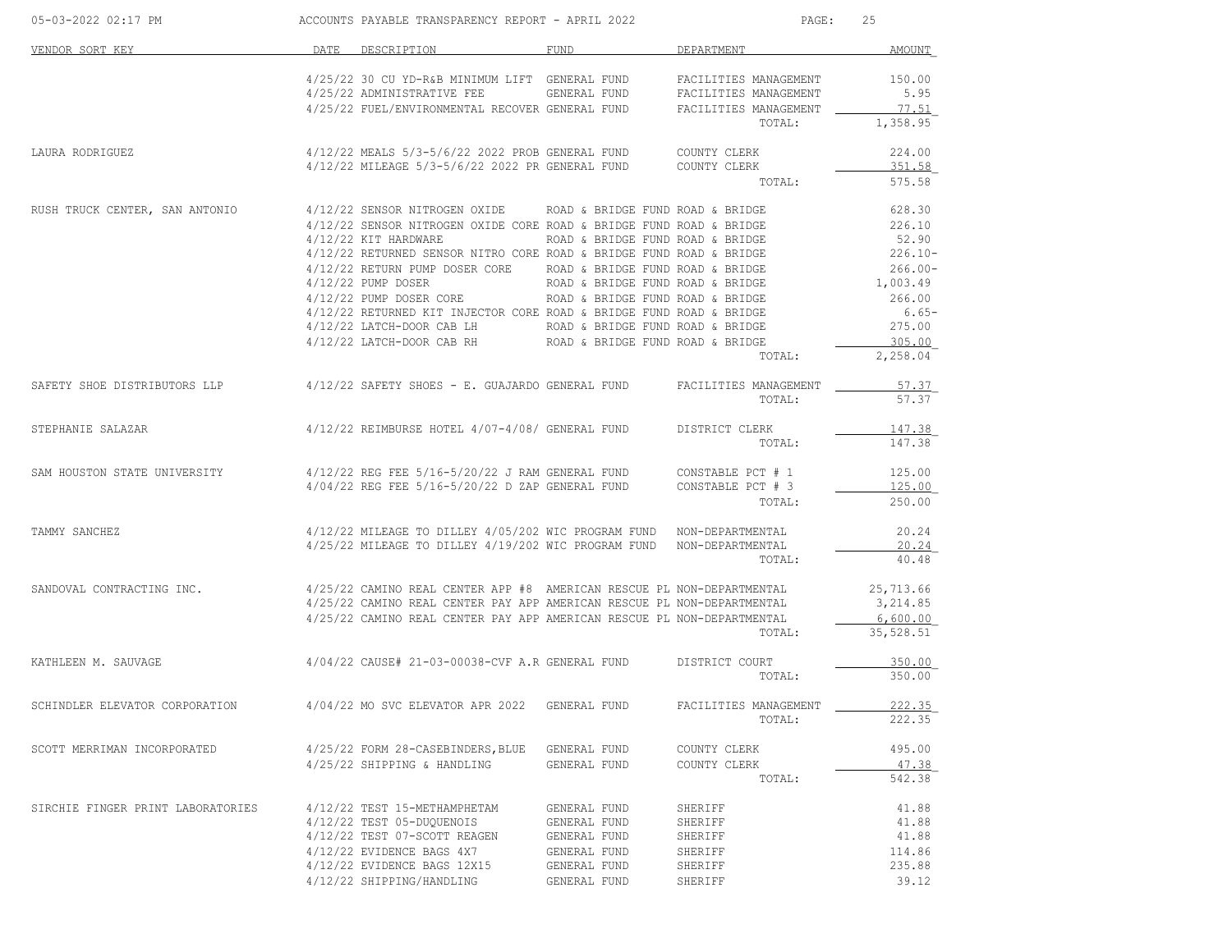| 05-03-2022 02:17 PM                                                                                | ACCOUNTS PAYABLE TRANSPARENCY REPORT - APRIL 2022                                                                                                                                                                                                                                                                                                                                                                                                                                                                                                                        |                                                                                              | PAGE:                                                                 | 25                                                                                                                    |
|----------------------------------------------------------------------------------------------------|--------------------------------------------------------------------------------------------------------------------------------------------------------------------------------------------------------------------------------------------------------------------------------------------------------------------------------------------------------------------------------------------------------------------------------------------------------------------------------------------------------------------------------------------------------------------------|----------------------------------------------------------------------------------------------|-----------------------------------------------------------------------|-----------------------------------------------------------------------------------------------------------------------|
| VENDOR SORT KEY                                                                                    | DATE DESCRIPTION                                                                                                                                                                                                                                                                                                                                                                                                                                                                                                                                                         | FUND                                                                                         | DEPARTMENT                                                            | <b>AMOUNT</b>                                                                                                         |
|                                                                                                    | 4/25/22 30 CU YD-R&B MINIMUM LIFT GENERAL FUND<br>4/25/22 ADMINISTRATIVE FEE<br>$4/25/22\,$ FUEL/ENVIRONMENTAL RECOVER GENERAL FUND $$\tt FACILITIES$ MANAGEMENT                                                                                                                                                                                                                                                                                                                                                                                                         |                                                                                              | FACILITIES MANAGEMENT<br>GENERAL FUND FACILITIES MANAGEMENT<br>TOTAL: | 150.00<br>5.95<br>77.51<br>1,358.95                                                                                   |
| LAURA RODRIGUEZ                                                                                    | 4/12/22 MEALS 5/3-5/6/22 2022 PROB GENERAL FUND COUNTY CLERK<br>$4/12/22$ MILEAGE 5/3-5/6/22 2022 PR GENERAL FUND COUNTY CLERK                                                                                                                                                                                                                                                                                                                                                                                                                                           |                                                                                              | TOTAL:                                                                | 224.00<br>351.58<br>575.58                                                                                            |
| RUSH TRUCK CENTER, SAN ANTONIO $4/12/22$ SENSOR NITROGEN OXIDE ROAD & BRIDGE FUND ROAD & BRIDGE    | 4/12/22 SENSOR NITROGEN OXIDE CORE ROAD & BRIDGE FUND ROAD & BRIDGE<br>$4/12/22$ KIT HARDWARE<br>$4/12/22$ RETURNED SENSOR NITRO CORE ROAD & BRIDGE FUND ROAD & BRIDGE<br>$4/12/22$ RETURN PUMP DOSER CORE ROAD & BRIDGE FUND ROAD & BRIDGE $4/12/22$ PUMP DOSER ROAD & BRIDGE FUND ROAD & BRIDGE<br>$4/12/22$ PUMP DOSER CORE ROAD & BRIDGE FUND ROAD & BRIDGE<br>$4/12/22$ RETURNED KIT INJECTOR CORE ROAD & BRIDGE FUND ROAD & BRIDGE<br>$4/12/22$ LATCH-DOOR CAB LH ROAD & BRIDGE FUND ROAD & BRIDGE<br>$4/12/22$ LATCH-DOOR CAB RH ROAD & BRIDGE FUND ROAD & BRIDGE |                                                                                              | TOTAL:                                                                | 628.30<br>226.10<br>52.90<br>$226.10 -$<br>$266.00-$<br>1,003.49<br>266.00<br>$6.65-$<br>275.00<br>305.00<br>2,258.04 |
| SAFETY SHOE DISTRIBUTORS LLP 4/12/22 SAFETY SHOES - E. GUAJARDO GENERAL FUND FACILITIES MANAGEMENT |                                                                                                                                                                                                                                                                                                                                                                                                                                                                                                                                                                          |                                                                                              | TOTAL:                                                                | 57.37<br>57.37                                                                                                        |
| STEPHANIE SALAZAR                                                                                  | $4/12/22$ REIMBURSE HOTEL $4/07-4/08/$ GENERAL FUND                                                                                                                                                                                                                                                                                                                                                                                                                                                                                                                      |                                                                                              | DISTRICT CLERK<br>TOTAL:                                              | 147.38<br>147.38                                                                                                      |
| SAM HOUSTON STATE UNIVERSITY                                                                       | 4/12/22 REG FEE 5/16-5/20/22 J RAM GENERAL FUND<br>4/04/22 REG FEE 5/16-5/20/22 D ZAP GENERAL FUND                                                                                                                                                                                                                                                                                                                                                                                                                                                                       |                                                                                              | CONSTABLE PCT # 1<br>CONSTABLE PCT # 3<br>TOTAL:                      | 125.00<br>125.00<br>250.00                                                                                            |
| TAMMY SANCHEZ                                                                                      | 4/12/22 MILEAGE TO DILLEY 4/05/202 WIC PROGRAM FUND NON-DEPARTMENTAL<br>4/25/22 MILEAGE TO DILLEY 4/19/202 WIC PROGRAM FUND NON-DEPARTMENTAL                                                                                                                                                                                                                                                                                                                                                                                                                             |                                                                                              | TOTAL:                                                                | 20.24<br>20.24<br>40.48                                                                                               |
| SANDOVAL CONTRACTING INC. 4/25/22 CAMINO REAL CENTER APP #8 AMERICAN RESCUE PL NON-DEPARTMENTAL    | 4/25/22 CAMINO REAL CENTER PAY APP AMERICAN RESCUE PL NON-DEPARTMENTAL<br>4/25/22 CAMINO REAL CENTER PAY APP AMERICAN RESCUE PL NON-DEPARTMENTAL                                                                                                                                                                                                                                                                                                                                                                                                                         |                                                                                              | TOTAL:                                                                | 25,713.66<br>3,214.85<br>6,600.00<br>35,528.51                                                                        |
| KATHLEEN M. SAUVAGE                                                                                | 4/04/22 CAUSE# 21-03-00038-CVF A.R GENERAL FUND DISTRICT COURT                                                                                                                                                                                                                                                                                                                                                                                                                                                                                                           |                                                                                              | TOTAL:                                                                | 350.00<br>350.00                                                                                                      |
| SCHINDLER ELEVATOR CORPORATION                                                                     | 4/04/22 MO SVC ELEVATOR APR 2022 GENERAL FUND                                                                                                                                                                                                                                                                                                                                                                                                                                                                                                                            |                                                                                              | FACILITIES MANAGEMENT<br>TOTAL:                                       | 222.35<br>222.35                                                                                                      |
| SCOTT MERRIMAN INCORPORATED                                                                        | 4/25/22 FORM 28-CASEBINDERS, BLUE<br>4/25/22 SHIPPING & HANDLING                                                                                                                                                                                                                                                                                                                                                                                                                                                                                                         | GENERAL FUND<br>GENERAL FUND                                                                 | COUNTY CLERK<br>COUNTY CLERK<br>TOTAL:                                | 495.00<br>47.38<br>542.38                                                                                             |
| SIRCHIE FINGER PRINT LABORATORIES                                                                  | 4/12/22 TEST 15-METHAMPHETAM<br>4/12/22 TEST 05-DUOUENOIS<br>4/12/22 TEST 07-SCOTT REAGEN<br>4/12/22 EVIDENCE BAGS 4X7<br>4/12/22 EVIDENCE BAGS 12X15<br>4/12/22 SHIPPING/HANDLING                                                                                                                                                                                                                                                                                                                                                                                       | GENERAL FUND<br>GENERAL FUND<br>GENERAL FUND<br>GENERAL FUND<br>GENERAL FUND<br>GENERAL FUND | SHERIFF<br>SHERIFF<br>SHERIFF<br>SHERIFF<br>SHERIFF<br>SHERIFF        | 41.88<br>41.88<br>41.88<br>114.86<br>235.88<br>39.12                                                                  |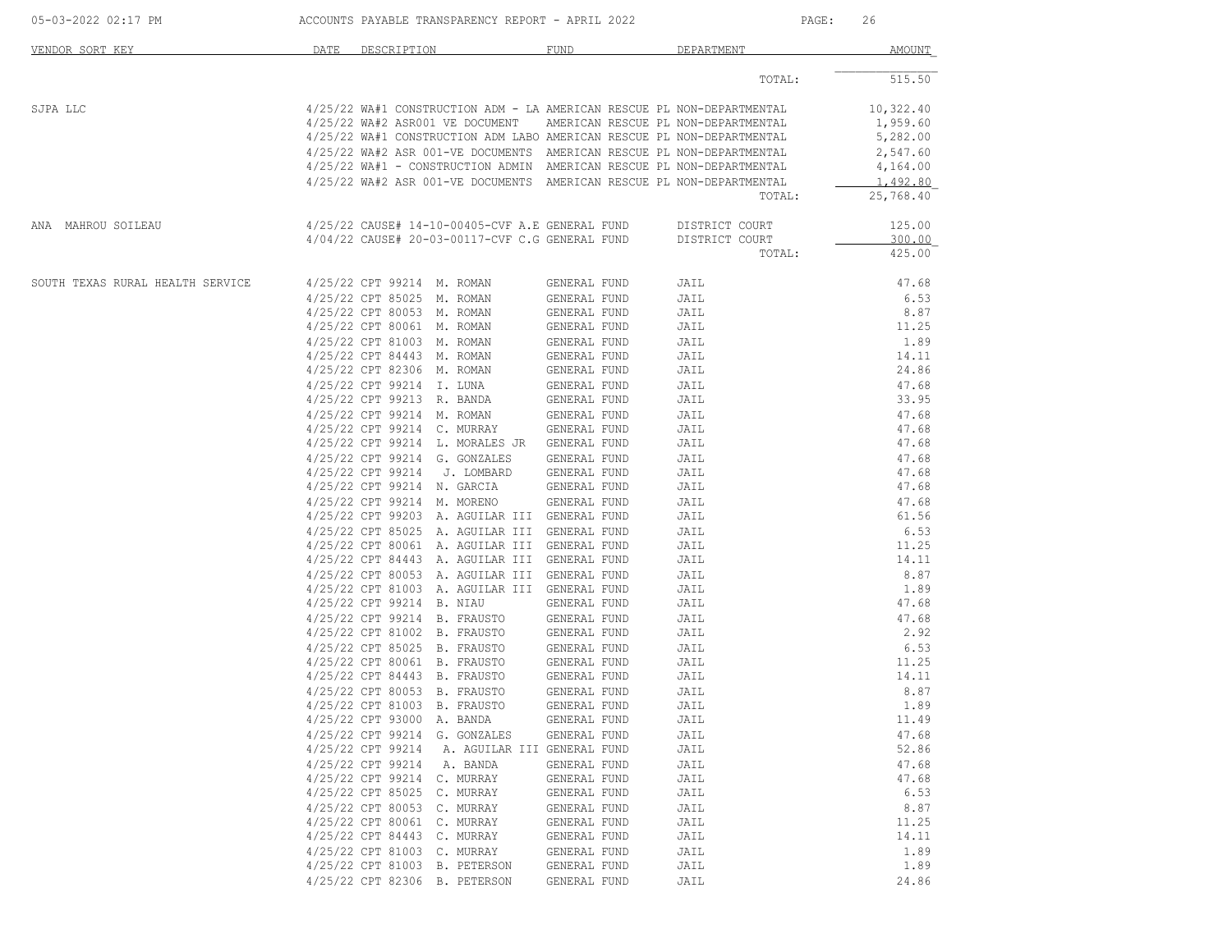| 05-03-2022 02:17 PM              |      | ACCOUNTS PAYABLE TRANSPARENCY REPORT - APRIL 2022                      |                                     | PAGE:          | 26             |
|----------------------------------|------|------------------------------------------------------------------------|-------------------------------------|----------------|----------------|
| VENDOR SORT KEY                  | DATE | DESCRIPTION                                                            | FUND                                | DEPARTMENT     | AMOUNT         |
|                                  |      |                                                                        |                                     | TOTAL:         | 515.50         |
| SJPA LLC                         |      | 4/25/22 WA#1 CONSTRUCTION ADM - LA AMERICAN RESCUE PL NON-DEPARTMENTAL |                                     |                | 10,322.40      |
|                                  |      | 4/25/22 WA#2 ASR001 VE DOCUMENT                                        | AMERICAN RESCUE PL NON-DEPARTMENTAL |                | 1,959.60       |
|                                  |      | 4/25/22 WA#1 CONSTRUCTION ADM LABO AMERICAN RESCUE PL NON-DEPARTMENTAL |                                     |                | 5,282.00       |
|                                  |      | 4/25/22 WA#2 ASR 001-VE DOCUMENTS AMERICAN RESCUE PL NON-DEPARTMENTAL  |                                     |                | 2,547.60       |
|                                  |      | 4/25/22 WA#1 - CONSTRUCTION ADMIN AMERICAN RESCUE PL NON-DEPARTMENTAL  |                                     |                | 4,164.00       |
|                                  |      | 4/25/22 WA#2 ASR 001-VE DOCUMENTS AMERICAN RESCUE PL NON-DEPARTMENTAL  |                                     |                | 1,492.80       |
|                                  |      |                                                                        |                                     | TOTAL:         | 25,768.40      |
| ANA MAHROU SOILEAU               |      | 4/25/22 CAUSE# 14-10-00405-CVF A.E GENERAL FUND                        |                                     | DISTRICT COURT | 125.00         |
|                                  |      | 4/04/22 CAUSE# 20-03-00117-CVF C.G GENERAL FUND                        |                                     | DISTRICT COURT | 300.00         |
|                                  |      |                                                                        |                                     | TOTAL:         | 425.00         |
| SOUTH TEXAS RURAL HEALTH SERVICE |      | 4/25/22 CPT 99214 M. ROMAN                                             | GENERAL FUND                        | JAIL           | 47.68          |
|                                  |      | 4/25/22 CPT 85025 M. ROMAN                                             | GENERAL FUND                        | JAIL           | 6.53           |
|                                  |      | 4/25/22 CPT 80053 M. ROMAN                                             | GENERAL FUND                        | JAIL           | 8.87           |
|                                  |      | 4/25/22 CPT 80061 M. ROMAN                                             | GENERAL FUND                        | JAIL           | 11.25          |
|                                  |      | 4/25/22 CPT 81003 M. ROMAN                                             | GENERAL FUND                        | JAIL           | 1.89           |
|                                  |      | 4/25/22 CPT 84443 M. ROMAN                                             | GENERAL FUND                        | JAIL           | 14.11          |
|                                  |      | 4/25/22 CPT 82306 M. ROMAN                                             | GENERAL FUND                        | JAIL           | 24.86          |
|                                  |      | 4/25/22 CPT 99214 I. LUNA                                              | GENERAL FUND                        | JAIL           | 47.68          |
|                                  |      | 4/25/22 CPT 99213 R. BANDA                                             | GENERAL FUND                        | JAIL           | 33.95          |
|                                  |      | 4/25/22 CPT 99214 M. ROMAN                                             | GENERAL FUND                        | JAIL           | 47.68          |
|                                  |      | 4/25/22 CPT 99214 C. MURRAY                                            | GENERAL FUND                        | JAIL           | 47.68          |
|                                  |      | 4/25/22 CPT 99214 L. MORALES JR                                        | GENERAL FUND                        | JAIL           | 47.68          |
|                                  |      | 4/25/22 CPT 99214 G. GONZALES                                          | GENERAL FUND                        | JAIL           | 47.68          |
|                                  |      | 4/25/22 CPT 99214 J. LOMBARD                                           | GENERAL FUND                        | JAIL           | 47.68          |
|                                  |      | 4/25/22 CPT 99214 N. GARCIA                                            | GENERAL FUND                        | JAIL           | 47.68          |
|                                  |      | 4/25/22 CPT 99214 M. MORENO                                            | GENERAL FUND                        | JAIL           | 47.68          |
|                                  |      | 4/25/22 CPT 99203 A. AGUILAR III GENERAL FUND                          |                                     | JAIL           | 61.56          |
|                                  |      | 4/25/22 CPT 85025 A. AGUILAR III GENERAL FUND                          |                                     | JAIL           | 6.53           |
|                                  |      | 4/25/22 CPT 80061 A. AGUILAR III GENERAL FUND                          |                                     | JAIL           | 11.25          |
|                                  |      | 4/25/22 CPT 84443 A. AGUILAR III GENERAL FUND                          |                                     | JAIL           | 14.11          |
|                                  |      | 4/25/22 CPT 80053 A. AGUILAR III GENERAL FUND                          |                                     | JAIL           | 8.87           |
|                                  |      | 4/25/22 CPT 81003 A. AGUILAR III GENERAL FUND                          |                                     | JAIL           | 1.89           |
|                                  |      | 4/25/22 CPT 99214 B. NIAU                                              | GENERAL FUND                        | JAIL           | 47.68          |
|                                  |      | 4/25/22 CPT 99214 B. FRAUSTO                                           | GENERAL FUND                        | JAIL           | 47.68          |
|                                  |      | 4/25/22 CPT 81002 B. FRAUSTO                                           | GENERAL FUND                        | JAIL           | 2.92           |
|                                  |      | 4/25/22 CPT 85025 B. FRAUSTO                                           | GENERAL FUND                        | JAIL           | 6.53           |
|                                  |      | 4/25/22 CPT 80061 B. FRAUSTO                                           | GENERAL FUND                        | JAIL           | 11.25          |
|                                  |      | 4/25/22 CPT 84443 B. FRAUSTO                                           | GENERAL FUND                        | JAIL           | 14.11          |
|                                  |      | 4/25/22 CPT 80053 B. FRAUSTO                                           | GENERAL FUND                        | JAIL           | 8.87           |
|                                  |      | 4/25/22 CPT 81003 B. FRAUSTO<br>4/25/22 CPT 93000 A. BANDA             | GENERAL FUND                        | JAIL           | 1.89<br>11.49  |
|                                  |      | 4/25/22 CPT 99214 G. GONZALES                                          | GENERAL FUND<br>GENERAL FUND        | JAIL<br>JAIL   | 47.68          |
|                                  |      | 4/25/22 CPT 99214 A. AGUILAR III GENERAL FUND                          |                                     | JAIL           | 52.86          |
|                                  |      |                                                                        |                                     |                |                |
|                                  |      | 4/25/22 CPT 99214 A. BANDA<br>4/25/22 CPT 99214 C. MURRAY              | GENERAL FUND<br>GENERAL FUND        | JAIL<br>JAIL   | 47.68<br>47.68 |
|                                  |      | 4/25/22 CPT 85025 C. MURRAY                                            | GENERAL FUND                        | JAIL           | 6.53           |
|                                  |      | 4/25/22 CPT 80053 C. MURRAY                                            | GENERAL FUND                        | JAIL           | 8.87           |
|                                  |      | 4/25/22 CPT 80061 C. MURRAY                                            | GENERAL FUND                        | JAIL           | 11.25          |
|                                  |      | 4/25/22 CPT 84443 C. MURRAY                                            | GENERAL FUND                        | JAIL           | 14.11          |
|                                  |      | 4/25/22 CPT 81003 C. MURRAY                                            | GENERAL FUND                        | JAIL           | 1.89           |
|                                  |      | 4/25/22 CPT 81003 B. PETERSON                                          | GENERAL FUND                        | JAIL           | 1.89           |
|                                  |      | 4/25/22 CPT 82306 B. PETERSON                                          | GENERAL FUND                        | JAIL           | 24.86          |
|                                  |      |                                                                        |                                     |                |                |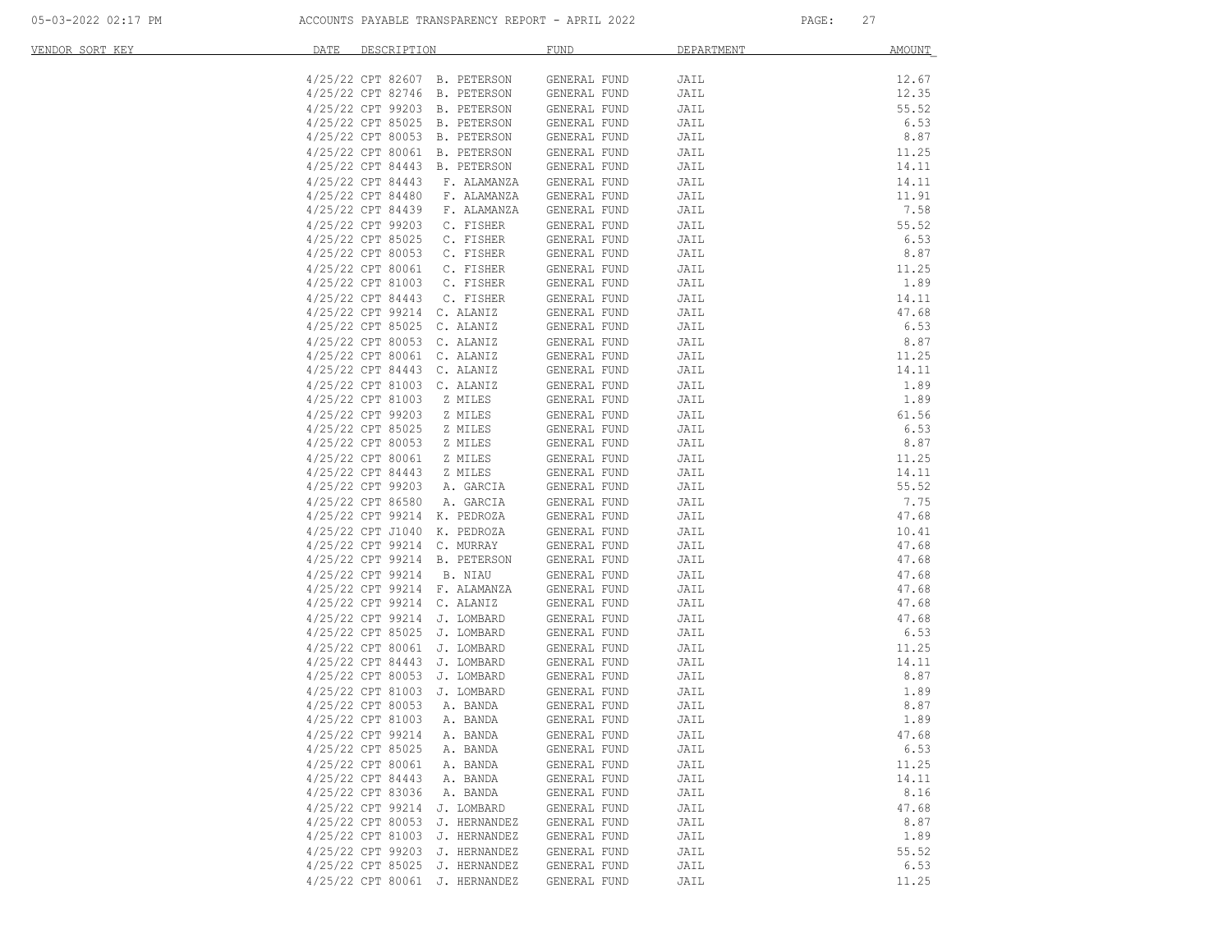| VENDOR SORT KEY | DATE<br>DESCRIPTION            |           | <b>FUND</b>  | DEPARTMENT | <b>AMOUNT</b> |
|-----------------|--------------------------------|-----------|--------------|------------|---------------|
|                 | 4/25/22 CPT 82607 B. PETERSON  |           | GENERAL FUND | JAIL       | 12.67         |
|                 | 4/25/22 CPT 82746 B. PETERSON  |           | GENERAL FUND | JAIL       | 12.35         |
|                 | 4/25/22 CPT 99203 B. PETERSON  |           | GENERAL FUND | JAIL       | 55.52         |
|                 | 4/25/22 CPT 85025 B. PETERSON  |           | GENERAL FUND | JAIL       | 6.53          |
|                 | 4/25/22 CPT 80053 B. PETERSON  |           | GENERAL FUND | JAIL       | 8.87          |
|                 |                                |           |              |            |               |
|                 | 4/25/22 CPT 80061 B. PETERSON  |           | GENERAL FUND | JAIL       | 11.25         |
|                 | 4/25/22 CPT 84443 B. PETERSON  |           | GENERAL FUND | JAIL       | 14.11         |
|                 | 4/25/22 CPT 84443 F. ALAMANZA  |           | GENERAL FUND | JAIL       | 14.11         |
|                 | 4/25/22 CPT 84480 F. ALAMANZA  |           | GENERAL FUND | JAIL       | 11.91         |
|                 | 4/25/22 CPT 84439 F. ALAMANZA  |           | GENERAL FUND | JAIL       | 7.58          |
|                 | 4/25/22 CPT 99203 C. FISHER    |           | GENERAL FUND | JAIL       | 55.52         |
|                 | 4/25/22 CPT 85025              | C. FISHER | GENERAL FUND | JAIL       | 6.53          |
|                 | 4/25/22 CPT 80053              | C. FISHER | GENERAL FUND | JAIL       | 8.87          |
|                 | 4/25/22 CPT 80061 C. FISHER    |           | GENERAL FUND | JAIL       | 11.25         |
|                 | 4/25/22 CPT 81003 C. FISHER    |           | GENERAL FUND | JAIL       | 1.89          |
|                 | 4/25/22 CPT 84443              | C. FISHER | GENERAL FUND | JAIL       | 14.11         |
|                 | 4/25/22 CPT 99214 C. ALANIZ    |           | GENERAL FUND | JAIL       | 47.68         |
|                 | 4/25/22 CPT 85025 C. ALANIZ    |           | GENERAL FUND | JAIL       | 6.53          |
|                 | 4/25/22 CPT 80053 C. ALANIZ    |           | GENERAL FUND | JAIL       | 8.87          |
|                 | 4/25/22 CPT 80061 C. ALANIZ    |           | GENERAL FUND | JAIL       | 11.25         |
|                 | 4/25/22 CPT 84443 C. ALANIZ    |           | GENERAL FUND | JAIL       | 14.11         |
|                 | 4/25/22 CPT 81003 C. ALANIZ    |           | GENERAL FUND | JAIL       | 1.89          |
|                 | 4/25/22 CPT 81003              | Z MILES   | GENERAL FUND | JAIL       | 1.89          |
|                 | 4/25/22 CPT 99203 Z MILES      |           | GENERAL FUND | JAIL       | 61.56         |
|                 | 4/25/22 CPT 85025 Z MILES      |           | GENERAL FUND | JAIL       | 6.53          |
|                 | 4/25/22 CPT 80053 Z MILES      |           | GENERAL FUND | JAIL       | 8.87          |
|                 | 4/25/22 CPT 80061 Z MILES      |           | GENERAL FUND | JAIL       | 11.25         |
|                 | 4/25/22 CPT 84443 Z MILES      |           | GENERAL FUND | JAIL       | 14.11         |
|                 | 4/25/22 CPT 99203 A. GARCIA    |           | GENERAL FUND | JAIL       | 55.52         |
|                 | 4/25/22 CPT 86580 A. GARCIA    |           | GENERAL FUND | JAIL       | 7.75          |
|                 | 4/25/22 CPT 99214 K. PEDROZA   |           |              |            | 47.68         |
|                 |                                |           | GENERAL FUND | JAIL       |               |
|                 | 4/25/22 CPT J1040 K. PEDROZA   |           | GENERAL FUND | JAIL       | 10.41         |
|                 | 4/25/22 CPT 99214 C. MURRAY    |           | GENERAL FUND | JAIL       | 47.68         |
|                 | 4/25/22 CPT 99214 B. PETERSON  |           | GENERAL FUND | JAIL       | 47.68         |
|                 | 4/25/22 CPT 99214              | B. NIAU   | GENERAL FUND | JAIL       | 47.68         |
|                 | 4/25/22 CPT 99214 F. ALAMANZA  |           | GENERAL FUND | JAIL       | 47.68         |
|                 | 4/25/22 CPT 99214 C. ALANIZ    |           | GENERAL FUND | JAIL       | 47.68         |
|                 | 4/25/22 CPT 99214 J. LOMBARD   |           | GENERAL FUND | JAIL       | 47.68         |
|                 | 4/25/22 CPT 85025 J. LOMBARD   |           | GENERAL FUND | JAIL       | 6.53          |
|                 | 4/25/22 CPT 80061 J. LOMBARD   |           | GENERAL FUND | JAIL       | 11.25         |
|                 | 4/25/22 CPT 84443 J. LOMBARD   |           | GENERAL FUND | JAIL       | 14.11         |
|                 | 4/25/22 CPT 80053 J. LOMBARD   |           | GENERAL FUND | JAIL       | 8.87          |
|                 | 4/25/22 CPT 81003 J. LOMBARD   |           | GENERAL FUND | JAIL       | 1.89          |
|                 | 4/25/22 CPT 80053 A. BANDA     |           | GENERAL FUND | JAIL       | 8.87          |
|                 | 4/25/22 CPT 81003              | A. BANDA  | GENERAL FUND | JAIL       | 1.89          |
|                 | 4/25/22 CPT 99214 A. BANDA     |           | GENERAL FUND | JAIL       | 47.68         |
|                 | 4/25/22 CPT 85025              | A. BANDA  | GENERAL FUND | JAIL       | 6.53          |
|                 | 4/25/22 CPT 80061 A. BANDA     |           | GENERAL FUND | JAIL       | 11.25         |
|                 | 4/25/22 CPT 84443 A. BANDA     |           | GENERAL FUND | JAIL       | 14.11         |
|                 | 4/25/22 CPT 83036 A. BANDA     |           | GENERAL FUND | JAIL       | 8.16          |
|                 | 4/25/22 CPT 99214 J. LOMBARD   |           | GENERAL FUND | JAIL       | 47.68         |
|                 | 4/25/22 CPT 80053 J. HERNANDEZ |           | GENERAL FUND | JAIL       | 8.87          |
|                 | 4/25/22 CPT 81003 J. HERNANDEZ |           | GENERAL FUND | JAIL       | 1.89          |
|                 | 4/25/22 CPT 99203 J. HERNANDEZ |           | GENERAL FUND | JAIL       | 55.52         |
|                 | 4/25/22 CPT 85025 J. HERNANDEZ |           | GENERAL FUND | JAIL       | 6.53          |
|                 | 4/25/22 CPT 80061 J. HERNANDEZ |           | GENERAL FUND | JAIL       | 11.25         |
|                 |                                |           |              |            |               |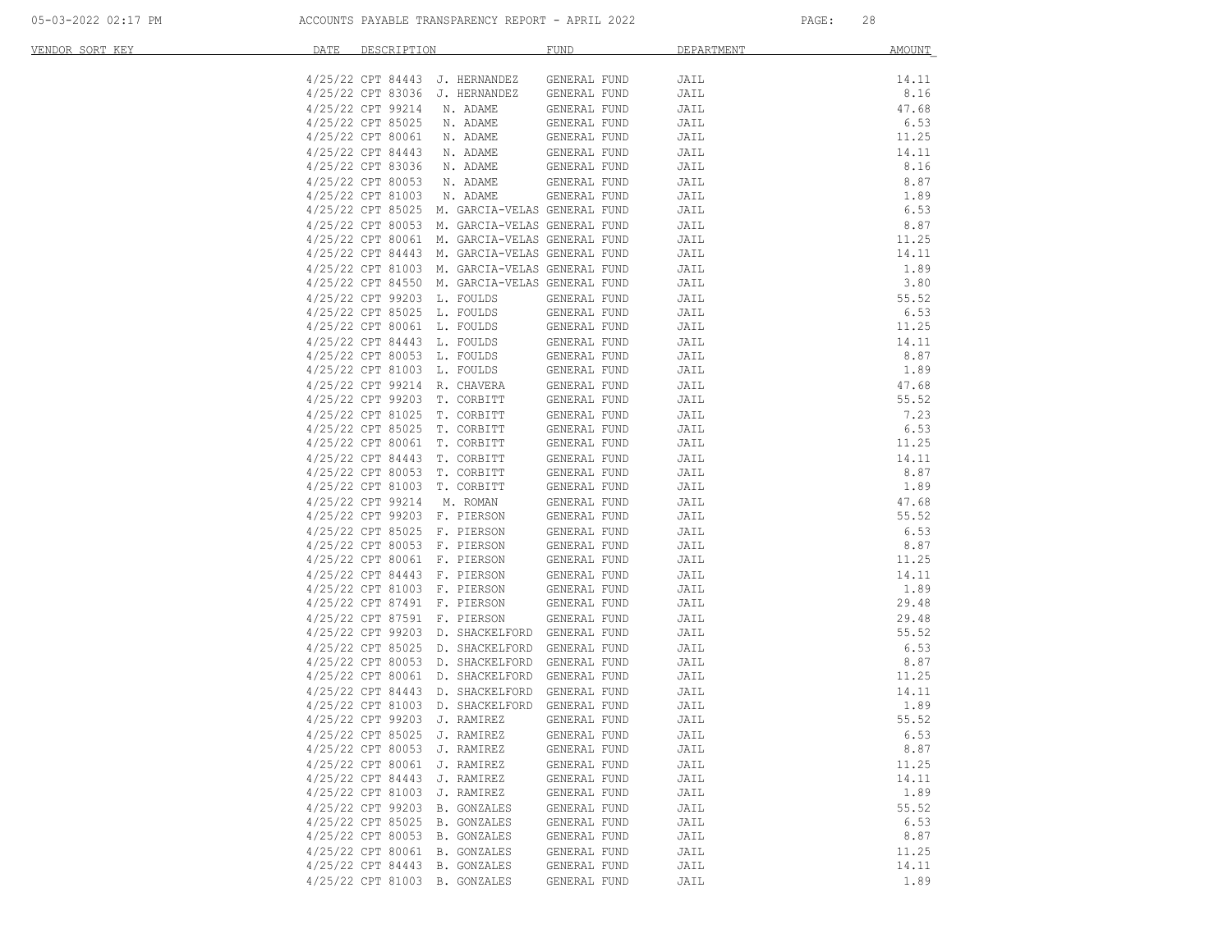| VENDOR SORT KEY | DATE | DESCRIPTION                            |                                                                          | <b>FUND</b>  | DEPARTMENT | <b>AMOUNT</b> |
|-----------------|------|----------------------------------------|--------------------------------------------------------------------------|--------------|------------|---------------|
|                 |      |                                        | 4/25/22 CPT 84443 J. HERNANDEZ                                           | GENERAL FUND | JAIL       | 14.11         |
|                 |      |                                        | 4/25/22 CPT 83036 J. HERNANDEZ                                           |              |            | 8.16          |
|                 |      |                                        |                                                                          | GENERAL FUND | JAIL       |               |
|                 |      | 4/25/22 CPT 99214<br>4/25/22 CPT 85025 | N. ADAME                                                                 | GENERAL FUND | JAIL       | 47.68         |
|                 |      | 4/25/22 CPT 80061                      | N. ADAME<br>N. ADAME                                                     | GENERAL FUND | JAIL       | 6.53<br>11.25 |
|                 |      |                                        |                                                                          | GENERAL FUND | JAIL       |               |
|                 |      | 4/25/22 CPT 84443                      | N. ADAME                                                                 | GENERAL FUND | JAIL       | 14.11         |
|                 |      | 4/25/22 CPT 83036                      | N. ADAME                                                                 | GENERAL FUND | JAIL       | 8.16          |
|                 |      | 4/25/22 CPT 80053                      | N. ADAME                                                                 | GENERAL FUND | JAIL       | 8.87          |
|                 |      | 4/25/22 CPT 81003                      | N. ADAME                                                                 | GENERAL FUND | JAIL       | 1.89          |
|                 |      |                                        | 4/25/22 CPT 85025 M. GARCIA-VELAS GENERAL FUND                           |              | JAIL       | 6.53          |
|                 |      |                                        | 4/25/22 CPT 80053 M. GARCIA-VELAS GENERAL FUND                           |              | JAIL       | 8.87          |
|                 |      |                                        | 4/25/22 CPT 80061 M. GARCIA-VELAS GENERAL FUND                           |              | JAIL       | 11.25         |
|                 |      |                                        | 4/25/22 CPT 84443 M. GARCIA-VELAS GENERAL FUND                           |              | JAIL       | 14.11         |
|                 |      |                                        | 4/25/22 CPT 81003 M. GARCIA-VELAS GENERAL FUND                           |              | JAIL       | 1.89          |
|                 |      |                                        | 4/25/22 CPT 84550 M. GARCIA-VELAS GENERAL FUND                           |              | JAIL       | 3.80          |
|                 |      | 4/25/22 CPT 99203 L. FOULDS            |                                                                          | GENERAL FUND | JAIL       | 55.52         |
|                 |      | 4/25/22 CPT 85025 L. FOULDS            |                                                                          | GENERAL FUND | JAIL       | 6.53          |
|                 |      | 4/25/22 CPT 80061 L. FOULDS            |                                                                          | GENERAL FUND | JAIL       | 11.25         |
|                 |      | 4/25/22 CPT 84443 L. FOULDS            |                                                                          | GENERAL FUND | JAIL       | 14.11         |
|                 |      | 4/25/22 CPT 80053 L. FOULDS            |                                                                          | GENERAL FUND | JAIL       | 8.87          |
|                 |      |                                        | $\frac{1}{2}$ /23/22 CPT 810053 L. FOULDS<br>4/25/22 CPT 81003 L. FOULDS | GENERAL FUND | JAIL       | 1.89          |
|                 |      |                                        | 4/25/22 CPT 99214 R. CHAVERA                                             | GENERAL FUND | JAIL       | 47.68         |
|                 |      |                                        | 4/25/22 CPT 99203 T. CORBITT                                             | GENERAL FUND | JAIL       | 55.52         |
|                 |      |                                        | 4/25/22 CPT 81025 T. CORBITT                                             | GENERAL FUND | JAIL       | 7.23          |
|                 |      |                                        | 4/25/22 CPT 85025 T. CORBITT                                             | GENERAL FUND | JAIL       | 6.53          |
|                 |      |                                        | 4/25/22 CPT 80061 T. CORBITT                                             | GENERAL FUND | JAIL       | 11.25         |
|                 |      |                                        | 4/25/22 CPT 84443 T. CORBITT                                             | GENERAL FUND | JAIL       | 14.11         |
|                 |      |                                        | 4/25/22 CPT 80053 T. CORBITT                                             | GENERAL FUND | JAIL       | 8.87          |
|                 |      |                                        | 4/25/22 CPT 81003 T. CORBITT                                             | GENERAL FUND | JAIL       | 1.89          |
|                 |      |                                        | 4/25/22 CPT 99214 M. ROMAN                                               | GENERAL FUND | JAIL       | 47.68         |
|                 |      |                                        | 4/25/22 CPT 99203 F. PIERSON                                             | GENERAL FUND | JAIL       | 55.52         |
|                 |      |                                        | 4/25/22 CPT 85025 F. PIERSON                                             | GENERAL FUND | JAIL       | 6.53          |
|                 |      |                                        | 4/25/22 CPT 80053 F. PIERSON                                             | GENERAL FUND | JAIL       | 8.87          |
|                 |      |                                        | 4/25/22 CPT 80061 F. PIERSON                                             | GENERAL FUND | JAIL       | 11.25         |
|                 |      |                                        | 4/25/22 CPT 84443 F. PIERSON                                             | GENERAL FUND | JAIL       | 14.11         |
|                 |      |                                        | 4/25/22 CPT 81003 F. PIERSON                                             | GENERAL FUND | JAIL       | 1.89          |
|                 |      |                                        | 4/25/22 CPT 87491 F. PIERSON                                             | GENERAL FUND | JAIL       | 29.48         |
|                 |      |                                        | 4/25/22 CPT 87591 F. PIERSON                                             | GENERAL FUND | JAIL       | 29.48         |
|                 |      |                                        | 4/25/22 CPT 99203 D. SHACKELFORD GENERAL FUND                            |              | JAIL       | 55.52         |
|                 |      |                                        | 4/25/22 CPT 85025 D. SHACKELFORD                                         | GENERAL FUND | JAIL       | 6.53          |
|                 |      |                                        | 4/25/22 CPT 80053 D. SHACKELFORD                                         | GENERAL FUND | JAIL       | 8.87          |
|                 |      |                                        | 4/25/22 CPT 80061 D. SHACKELFORD GENERAL FUND                            |              | JAIL       | 11.25         |
|                 |      |                                        | 4/25/22 CPT 84443 D. SHACKELFORD                                         | GENERAL FUND | JAIL       | 14.11         |
|                 |      |                                        | 4/25/22 CPT 81003 D. SHACKELFORD GENERAL FUND                            |              | JAIL       | 1.89          |
|                 |      |                                        | 4/25/22 CPT 99203 J. RAMIREZ                                             | GENERAL FUND | JAIL       | 55.52         |
|                 |      |                                        | 4/25/22 CPT 85025 J. RAMIREZ                                             | GENERAL FUND | JAIL       | 6.53          |
|                 |      |                                        | 4/25/22 CPT 80053 J. RAMIREZ                                             | GENERAL FUND | JAIL       | 8.87          |
|                 |      |                                        |                                                                          |              |            |               |
|                 |      |                                        | 4/25/22 CPT 80061 J. RAMIREZ                                             | GENERAL FUND | JAIL       | 11.25         |
|                 |      |                                        | 4/25/22 CPT 84443 J. RAMIREZ                                             | GENERAL FUND | JAIL       | 14.11         |
|                 |      |                                        | 4/25/22 CPT 81003 J. RAMIREZ                                             | GENERAL FUND | JAIL       | 1.89          |
|                 |      |                                        | 4/25/22 CPT 99203 B. GONZALES                                            | GENERAL FUND | JAIL       | 55.52         |
|                 |      |                                        | 4/25/22 CPT 85025 B. GONZALES                                            | GENERAL FUND | JAIL       | 6.53          |
|                 |      |                                        | 4/25/22 CPT 80053 B. GONZALES                                            | GENERAL FUND | JAIL       | 8.87          |
|                 |      |                                        | 4/25/22 CPT 80061 B. GONZALES                                            | GENERAL FUND | JAIL       | 11.25         |
|                 |      |                                        | 4/25/22 CPT 84443 B. GONZALES                                            | GENERAL FUND | JAIL       | 14.11         |
|                 |      |                                        | 4/25/22 CPT 81003 B. GONZALES                                            | GENERAL FUND | JAIL       | 1.89          |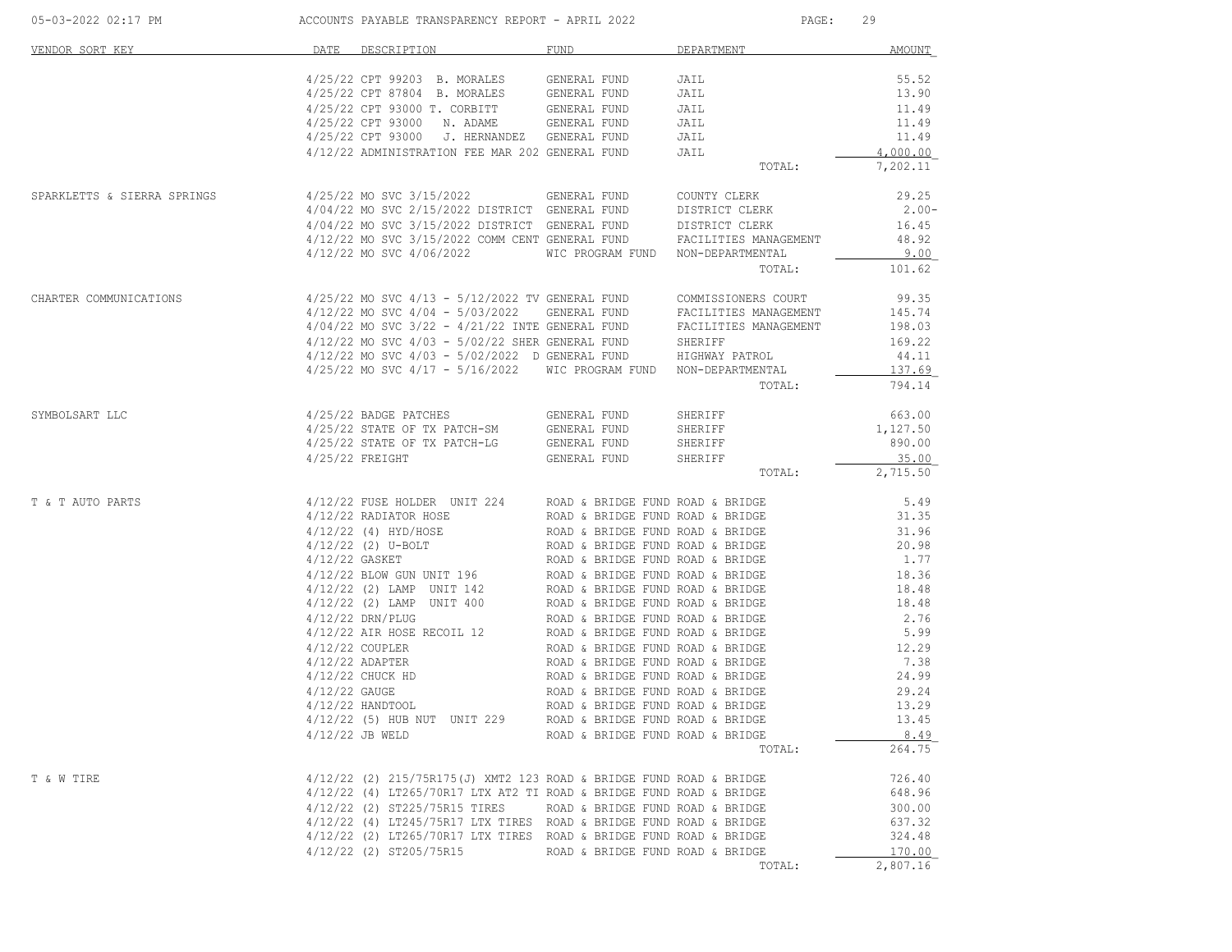| 05-03-2022 02:17 PM         |                  | ACCOUNTS PAYABLE TRANSPARENCY REPORT - APRIL 2022                                                                                                                  | PAGE:                             | 29                                                             |          |
|-----------------------------|------------------|--------------------------------------------------------------------------------------------------------------------------------------------------------------------|-----------------------------------|----------------------------------------------------------------|----------|
| VENDOR SORT KEY             | DATE             | DESCRIPTION                                                                                                                                                        | FUND                              | DEPARTMENT                                                     | AMOUNT   |
|                             |                  |                                                                                                                                                                    |                                   | JAIL                                                           | 55.52    |
|                             |                  | $4/25/22 \text{ CPT } 99203 \quad B. \text{ MORALES} \qquad \text{GENERAL FUND} \\ 4/25/22 \text{ CPT } 87804 \quad B. \text{ MORALES} \qquad \text{GENERAL FUND}$ |                                   | JAIL                                                           | 13.90    |
|                             |                  | 4/25/22 CPT 93000 T. CORBITT GENERAL FUND                                                                                                                          |                                   | JAIL                                                           | 11.49    |
|                             |                  | 4/25/22 CPT 93000 N. ADAME                                                                                                                                         | GENERAL FUND                      | JAIL                                                           | 11.49    |
|                             |                  | 4/25/22 CPT 93000 J. HERNANDEZ GENERAL FUND                                                                                                                        |                                   | JAIL                                                           | 11.49    |
|                             |                  | 4/12/22 ADMINISTRATION FEE MAR 202 GENERAL FUND                                                                                                                    |                                   | JAIL                                                           | 4,000.00 |
|                             |                  |                                                                                                                                                                    |                                   | TOTAL:                                                         | 7,202.11 |
| SPARKLETTS & SIERRA SPRINGS |                  | 4/25/22 MO SVC 3/15/2022                                                                                                                                           | GENERAL FUND                      | COUNTY CLERK                                                   | 29.25    |
|                             |                  | $4/04/22$ MO SVC $2/15/2022$ DISTRICT GENERAL FUND                                                                                                                 |                                   | DISTRICT CLERK                                                 | $2.00-$  |
|                             |                  | 4/04/22 MO SVC 3/15/2022 DISTRICT GENERAL FUND                                                                                                                     |                                   | DISTRICT CLERK                                                 | 16.45    |
|                             |                  | 4/12/22 MO SVC 3/15/2022 COMM CENT GENERAL FUND                                                                                                                    |                                   | FACILITIES MANAGEMENT                                          | 48.92    |
|                             |                  | 4/12/22 MO SVC 4/06/2022                                                                                                                                           | WIC PROGRAM FUND NON-DEPARTMENTAL |                                                                | 9.00     |
|                             |                  |                                                                                                                                                                    |                                   | TOTAL:                                                         | 101.62   |
| CHARTER COMMUNICATIONS      |                  | 4/25/22 MO SVC 4/13 - 5/12/2022 TV GENERAL FUND                                                                                                                    |                                   | COMMISSIONERS COURT                                            | 99.35    |
|                             |                  | 4/12/22 MO SVC 4/04 - 5/03/2022                                                                                                                                    |                                   | GENERAL FUND<br>FACILITIES MANAGEMENT<br>FACILITIES MANAGEMENT | 145.74   |
|                             |                  | $4/04/22$ MO SVC $3/22$ - $4/21/22$ INTE GENERAL FUND                                                                                                              |                                   |                                                                | 198.03   |
|                             |                  | $4/12/22$ MO SVC $4/03 - 5/02/22$ SHER GENERAL FUND                                                                                                                |                                   | SHERIFF                                                        | 169.22   |
|                             |                  | $4/12/22$ MO SVC $4/03 - 5/02/2022$ D GENERAL FUND                                                                                                                 |                                   | HIGHWAY PATROL                                                 | 44.11    |
|                             |                  | $4/25/22$ MO SVC $4/17 - 5/16/2022$ WIC PROGRAM FUND                                                                                                               |                                   | NON-DEPARTMENTAL                                               | 137.69   |
|                             |                  |                                                                                                                                                                    |                                   | TOTAL:                                                         | 794.14   |
| SYMBOLSART LLC              |                  | 4/25/22 BADGE PATCHES                                                                                                                                              | GENERAL FUND                      | SHERIFF                                                        | 663.00   |
|                             |                  | 4/25/22 STATE OF TX PATCH-SM                                                                                                                                       | GENERAL FUND                      | SHERIFF                                                        | 1,127.50 |
|                             |                  | 4/25/22 STATE OF TX PATCH-LG GENERAL FUND                                                                                                                          |                                   | SHERIFF                                                        | 890.00   |
|                             |                  | $4/25/22$ FREIGHT                                                                                                                                                  | GENERAL FUND                      | SHERIFF                                                        | 35.00    |
|                             |                  |                                                                                                                                                                    |                                   | TOTAL:                                                         | 2,715.50 |
| T & T AUTO PARTS            |                  | $4/12/22$ FUSE HOLDER UNIT 224 ROAD & BRIDGE FUND ROAD & BRIDGE                                                                                                    |                                   |                                                                | 5.49     |
|                             |                  | 4/12/22 RADIATOR HOSE                                                                                                                                              | ROAD & BRIDGE FUND ROAD & BRIDGE  |                                                                | 31.35    |
|                             |                  | 4/12/22 (4) HYD/HOSE                                                                                                                                               | ROAD & BRIDGE FUND ROAD & BRIDGE  |                                                                | 31.96    |
|                             |                  | $4/12/22$ (2) U-BOLT                                                                                                                                               | ROAD & BRIDGE FUND ROAD & BRIDGE  |                                                                | 20.98    |
|                             | $4/12/22$ GASKET |                                                                                                                                                                    | ROAD & BRIDGE FUND ROAD & BRIDGE  |                                                                | 1.77     |
|                             |                  | $4/12/22$ BLOW GUN UNIT 196 ROAD & BRIDGE FUND ROAD & BRIDGE                                                                                                       |                                   |                                                                | 18.36    |
|                             |                  | 4/12/22 (2) LAMP UNIT 142                                                                                                                                          | ROAD & BRIDGE FUND ROAD & BRIDGE  |                                                                | 18.48    |
|                             |                  | $4/12/22$ (2) LAMP UNIT 400                                                                                                                                        | ROAD & BRIDGE FUND ROAD & BRIDGE  |                                                                | 18.48    |
|                             |                  | $4/12/22$ DRN/PLUG                                                                                                                                                 | ROAD & BRIDGE FUND ROAD & BRIDGE  |                                                                | 2.76     |
|                             |                  | $4/12/22$ AIR HOSE RECOIL 12                                                                                                                                       | ROAD & BRIDGE FUND ROAD & BRIDGE  |                                                                | 5.99     |
|                             |                  | $4/12/22$ COUPLER                                                                                                                                                  | ROAD & BRIDGE FUND ROAD & BRIDGE  |                                                                | 12.29    |
|                             |                  | $4/12/22$ ADAPTER                                                                                                                                                  | ROAD & BRIDGE FUND ROAD & BRIDGE  |                                                                | 7.38     |
|                             |                  | 4/12/22 CHUCK HD                                                                                                                                                   | ROAD & BRIDGE FUND ROAD & BRIDGE  |                                                                | 24.99    |
|                             | 4/12/22 GAUGE    |                                                                                                                                                                    | ROAD & BRIDGE FUND ROAD & BRIDGE  |                                                                | 29.24    |
|                             |                  | $4/12/22$ HANDTOOL                                                                                                                                                 | ROAD & BRIDGE FUND ROAD & BRIDGE  |                                                                | 13.29    |
|                             |                  | 4/12/22 (5) HUB NUT UNIT 229                                                                                                                                       | ROAD & BRIDGE FUND ROAD & BRIDGE  |                                                                | 13.45    |
|                             |                  | $4/12/22$ JB WELD                                                                                                                                                  | ROAD & BRIDGE FUND ROAD & BRIDGE  |                                                                | 8.49     |
|                             |                  |                                                                                                                                                                    |                                   | TOTAL:                                                         | 264.75   |
| T & W TIRE                  |                  | $4/12/22$ (2) 215/75R175(J) XMT2 123 ROAD & BRIDGE FUND ROAD & BRIDGE                                                                                              |                                   |                                                                | 726.40   |
|                             |                  | $4/12/22$ (4) LT265/70R17 LTX AT2 TI ROAD & BRIDGE FUND ROAD & BRIDGE                                                                                              |                                   |                                                                | 648.96   |
|                             |                  | 4/12/22 (2) ST225/75R15 TIRES                                                                                                                                      | ROAD & BRIDGE FUND ROAD & BRIDGE  |                                                                | 300.00   |
|                             |                  | 4/12/22 (4) LT245/75R17 LTX TIRES ROAD & BRIDGE FUND ROAD & BRIDGE                                                                                                 |                                   |                                                                | 637.32   |
|                             |                  | 4/12/22 (2) LT265/70R17 LTX TIRES ROAD & BRIDGE FUND ROAD & BRIDGE                                                                                                 |                                   |                                                                | 324.48   |
|                             |                  | 4/12/22 (2) ST205/75R15                                                                                                                                            | ROAD & BRIDGE FUND ROAD & BRIDGE  |                                                                | 170.00   |
|                             |                  |                                                                                                                                                                    |                                   | TOTAL:                                                         | 2,807.16 |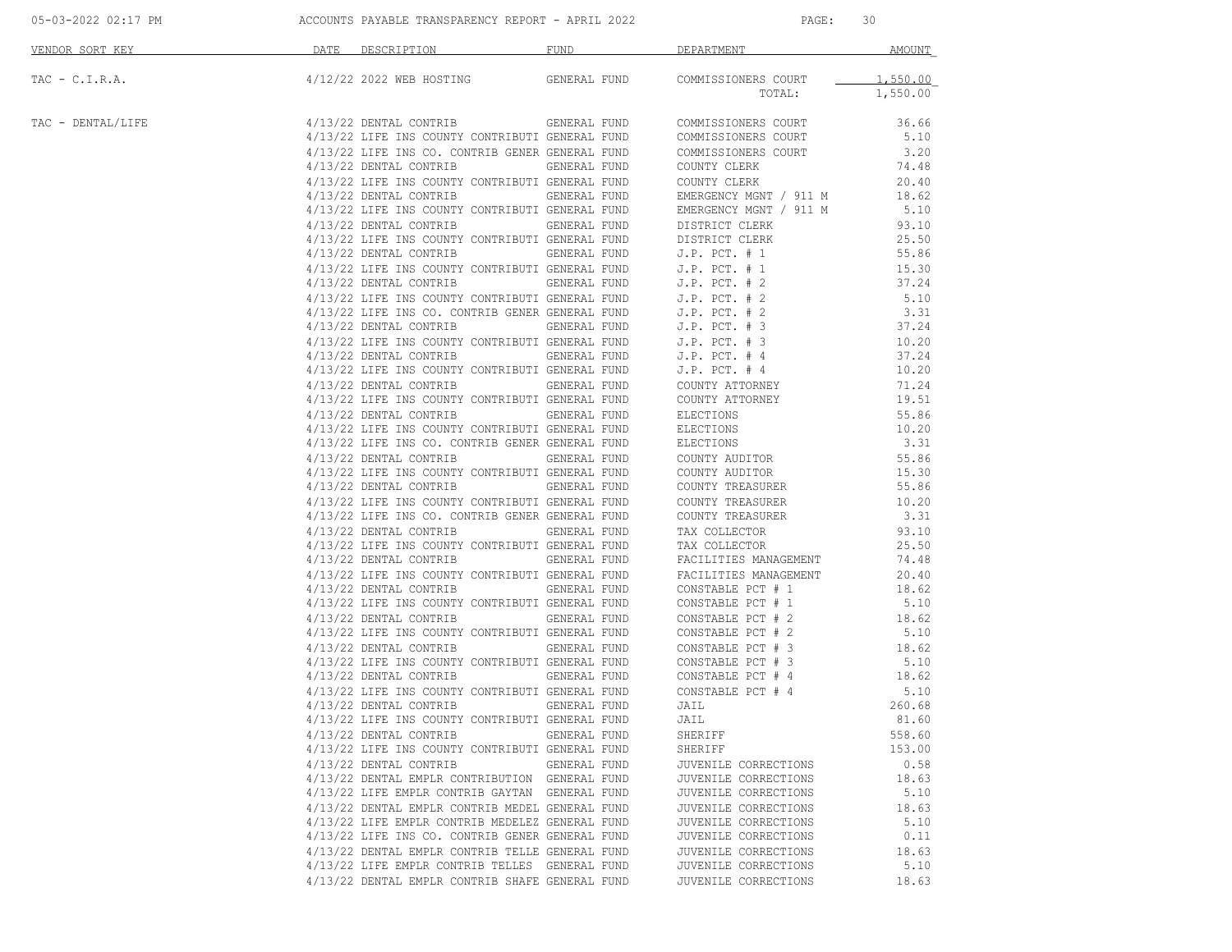|  |  |  |  | 05-03-2022 02:17 PM |  |  |  |  |
|--|--|--|--|---------------------|--|--|--|--|
|  |  |  |  |                     |  |  |  |  |

05-03-2022 02:17 PM ACCOUNTS PAYABLE TRANSPARENCY REPORT - APRIL 2022 PAGE: 30

| VENDOR SORT KEY                                                                                        | DATE DESCRIPTION                                                                                                                                                                                     | FUND         | DEPARTMENT                                                                                                                                                                                                                                                                                                                                                                | AMOUNT               |
|--------------------------------------------------------------------------------------------------------|------------------------------------------------------------------------------------------------------------------------------------------------------------------------------------------------------|--------------|---------------------------------------------------------------------------------------------------------------------------------------------------------------------------------------------------------------------------------------------------------------------------------------------------------------------------------------------------------------------------|----------------------|
| TAC - C.I.R.A.                     4/12/22 2022 WEB HOSTING         GENERAL FUND   COMMISSIONERS COURT |                                                                                                                                                                                                      |              | TOTAL:                                                                                                                                                                                                                                                                                                                                                                    | 1,550.00<br>1,550.00 |
| TAC - DENTAL/LIFE                                                                                      |                                                                                                                                                                                                      |              | 4/13/22 DENTAL CONTRIB GENERAL FUND COMMISSIONERS COURT 36.66<br>4/13/22 LIFE INS COUNTY CONTRIBUTI GENERAL FUND COMMISSIONERS COURT 5.10<br>4/13/22 DENTRA CONTRIB (SEREAL FUND COMPISSIONER CODRY (17/22 DETE INS COUNTSTONERS CORRESPONDED CONTINUES CONTRIBUTE AN ANAGEMENT (SEREAL FUND CONTRIBUTE AN AVAILABLE TO A 17/22 DETE INS CONTRIBUTE CONTRIBUTE CONTRIBUTE |                      |
|                                                                                                        |                                                                                                                                                                                                      |              |                                                                                                                                                                                                                                                                                                                                                                           |                      |
|                                                                                                        |                                                                                                                                                                                                      |              |                                                                                                                                                                                                                                                                                                                                                                           | 3.20<br>74.48        |
|                                                                                                        |                                                                                                                                                                                                      |              |                                                                                                                                                                                                                                                                                                                                                                           | 20.40                |
|                                                                                                        |                                                                                                                                                                                                      |              |                                                                                                                                                                                                                                                                                                                                                                           | 18.62                |
|                                                                                                        |                                                                                                                                                                                                      |              |                                                                                                                                                                                                                                                                                                                                                                           | 5.10                 |
|                                                                                                        |                                                                                                                                                                                                      |              |                                                                                                                                                                                                                                                                                                                                                                           | 93.10                |
|                                                                                                        |                                                                                                                                                                                                      |              |                                                                                                                                                                                                                                                                                                                                                                           | 25.50                |
|                                                                                                        |                                                                                                                                                                                                      |              |                                                                                                                                                                                                                                                                                                                                                                           | 55.86                |
|                                                                                                        |                                                                                                                                                                                                      |              |                                                                                                                                                                                                                                                                                                                                                                           | 15.30                |
|                                                                                                        |                                                                                                                                                                                                      |              |                                                                                                                                                                                                                                                                                                                                                                           | 37.24                |
|                                                                                                        |                                                                                                                                                                                                      |              |                                                                                                                                                                                                                                                                                                                                                                           | 5.10                 |
|                                                                                                        |                                                                                                                                                                                                      |              |                                                                                                                                                                                                                                                                                                                                                                           | 3.31                 |
|                                                                                                        |                                                                                                                                                                                                      |              |                                                                                                                                                                                                                                                                                                                                                                           | 37.24                |
|                                                                                                        |                                                                                                                                                                                                      |              |                                                                                                                                                                                                                                                                                                                                                                           | 10.20                |
|                                                                                                        |                                                                                                                                                                                                      |              |                                                                                                                                                                                                                                                                                                                                                                           | 37.24                |
|                                                                                                        |                                                                                                                                                                                                      |              |                                                                                                                                                                                                                                                                                                                                                                           | 10.20                |
|                                                                                                        |                                                                                                                                                                                                      |              |                                                                                                                                                                                                                                                                                                                                                                           | 71.24                |
|                                                                                                        |                                                                                                                                                                                                      |              |                                                                                                                                                                                                                                                                                                                                                                           | 19.51                |
|                                                                                                        |                                                                                                                                                                                                      |              |                                                                                                                                                                                                                                                                                                                                                                           | 55.86                |
|                                                                                                        |                                                                                                                                                                                                      |              |                                                                                                                                                                                                                                                                                                                                                                           | 10.20                |
|                                                                                                        |                                                                                                                                                                                                      |              |                                                                                                                                                                                                                                                                                                                                                                           | 3.31                 |
|                                                                                                        |                                                                                                                                                                                                      |              |                                                                                                                                                                                                                                                                                                                                                                           | 55.86                |
|                                                                                                        |                                                                                                                                                                                                      |              |                                                                                                                                                                                                                                                                                                                                                                           | 15.30                |
|                                                                                                        |                                                                                                                                                                                                      |              |                                                                                                                                                                                                                                                                                                                                                                           | 55.86                |
|                                                                                                        |                                                                                                                                                                                                      |              |                                                                                                                                                                                                                                                                                                                                                                           | 10.20                |
|                                                                                                        |                                                                                                                                                                                                      |              |                                                                                                                                                                                                                                                                                                                                                                           | 3.31                 |
|                                                                                                        |                                                                                                                                                                                                      |              |                                                                                                                                                                                                                                                                                                                                                                           | 93.10                |
|                                                                                                        |                                                                                                                                                                                                      |              |                                                                                                                                                                                                                                                                                                                                                                           | 25.50                |
|                                                                                                        |                                                                                                                                                                                                      |              |                                                                                                                                                                                                                                                                                                                                                                           | 74.48                |
|                                                                                                        |                                                                                                                                                                                                      |              |                                                                                                                                                                                                                                                                                                                                                                           | 20.40                |
|                                                                                                        |                                                                                                                                                                                                      |              |                                                                                                                                                                                                                                                                                                                                                                           | 18.62<br>5.10        |
|                                                                                                        | 4/13/22 DENTAL CONTRIBUTI CONTRIBUTI GENERAL FUND CONSTABLE PCT # 2<br>4/13/22 LIFE INS COUNTY CONTRIBUTI GENERAL FUND CONSTABLE PCT # 2<br>4/13/22 DENTAL CONTRIBUTI GENERAL FUND CONSTABLE PCT # 3 |              |                                                                                                                                                                                                                                                                                                                                                                           | 18.62                |
|                                                                                                        |                                                                                                                                                                                                      |              |                                                                                                                                                                                                                                                                                                                                                                           | 5.10                 |
|                                                                                                        |                                                                                                                                                                                                      |              |                                                                                                                                                                                                                                                                                                                                                                           | 18.62                |
|                                                                                                        |                                                                                                                                                                                                      |              |                                                                                                                                                                                                                                                                                                                                                                           | 5.10                 |
|                                                                                                        |                                                                                                                                                                                                      |              |                                                                                                                                                                                                                                                                                                                                                                           | 18.62                |
|                                                                                                        |                                                                                                                                                                                                      |              |                                                                                                                                                                                                                                                                                                                                                                           | 5.10                 |
|                                                                                                        |                                                                                                                                                                                                      |              |                                                                                                                                                                                                                                                                                                                                                                           | 260.68               |
|                                                                                                        |                                                                                                                                                                                                      |              |                                                                                                                                                                                                                                                                                                                                                                           | 81.60                |
|                                                                                                        | 4/13/22 DENTAL CONTRIB GENERAL FUND                                                                                                                                                                  |              | <b>SHERIFF</b>                                                                                                                                                                                                                                                                                                                                                            | 558.60               |
|                                                                                                        | 4/13/22 LIFE INS COUNTY CONTRIBUTI GENERAL FUND                                                                                                                                                      |              | SHERIFF                                                                                                                                                                                                                                                                                                                                                                   | 153.00               |
|                                                                                                        | 4/13/22 DENTAL CONTRIB                                                                                                                                                                               | GENERAL FUND | JUVENILE CORRECTIONS                                                                                                                                                                                                                                                                                                                                                      | 0.58                 |
|                                                                                                        | 4/13/22 DENTAL EMPLR CONTRIBUTION GENERAL FUND                                                                                                                                                       |              | JUVENILE CORRECTIONS                                                                                                                                                                                                                                                                                                                                                      | 18.63                |
|                                                                                                        | 4/13/22 LIFE EMPLR CONTRIB GAYTAN GENERAL FUND                                                                                                                                                       |              | JUVENILE CORRECTIONS                                                                                                                                                                                                                                                                                                                                                      | 5.10                 |
|                                                                                                        | 4/13/22 DENTAL EMPLR CONTRIB MEDEL GENERAL FUND                                                                                                                                                      |              | JUVENILE CORRECTIONS                                                                                                                                                                                                                                                                                                                                                      | 18.63                |
|                                                                                                        | 4/13/22 LIFE EMPLR CONTRIB MEDELEZ GENERAL FUND                                                                                                                                                      |              | JUVENILE CORRECTIONS                                                                                                                                                                                                                                                                                                                                                      | 5.10                 |
|                                                                                                        | 4/13/22 LIFE INS CO. CONTRIB GENER GENERAL FUND                                                                                                                                                      |              | JUVENILE CORRECTIONS                                                                                                                                                                                                                                                                                                                                                      | 0.11                 |
|                                                                                                        | 4/13/22 DENTAL EMPLR CONTRIB TELLE GENERAL FUND                                                                                                                                                      |              | JUVENILE CORRECTIONS                                                                                                                                                                                                                                                                                                                                                      | 18.63                |
|                                                                                                        | 4/13/22 LIFE EMPLR CONTRIB TELLES GENERAL FUND                                                                                                                                                       |              | JUVENILE CORRECTIONS                                                                                                                                                                                                                                                                                                                                                      | 5.10                 |
|                                                                                                        | 4/13/22 DENTAL EMPLR CONTRIB SHAFE GENERAL FUND                                                                                                                                                      |              | JUVENILE CORRECTIONS                                                                                                                                                                                                                                                                                                                                                      | 18.63                |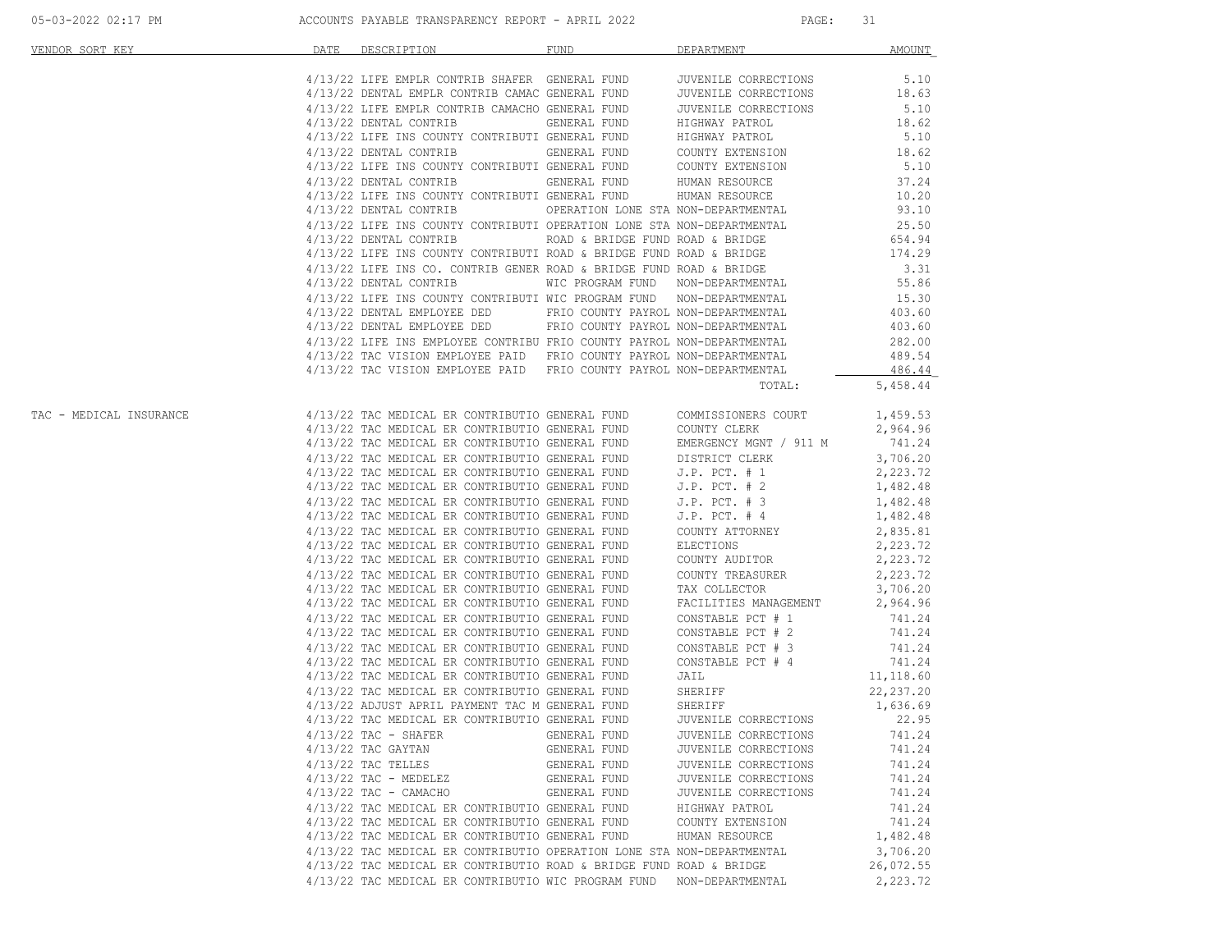| VENDOR SORT KEY                                                                                                                                                                                                                   | DATE DESCRIPTION FUND FUND DEPARTMENT                                                                                                                                                                                                   |              |                      | AMOUNT    |
|-----------------------------------------------------------------------------------------------------------------------------------------------------------------------------------------------------------------------------------|-----------------------------------------------------------------------------------------------------------------------------------------------------------------------------------------------------------------------------------------|--------------|----------------------|-----------|
|                                                                                                                                                                                                                                   |                                                                                                                                                                                                                                         |              |                      |           |
|                                                                                                                                                                                                                                   |                                                                                                                                                                                                                                         |              |                      |           |
|                                                                                                                                                                                                                                   |                                                                                                                                                                                                                                         |              |                      |           |
|                                                                                                                                                                                                                                   |                                                                                                                                                                                                                                         |              |                      |           |
|                                                                                                                                                                                                                                   |                                                                                                                                                                                                                                         |              |                      |           |
|                                                                                                                                                                                                                                   |                                                                                                                                                                                                                                         |              |                      |           |
|                                                                                                                                                                                                                                   |                                                                                                                                                                                                                                         |              |                      |           |
|                                                                                                                                                                                                                                   |                                                                                                                                                                                                                                         |              |                      |           |
|                                                                                                                                                                                                                                   |                                                                                                                                                                                                                                         |              |                      |           |
|                                                                                                                                                                                                                                   |                                                                                                                                                                                                                                         |              |                      |           |
|                                                                                                                                                                                                                                   |                                                                                                                                                                                                                                         |              |                      |           |
|                                                                                                                                                                                                                                   |                                                                                                                                                                                                                                         |              |                      |           |
|                                                                                                                                                                                                                                   |                                                                                                                                                                                                                                         |              |                      |           |
|                                                                                                                                                                                                                                   | 4/13/22 LIFE INS COUNTY CONTRIBUTI ROAD & BRIDGE FUND ROAD & BRIDGE 174.29<br>4/13/22 LIFE INS CO. CONTRIB GENER ROAD & BRIDGE FUND ROAD & BRIDGE 3.31<br>4/13/22 LIFE INS CO. CONTRIB WIC PROGRAM FUND NON-DEPARTMENTAL 55.86<br>4/13/ |              |                      |           |
|                                                                                                                                                                                                                                   |                                                                                                                                                                                                                                         |              |                      |           |
|                                                                                                                                                                                                                                   |                                                                                                                                                                                                                                         |              |                      |           |
|                                                                                                                                                                                                                                   |                                                                                                                                                                                                                                         |              |                      |           |
|                                                                                                                                                                                                                                   |                                                                                                                                                                                                                                         |              |                      |           |
|                                                                                                                                                                                                                                   |                                                                                                                                                                                                                                         |              |                      |           |
|                                                                                                                                                                                                                                   |                                                                                                                                                                                                                                         |              |                      |           |
|                                                                                                                                                                                                                                   |                                                                                                                                                                                                                                         |              |                      |           |
|                                                                                                                                                                                                                                   |                                                                                                                                                                                                                                         |              |                      |           |
|                                                                                                                                                                                                                                   |                                                                                                                                                                                                                                         |              | TOTAL: 5,458.44      |           |
| TAC - MEDICAL INSURANCE 4/13/22 TAC MEDICAL ER CONTRIBUTIO GENERAL FUND COMMISSIONERS CORR 1433-33<br>4/13/22 TAC MEDICAL ER CONTRIBUTIO GENERAL FUND COUNTERING CORR 12.434-35<br>4/13/22 TAC MEDICAL ER CONTRIBUTIO GENERAL FUN |                                                                                                                                                                                                                                         |              |                      |           |
|                                                                                                                                                                                                                                   |                                                                                                                                                                                                                                         |              |                      |           |
|                                                                                                                                                                                                                                   |                                                                                                                                                                                                                                         |              |                      |           |
|                                                                                                                                                                                                                                   |                                                                                                                                                                                                                                         |              |                      |           |
|                                                                                                                                                                                                                                   |                                                                                                                                                                                                                                         |              |                      |           |
|                                                                                                                                                                                                                                   |                                                                                                                                                                                                                                         |              |                      |           |
|                                                                                                                                                                                                                                   |                                                                                                                                                                                                                                         |              |                      |           |
|                                                                                                                                                                                                                                   |                                                                                                                                                                                                                                         |              |                      |           |
|                                                                                                                                                                                                                                   |                                                                                                                                                                                                                                         |              |                      |           |
|                                                                                                                                                                                                                                   |                                                                                                                                                                                                                                         |              |                      |           |
|                                                                                                                                                                                                                                   |                                                                                                                                                                                                                                         |              |                      |           |
|                                                                                                                                                                                                                                   |                                                                                                                                                                                                                                         |              |                      |           |
|                                                                                                                                                                                                                                   |                                                                                                                                                                                                                                         |              |                      |           |
|                                                                                                                                                                                                                                   |                                                                                                                                                                                                                                         |              |                      |           |
|                                                                                                                                                                                                                                   |                                                                                                                                                                                                                                         |              |                      |           |
|                                                                                                                                                                                                                                   |                                                                                                                                                                                                                                         |              |                      |           |
|                                                                                                                                                                                                                                   |                                                                                                                                                                                                                                         |              |                      |           |
|                                                                                                                                                                                                                                   |                                                                                                                                                                                                                                         |              |                      |           |
|                                                                                                                                                                                                                                   |                                                                                                                                                                                                                                         |              |                      |           |
|                                                                                                                                                                                                                                   |                                                                                                                                                                                                                                         |              |                      |           |
|                                                                                                                                                                                                                                   |                                                                                                                                                                                                                                         |              |                      |           |
|                                                                                                                                                                                                                                   |                                                                                                                                                                                                                                         |              |                      |           |
|                                                                                                                                                                                                                                   |                                                                                                                                                                                                                                         |              |                      |           |
|                                                                                                                                                                                                                                   |                                                                                                                                                                                                                                         |              |                      |           |
|                                                                                                                                                                                                                                   | $4/13/22$ TAC GAYTAN                                                                                                                                                                                                                    | GENERAL FUND | JUVENILE CORRECTIONS | 741.24    |
|                                                                                                                                                                                                                                   | $4/13/22$ TAC TELLES                                                                                                                                                                                                                    | GENERAL FUND | JUVENILE CORRECTIONS | 741.24    |
|                                                                                                                                                                                                                                   | $4/13/22$ TAC - MEDELEZ                                                                                                                                                                                                                 | GENERAL FUND | JUVENILE CORRECTIONS | 741.24    |
|                                                                                                                                                                                                                                   | $4/13/22$ TAC - CAMACHO                                                                                                                                                                                                                 | GENERAL FUND | JUVENILE CORRECTIONS | 741.24    |
|                                                                                                                                                                                                                                   | 4/13/22 TAC MEDICAL ER CONTRIBUTIO GENERAL FUND                                                                                                                                                                                         |              | HIGHWAY PATROL       | 741.24    |
|                                                                                                                                                                                                                                   | 4/13/22 TAC MEDICAL ER CONTRIBUTIO GENERAL FUND                                                                                                                                                                                         |              | COUNTY EXTENSION     | 741.24    |
|                                                                                                                                                                                                                                   | 4/13/22 TAC MEDICAL ER CONTRIBUTIO GENERAL FUND                                                                                                                                                                                         |              | HUMAN RESOURCE       | 1,482.48  |
|                                                                                                                                                                                                                                   | 4/13/22 TAC MEDICAL ER CONTRIBUTIO OPERATION LONE STA NON-DEPARTMENTAL                                                                                                                                                                  |              |                      | 3,706.20  |
|                                                                                                                                                                                                                                   | 4/13/22 TAC MEDICAL ER CONTRIBUTIO ROAD & BRIDGE FUND ROAD & BRIDGE                                                                                                                                                                     |              |                      | 26,072.55 |
|                                                                                                                                                                                                                                   | 4/13/22 TAC MEDICAL ER CONTRIBUTIO WIC PROGRAM FUND                                                                                                                                                                                     |              | NON-DEPARTMENTAL     | 2,223.72  |
|                                                                                                                                                                                                                                   |                                                                                                                                                                                                                                         |              |                      |           |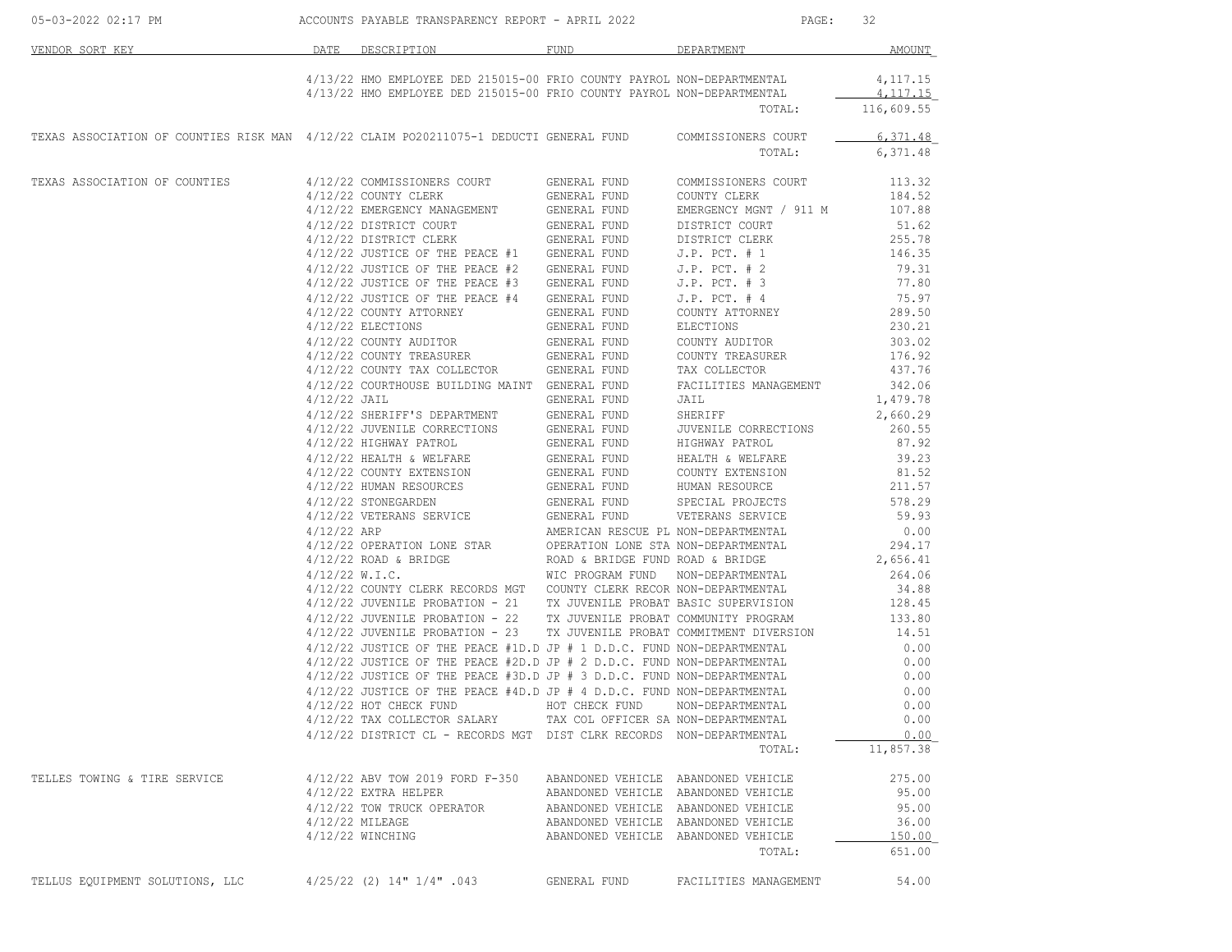| 05-03-2022 02:17 PM ACCOUNTS PAYABLE TRANSPARENCY REPORT - APRIL 2022                                      |                                                                                                                                                                                                                                                                                                                                                                                                                                            |                                                                                                                                                                                                 | PAGE:                                                                                  | 32                                                    |
|------------------------------------------------------------------------------------------------------------|--------------------------------------------------------------------------------------------------------------------------------------------------------------------------------------------------------------------------------------------------------------------------------------------------------------------------------------------------------------------------------------------------------------------------------------------|-------------------------------------------------------------------------------------------------------------------------------------------------------------------------------------------------|----------------------------------------------------------------------------------------|-------------------------------------------------------|
| VENDOR SORT KEY                                                                                            | DATE DESCRIPTION                                                                                                                                                                                                                                                                                                                                                                                                                           | FUND                                                                                                                                                                                            | DEPARTMENT                                                                             | AMOUNT                                                |
|                                                                                                            | 4/13/22 HMO EMPLOYEE DED 215015-00 FRIO COUNTY PAYROL NON-DEPARTMENTAL<br>4/13/22 HMO EMPLOYEE DED 215015-00 FRIO COUNTY PAYROL NON-DEPARTMENTAL                                                                                                                                                                                                                                                                                           |                                                                                                                                                                                                 |                                                                                        | 4, 117. 15<br>4, 117. 15                              |
|                                                                                                            |                                                                                                                                                                                                                                                                                                                                                                                                                                            |                                                                                                                                                                                                 | TOTAL:                                                                                 | 116,609.55                                            |
| TEXAS ASSOCIATION OF COUNTIES RISK MAN 4/12/22 CLAIM PO20211075-1 DEDUCTI GENERAL FUND COMMISSIONERS COURT |                                                                                                                                                                                                                                                                                                                                                                                                                                            |                                                                                                                                                                                                 | TOTAL:                                                                                 | 6,371.48<br>6,371.48                                  |
| TEXAS ASSOCIATION OF COUNTIES                                                                              | $4/12/22$ COMMISSIONERS COURT GENERAL FUND<br>$4/12/22$ COUNTY CLERK GENERAL FUND<br>4/12/22 COUNTY CLERK                                                                                                                                                                                                                                                                                                                                  | GENERAL FUND                                                                                                                                                                                    | COMMISSIONERS COURT<br>COUNTY CLERK<br>EMERGENCY MGNT / 911 M                          | 113.32<br>184.52<br>107.88                            |
|                                                                                                            | 4/12/22 EMERGENCY MANAGEMENT<br>4/12/22 DISTRICT COURT GENERAL FUND DISTRICT COURT<br>4/12/22 DISTRICT COURT GENERAL FUND DISTRICT COURT<br>4/12/22 JUSTICE OF THE PEACE #1 GENERAL FUND J.P. PCT. #1<br>4/12/22 JUSTICE OF THE PEACE #2 GENERAL FUND                                                                                                                                                                                      |                                                                                                                                                                                                 | DISTRICT COURT<br>$J.P.$ PCT. $# 2$<br>$J.P.$ PCT. $# 3$                               | 51.62<br>255.78<br>146.35<br>79.31<br>77.80           |
|                                                                                                            | $4/12/22$ JUSTICE OF THE PEACE #3 GENERAL FUND<br>$4/12/22$ JUSTICE OF THE PEACE #4 GENERAL FUND<br>$4/12/22$ COUNTY ATTORNEY<br>$4/12/22$ ELECTIONS<br>GENERAL FUND<br>$\begin{tabular}{lllllllllll} \it 4/12/22 & \tt COUNTY \; \; {AUDITOR} & \tt GENERAL \; \; FUND \\ \it 4/12/22 & \tt COUNTY \; \; TREASURER & \tt GENERAL \; \; FUND \\ \it 4/12/22 & \tt COUNTY \; \; TAX \; \; COLLECTOR & \tt GENERAL \; \; FUND \end{tabular}$ |                                                                                                                                                                                                 | $J.P.$ PCT. $#4$<br>COUNTY ATTORNEY<br>ELECTIONS<br>COUNTY AUDITOR<br>COUNTY TREASURER | 75.97<br>289.50<br>230.21<br>303.02<br>176.92         |
|                                                                                                            | 4/12/22 COURTHOUSE BUILDING MAINT GENERAL FUND                                                                                                                                                                                                                                                                                                                                                                                             |                                                                                                                                                                                                 | TAX COLLECTOR<br>FACILITIES MANAGEMENT                                                 | 437.76<br>342.06<br>1,479.78<br>2,660.29              |
|                                                                                                            |                                                                                                                                                                                                                                                                                                                                                                                                                                            |                                                                                                                                                                                                 |                                                                                        | 260.55<br>87.92<br>39.23                              |
|                                                                                                            |                                                                                                                                                                                                                                                                                                                                                                                                                                            |                                                                                                                                                                                                 |                                                                                        | 81.52<br>211.57                                       |
|                                                                                                            |                                                                                                                                                                                                                                                                                                                                                                                                                                            |                                                                                                                                                                                                 |                                                                                        | 578.29<br>59.93                                       |
|                                                                                                            |                                                                                                                                                                                                                                                                                                                                                                                                                                            |                                                                                                                                                                                                 |                                                                                        | 0.00<br>294.17<br>2,656.41                            |
|                                                                                                            | 4/12/22 JUVENILE PROBATION - 21 TX JUVENILE PROBAT BASIC SUPERVISION 128.45<br>4/12/22 JUVENILE PROBATION - 22 TX JUVENILE PROBAT COMMUNITY PROGRAM 133.80<br>4/12/22 JUVENILE PROBATION - 23 TX JUVENILE PROBAT COMMITMENT DIVERSION 14.51                                                                                                                                                                                                |                                                                                                                                                                                                 |                                                                                        | 264.06<br>34.88                                       |
|                                                                                                            | 4/12/22 JUSTICE OF THE PEACE #1D.D JP # 1 D.D.C. FUND NON-DEPARTMENTAL 4/12/22 JUSTICE OF THE PEACE #2D.D JP # 2 D.D.C. FUND NON-DEPARTMENTAL<br>4/12/22 JUSTICE OF THE PEACE #3D.D JP # 3 D.D.C. FUND NON-DEPARTMENTAL                                                                                                                                                                                                                    |                                                                                                                                                                                                 |                                                                                        | 0.00<br>0.00<br>0.00                                  |
|                                                                                                            | $4/12/22$ JUSTICE OF THE PEACE #4D.D JP # 4 D.D.C. FUND NON-DEPARTMENTAL $4/12/22$ HOT CHECK FUND HOT CHECK FUND NON-DEPARTMENTAL<br>4/12/22 TAX COLLECTOR SALARY<br>4/12/22 DISTRICT CL - RECORDS MGT DIST CLRK RECORDS NON-DEPARTMENTAL                                                                                                                                                                                                  | TAX COL OFFICER SA NON-DEPARTMENTAL                                                                                                                                                             | TOTAL:                                                                                 | 0.00<br>0.00<br>0.00<br>0.00<br>11,857.38             |
| TELLES TOWING & TIRE SERVICE                                                                               | 4/12/22 ABV TOW 2019 FORD F-350<br>$4/12/22$ EXTRA HELPER<br>4/12/22 TOW TRUCK OPERATOR<br>$4/12/22$ MILEAGE<br>$4/12/22$ WINCHING                                                                                                                                                                                                                                                                                                         | ABANDONED VEHICLE ABANDONED VEHICLE<br>ABANDONED VEHICLE ABANDONED VEHICLE<br>ABANDONED VEHICLE ABANDONED VEHICLE<br>ABANDONED VEHICLE ABANDONED VEHICLE<br>ABANDONED VEHICLE ABANDONED VEHICLE | TOTAL:                                                                                 | 275.00<br>95.00<br>95.00<br>36.00<br>150.00<br>651.00 |
| TELLUS EQUIPMENT SOLUTIONS, LLC                                                                            | $4/25/22$ (2) $14" 1/4" .043$                                                                                                                                                                                                                                                                                                                                                                                                              | GENERAL FUND                                                                                                                                                                                    | FACILITIES MANAGEMENT                                                                  | 54.00                                                 |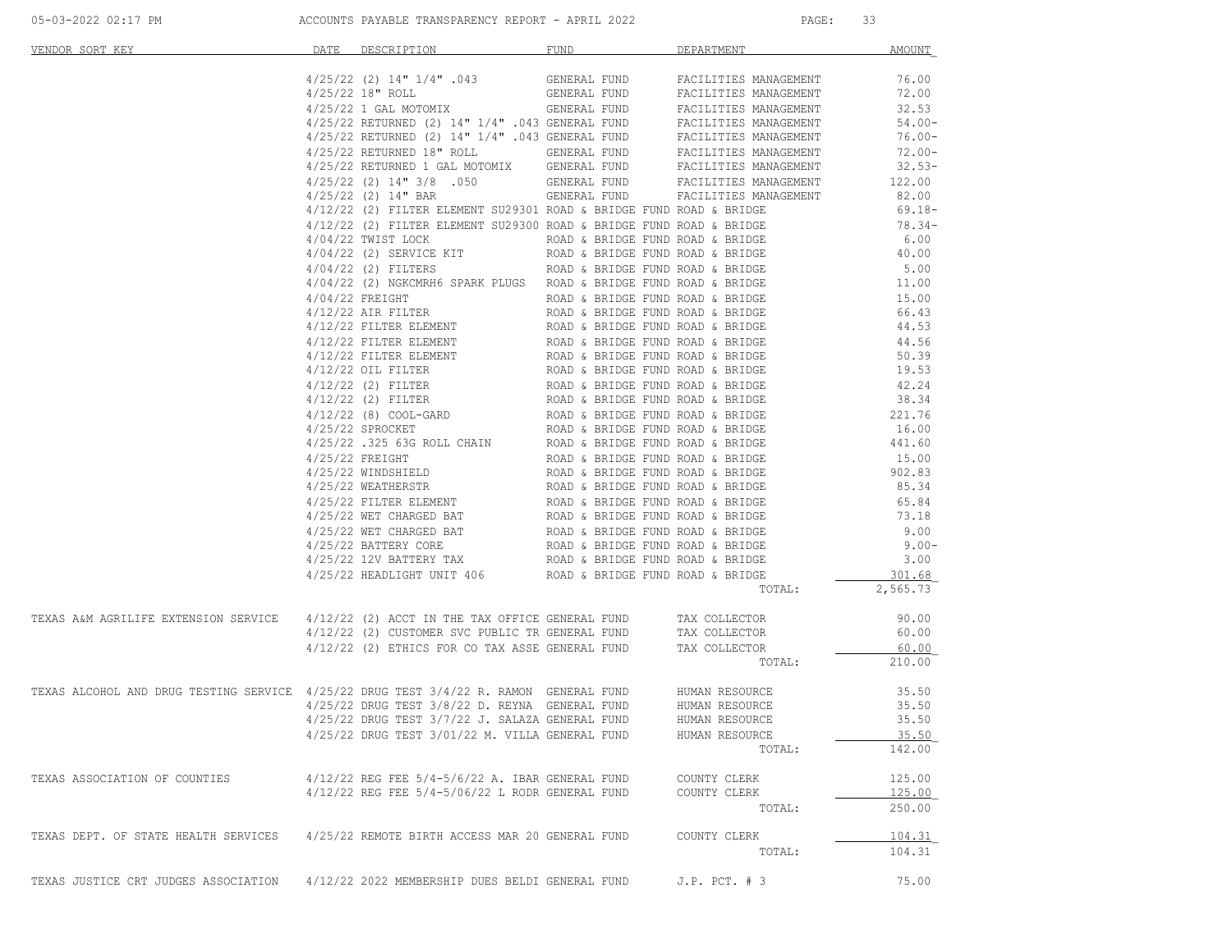| VENDOR SORT KEY                                                                                                                                                                                                                      | DATE | DESCRIPTION <b>DESCRIPTION</b>                                                                                                                                                              | FUND | DEPARTMENT        | AMOUNT           |
|--------------------------------------------------------------------------------------------------------------------------------------------------------------------------------------------------------------------------------------|------|---------------------------------------------------------------------------------------------------------------------------------------------------------------------------------------------|------|-------------------|------------------|
|                                                                                                                                                                                                                                      |      |                                                                                                                                                                                             |      |                   | 76.00            |
|                                                                                                                                                                                                                                      |      |                                                                                                                                                                                             |      |                   | 72.00            |
|                                                                                                                                                                                                                                      |      |                                                                                                                                                                                             |      |                   | 32.53            |
|                                                                                                                                                                                                                                      |      |                                                                                                                                                                                             |      |                   | $54.00 -$        |
|                                                                                                                                                                                                                                      |      |                                                                                                                                                                                             |      |                   | $76.00 -$        |
|                                                                                                                                                                                                                                      |      |                                                                                                                                                                                             |      |                   | $72.00 -$        |
|                                                                                                                                                                                                                                      |      | $4/25/22$ RETURNED $18$ " ROLL GENERAL FUND FACILITIES MANAGEMENT $4/25/22$ RETURNED 1 GAL MOTOMIX GENERAL FUND FACILITIES MANAGEMENT                                                       |      |                   | $32.53-$         |
|                                                                                                                                                                                                                                      |      | 4/25/22 NEIONNELL 1 GAB NOTONIA CONFINE TOND<br>4/25/22 (2) 14" BAR GENERAL FUND FACILITIES MANAGEMENT 122.00<br>4/12/22 (2) FILTER ELEMENT SU29301 ROAD & BRIDGE FUND ROAD & BRIDGE 69.18- |      |                   |                  |
|                                                                                                                                                                                                                                      |      |                                                                                                                                                                                             |      |                   |                  |
|                                                                                                                                                                                                                                      |      |                                                                                                                                                                                             |      |                   | $69.18 -$        |
|                                                                                                                                                                                                                                      |      |                                                                                                                                                                                             |      |                   |                  |
|                                                                                                                                                                                                                                      |      |                                                                                                                                                                                             |      |                   |                  |
|                                                                                                                                                                                                                                      |      |                                                                                                                                                                                             |      |                   |                  |
|                                                                                                                                                                                                                                      |      |                                                                                                                                                                                             |      |                   |                  |
|                                                                                                                                                                                                                                      |      |                                                                                                                                                                                             |      |                   |                  |
|                                                                                                                                                                                                                                      |      |                                                                                                                                                                                             |      |                   |                  |
|                                                                                                                                                                                                                                      |      |                                                                                                                                                                                             |      |                   |                  |
|                                                                                                                                                                                                                                      |      |                                                                                                                                                                                             |      |                   |                  |
|                                                                                                                                                                                                                                      |      |                                                                                                                                                                                             |      |                   |                  |
|                                                                                                                                                                                                                                      |      |                                                                                                                                                                                             |      |                   |                  |
|                                                                                                                                                                                                                                      |      |                                                                                                                                                                                             |      |                   |                  |
|                                                                                                                                                                                                                                      |      |                                                                                                                                                                                             |      |                   |                  |
|                                                                                                                                                                                                                                      |      |                                                                                                                                                                                             |      |                   |                  |
|                                                                                                                                                                                                                                      |      |                                                                                                                                                                                             |      |                   |                  |
|                                                                                                                                                                                                                                      |      |                                                                                                                                                                                             |      |                   |                  |
|                                                                                                                                                                                                                                      |      |                                                                                                                                                                                             |      |                   |                  |
|                                                                                                                                                                                                                                      |      |                                                                                                                                                                                             |      |                   |                  |
|                                                                                                                                                                                                                                      |      |                                                                                                                                                                                             |      |                   |                  |
|                                                                                                                                                                                                                                      |      |                                                                                                                                                                                             |      |                   |                  |
|                                                                                                                                                                                                                                      |      |                                                                                                                                                                                             |      |                   |                  |
|                                                                                                                                                                                                                                      |      |                                                                                                                                                                                             |      |                   |                  |
|                                                                                                                                                                                                                                      |      |                                                                                                                                                                                             |      |                   |                  |
|                                                                                                                                                                                                                                      |      |                                                                                                                                                                                             |      |                   |                  |
|                                                                                                                                                                                                                                      |      |                                                                                                                                                                                             |      |                   |                  |
|                                                                                                                                                                                                                                      |      |                                                                                                                                                                                             |      |                   |                  |
|                                                                                                                                                                                                                                      |      |                                                                                                                                                                                             |      | TOTAL:            | 2,565.73         |
|                                                                                                                                                                                                                                      |      |                                                                                                                                                                                             |      |                   |                  |
|                                                                                                                                                                                                                                      |      |                                                                                                                                                                                             |      |                   | 90.00            |
|                                                                                                                                                                                                                                      |      |                                                                                                                                                                                             |      |                   | 60.00            |
| TEXAS A&M AGRILIFE EXTENSION SERVICE 4/12/22 (2) ACCT IN THE TAX OFFICE GENERAL FUND TAX COLLECTOR<br>4/12/22 (2) CUSTOMER SVC PUBLIC TR GENERAL FUND TAX COLLECTOR<br>4/12/22 (2) ETHICS FOR CO TAX ASSE GENERAL FUND TAX COLLECTOR |      |                                                                                                                                                                                             |      |                   | 60.00            |
|                                                                                                                                                                                                                                      |      |                                                                                                                                                                                             |      | <b>TOTAL:</b>     | 210.00           |
| TEXAS ALCOHOL AND DRUG TESTING SERVICE $4/25/22$ DRUG TEST $3/4/22$ R. RAMON GENERAL FUND HUMAN RESOURCE $4/25/22$ DRUG TEST $3/8/22$ D. REYNA GENERAL FUND HUMAN RESOURCE $4/25/22$ DRUG TEST $3/7/22$ J. SALAZA GENERAL FUN        |      |                                                                                                                                                                                             |      |                   | 35.50            |
|                                                                                                                                                                                                                                      |      |                                                                                                                                                                                             |      |                   | 35.50            |
|                                                                                                                                                                                                                                      |      |                                                                                                                                                                                             |      |                   | 35.50            |
|                                                                                                                                                                                                                                      |      | 4/25/22 DRUG TEST 3/01/22 M. VILLA GENERAL FUND HUMAN RESOURCE                                                                                                                              |      |                   | 35.50            |
|                                                                                                                                                                                                                                      |      |                                                                                                                                                                                             |      | TOTAL:            | 142.00           |
|                                                                                                                                                                                                                                      |      |                                                                                                                                                                                             |      |                   |                  |
| TEXAS ASSOCIATION OF COUNTIES                                                                                                                                                                                                        |      | 4/12/22 REG FEE 5/4-5/6/22 A. IBAR GENERAL FUND<br>4/12/22 REG FEE 5/4-5/06/22 L RODR GENERAL FUND                                                                                          |      | COUNTY CLERK      | 125.00<br>125.00 |
|                                                                                                                                                                                                                                      |      |                                                                                                                                                                                             |      | COUNTY CLERK      |                  |
|                                                                                                                                                                                                                                      |      |                                                                                                                                                                                             |      | TOTAL:            | 250.00           |
| TEXAS DEPT. OF STATE HEALTH SERVICES                                                                                                                                                                                                 |      | 4/25/22 REMOTE BIRTH ACCESS MAR 20 GENERAL FUND                                                                                                                                             |      | COUNTY CLERK      | 104.31           |
|                                                                                                                                                                                                                                      |      |                                                                                                                                                                                             |      | TOTAL:            | 104.31           |
| TEXAS JUSTICE CRT JUDGES ASSOCIATION                                                                                                                                                                                                 |      | 4/12/22 2022 MEMBERSHIP DUES BELDI GENERAL FUND                                                                                                                                             |      | $J.P.$ PCT. $# 3$ | 75.00            |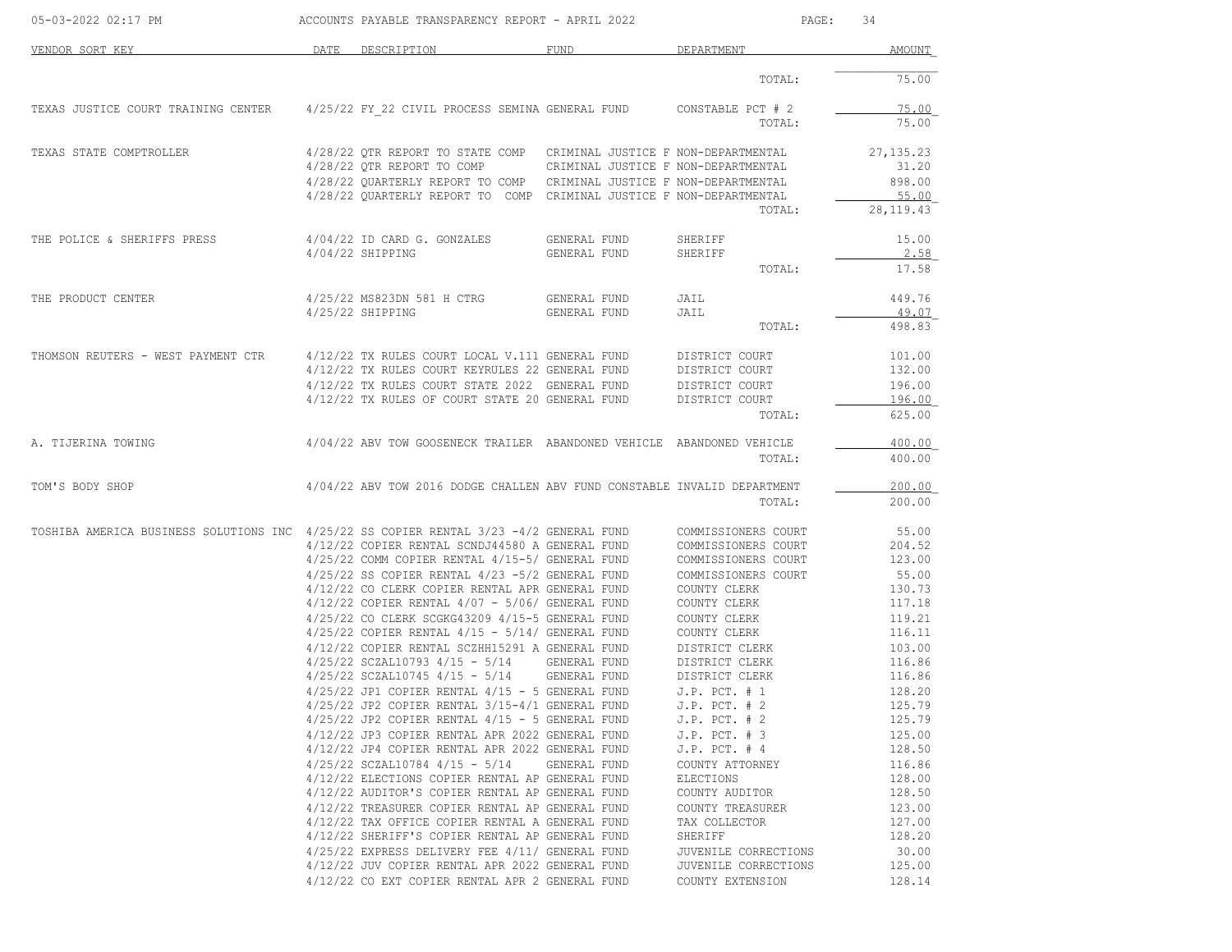| 05-03-2022 02:17 PM                                                                                   | ACCOUNTS PAYABLE TRANSPARENCY REPORT - APRIL 2022                                                      |                              | PAGE:                        | 34                   |
|-------------------------------------------------------------------------------------------------------|--------------------------------------------------------------------------------------------------------|------------------------------|------------------------------|----------------------|
| VENDOR SORT KEY                                                                                       | DATE DESCRIPTION                                                                                       | FUND                         | DEPARTMENT                   | <b>AMOUNT</b>        |
|                                                                                                       |                                                                                                        |                              | TOTAL:                       | 75.00                |
| TEXAS JUSTICE COURT TRAINING CENTER 4/25/22 FY 22 CIVIL PROCESS SEMINA GENERAL FUND CONSTABLE PCT # 2 |                                                                                                        |                              |                              | 75.00                |
|                                                                                                       |                                                                                                        |                              | TOTAL:                       | 75.00                |
| TEXAS STATE COMPTROLLER                                                                               | 4/28/22 QTR REPORT TO STATE COMP  CRIMINAL JUSTICE F NON-DEPARTMENTAL                                  |                              |                              | 27, 135. 23          |
|                                                                                                       | 4/28/22 QTR REPORT TO COMP CRIMINAL JUSTICE F NON-DEPARTMENTAL                                         |                              |                              | 31.20                |
|                                                                                                       | 4/28/22 QUARTERLY REPORT TO COMP CRIMINAL JUSTICE F NON-DEPARTMENTAL                                   |                              |                              | 898.00               |
|                                                                                                       | 4/28/22 OUARTERLY REPORT TO COMP CRIMINAL JUSTICE F NON-DEPARTMENTAL                                   |                              | TOTAL:                       | 55.00<br>28, 119. 43 |
|                                                                                                       |                                                                                                        |                              |                              |                      |
| THE POLICE & SHERIFFS PRESS                                                                           | 4/04/22 ID CARD G. GONZALES<br>4/04/22 SHIPPING                                                        | GENERAL FUND<br>GENERAL FUND | SHERIFF<br>SHERIFF           | 15.00<br>2.58        |
|                                                                                                       |                                                                                                        |                              | TOTAL:                       | 17.58                |
|                                                                                                       |                                                                                                        |                              |                              |                      |
| THE PRODUCT CENTER                                                                                    | 4/25/22 MS823DN 581 H CTRG                                                                             | GENERAL FUND                 | JAIL                         | 449.76               |
|                                                                                                       | 4/25/22 SHIPPING                                                                                       | GENERAL FUND                 | JAIL                         | 49.07                |
|                                                                                                       |                                                                                                        |                              | TOTAL:                       | 498.83               |
| THOMSON REUTERS - WEST PAYMENT CTR                                                                    | $4/12/22$ TX RULES COURT LOCAL V.111 GENERAL FUND DISTRICT COURT                                       |                              |                              | 101.00               |
|                                                                                                       | 4/12/22 TX RULES COURT KEYRULES 22 GENERAL FUND                                                        |                              | DISTRICT COURT               | 132.00               |
|                                                                                                       | 4/12/22 TX RULES COURT STATE 2022 GENERAL FUND DISTRICT COURT                                          |                              |                              | 196.00               |
|                                                                                                       | 4/12/22 TX RULES OF COURT STATE 20 GENERAL FUND                                                        |                              | DISTRICT COURT               | 196.00               |
|                                                                                                       |                                                                                                        |                              | TOTAL:                       | 625.00               |
| A. TIJERINA TOWING                                                                                    | 4/04/22 ABV TOW GOOSENECK TRAILER ABANDONED VEHICLE ABANDONED VEHICLE                                  |                              |                              | 400.00               |
|                                                                                                       |                                                                                                        |                              | TOTAL:                       | 400.00               |
| TOM'S BODY SHOP                                                                                       | 4/04/22 ABV TOW 2016 DODGE CHALLEN ABV FUND CONSTABLE INVALID DEPARTMENT                               |                              |                              | 200.00               |
|                                                                                                       |                                                                                                        |                              | TOTAL:                       | 200.00               |
| TOSHIBA AMERICA BUSINESS SOLUTIONS INC 4/25/22 SS COPIER RENTAL 3/23 -4/2 GENERAL FUND                |                                                                                                        |                              | COMMISSIONERS COURT          | 55.00                |
|                                                                                                       | 4/12/22 COPIER RENTAL SCNDJ44580 A GENERAL FUND                                                        |                              | COMMISSIONERS COURT          | 204.52               |
|                                                                                                       | 4/25/22 COMM COPIER RENTAL 4/15-5/ GENERAL FUND                                                        |                              | COMMISSIONERS COURT          | 123.00               |
|                                                                                                       | 4/25/22 SS COPIER RENTAL 4/23 -5/2 GENERAL FUND                                                        |                              | COMMISSIONERS COURT          | 55.00                |
|                                                                                                       | 4/12/22 CO CLERK COPIER RENTAL APR GENERAL FUND                                                        |                              | COUNTY CLERK                 | 130.73               |
|                                                                                                       | $4/12/22$ COPIER RENTAL $4/07 - 5/06/$ GENERAL FUND                                                    |                              | COUNTY CLERK                 | 117.18               |
|                                                                                                       | 4/25/22 CO CLERK SCGKG43209 4/15-5 GENERAL FUND<br>$4/25/22$ COPIER RENTAL $4/15 - 5/14/$ GENERAL FUND |                              | COUNTY CLERK<br>COUNTY CLERK | 119.21<br>116.11     |
|                                                                                                       | 4/12/22 COPIER RENTAL SCZHH15291 A GENERAL FUND                                                        |                              | DISTRICT CLERK               | 103.00               |
|                                                                                                       | $4/25/22$ SCZAL10793 $4/15 - 5/14$                                                                     | GENERAL FUND                 | DISTRICT CLERK               | 116.86               |
|                                                                                                       | $4/25/22$ SCZAL10745 $4/15 - 5/14$ GENERAL FUND                                                        |                              | DISTRICT CLERK               | 116.86               |
|                                                                                                       | $4/25/22$ JP1 COPIER RENTAL $4/15$ - 5 GENERAL FUND                                                    |                              | $J.P.$ PCT. $# 1$            | 128.20               |
|                                                                                                       | 4/25/22 JP2 COPIER RENTAL 3/15-4/1 GENERAL FUND                                                        |                              | $J.P.$ PCT. $# 2$            | 125.79               |
|                                                                                                       | $4/25/22$ JP2 COPIER RENTAL $4/15$ - 5 GENERAL FUND                                                    |                              | $J.P.$ PCT. $# 2$            | 125.79               |
|                                                                                                       | 4/12/22 JP3 COPIER RENTAL APR 2022 GENERAL FUND                                                        |                              | $J.P.$ PCT. $# 3$            | 125.00               |
|                                                                                                       | 4/12/22 JP4 COPIER RENTAL APR 2022 GENERAL FUND                                                        |                              | $J.P.$ PCT. $#4$             | 128.50               |
|                                                                                                       | $4/25/22$ SCZAL10784 $4/15 - 5/14$                                                                     | GENERAL FUND                 | COUNTY ATTORNEY              | 116.86               |
|                                                                                                       | 4/12/22 ELECTIONS COPIER RENTAL AP GENERAL FUND<br>4/12/22 AUDITOR'S COPIER RENTAL AP GENERAL FUND     |                              | ELECTIONS<br>COUNTY AUDITOR  | 128.00<br>128.50     |
|                                                                                                       | 4/12/22 TREASURER COPIER RENTAL AP GENERAL FUND                                                        |                              | COUNTY TREASURER             | 123.00               |
|                                                                                                       | 4/12/22 TAX OFFICE COPIER RENTAL A GENERAL FUND                                                        |                              | TAX COLLECTOR                | 127.00               |
|                                                                                                       | 4/12/22 SHERIFF'S COPIER RENTAL AP GENERAL FUND                                                        |                              | SHERIFF                      | 128.20               |
|                                                                                                       | 4/25/22 EXPRESS DELIVERY FEE 4/11/ GENERAL FUND                                                        |                              | JUVENILE CORRECTIONS         | 30.00                |
|                                                                                                       | 4/12/22 JUV COPIER RENTAL APR 2022 GENERAL FUND                                                        |                              | JUVENILE CORRECTIONS         | 125.00               |
|                                                                                                       | 4/12/22 CO EXT COPIER RENTAL APR 2 GENERAL FUND                                                        |                              | COUNTY EXTENSION             | 128.14               |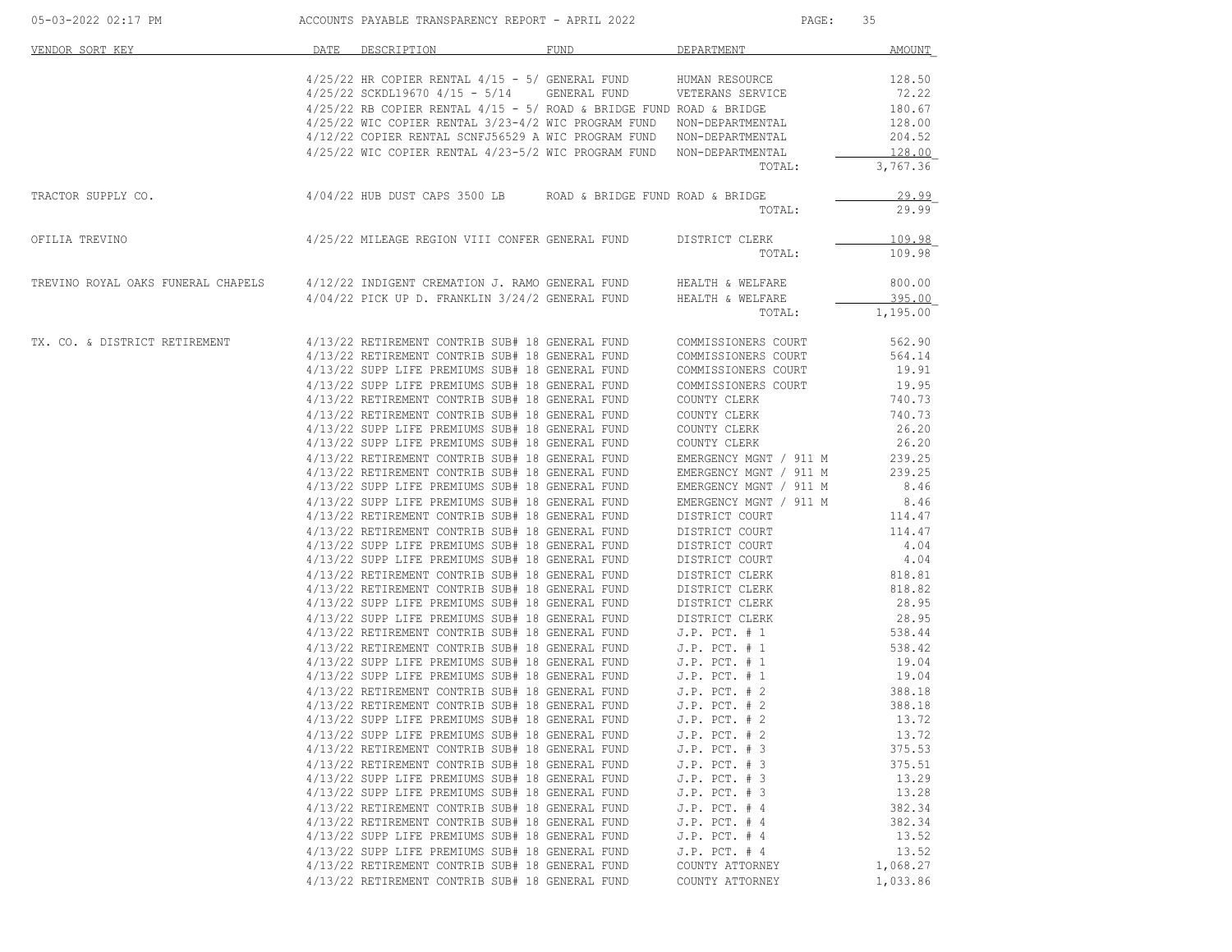| 05-03-2022 02:17 PM                                                                                                                                                      | ACCOUNTS PAYABLE TRANSPARENCY REPORT - APRIL 2022                                                                                                                                                            |      | PAGE:                             | 35                                  |
|--------------------------------------------------------------------------------------------------------------------------------------------------------------------------|--------------------------------------------------------------------------------------------------------------------------------------------------------------------------------------------------------------|------|-----------------------------------|-------------------------------------|
| VENDOR SORT KEY                                                                                                                                                          | DATE DESCRIPTION                                                                                                                                                                                             | FUND | DEPARTMENT                        | AMOUNT                              |
|                                                                                                                                                                          | $4/25/22$ HR COPIER RENTAL $4/15$ - 5/ GENERAL FUND HUMAN RESOURCE $4/25/22$ SCKDL19670 4/15 - 5/14 GENERAL FUND VETERANS SERVICE<br>$4/25/22$ RB COPIER RENTAL $4/15$ - 5/ ROAD & BRIDGE FUND ROAD & BRIDGE |      |                                   | 128.50<br>72.22<br>180.67<br>128.00 |
|                                                                                                                                                                          | 4/25/22 WIC COPIER RENTAL 3/23-4/2 WIC PROGRAM FUND NON-DEPARTMENTAL<br>4/12/22 COPIER RENTAL SCNFJ56529 A WIC PROGRAM FUND NON-DEPARTMENTAL                                                                 |      |                                   | 204.52                              |
|                                                                                                                                                                          | 4/25/22 WIC COPIER RENTAL 4/23-5/2 WIC PROGRAM FUND NON-DEPARTMENTAL                                                                                                                                         |      |                                   | 128.00                              |
|                                                                                                                                                                          |                                                                                                                                                                                                              |      | TOTAL:                            | 3,767.36                            |
| TRACTOR SUPPLY CO.                                                                                                                                                       | $4/04/22$ HUB DUST CAPS 3500 LB ROAD & BRIDGE FUND ROAD & BRIDGE                                                                                                                                             |      |                                   | 29.99                               |
|                                                                                                                                                                          |                                                                                                                                                                                                              |      | TOTAL:                            | 29.99                               |
| OFILIA TREVINO                                                                                                                                                           | 4/25/22 MILEAGE REGION VIII CONFER GENERAL FUND DISTRICT CLERK                                                                                                                                               |      |                                   | 109.98                              |
|                                                                                                                                                                          |                                                                                                                                                                                                              |      | TOTAL:                            | 109.98                              |
| TREVINO ROYAL OAKS FUNERAL CHAPELS $4/12/22$ INDIGENT CREMATION J. RAMO GENERAL FUND HEALTH & WELFARE $4/04/22$ PICK UP D. FRANKLIN 3/24/2 GENERAL FUND HEALTH & WELFARE |                                                                                                                                                                                                              |      |                                   | 800.00                              |
|                                                                                                                                                                          |                                                                                                                                                                                                              |      |                                   | 395.00                              |
|                                                                                                                                                                          |                                                                                                                                                                                                              |      | TOTAL:                            | 1,195.00                            |
| TX. CO. & DISTRICT RETIREMENT                                                                                                                                            | 4/13/22 RETIREMENT CONTRIB SUB# 18 GENERAL FUND COMMISSIONERS COURT                                                                                                                                          |      |                                   | 562.90                              |
|                                                                                                                                                                          | 4/13/22 RETIREMENT CONTRIB SUB# 18 GENERAL FUND                                                                                                                                                              |      | COMMISSIONERS COURT               | 564.14                              |
|                                                                                                                                                                          | 4/13/22 SUPP LIFE PREMIUMS SUB# 18 GENERAL FUND                                                                                                                                                              |      | COMMISSIONERS COURT               | 19.91                               |
|                                                                                                                                                                          | 4/13/22 SUPP LIFE PREMIUMS SUB# 18 GENERAL FUND                                                                                                                                                              |      | COMMISSIONERS COURT               | 19.95                               |
|                                                                                                                                                                          | 4/13/22 RETIREMENT CONTRIB SUB# 18 GENERAL FUND                                                                                                                                                              |      | COUNTY CLERK                      | 740.73                              |
|                                                                                                                                                                          | 4/13/22 RETIREMENT CONTRIB SUB# 18 GENERAL FUND                                                                                                                                                              |      | COUNTY CLERK                      | 740.73                              |
|                                                                                                                                                                          | 4/13/22 SUPP LIFE PREMIUMS SUB# 18 GENERAL FUND<br>4/13/22 SUPP LIFE PREMIUMS SUB# 18 GENERAL FUND                                                                                                           |      | COUNTY CLERK<br>COUNTY CLERK      | 26.20<br>26.20                      |
|                                                                                                                                                                          | 4/13/22 RETIREMENT CONTRIB SUB# 18 GENERAL FUND                                                                                                                                                              |      | EMERGENCY MGNT / 911 M            | 239.25                              |
|                                                                                                                                                                          | 4/13/22 RETIREMENT CONTRIB SUB# 18 GENERAL FUND                                                                                                                                                              |      | EMERGENCY MGNT / 911 M            | 239.25                              |
|                                                                                                                                                                          | 4/13/22 SUPP LIFE PREMIUMS SUB# 18 GENERAL FUND                                                                                                                                                              |      | EMERGENCY MGNT / 911 M            | 8.46                                |
|                                                                                                                                                                          | 4/13/22 SUPP LIFE PREMIUMS SUB# 18 GENERAL FUND                                                                                                                                                              |      | EMERGENCY MGNT / 911 M            | 8.46                                |
|                                                                                                                                                                          | 4/13/22 BOIL 2112 INSTRUES IN THE RENERAL FUND DISTRICT COURT<br>4/13/22 RETIREMENT CONTRIB SUB# 18 GENERAL FUND DISTRICT COURT                                                                              |      |                                   | 114.47                              |
|                                                                                                                                                                          |                                                                                                                                                                                                              |      |                                   | 114.47                              |
|                                                                                                                                                                          | 4/13/22 SUPP LIFE PREMIUMS SUB# 18 GENERAL FUND                                                                                                                                                              |      | DISTRICT COURT                    | 4.04                                |
|                                                                                                                                                                          | 4/13/22 SUPP LIFE PREMIUMS SUB# 18 GENERAL FUND                                                                                                                                                              |      | DISTRICT COURT                    | 4.04                                |
|                                                                                                                                                                          | 4/13/22 RETIREMENT CONTRIB SUB# 18 GENERAL FUND                                                                                                                                                              |      | DISTRICT CLERK                    | 818.81                              |
|                                                                                                                                                                          | 4/13/22 RETIREMENT CONTRIB SUB# 18 GENERAL FUND                                                                                                                                                              |      | DISTRICT CLERK                    | 818.82                              |
|                                                                                                                                                                          | 4/13/22 NEITHEREN CONTRIB SUB# 18 GENERAL FUND DISTRICT CLERK<br>4/13/22 SUPP LIFE PREMIUMS SUB# 18 GENERAL FUND DISTRICT CLERK<br>4/13/22 RETIREMENT CONTRIB SUB# 18 GENERAL FUND J.P. PCT. # 1             |      |                                   | 28.95                               |
|                                                                                                                                                                          |                                                                                                                                                                                                              |      |                                   | 28.95<br>538.44                     |
|                                                                                                                                                                          |                                                                                                                                                                                                              |      |                                   | 538.42                              |
|                                                                                                                                                                          | $4/13/22$ RETIREMENT CONTRIB SUB# 18 GENERAL FUND J.P. PCT. # 1<br>$4/13/22$ SUPP LIFE PREMIUMS SUB# 18 GENERAL FUND J.P. PCT. # 1                                                                           |      |                                   | 19.04                               |
|                                                                                                                                                                          | $4/13/22$ SUPP LIFE PREMIUMS SUB# 18 GENERAL FUND J.P. PCT. # 1                                                                                                                                              |      |                                   | 19.04                               |
|                                                                                                                                                                          | 4/13/22 RETIREMENT CONTRIB SUB# 18 GENERAL FUND                                                                                                                                                              |      | $J.P.$ PCT. $# 2$                 | 388.18                              |
|                                                                                                                                                                          | 4/13/22 RETIREMENT CONTRIB SUB# 18 GENERAL FUND                                                                                                                                                              |      | $J.P.$ PCT. $# 2$                 | 388.18                              |
|                                                                                                                                                                          | 4/13/22 SUPP LIFE PREMIUMS SUB# 18 GENERAL FUND                                                                                                                                                              |      | $J.P.$ PCT. $# 2$                 | 13.72                               |
|                                                                                                                                                                          | 4/13/22 SUPP LIFE PREMIUMS SUB# 18 GENERAL FUND                                                                                                                                                              |      | $J.P.$ PCT. $# 2$                 | 13.72                               |
|                                                                                                                                                                          | 4/13/22 RETIREMENT CONTRIB SUB# 18 GENERAL FUND                                                                                                                                                              |      | $J.P.$ PCT. $# 3$                 | 375.53                              |
|                                                                                                                                                                          | 4/13/22 RETIREMENT CONTRIB SUB# 18 GENERAL FUND                                                                                                                                                              |      | J.P. PCT. # 3                     | 375.51                              |
|                                                                                                                                                                          | 4/13/22 SUPP LIFE PREMIUMS SUB# 18 GENERAL FUND                                                                                                                                                              |      | $J.P.$ PCT. $# 3$                 | 13.29                               |
|                                                                                                                                                                          | 4/13/22 SUPP LIFE PREMIUMS SUB# 18 GENERAL FUND                                                                                                                                                              |      | J.P. PCT. # 3                     | 13.28                               |
|                                                                                                                                                                          | 4/13/22 RETIREMENT CONTRIB SUB# 18 GENERAL FUND<br>4/13/22 RETIREMENT CONTRIB SUB# 18 GENERAL FUND                                                                                                           |      | J.P. PCT. # 4<br>$J.P.$ PCT. $#4$ | 382.34<br>382.34                    |
|                                                                                                                                                                          | 4/13/22 SUPP LIFE PREMIUMS SUB# 18 GENERAL FUND                                                                                                                                                              |      | J.P. PCT. # 4                     | 13.52                               |
|                                                                                                                                                                          | 4/13/22 SUPP LIFE PREMIUMS SUB# 18 GENERAL FUND                                                                                                                                                              |      | $J.P.$ PCT. $#4$                  | 13.52                               |
|                                                                                                                                                                          | 4/13/22 RETIREMENT CONTRIB SUB# 18 GENERAL FUND                                                                                                                                                              |      | COUNTY ATTORNEY                   | 1,068.27                            |
|                                                                                                                                                                          | 4/13/22 RETIREMENT CONTRIB SUB# 18 GENERAL FUND                                                                                                                                                              |      | COUNTY ATTORNEY                   | 1,033.86                            |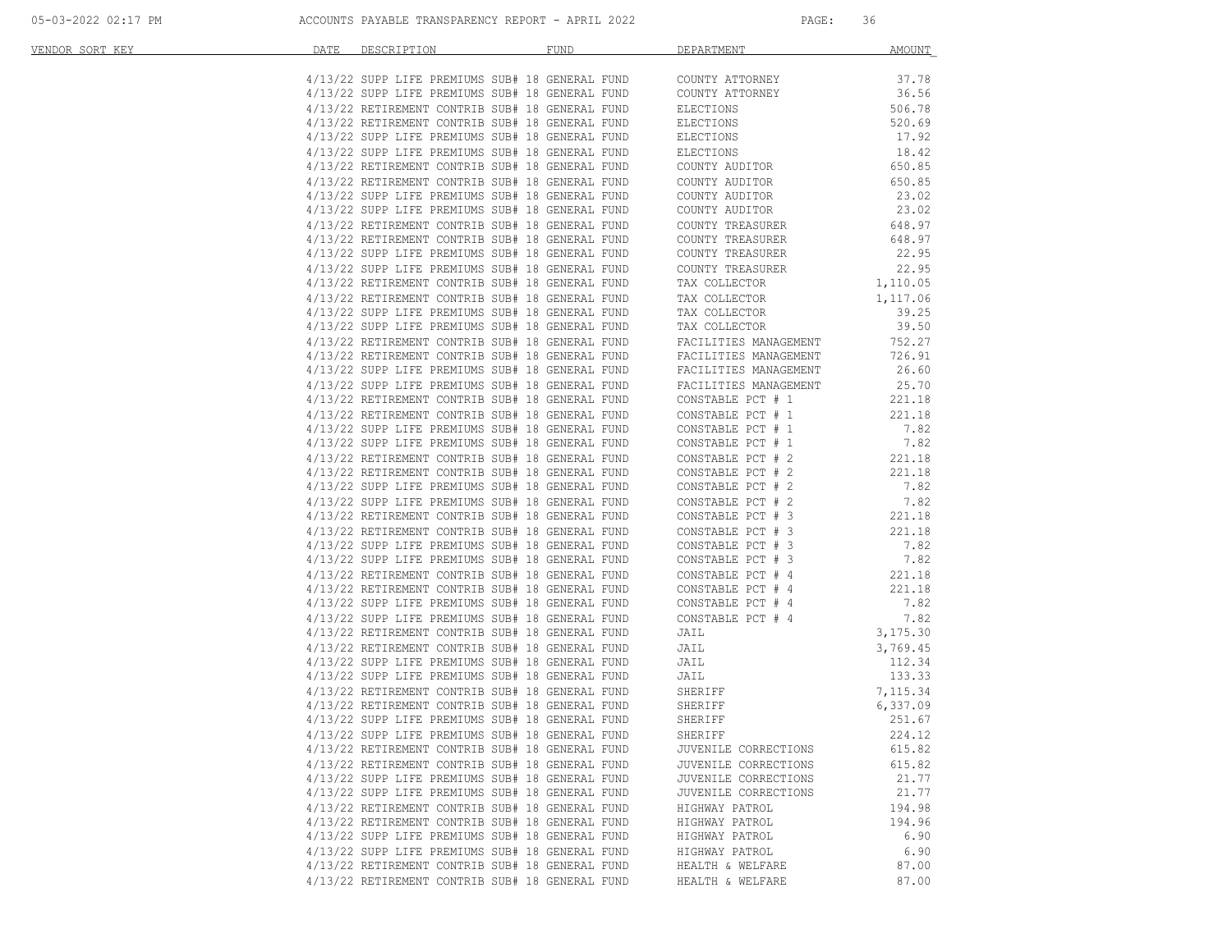| VENDOR SORT KEY | DATE | DESCRIPTION                                                                                        | <b>FUND</b> | DEPARTMENT                                     | AMOUNT             |
|-----------------|------|----------------------------------------------------------------------------------------------------|-------------|------------------------------------------------|--------------------|
|                 |      |                                                                                                    |             |                                                |                    |
|                 |      | 4/13/22 SUPP LIFE PREMIUMS SUB# 18 GENERAL FUND<br>4/13/22 SUPP LIFE PREMIUMS SUB# 18 GENERAL FUND |             | COUNTY ATTORNEY                                | 37.78              |
|                 |      | 4/13/22 SUPP LIFE PREMIUMS SUB# 18 GENERAL FUND                                                    |             | COUNTY ATTORNEY                                | 36.56              |
|                 |      | 4/13/22 RETIREMENT CONTRIB SUB# 18 GENERAL FUND                                                    |             | ELECTIONS                                      | 506.78             |
|                 |      | 4/13/22 RETIREMENT CONTRIB SUB# 18 GENERAL FUND                                                    |             | ELECTIONS                                      | 520.69             |
|                 |      | 4/13/22 SUPP LIFE PREMIUMS SUB# 18 GENERAL FUND                                                    |             | ELECTIONS                                      | 17.92              |
|                 |      | 4/13/22 SUPP LIFE PREMIUMS SUB# 18 GENERAL FUND                                                    |             | COUNTY AUDITOR<br>COUNTY AUDITOR<br>COUNTY ATT | 18.42              |
|                 |      | 4/13/22 RETIREMENT CONTRIB SUB# 18 GENERAL FUND                                                    |             |                                                | 650.85             |
|                 |      | 4/13/22 RETIREMENT CONTRIB SUB# 18 GENERAL FUND                                                    |             | COUNTY AUDITOR                                 | 650.85             |
|                 |      | 4/13/22 SUPP LIFE PREMIUMS SUB# 18 GENERAL FUND                                                    |             | COUNTY AUDITOR                                 | 23.02              |
|                 |      | 4/13/22 SUPP LIFE PREMIUMS SUB# 18 GENERAL FUND                                                    |             | COUNTY AUDITOR                                 | 23.02              |
|                 |      | 4/13/22 RETIREMENT CONTRIB SUB# 18 GENERAL FUND                                                    |             | COUNTY TREASURER                               | 648.97             |
|                 |      | 4/13/22 RETIREMENT CONTRIB SUB# 18 GENERAL FUND                                                    |             | COUNTY TREASURER                               | 648.97             |
|                 |      | 4/13/22 SUPP LIFE PREMIUMS SUB# 18 GENERAL FUND                                                    |             | COUNTY TREASURER                               | 22.95              |
|                 |      | 4/13/22 SUPP LIFE PREMIUMS SUB# 18 GENERAL FUND                                                    |             | COUNTY TREASURER                               | 22.95              |
|                 |      | 4/13/22 RETIREMENT CONTRIB SUB# 18 GENERAL FUND                                                    |             | TAX COLLECTOR                                  | 1,110.05           |
|                 |      | 4/13/22 RETIREMENT CONTRIB SUB# 18 GENERAL FUND                                                    |             | TAX COLLECTOR                                  | 1,117.06           |
|                 |      | 4/13/22 SUPP LIFE PREMIUMS SUB# 18 GENERAL FUND                                                    |             |                                                | 39.25              |
|                 |      | 4/13/22 SUPP LIFE PREMIUMS SUB# 18 GENERAL FUND                                                    |             | TAX COLLECTOR<br>TAX COLLECTOR                 | 39.50              |
|                 |      | 4/13/22 RETIREMENT CONTRIB SUB# 18 GENERAL FUND                                                    |             | FACILITIES MANAGEMENT                          | 752.27             |
|                 |      | 4/13/22 RETIREMENT CONTRIB SUB# 18 GENERAL FUND                                                    |             | FACILITIES MANAGEMENT                          | 726.91             |
|                 |      | 4/13/22 SUPP LIFE PREMIUMS SUB# 18 GENERAL FUND                                                    |             | FACILITIES MANAGEMENT                          | 26.60              |
|                 |      | 4/13/22 SUPP LIFE PREMIUMS SUB# 18 GENERAL FUND                                                    |             | FACILITIES MANAGEMENT                          | 25.70              |
|                 |      | 4/13/22 RETIREMENT CONTRIB SUB# 18 GENERAL FUND                                                    |             | CONSTABLE PCT # 1                              | 221.18             |
|                 |      | 4/13/22 RETIREMENT CONTRIB SUB# 18 GENERAL FUND                                                    |             | CONSTABLE PCT # 1                              | 221.18             |
|                 |      | 4/13/22 SUPP LIFE PREMIUMS SUB# 18 GENERAL FUND                                                    |             |                                                | 7.82               |
|                 |      | 4/13/22 SUPP LIFE PREMIUMS SUB# 18 GENERAL FUND                                                    |             | CONSTABLE PCT # 1<br>CONSTABLE PCT # 1         | 7.82               |
|                 |      | 4/13/22 RETIREMENT CONTRIB SUB# 18 GENERAL FUND                                                    |             | CONSTABLE PCT # 2                              | 221.18             |
|                 |      | 4/13/22 RETIREMENT CONTRIB SUB# 18 GENERAL FUND                                                    |             | CONSTABLE PCT # 2                              | 221.18             |
|                 |      | 4/13/22 SUPP LIFE PREMIUMS SUB# 18 GENERAL FUND                                                    |             |                                                | 7.82               |
|                 |      | 4/13/22 SUPP LIFE PREMIUMS SUB# 18 GENERAL FUND                                                    |             | CONSTABLE PCT # 2<br>CONSTABLE PCT # 2         | 7.82               |
|                 |      | 4/13/22 RETIREMENT CONTRIB SUB# 18 GENERAL FUND                                                    |             | CONSTABLE PCT # 3                              | 221.18             |
|                 |      | 4/13/22 RETIREMENT CONTRIB SUB# 18 GENERAL FUND                                                    |             | CONSTABLE PCT # 3                              | 221.18             |
|                 |      | 4/13/22 SUPP LIFE PREMIUMS SUB# 18 GENERAL FUND                                                    |             |                                                | 7.82               |
|                 |      | 4/13/22 SUPP LIFE PREMIUMS SUB# 18 GENERAL FUND                                                    |             | CONSTABLE PCT # 3<br>CONSTABLE PCT # 3         | 7.82               |
|                 |      | 4/13/22 RETIREMENT CONTRIB SUB# 18 GENERAL FUND                                                    |             | CONSTABLE PCT # 4                              | 221.18             |
|                 |      | 4/13/22 RETIREMENT CONTRIB SUB# 18 GENERAL FUND                                                    |             |                                                | 221.18             |
|                 |      | 4/13/22 SUPP LIFE PREMIUMS SUB# 18 GENERAL FUND                                                    |             | CONSTABLE PCT # 4<br>CONSTABLE PCT # 4         | 7.82               |
|                 |      | 4/13/22 SUPP LIFE PREMIUMS SUB# 18 GENERAL FUND                                                    |             | CONSTABLE PCT # 4                              | 7.82               |
|                 |      | 4/13/22 RETIREMENT CONTRIB SUB# 18 GENERAL FUND                                                    |             | <b>JAIL</b>                                    | 3,175.30           |
|                 |      | 4/13/22 RETIREMENT CONTRIB SUB# 18 GENERAL FUND                                                    |             |                                                |                    |
|                 |      |                                                                                                    |             | JAIL                                           | 3,769.45<br>112.34 |
|                 |      | 4/13/22 SUPP LIFE PREMIUMS SUB# 18 GENERAL FUND<br>4/13/22 SUPP LIFE PREMIUMS SUB# 18 GENERAL FUND |             | JAIL<br>JAIL                                   |                    |
|                 |      |                                                                                                    |             |                                                | 133.33             |
|                 |      | 4/13/22 RETIREMENT CONTRIB SUB# 18 GENERAL FUND                                                    |             | SHERIFF                                        | 7,115.34           |
|                 |      | 4/13/22 RETIREMENT CONTRIB SUB# 18 GENERAL FUND<br>4/13/22 SUPP LIFE PREMIUMS SUB# 18 GENERAL FUND |             | SHERIFF<br>SHERIFF<br>SHERIFF                  | 6,337.09           |
|                 |      |                                                                                                    |             |                                                | 251.67             |
|                 |      | 4/13/22 SUPP LIFE PREMIUMS SUB# 18 GENERAL FUND                                                    |             | SHERIFF                                        | 224.12             |
|                 |      | 4/13/22 RETIREMENT CONTRIB SUB# 18 GENERAL FUND                                                    |             | JUVENILE CORRECTIONS                           | 615.82             |
|                 |      | 4/13/22 RETIREMENT CONTRIB SUB# 18 GENERAL FUND                                                    |             | JUVENILE CORRECTIONS                           | 615.82             |
|                 |      | 4/13/22 SUPP LIFE PREMIUMS SUB# 18 GENERAL FUND                                                    |             | JUVENILE CORRECTIONS                           | 21.77              |
|                 |      | 4/13/22 SUPP LIFE PREMIUMS SUB# 18 GENERAL FUND                                                    |             | JUVENILE CORRECTIONS                           | 21.77              |
|                 |      | 4/13/22 RETIREMENT CONTRIB SUB# 18 GENERAL FUND                                                    |             | HIGHWAY PATROL                                 | 194.98             |
|                 |      | 4/13/22 RETIREMENT CONTRIB SUB# 18 GENERAL FUND                                                    |             | HIGHWAY PATROL                                 | 194.96             |
|                 |      | 4/13/22 SUPP LIFE PREMIUMS SUB# 18 GENERAL FUND                                                    |             | HIGHWAY PATROL                                 | 6.90               |
|                 |      | 4/13/22 SUPP LIFE PREMIUMS SUB# 18 GENERAL FUND                                                    |             | HIGHWAY PATROL                                 | 6.90               |
|                 |      | 4/13/22 RETIREMENT CONTRIB SUB# 18 GENERAL FUND                                                    |             | HEALTH & WELFARE                               | 87.00              |
|                 |      | 4/13/22 RETIREMENT CONTRIB SUB# 18 GENERAL FUND                                                    |             | HEALTH & WELFARE                               | 87.00              |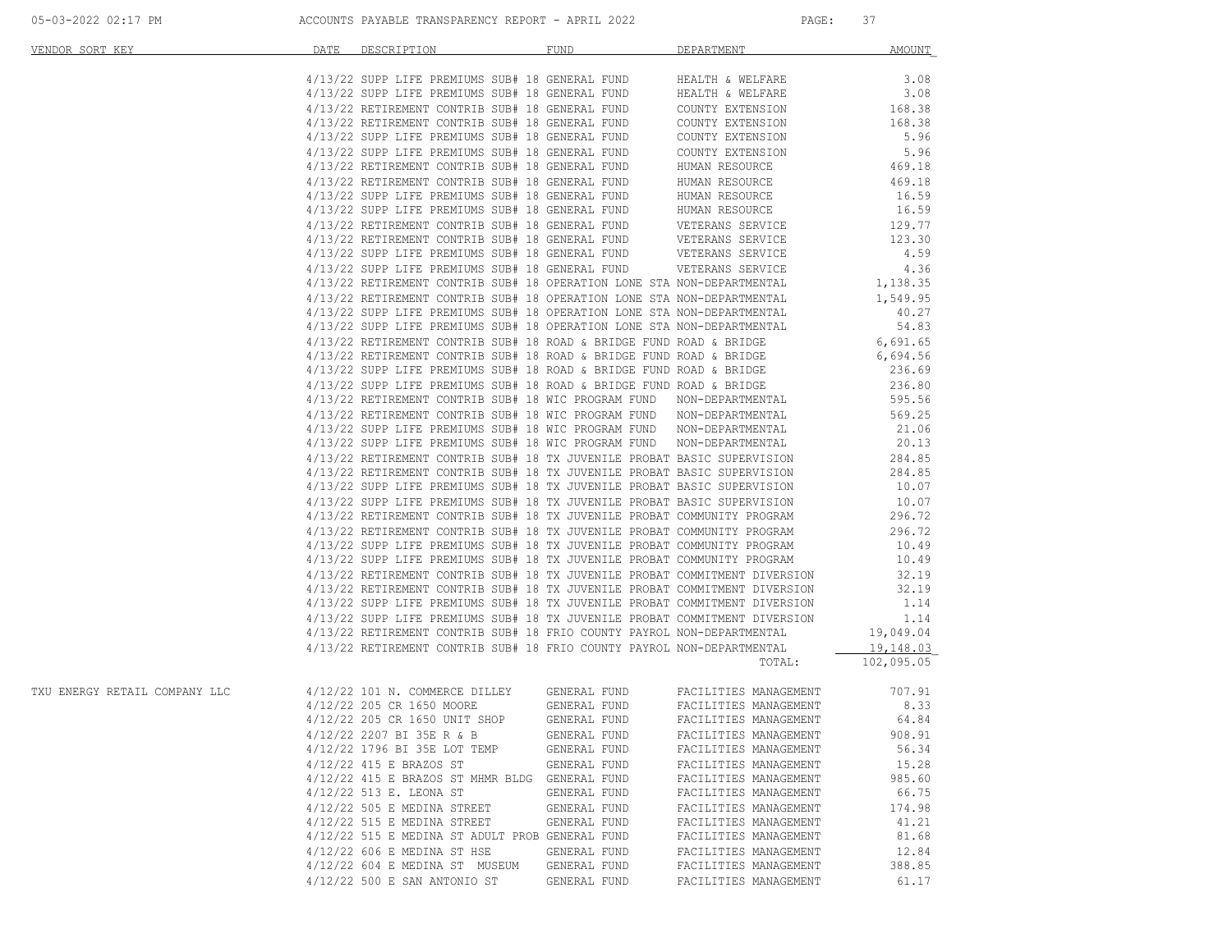| VENDOR SORT KEY | DATE | DESCRIPTION FUND PERRTMENT                                                                                                                                                                                                              |              |                       | <b>AMOUNT</b> |
|-----------------|------|-----------------------------------------------------------------------------------------------------------------------------------------------------------------------------------------------------------------------------------------|--------------|-----------------------|---------------|
|                 |      | 4/13/22 SUPP LIFE PREMIUMS SUB# 18 GENERAL FUND HEALTH & WELFARE                                                                                                                                                                        |              |                       | 3.08          |
|                 |      |                                                                                                                                                                                                                                         |              |                       |               |
|                 |      | $4/13/22$ SUPP LIFE PREMIUMS SUB# 18 GENERAL FUND HEALTH & WELFARE 3.08 4/13/22 RETIREMENT CONTRIB SUB# 18 GENERAL FUND COUNTY EXTENSION 168.38                                                                                         |              |                       |               |
|                 |      | $4/13/22$ RETIREMENT CONTRIB SUB# 18 GENERAL FUND COUNTY EXTENSION $4/13/22$ SUPP LIFE PREMIUMS SUB# 18 GENERAL FUND COUNTY EXTENSION                                                                                                   |              |                       | 168.38        |
|                 |      |                                                                                                                                                                                                                                         |              |                       | 5.96          |
|                 |      |                                                                                                                                                                                                                                         |              |                       |               |
|                 |      |                                                                                                                                                                                                                                         |              |                       |               |
|                 |      | 4/13/22 SUPP LIFE PREMIUMS SUB# 18 GENERAL FUND COUNTY EXTENSION 5.96<br>4/13/22 RETIREMENT CONTRIB SUB# 18 GENERAL FUND HUMAN RESOURCE 469.18<br>4/13/22 RETIREMENT CONTRIB SUB# 18 GENERAL FUND HUMAN RESOURCE 469.18<br>4/13/22 SUPP |              |                       |               |
|                 |      |                                                                                                                                                                                                                                         |              |                       |               |
|                 |      |                                                                                                                                                                                                                                         |              |                       |               |
|                 |      |                                                                                                                                                                                                                                         |              |                       |               |
|                 |      |                                                                                                                                                                                                                                         |              |                       |               |
|                 |      |                                                                                                                                                                                                                                         |              |                       |               |
|                 |      |                                                                                                                                                                                                                                         |              |                       |               |
|                 |      | 4/13/22 RETIREMENT CONTRIB SUB# 18 GENERAL FUND WETERANS SERVICE 123.30<br>4/13/22 RETIREMENT CONTRIB SUB# 18 GENERAL FUND VETERANS SERVICE 123.30<br>4/13/22 SUPP LIFE PREMIUMS SUB# 18 GENERAL FUND VETERANS SERVICE 4.59<br>4/13/22  |              |                       |               |
|                 |      |                                                                                                                                                                                                                                         |              |                       |               |
|                 |      |                                                                                                                                                                                                                                         |              |                       |               |
|                 |      |                                                                                                                                                                                                                                         |              |                       |               |
|                 |      |                                                                                                                                                                                                                                         |              |                       |               |
|                 |      | $4/13/22$ RETIREMENT CONTRIB SUB# 18 ROAD & BRIDGE FUND ROAD & BRIDGE<br>4/13/22 RETIREMENT CONTRIB SUB# 18 ROAD & BRIDGE FUND ROAD & BRIDGE                                                                                            |              |                       |               |
|                 |      | 4/13/22 SUPP LIFE PREMIUMS SUB# 18 ROAD & BRIDGE FUND ROAD & BRIDGE                                                                                                                                                                     |              |                       | 236.69        |
|                 |      | $4/13/22$ SUPP LIFE PREMIUMS SUB# 10 ROAD & BRIDGE FUND ROAD & BRIDGE<br>$4/13/22$ SUPP LIFE PREMIUMS SUB# 18 ROAD & BRIDGE FUND ROAD & BRIDGE<br>$\frac{1}{2}$ Supplementary and the month monthly proteined and the MON-              |              |                       |               |
|                 |      | 4/13/22 RETIREMENT CONTRIB SUB# 18 WIC PROGRAM FUND NON-DEPARTMENTAL                                                                                                                                                                    |              |                       | 595.56        |
|                 |      | 4/13/22 RETIREMENT CONTRIB SUB# 10 MIC PROGRAM FUND NON-DEPARTMENTAL 569.25<br>4/13/22 SUPP LIFE PREMIUMS SUB# 18 WIC PROGRAM FUND NON-DEPARTMENTAL 21.06<br>4/13/22 SUPP LIFE PREMIUMS SUB# 18 WIC PROGRAM FUND NON-DEPARTMENTAL 20    |              |                       |               |
|                 |      |                                                                                                                                                                                                                                         |              |                       |               |
|                 |      |                                                                                                                                                                                                                                         |              |                       |               |
|                 |      | 4/13/22 RETIREMENT CONTRIB SUB# 18 TX JUVENILE PROBAT BASIC SUPERVISION<br>4/13/22 RETIREMENT CONTRIB SUB# 18 TX JUVENILE PROBAT BASIC SUPERVISION<br>4/13/22 SUPP LIFE PREMIUMS SUB# 18 TX JUVENILE PROBAT BASIC SUPERVISION<br>4/13/2 |              |                       |               |
|                 |      |                                                                                                                                                                                                                                         |              |                       |               |
|                 |      |                                                                                                                                                                                                                                         |              |                       |               |
|                 |      |                                                                                                                                                                                                                                         |              |                       |               |
|                 |      |                                                                                                                                                                                                                                         |              |                       |               |
|                 |      |                                                                                                                                                                                                                                         |              |                       |               |
|                 |      | $4/13/22$ RETIREMENT CONTRIB SUB# 18 TX JUVENILE PROBAT COMMUNITY PROGRAM 296.72 4/13/22 SUPP LIFE PREMIUMS SUB# 18 TX JUVENILE PROBAT COMMUNITY PROGRAM 10.49                                                                          |              |                       |               |
|                 |      | $4/13/22$ SUPP LIFE PREMIUMS SUB# 18 TX JUVENILE PROBAT COMMUNITY PROGRAM $4/13/22$ RETIREMENT CONTRIB SUB# 18 TX JUVENILE PROBAT COMMITMENT DIVERSION 32.19                                                                            |              |                       |               |
|                 |      |                                                                                                                                                                                                                                         |              |                       |               |
|                 |      | 4/13/22 RETIREMENT CONTRIB SUB# 18 TX JUVENILE PROBAT COMMITMENT DIVERSION 32.19<br>4/13/22 SUPP LIFE PREMIUMS SUB# 18 TX JUVENILE PROBAT COMMITMENT DIVERSION 1.14<br>4/13/22 SUPP LIFE PREMIUMS SUB# 18 TX JUVENILE PROBAT COMMITM    |              |                       |               |
|                 |      |                                                                                                                                                                                                                                         |              |                       |               |
|                 |      |                                                                                                                                                                                                                                         |              |                       |               |
|                 |      |                                                                                                                                                                                                                                         |              |                       |               |
|                 |      | 4/13/22 RETIREMENT CONTRIB SUB# 18 FRIO COUNTY PAYROL NON-DEPARTMENTAL                                                                                                                                                                  |              |                       | 19,148.03     |
|                 |      |                                                                                                                                                                                                                                         |              | TOTAL: $102,095.05$   |               |
|                 |      |                                                                                                                                                                                                                                         |              |                       | 707.91        |
|                 |      |                                                                                                                                                                                                                                         |              |                       | 8.33          |
|                 |      | 4/12/22 205 CR 1650 UNIT SHOP GENERAL FUND                                                                                                                                                                                              |              | FACILITIES MANAGEMENT | 64.84         |
|                 |      | 4/12/22 2207 BI 35E R & B GENERAL FUND FACILITIES MANAGEMENT                                                                                                                                                                            |              |                       | 908.91        |
|                 |      | 4/12/22 1796 BI 35E LOT TEMP                                                                                                                                                                                                            | GENERAL FUND | FACILITIES MANAGEMENT | 56.34         |
|                 |      | 4/12/22 415 E BRAZOS ST                                                                                                                                                                                                                 | GENERAL FUND | FACILITIES MANAGEMENT | 15.28         |
|                 |      | 4/12/22 415 E BRAZOS ST MHMR BLDG GENERAL FUND                                                                                                                                                                                          |              | FACILITIES MANAGEMENT | 985.60        |
|                 |      | 4/12/22 513 E. LEONA ST                                                                                                                                                                                                                 | GENERAL FUND | FACILITIES MANAGEMENT | 66.75         |
|                 |      | $4/12/22$ 505 E MEDINA STREET                                                                                                                                                                                                           | GENERAL FUND | FACILITIES MANAGEMENT | 174.98        |
|                 |      | $4/12/22$ 515 E MEDINA STREET                                                                                                                                                                                                           | GENERAL FUND | FACILITIES MANAGEMENT | 41.21         |
|                 |      | 4/12/22 515 E MEDINA ST ADULT PROB GENERAL FUND                                                                                                                                                                                         |              | FACILITIES MANAGEMENT | 81.68         |
|                 |      | 4/12/22 606 E MEDINA ST HSE                                                                                                                                                                                                             | GENERAL FUND | FACILITIES MANAGEMENT | 12.84         |
|                 |      | 4/12/22 604 E MEDINA ST MUSEUM GENERAL FUND                                                                                                                                                                                             |              | FACILITIES MANAGEMENT | 388.85        |
|                 |      | 4/12/22 500 E SAN ANTONIO ST                                                                                                                                                                                                            | GENERAL FUND | FACILITIES MANAGEMENT | 61.17         |
|                 |      |                                                                                                                                                                                                                                         |              |                       |               |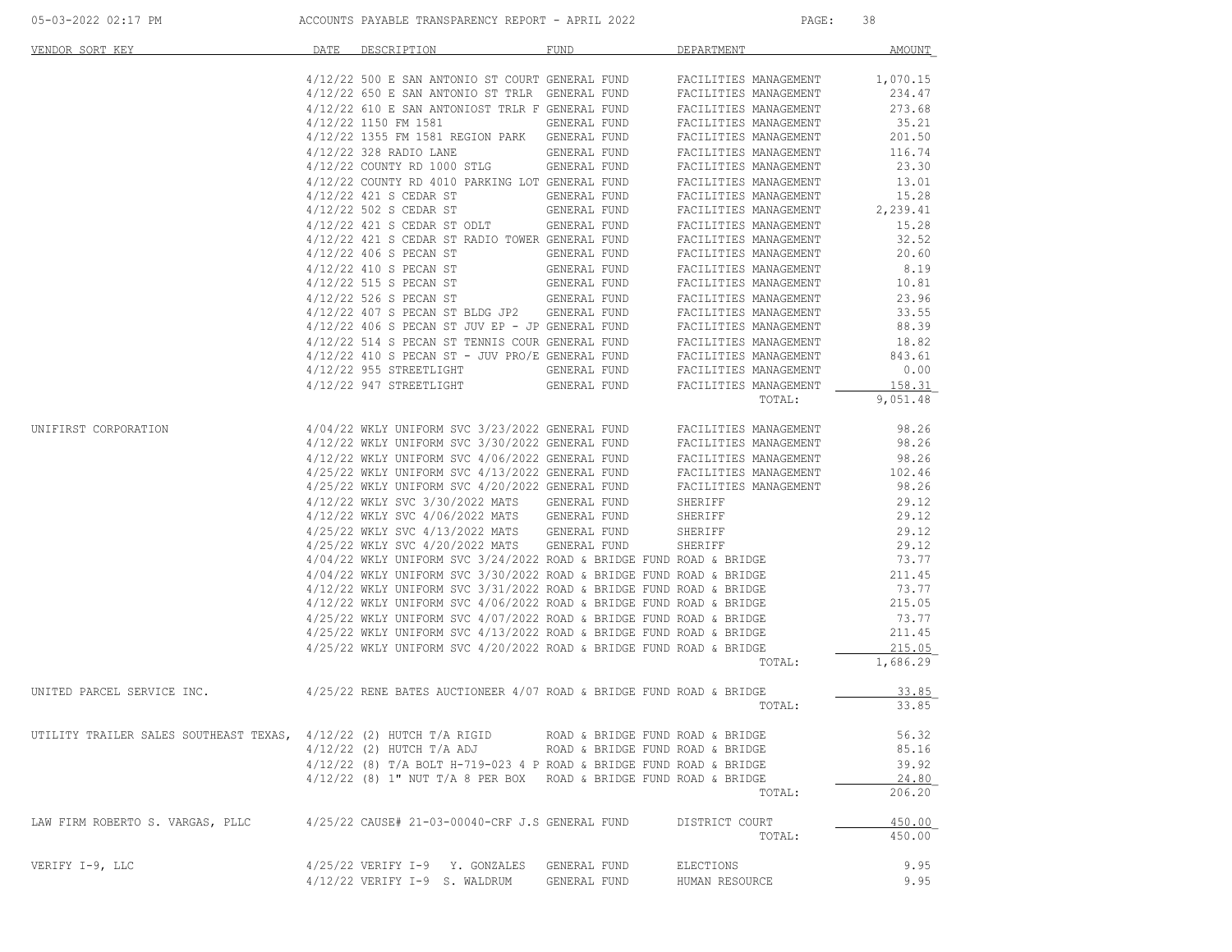| VENDOR SORT KEY                                                    | DATE | DESCRIPTION                                                                                                                                  | <b>FUND</b>                      | DEPARTMENT                                     | <b>AMOUNT</b>   |
|--------------------------------------------------------------------|------|----------------------------------------------------------------------------------------------------------------------------------------------|----------------------------------|------------------------------------------------|-----------------|
|                                                                    |      | 4/12/22 500 E SAN ANTONIO ST COURT GENERAL FUND FACILITIES MANAGEMENT                                                                        |                                  |                                                | 1,070.15        |
|                                                                    |      | 4/12/22 650 E SAN ANTONIO ST TRLR GENERAL FUND                                                                                               |                                  | FACILITIES MANAGEMENT                          | 234.47          |
|                                                                    |      | 4/12/22 610 E SAN ANTONIOST TRLR F GENERAL FUND                                                                                              |                                  | FACILITIES MANAGEMENT                          | 273.68          |
|                                                                    |      | 4/12/22 1150 FM 1581                                                                                                                         | GENERAL FUND                     | FACILITIES MANAGEMENT                          | 35.21           |
|                                                                    |      | 4/12/22 1355 FM 1581 REGION PARK GENERAL FUND                                                                                                |                                  | FACILITIES MANAGEMENT                          | 201.50          |
|                                                                    |      | 4/12/22 328 RADIO LANE                                                                                                                       | GENERAL FUND                     | FACILITIES MANAGEMENT                          | 116.74          |
|                                                                    |      | 4/12/22 COUNTY RD 1000 STLG<br>4/12/22 COUNTY RD 4010 PARKING LOT GENERAL FUND                                                               | GENERAL FUND                     | FACILITIES MANAGEMENT                          | 23.30<br>13.01  |
|                                                                    |      | 4/12/22 421 S CEDAR ST                                                                                                                       | GENERAL FUND                     | FACILITIES MANAGEMENT<br>FACILITIES MANAGEMENT | 15.28           |
|                                                                    |      | 4/12/22 502 S CEDAR ST                                                                                                                       | GENERAL FUND                     | FACILITIES MANAGEMENT                          | 2,239.41        |
|                                                                    |      | 4/12/22 421 S CEDAR ST ODLT                                                                                                                  | GENERAL FUND                     | FACILITIES MANAGEMENT                          | 15.28           |
|                                                                    |      | 4/12/22 421 S CEDAR ST RADIO TOWER GENERAL FUND                                                                                              |                                  | FACILITIES MANAGEMENT                          | 32.52           |
|                                                                    |      | 4/12/22 406 S PECAN ST                                                                                                                       | GENERAL FUND                     | FACILITIES MANAGEMENT                          | 20.60           |
|                                                                    |      | 4/12/22 410 S PECAN ST                                                                                                                       | GENERAL FUND                     | FACILITIES MANAGEMENT                          | 8.19            |
|                                                                    |      | 4/12/22 515 S PECAN ST                                                                                                                       | GENERAL FUND                     | FACILITIES MANAGEMENT                          | 10.81           |
|                                                                    |      | 4/12/22 526 S PECAN ST                                                                                                                       | GENERAL FUND                     | FACILITIES MANAGEMENT                          | 23.96           |
|                                                                    |      | 4/12/22 407 S PECAN ST BLDG JP2 GENERAL FUND                                                                                                 |                                  | FACILITIES MANAGEMENT                          | 33.55           |
|                                                                    |      | 4/12/22 406 S PECAN ST JUV EP - JP GENERAL FUND                                                                                              |                                  | FACILITIES MANAGEMENT                          | 88.39           |
|                                                                    |      | 4/12/22 514 S PECAN ST TENNIS COUR GENERAL FUND                                                                                              |                                  | FACILITIES MANAGEMENT<br>FACILITIES MANAGEMENT | 18.82<br>843.61 |
|                                                                    |      | $4/12/22$ 410 S PECAN ST - JUV PRO/E GENERAL FUND<br>4/12/22 955 STREETLIGHT                                                                 | GENERAL FUND                     | FACILITIES MANAGEMENT                          | 0.00            |
|                                                                    |      | $4/12/22$ 947 STREETLIGHT                                                                                                                    | GENERAL FUND                     | FACILITIES MANAGEMENT                          | 158.31          |
|                                                                    |      |                                                                                                                                              |                                  | TOTAL:                                         | 9,051.48        |
| UNIFIRST CORPORATION                                               |      | $4/04/22$ WKLY UNIFORM SVC $3/23/2022$ GENERAL FUND                                                                                          |                                  | FACILITIES MANAGEMENT                          | 98.26           |
|                                                                    |      | 4/12/22 WKLY UNIFORM SVC 3/30/2022 GENERAL FUND                                                                                              |                                  | FACILITIES MANAGEMENT                          | 98.26           |
|                                                                    |      | 4/12/22 WKLY UNIFORM SVC 4/06/2022 GENERAL FUND                                                                                              |                                  | FACILITIES MANAGEMENT                          | 98.26           |
|                                                                    |      | 4/25/22 WKLY UNIFORM SVC 4/13/2022 GENERAL FUND                                                                                              |                                  | FACILITIES MANAGEMENT                          | 102.46          |
|                                                                    |      | 4/25/22 WKLY UNIFORM SVC 4/20/2022 GENERAL FUND                                                                                              |                                  | FACILITIES MANAGEMENT                          | 98.26           |
|                                                                    |      | 4/12/22 WKLY SVC 3/30/2022 MATS GENERAL FUND                                                                                                 |                                  | SHERIFF                                        | 29.12           |
|                                                                    |      | 4/12/22 WKLY SVC 4/06/2022 MATS GENERAL FUND                                                                                                 |                                  | SHERIFF                                        | 29.12           |
|                                                                    |      | 4/25/22 WKLY SVC 4/13/2022 MATS GENERAL FUND                                                                                                 |                                  | SHERIFF                                        | 29.12<br>29.12  |
|                                                                    |      | 4/25/22 WKLY SVC 4/20/2022 MATS GENERAL FUND<br>$4/04/22$ WKLY UNIFORM SVC $3/24/2022$ ROAD & BRIDGE FUND ROAD & BRIDGE                      |                                  | SHERIFF                                        | 73.77           |
|                                                                    |      | $4/04/22$ WKLY UNIFORM SVC 3/30/2022 ROAD & BRIDGE FUND ROAD & BRIDGE                                                                        |                                  |                                                | 211.45          |
|                                                                    |      | $4/12/22$ WKLY UNIFORM SVC 3/31/2022 ROAD & BRIDGE FUND ROAD & BRIDGE                                                                        |                                  |                                                | 73.77           |
|                                                                    |      | $4/12/22$ WKLY UNIFORM SVC $4/06/2022$ ROAD & BRIDGE FUND ROAD & BRIDGE                                                                      |                                  |                                                | 215.05          |
|                                                                    |      | 4/25/22 WKLY UNIFORM SVC 4/07/2022 ROAD & BRIDGE FUND ROAD & BRIDGE                                                                          |                                  |                                                | 73.77           |
|                                                                    |      | $4/25/22$ WKLY UNIFORM SVC $4/13/2022$ ROAD & BRIDGE FUND ROAD & BRIDGE                                                                      |                                  |                                                | 211.45          |
|                                                                    |      | 4/25/22 WKLY UNIFORM SVC 4/20/2022 ROAD & BRIDGE FUND ROAD & BRIDGE                                                                          |                                  |                                                | 215.05          |
|                                                                    |      |                                                                                                                                              |                                  | TOTAL:                                         | 1,686.29        |
| UNITED PARCEL SERVICE INC.                                         |      | $4/25/22$ RENE BATES AUCTIONEER $4/07$ ROAD & BRIDGE FUND ROAD & BRIDGE                                                                      |                                  |                                                | 33.85           |
|                                                                    |      |                                                                                                                                              |                                  | TOTAL:                                         | 33.85           |
| UTILITY TRAILER SALES SOUTHEAST TEXAS, 4/12/22 (2) HUTCH T/A RIGID |      |                                                                                                                                              | ROAD & BRIDGE FUND ROAD & BRIDGE |                                                | 56.32           |
|                                                                    |      | $4/12/22$ (2) HUTCH T/A ADJ                                                                                                                  | ROAD & BRIDGE FUND ROAD & BRIDGE |                                                | 85.16           |
|                                                                    |      | $4/12/22$ (8) T/A BOLT H-719-023 4 P ROAD & BRIDGE FUND ROAD & BRIDGE<br>$4/12/22$ (8) 1" NUT T/A 8 PER BOX ROAD & BRIDGE FUND ROAD & BRIDGE |                                  |                                                | 39.92<br>24.80  |
|                                                                    |      |                                                                                                                                              |                                  | TOTAL:                                         | 206.20          |
| LAW FIRM ROBERTO S. VARGAS, PLLC                                   |      | 4/25/22 CAUSE# 21-03-00040-CRF J.S GENERAL FUND                                                                                              |                                  | DISTRICT COURT                                 | 450.00          |
|                                                                    |      |                                                                                                                                              |                                  | TOTAL:                                         | 450.00          |
| VERIFY I-9, LLC                                                    |      | 4/25/22 VERIFY I-9 Y. GONZALES                                                                                                               | GENERAL FUND                     | ELECTIONS                                      | 9.95            |
|                                                                    |      | 4/12/22 VERIFY I-9 S. WALDRUM                                                                                                                | GENERAL FUND                     | HUMAN RESOURCE                                 | 9.95            |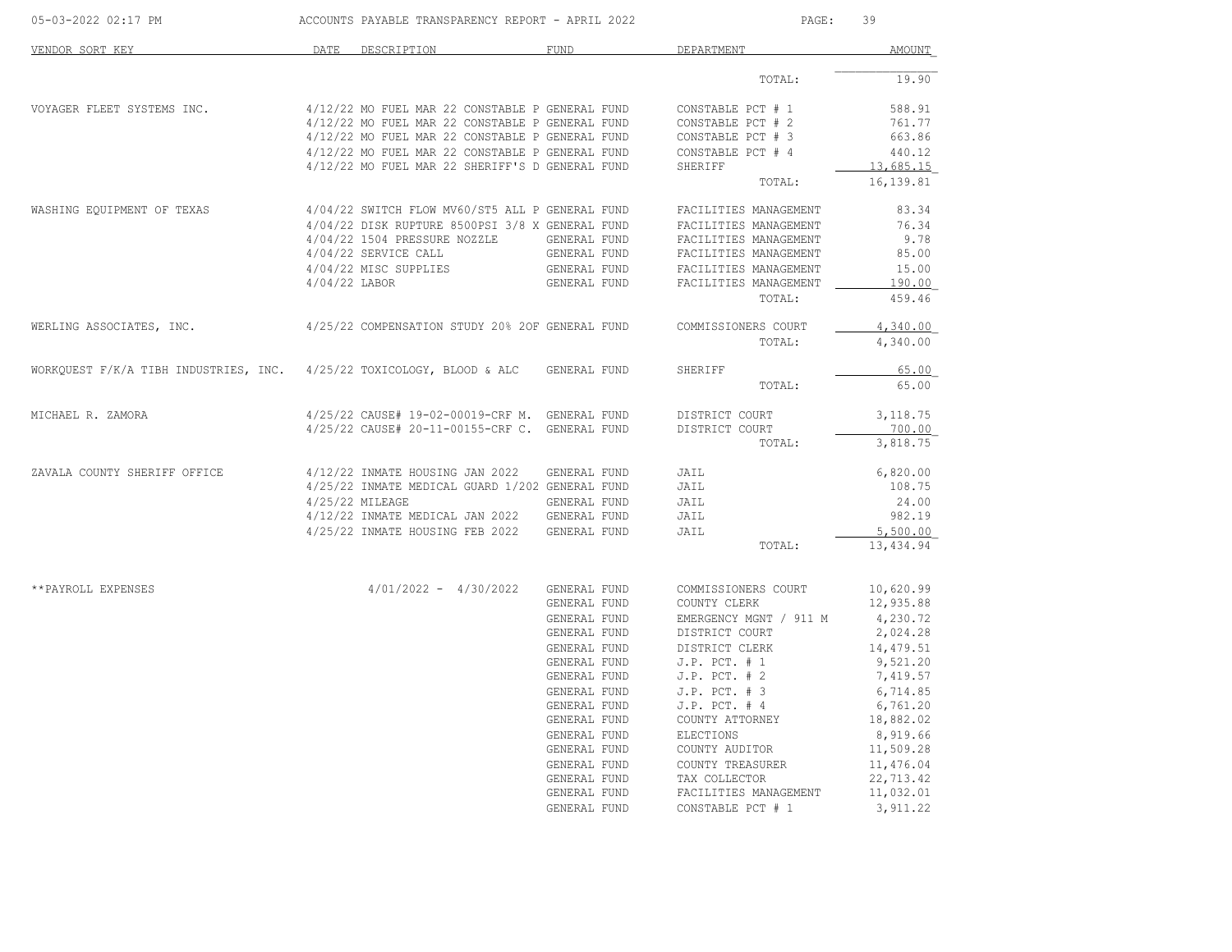| 05-03-2022 02:17 PM                   |                 | ACCOUNTS PAYABLE TRANSPARENCY REPORT - APRIL 2022 |                              | PAGE:                             | 39                     |
|---------------------------------------|-----------------|---------------------------------------------------|------------------------------|-----------------------------------|------------------------|
| VENDOR SORT KEY                       | DATE            | DESCRIPTION                                       | FUND                         | DEPARTMENT                        | AMOUNT                 |
|                                       |                 |                                                   |                              | TOTAL:                            | 19.90                  |
| VOYAGER FLEET SYSTEMS INC.            |                 | 4/12/22 MO FUEL MAR 22 CONSTABLE P GENERAL FUND   |                              | CONSTABLE PCT # 1                 | 588.91                 |
|                                       |                 | 4/12/22 MO FUEL MAR 22 CONSTABLE P GENERAL FUND   |                              | CONSTABLE PCT # 2                 | 761.77                 |
|                                       |                 | 4/12/22 MO FUEL MAR 22 CONSTABLE P GENERAL FUND   |                              | CONSTABLE PCT # 3                 | 663.86                 |
|                                       |                 | 4/12/22 MO FUEL MAR 22 CONSTABLE P GENERAL FUND   |                              | CONSTABLE PCT # 4                 | 440.12                 |
|                                       |                 | 4/12/22 MO FUEL MAR 22 SHERIFF'S D GENERAL FUND   |                              | SHERIFF                           | 13,685.15              |
|                                       |                 |                                                   |                              | TOTAL:                            | 16, 139.81             |
| WASHING EQUIPMENT OF TEXAS            |                 | 4/04/22 SWITCH FLOW MV60/ST5 ALL P GENERAL FUND   |                              | FACILITIES MANAGEMENT             | 83.34                  |
|                                       |                 | 4/04/22 DISK RUPTURE 8500PSI 3/8 X GENERAL FUND   |                              | FACILITIES MANAGEMENT             | 76.34                  |
|                                       |                 | 4/04/22 1504 PRESSURE NOZZLE                      | GENERAL FUND                 | FACILITIES MANAGEMENT             | 9.78                   |
|                                       |                 | 4/04/22 SERVICE CALL                              | GENERAL FUND                 | FACILITIES MANAGEMENT             | 85.00                  |
|                                       |                 | 4/04/22 MISC SUPPLIES                             | GENERAL FUND                 | FACILITIES MANAGEMENT             | 15.00                  |
|                                       | $4/04/22$ LABOR |                                                   | GENERAL FUND                 | FACILITIES MANAGEMENT             | 190.00                 |
|                                       |                 |                                                   |                              | TOTAL:                            | 459.46                 |
| WERLING ASSOCIATES, INC.              |                 | 4/25/22 COMPENSATION STUDY 20% 2OF GENERAL FUND   |                              | COMMISSIONERS COURT               | 4,340.00               |
|                                       |                 |                                                   |                              | TOTAL:                            | 4,340.00               |
| WORKQUEST F/K/A TIBH INDUSTRIES, INC. |                 | 4/25/22 TOXICOLOGY, BLOOD & ALC                   | GENERAL FUND                 | SHERIFF                           | 65.00                  |
|                                       |                 |                                                   |                              | TOTAL:                            | 65.00                  |
| MICHAEL R. ZAMORA                     |                 | 4/25/22 CAUSE# 19-02-00019-CRF M.                 | GENERAL FUND                 | DISTRICT COURT                    | 3,118.75               |
|                                       |                 | 4/25/22 CAUSE# 20-11-00155-CRF C.                 | GENERAL FUND                 | DISTRICT COURT                    | 700.00                 |
|                                       |                 |                                                   |                              | TOTAL:                            | 3,818.75               |
| ZAVALA COUNTY SHERIFF OFFICE          |                 | 4/12/22 INMATE HOUSING JAN 2022                   | GENERAL FUND                 | JAIL                              | 6,820.00               |
|                                       |                 | 4/25/22 INMATE MEDICAL GUARD 1/202 GENERAL FUND   |                              | JAIL                              | 108.75                 |
|                                       |                 | $4/25/22$ MILEAGE                                 | GENERAL FUND                 | JAIL                              | 24.00                  |
|                                       |                 | 4/12/22 INMATE MEDICAL JAN 2022                   | GENERAL FUND                 | JAIL                              | 982.19                 |
|                                       |                 | 4/25/22 INMATE HOUSING FEB 2022                   | GENERAL FUND                 | JAIL                              | 5,500.00               |
|                                       |                 |                                                   |                              | TOTAL:                            | 13,434.94              |
|                                       |                 |                                                   |                              |                                   |                        |
| **PAYROLL EXPENSES                    |                 | $4/01/2022 - 4/30/2022$                           | GENERAL FUND                 | COMMISSIONERS COURT               | 10,620.99              |
|                                       |                 |                                                   | GENERAL FUND                 | COUNTY CLERK                      | 12,935.88              |
|                                       |                 |                                                   | GENERAL FUND                 | EMERGENCY MGNT / 911 M            | 4,230.72               |
|                                       |                 |                                                   | GENERAL FUND                 | DISTRICT COURT                    | 2,024.28               |
|                                       |                 |                                                   | GENERAL FUND                 | DISTRICT CLERK                    | 14,479.51              |
|                                       |                 |                                                   | GENERAL FUND                 | $J.P.$ PCT. $# 1$                 | 9,521.20               |
|                                       |                 |                                                   | GENERAL FUND                 | $J.P.$ PCT. $# 2$                 | 7,419.57               |
|                                       |                 |                                                   | GENERAL FUND                 | $J.P.$ PCT. $# 3$                 | 6,714.85               |
|                                       |                 |                                                   | GENERAL FUND                 | $J.P.$ PCT. $#4$                  | 6,761.20               |
|                                       |                 |                                                   | GENERAL FUND                 | COUNTY ATTORNEY                   | 18,882.02              |
|                                       |                 |                                                   | GENERAL FUND                 | ELECTIONS<br>COUNTY AUDITOR       | 8,919.66               |
|                                       |                 |                                                   | GENERAL FUND                 |                                   | 11,509.28              |
|                                       |                 |                                                   | GENERAL FUND<br>GENERAL FUND | COUNTY TREASURER<br>TAX COLLECTOR | 11,476.04<br>22,713.42 |
|                                       |                 |                                                   | GENERAL FUND                 | FACILITIES MANAGEMENT             | 11,032.01              |
|                                       |                 |                                                   | GENERAL FUND                 | CONSTABLE PCT # 1                 | 3,911.22               |
|                                       |                 |                                                   |                              |                                   |                        |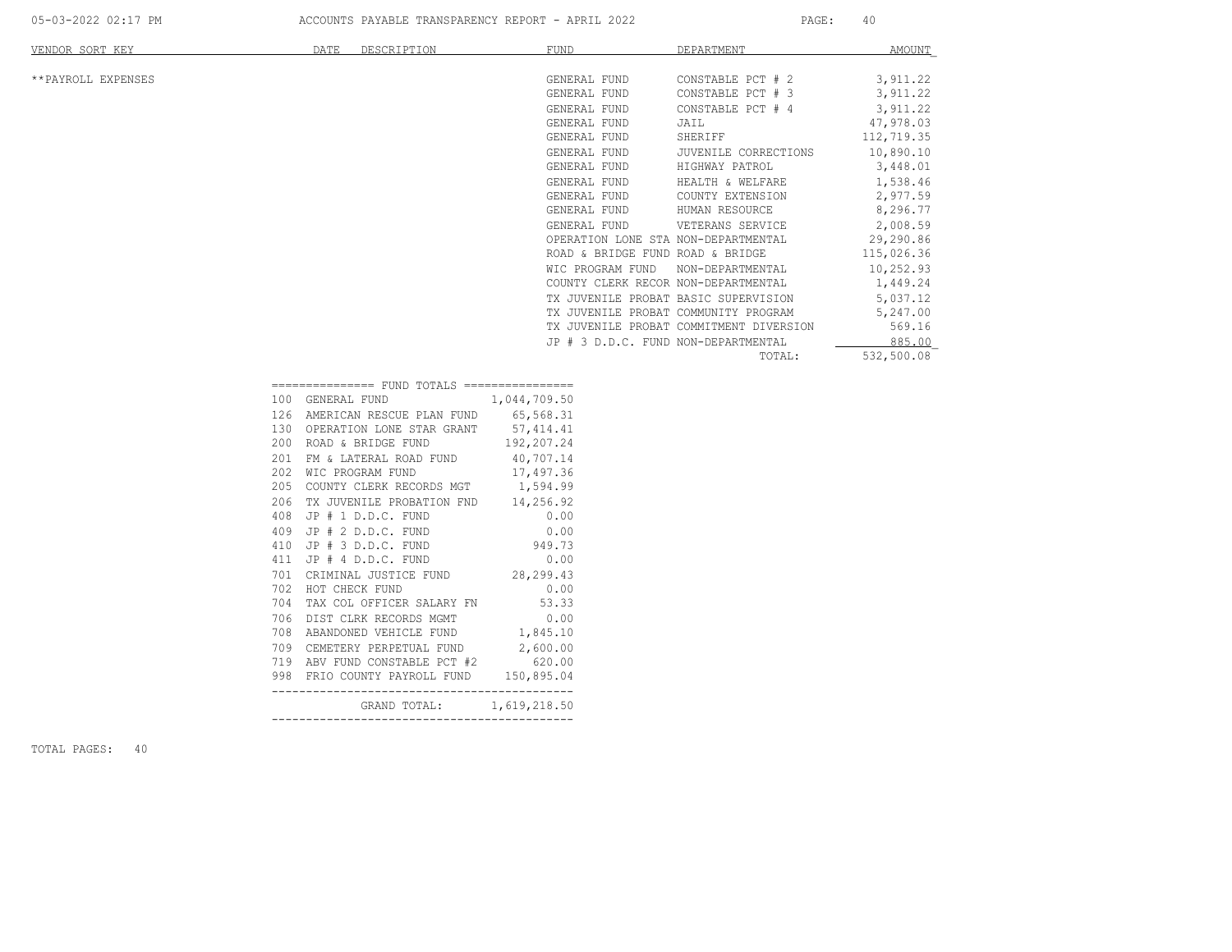05-03-2022 02:17 PM ACCOUNTS PAYABLE TRANSPARENCY REPORT - APRIL 2022 PAGE: 40

| DATE<br>VENDOR SORT KEY | DESCRIPTION | <b>FUND</b>                          | DEPARTMENT                              | <b>AMOUNT</b> |
|-------------------------|-------------|--------------------------------------|-----------------------------------------|---------------|
|                         |             |                                      |                                         |               |
| **PAYROLL EXPENSES      |             | GENERAL FUND                         | CONSTABLE PCT # 2                       | 3,911.22      |
|                         |             | GENERAL FUND                         | CONSTABLE PCT # 3                       | 3,911.22      |
|                         |             | GENERAL FUND                         | CONSTABLE PCT # 4                       | 3,911.22      |
|                         |             | GENERAL FUND                         | JAIL                                    | 47,978.03     |
|                         |             | GENERAL FUND                         | SHERIFF                                 | 112,719.35    |
|                         |             | GENERAL FUND                         | JUVENILE CORRECTIONS                    | 10,890.10     |
|                         |             | GENERAL FUND                         | HIGHWAY PATROL                          | 3,448.01      |
|                         |             | GENERAL FUND                         | HEALTH & WELFARE                        | 1,538.46      |
|                         |             | GENERAL FUND                         | COUNTY EXTENSION                        | 2,977.59      |
|                         |             | GENERAL FUND                         | HUMAN RESOURCE                          | 8,296.77      |
|                         |             | GENERAL FUND                         | VETERANS SERVICE                        | 2,008.59      |
|                         |             | OPERATION LONE STA NON-DEPARTMENTAL  |                                         | 29,290.86     |
|                         |             | ROAD & BRIDGE FUND ROAD & BRIDGE     |                                         | 115,026.36    |
|                         |             | WIC PROGRAM FUND                     | NON-DEPARTMENTAL                        | 10,252.93     |
|                         |             | COUNTY CLERK RECOR NON-DEPARTMENTAL  |                                         | 1,449.24      |
|                         |             | TX JUVENILE PROBAT BASIC SUPERVISION |                                         | 5,037.12      |
|                         |             | TX JUVENILE PROBAT COMMUNITY PROGRAM |                                         | 5,247.00      |
|                         |             |                                      | TX JUVENILE PROBAT COMMITMENT DIVERSION | 569.16        |
|                         |             | JP # 3 D.D.C. FUND NON-DEPARTMENTAL  |                                         | 885.00        |
|                         |             |                                      | TOTAL:                                  | 532,500.08    |
|                         | ______ ___  |                                      |                                         |               |

 =============== FUND TOTALS ================ 100 GENERAL FUND 1,044,709.50 126 AMERICAN RESCUE PLAN FUND 65,568.31 130 OPERATION LONE STAR GRANT 57,414.41 200 ROAD & BRIDGE FUND 192,207.24 201 FM & LATERAL ROAD FUND 40,707.14 202 WIC PROGRAM FUND 17,497.36 205 COUNTY CLERK RECORDS MGT 1,594.99 206 TX JUVENILE PROBATION FND 14,256.92 408 JP # 1 D.D.C. FUND 0.00 409 JP # 2 D.D.C. FUND 0.00 410 JP # 3 D.D.C. FUND 949.73 411 JP # 4 D.D.C. FUND 0.00 701 CRIMINAL JUSTICE FUND 28,299.43 702 HOT CHECK FUND 0.00<br>704 TAX COL OFFICER SALARY FN 53.33 704 TAX COL OFFICER SALARY FN 706 DIST CLRK RECORDS MGMT 0.00<br>708 ABANDONED VEHICLE FUND 1,845.10 708 ABANDONED VEHICLE FUND 709 CEMETERY PERPETUAL FUND 2,600.00 719 ABV FUND CONSTABLE PCT #2 620.00 998 FRIO COUNTY PAYROLL FUND 150,895.04 -------------------------------------------- GRAND TOTAL: 1, 619, 218.50 --------------------------------------------

TOTAL PAGES: 40